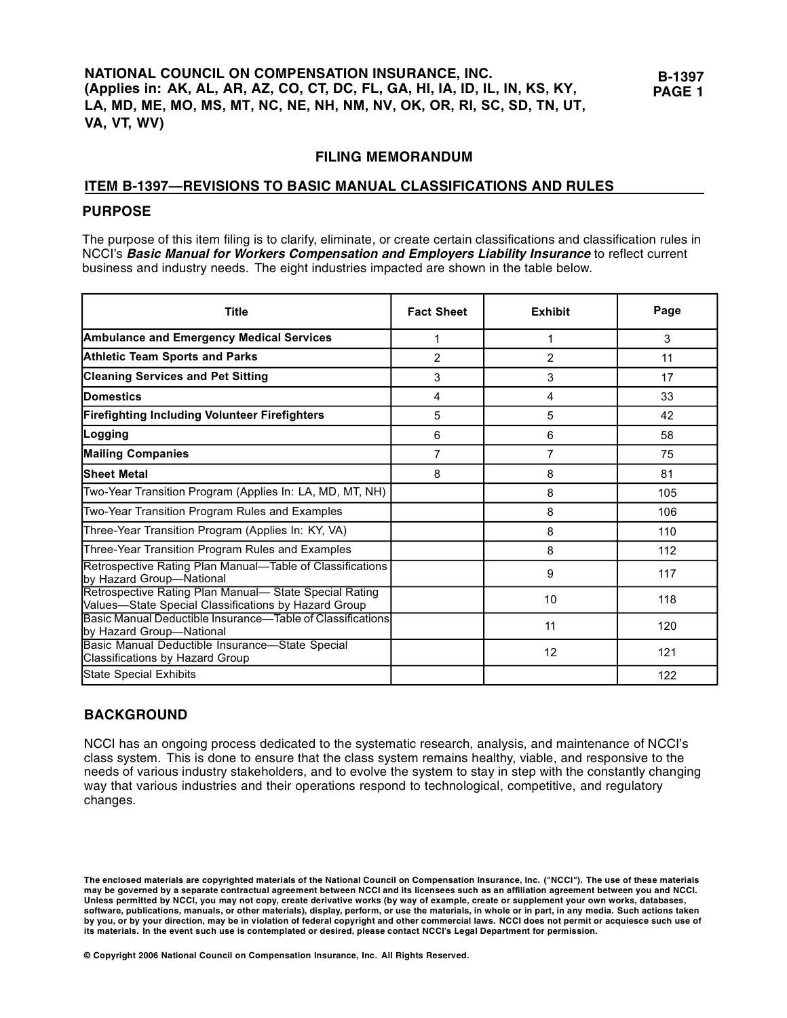# **FILING MEMORANDUM**

# **ITEM B-1397—REVISIONS TO BASIC MANUAL CLASSIFICATIONS AND RULES**

# **PU RPO SE**

The purpose of this item filing is to clarify, eliminate, or create certain classifications and classification rules in NCCI's **Basic Manual for Workers Compensation and Employers Liability Insurance** to reflect current business and industry needs. The eight industries impacted are shown in the table below.

| <b>Title</b>                                                                                                   | <b>Fact Sheet</b> | <b>Exhibit</b> | Page |
|----------------------------------------------------------------------------------------------------------------|-------------------|----------------|------|
| <b>Ambulance and Emergency Medical Services</b>                                                                | 1                 | 1              | 3    |
| <b>Athletic Team Sports and Parks</b>                                                                          | $\overline{2}$    | $\overline{2}$ | 11   |
| <b>Cleaning Services and Pet Sitting</b>                                                                       | 3                 | 3              | 17   |
| <b>IDomestics</b>                                                                                              | 4                 | 4              | 33   |
| <b>Firefighting Including Volunteer Firefighters</b>                                                           | 5                 | 5              | 42   |
| Logging                                                                                                        | 6                 | 6              | 58   |
| <b>Mailing Companies</b>                                                                                       | $\overline{7}$    | $\overline{7}$ | 75   |
| <b>Sheet Metal</b>                                                                                             | 8                 | 8              | 81   |
| Two-Year Transition Program (Applies In: LA, MD, MT, NH)                                                       |                   | 8              | 105  |
| Two-Year Transition Program Rules and Examples                                                                 |                   | 8              | 106  |
| Three-Year Transition Program (Applies In: KY, VA)                                                             |                   | 8              | 110  |
| Three-Year Transition Program Rules and Examples                                                               |                   | 8              | 112  |
| Retrospective Rating Plan Manual-Table of Classifications<br>by Hazard Group-National                          |                   | 9              | 117  |
| Retrospective Rating Plan Manual- State Special Rating<br>Values-State Special Classifications by Hazard Group |                   | 10             | 118  |
| Basic Manual Deductible Insurance-Table of Classifications<br>by Hazard Group-National                         |                   | 11             | 120  |
| Basic Manual Deductible Insurance-State Special<br>Classifications by Hazard Group                             |                   | 12             | 121  |
| State Special Exhibits                                                                                         |                   |                | 122  |

# **BACKGROUND**

NCCI has an ongoing process dedicated to the systematic research, analysis, and maintenance of NCCI's class system. This is done to ensure that the class system remains healthy, viable, and responsive to the needs of various industry stakeholders, and to evolve the system to stay in step with the constantly changing way that various industries and their operations respond to technological, competitive, and regulatory changes.

**The enclosed materials are copyrighted materials of the National Council on Compensation Insurance, Inc. ("NCCI"). The use of these materials may be governed by a separate contractual agreement between NCCI and its licensees such as an affiliation agreement between you and NCCI. Unless permitted by NCCI, you may not copy, create derivative works (by way of example, create or supplement your own works, databases, software, publications, manuals, or other materials), display, perform, or use the materials, in whole or in part, in any media. Such actions taken by you, or by your direction, may be in violation of federal copyright and other commercial laws. NCCI does not permit or acquiesce such use of its materials. In the event such use is contemplated or desired, please contact NCCI's Legal Department for permission.** 

**© Copyright 2006 National Council on Compensation Insurance, Inc. All Rights Reserved.**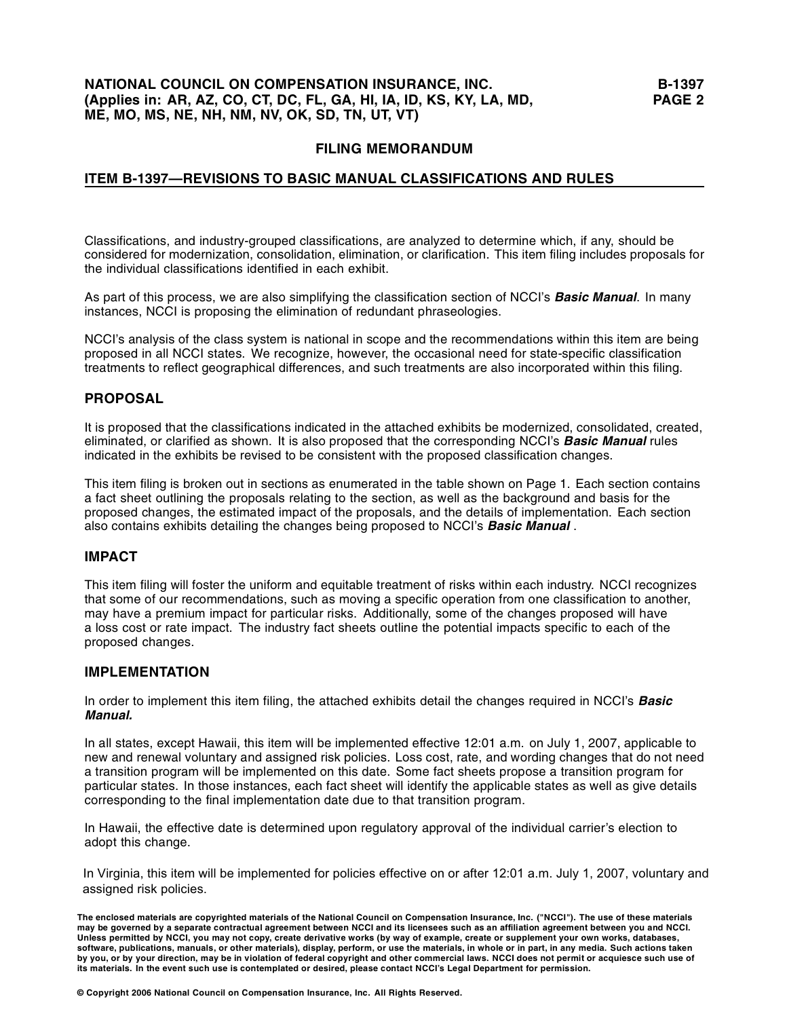# **NATIONAL COUNCIL ON COMPENSATION INSURANCE, INC.** B-1397 **(Applies in: AR, AZ, CO, CT, DC, FL, GA, HI, IA, ID, KS, KY, LA, MD, PAGE 2 ME, MO, MS, NE, NH, NM, NV, OK, SD, TN, UT, VT)**

# **FILING MEMORANDUM**

# **ITEM B-1397—REVISIONS TO BASIC MANUAL CLASSIFICATIONS AND RULES**

Classifications, and industry-grouped classifications, are analyzed to determine which, if any, should be considered for modernization, consolidation, elimination, or clarification. This item filing includes proposals for the individual classifications identified in each exhibit.

As part of this process, we are also simplifying the classification section of NCCI's **Basic Manual**. In many instances, NCCI is proposing the elimination of redundant phraseologies.

NCCI's analysis of the class system is national in scope and the recommendations within this item are being proposed in all NCCI states. We recognize, however, the occasional need for state-specific classification treatments to reflect geographical differences, and such treatments are also incorporated within this filing.

## **PROPOSAL**

It is proposed that the classifications indicated in the attached exhibits be modernized, consolidated, created, eliminated, or clarified as shown. It is also proposed that the corresponding NCCI's **Basic Manual** rules indicated in the exhibits be revised to be consistent with the proposed classification changes.

This item filing is broken out in sections as enumerated in the table shown on Page 1. Each section contains a fact sheet outlining the proposals relating to the section, as well as the background and basis for the proposed changes, the estimated impact of the proposals, and the details of implementation. Each section also contains exhibits detailing the changes being proposed to NCCI's **Basic Manual** .

### **IMPACT**

This item filing will foster the uniform and equitable treatment of risks within each industry. NCCI recognizes that some of our recommendations, such as moving a specific operation from one classification to another, may have a premium impact for particular risks. Additionally, some of the changes proposed will have a loss cost or rate impact. The industry fact sheets outline the potential impacts specific to each of the proposed changes.

# **IMPLEMENTATION**

In order to implement this item filing, the attached exhibits detail the changes required in NCCI's **Basic Manual.** 

In all states, except Hawaii, this item will be implemented effective 12:01 a.m. on July 1, 2007, applicable to new and renewal voluntary and assigned risk policies. Loss cost, rate, and wording changes that do not need a transition program will be implemented on this date. Some fact sheets propose a transition program for particular states. In those instances, each fact sheet will identify the applicable states as well as give details corresponding to the final implementation date due to that transition program.

In Hawaii, the effective date is determined upon regulatory approval of the individual carrier's election to adopt this change.

In Virginia, this item will be implemented for policies effective on or after 12:01 a.m. July 1, 2007, voluntary and assigned risk policies.

**The enclosed materials are copyrighted materials of the National Council on Compensation Insurance, Inc. ("NCCI"). The use of these materials may be governed by a separate contractual agreement between NCCI and its licensees such as an affiliation agreement between you and NCCI. Unless permitted by NCCI, you may not copy, create derivative works (by way of example, create or supplement your own works, databases,**  software, publications, manuals, or other materials), display, perform, or use the materials, in whole or in part, in any media. Such actions taken<br>by you, or by your direction, may be in violation of federal copyright and **its materials. In the event such use is contemplated or desired, please contact NCCI's Legal Department for permission.**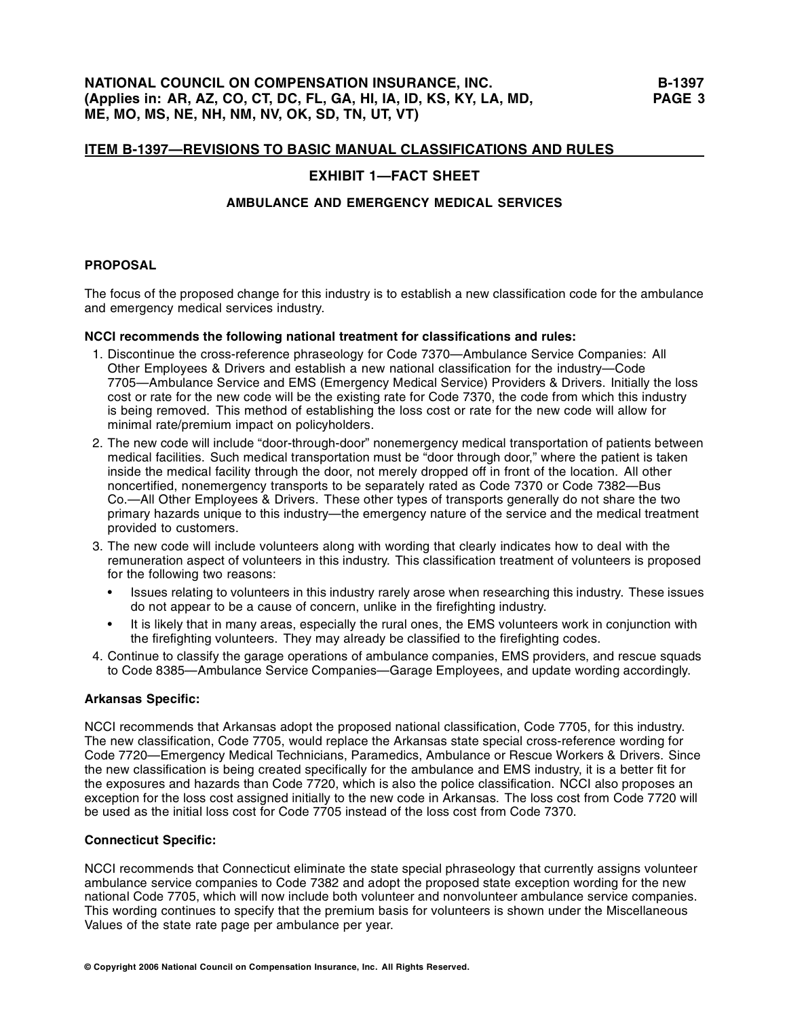# **EXHIBIT 1—FACT SHEET**

### **AMBULANCE AND EMERGENCY MEDICAL SERVICES**

### **PROPOSAL**

The focus of the proposed change for this industry is to establish a new classification code for the ambulance and emergency medical services industry.

### **NCCI recommends the following national treatment for classifications and rules:**

- 1. Discontinue the cross-reference phraseology for Code 7370—Ambulance Service Companies: All Other Employees & Drivers and establish a new national classification for the industry—Code 7705—Ambulance Service and EMS (Emergency Medical Service) Providers & Drivers. Initially the loss cost or rate for the new code will be the existing rate for Code 7370, the code from which this industry is being removed. This method of establishing the loss cost or rate for the new code will allow for minimal rate/premium impact on policyholders.
- 2. The new code will include "door-through-door" nonemergency medical transportation of patients between medical facilities. Such medical transportation must be "door through door," where the patient is taken inside the medical facility through the door, not merely dropped off in front of the location. All other noncertified, nonemergency transports to be separately rated as Code 7370 or Code 7382—Bus Co.—All Other Employees & Drivers. These other types of transports generally do not share the two primary hazards unique to this industry—the emergency nature of the service and the medical treatment provided to customers.
- 3. The new code will include volunteers along with wording that clearly indicates how to deal with the remuneration aspect of volunteers in this industry. This classification treatment of volunteers is proposed for the following two reasons:
	- Issues relating to volunteers in this industry rarely arose when researching this industry. These issues do not appear to be a cause of concern, unlike in the firefighting industry.
	- It is likely that in many areas, especially the rural ones, the EMS volunteers work in conjunction with the firefighting volunteers. They may already be classified to the firefighting codes.
- 4. Continue to classify the garage operations of ambulance companies, EMS providers, and rescue squads to Code 8385—Ambulance Service Companies—Garage Employees, and update wording accordingly.

### **Arkansas Specific:**

NCCI recommends that Arkansas adopt the proposed national classification, Code 7705, for this industry. The new classification, Code 7705, would replace the Arkansas state special cross-reference wording for Code 7720—Emergency Medical Technicians, Paramedics, Ambulance or Rescue Workers & Drivers. Since the new classification is being created specifically for the ambulance and EMS industry, it is a better fit for the exposures and hazards than Code 7720, which is also the police classification. NCCI also proposes an exception for the loss cost assigned initially to the new code in Arkansas. The loss cost from Code 7720 will be used as the initial loss cost for Code 7705 instead of the loss cost from Code 7370.

### **Connecticut Specific:**

NCCI recommends that Connecticut eliminate the state special phraseology that currently assigns volunteer ambulance service companies to Code 7382 and adopt the proposed state exception wording for the new national Code 7705, which will now include both volunteer and nonvolunteer ambulance service companies. This wording continues to specify that the premium basis for volunteers is shown under the Miscellaneous Values of the state rate page per ambulance per year.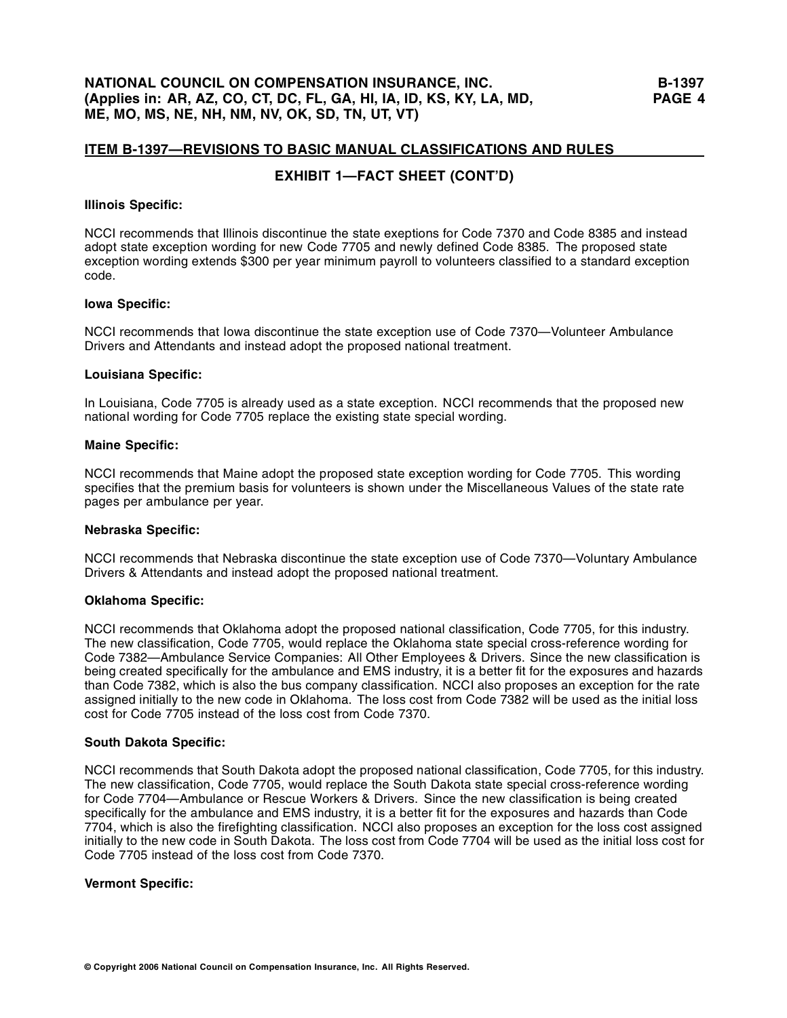# **EXHIBIT 1—FACT SHEET (CONT'D)**

### **Illinois Specific:**

NCCI recommends that Illinois discontinue the state exeptions for Code 7370 and Code 8385 and instead adopt state exception wording for new Code 7705 and newly defined Code 8385. The proposed state exception wording extends \$300 per year minimum payroll to volunteers classified to a standard exception code.

### **Iowa Specific:**

NCCI recommends that Iowa discontinue the state exception use of Code 7370—Volunteer Ambulance Drivers and Attendants and instead adopt the proposed national treatment.

### **Louisiana Specific:**

In Louisiana, Code 7705 is already used as a state exception. NCCI recommends that the proposed new national wording for Code 7705 replace the existing state special wording.

### **Maine Specific:**

NCCI recommends that Maine adopt the proposed state exception wording for Code 7705. This wording specifies that the premium basis for volunteers is shown under the Miscellaneous Values of the state rate pages per ambulance per year.

### **Nebraska Specific:**

NCCI recommends that Nebraska discontinue the state exception use of Code 7370—Voluntary Ambulance Drivers & Attendants and instead adopt the proposed national treatment.

### **Oklahoma Specific:**

NCCI recommends that Oklahoma adopt the proposed national classification, Code 7705, for this industry. The new classification, Code 7705, would replace the Oklahoma state special cross-reference wording for Code 7382—Ambulance Service Companies: All Other Employees & Drivers. Since the new classification is being created specifically for the ambulance and EMS industry, it is a better fit for the exposures and hazards than Code 7382, which is also the bus company classification. NCCI also proposes an exception for the rate assigned initially to the new code in Oklahoma. The loss cost from Code 7382 will be used as the initial loss cost for Code 7705 instead of the loss cost from Code 7370.

#### **South Dakota Specific:**

NCCI recommends that South Dakota adopt the proposed national classification, Code 7705, for this industry. The new classification, Code 7705, would replace the South Dakota state special cross-reference wording for Code 7704—Ambulance or Rescue Workers & Drivers. Since the new classification is being created specifically for the ambulance and EMS industry, it is a better fit for the exposures and hazards than Code 7704, which is also the firefighting classification. NCCI also proposes an exception for the loss cost assigned initially to the new code in South Dakota. The loss cost from Code 7704 will be used as the initial loss cost for Code 7705 instead of the loss cost from Code 7370.

### **Vermont Specific:**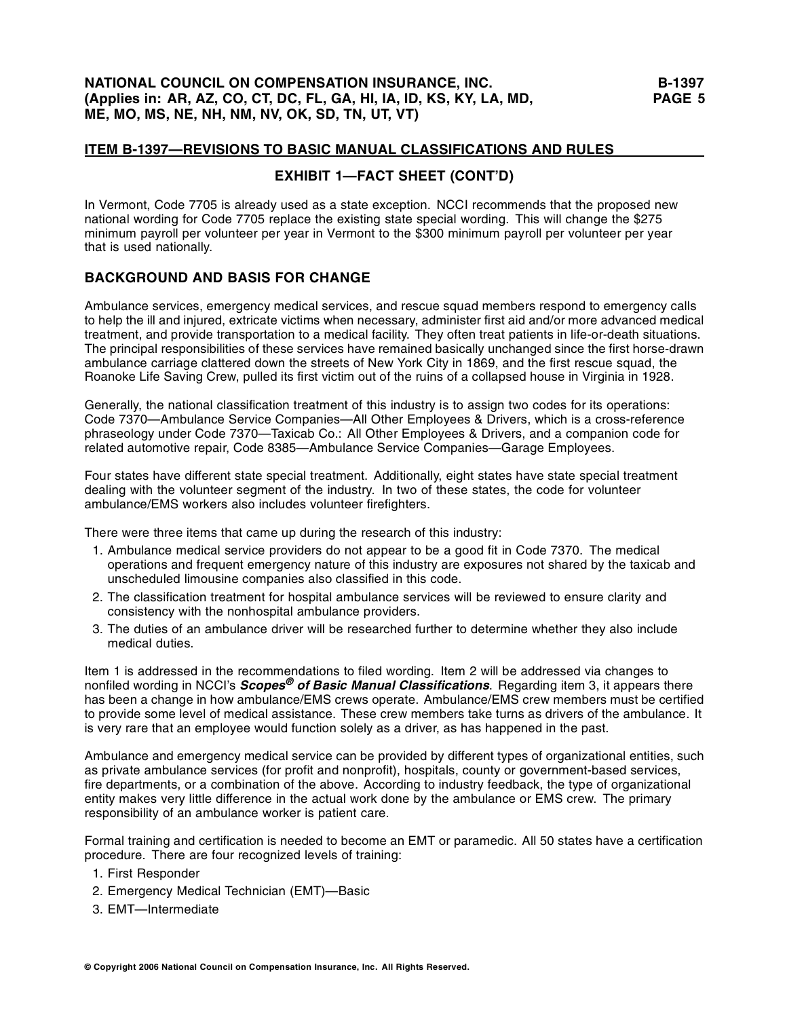# **NATIONAL COUNCIL ON COMPENSATION INSURANCE, INC. B-1397 (Applies in: AR, AZ, CO, CT, DC, FL, GA, HI, IA, ID, KS, KY, LA, MD, PAGE 5 ME, MO, MS, NE, NH, NM, NV, OK, SD, TN, UT, VT)**

### **ITEM B-1397—REVISIONS TO BASIC MANUAL CLASSIFICATIONS AND RULES**

# **EXHIBIT 1—FACT SHEET (CONT'D)**

In Vermont, Code 7705 is already used as a state exception. NCCI recommends that the proposed new national wording for Code 7705 replace the existing state special wording. This will change the \$275 minimum payroll per volunteer per year in Vermont to the \$300 minimum payroll per volunteer per year that is used nationally.

# **BACKGROUND AND BASIS FOR CHANGE**

Ambulance services, emergency medical services, and rescue squad members respond to emergency calls to help the ill and injured, extricate victims when necessary, administer first aid and/or more advanced medical treatment, and provide transportation to a medical facility. They often treat patients in life-or-death situations. The principal responsibilities of these services have remained basically unchanged since the first horse-drawn ambulance carriage clattered down the streets of New York City in 1869, and the first rescue squad, the Roanoke Life Saving Crew, pulled its first victim out of the ruins of a collapsed house in Virginia in 1928.

Generally, the national classification treatment of this industry is to assign two codes for its operations: Code 7370—Ambulance Service Companies—All Other Employees & Drivers, which is a cross-reference phraseology under Code 7370—Taxicab Co.: All Other Employees & Drivers, and a companion code for related automotive repair, Code 8385—Ambulance Service Companies—Garage Employees.

Four states have different state special treatment. Additionally, eight states have state special treatment dealing with the volunteer segment of the industry. In two of these states, the code for volunteer ambulance/EMS workers also includes volunteer firefighters.

There were three items that came up during the research of this industry:

- 1. Ambulance medical service providers do not appear to be a good fit in Code 7370. The medical operations and frequent emergency nature of this industry are exposures not shared by the taxicab and unscheduled limousine companies also classified in this code.
- 2. The classification treatment for hospital ambulance services will be reviewed to ensure clarity and consistency with the nonhospital ambulance providers.
- 3. The duties of an ambulance driver will be researched further to determine whether they also include medical duties.

Item 1 is addressed in the recommendations to filed wording. Item 2 will be addressed via changes to nonfiled wording in NCCI's **Scopes® of Basic Manual Classifications**. Regarding item 3, it appears there has been a change in how ambulance/EMS crews operate. Ambulance/EMS crew members must be certified to provide some level of medical assistance. These crew members take turns as drivers of the ambulance. It is very rare that an employee would function solely as a driver, as has happened in the past.

Ambulance and emergency medical service can be provided by different types of organizational entities, such as private ambulance services (for profit and nonprofit), hospitals, county or government-based services, fire departments, or a combination of the above. According to industry feedback, the type of organizational entity makes very little difference in the actual work done by the ambulance or EMS crew. The primary responsibility of an ambulance worker is patient care.

Formal training and certification is needed to become an EMT or paramedic. All 50 states have a certification procedure. There are four recognized levels of training:

- 1. First Responder
- 2. Emergency Medical Technician (EMT)—Basic
- 3. EMT—Intermediate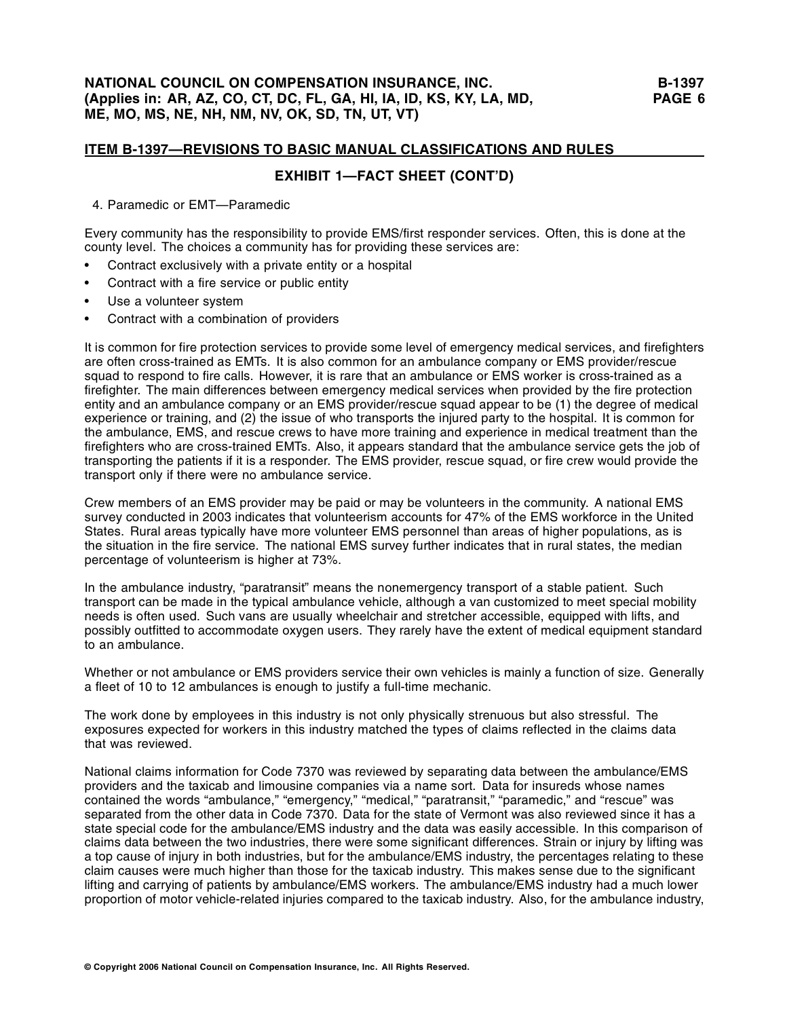# **EXHIBIT 1—FACT SHEET (CONT'D)**

4. Paramedic or EMT—Paramedic

Every community has the responsibility to provide EMS/first responder services. Often, this is done at the county level. The choices a community has for providing these services are:

- Contract exclusively with a private entity or a hospital
- Contract with a fire service or public entity
- Use a volunteer system
- Contract with a combination of providers

It is common for fire protection services to provide some level of emergency medical services, and firefighters are often cross-trained as EMTs. It is also common for an ambulance company or EMS provider/rescue squad to respond to fire calls. However, it is rare that an ambulance or EMS worker is cross-trained as a firefighter. The main differences between emergency medical services when provided by the fire protection entity and an ambulance company or an EMS provider/rescue squad appear to be (1) the degree of medical experience or training, and (2) the issue of who transports the injured party to the hospital. It is common for the ambulance, EMS, and rescue crews to have more training and experience in medical treatment than the firefighters who are cross-trained EMTs. Also, it appears standard that the ambulance service gets the job of transporting the patients if it is a responder. The EMS provider, rescue squad, or fire crew would provide the transport only if there were no ambulance service.

Crew members of an EMS provider may be paid or may be volunteers in the community. A national EMS survey conducted in 2003 indicates that volunteerism accounts for 47% of the EMS workforce in the United States. Rural areas typically have more volunteer EMS personnel than areas of higher populations, as is the situation in the fire service. The national EMS survey further indicates that in rural states, the median percentage of volunteerism is higher at 73%.

In the ambulance industry, "paratransit" means the nonemergency transport of a stable patient. Such transport can be made in the typical ambulance vehicle, although a van customized to meet special mobility needs is often used. Such vans are usually wheelchair and stretcher accessible, equipped with lifts, and possibly outfitted to accommodate oxygen users. They rarely have the extent of medical equipment standard to an ambulance.

Whether or not ambulance or EMS providers service their own vehicles is mainly a function of size. Generally a fleet of 10 to 12 ambulances is enough to justify a full-time mechanic.

The work done by employees in this industry is not only physically strenuous but also stressful. The exposures expected for workers in this industry matched the types of claims reflected in the claims data that was reviewed.

National claims information for Code 7370 was reviewed by separating data between the ambulance/EMS providers and the taxicab and limousine companies via a name sort. Data for insureds whose names contained the words "ambulance," "emergency," "medical," "paratransit," "paramedic," and "rescue" was separated from the other data in Code 7370. Data for the state of Vermont was also reviewed since it has a state special code for the ambulance/EMS industry and the data was easily accessible. In this comparison of claims data between the two industries, there were some significant differences. Strain or injury by lifting was a top cause of injury in both industries, but for the ambulance/EMS industry, the percentages relating to these claim causes were much higher than those for the taxicab industry. This makes sense due to the significant lifting and carrying of patients by ambulance/EMS workers. The ambulance/EMS industry had a much lower proportion of motor vehicle-related injuries compared to the taxicab industry. Also, for the ambulance industry,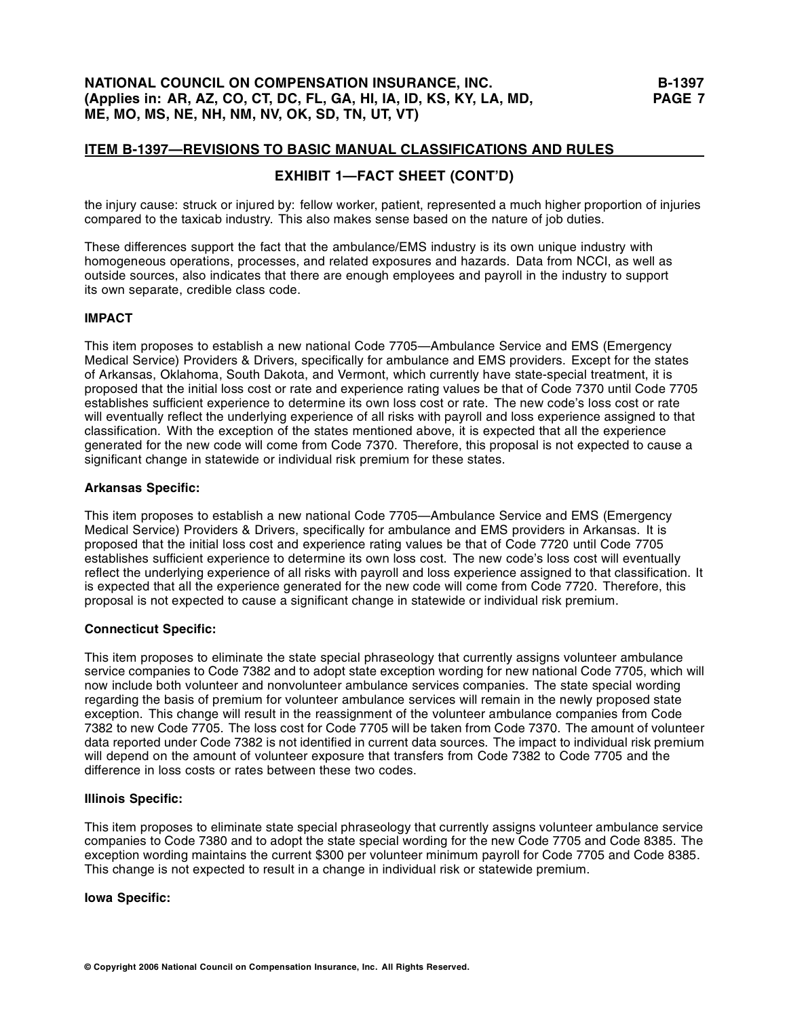# **EXHIBIT 1—FACT SHEET (CONT'D)**

the injury cause: struck or injured by: fellow worker, patient, represented a much higher proportion of injuries compared to the taxicab industry. This also makes sense based on the nature of job duties.

These differences support the fact that the ambulance/EMS industry is its own unique industry with homogeneous operations, processes, and related exposures and hazards. Data from NCCI, as well as outside sources, also indicates that there are enough employees and payroll in the industry to support its own separate, credible class code.

### **IMPACT**

This item proposes to establish a new national Code 7705—Ambulance Service and EMS (Emergency Medical Service) Providers & Drivers, specifically for ambulance and EMS providers. Except for the states of Arkansas, Oklahoma, South Dakota, and Vermont, which currently have state-special treatment, it is proposed that the initial loss cost or rate and experience rating values be that of Code 7370 until Code 7705 establishes sufficient experience to determine its own loss cost or rate. The new code's loss cost or rate will eventually reflect the underlying experience of all risks with payroll and loss experience assigned to that classification. With the exception of the states mentioned above, it is expected that all the experience generated for the new code will come from Code 7370. Therefore, this proposal is not expected to cause a significant change in statewide or individual risk premium for these states.

### **Arkansas Specific:**

This item proposes to establish a new national Code 7705—Ambulance Service and EMS (Emergency Medical Service) Providers & Drivers, specifically for ambulance and EMS providers in Arkansas. It is proposed that the initial loss cost and experience rating values be that of Code 7720 until Code 7705 establishes sufficient experience to determine its own loss cost. The new code's loss cost will eventually reflect the underlying experience of all risks with payroll and loss experience assigned to that classification. It is expected that all the experience generated for the new code will come from Code 7720. Therefore, this proposal is not expected to cause a significant change in statewide or individual risk premium.

### **Connecticut Specific:**

This item proposes to eliminate the state special phraseology that currently assigns volunteer ambulance service companies to Code 7382 and to adopt state exception wording for new national Code 7705, which will now include both volunteer and nonvolunteer ambulance services companies. The state special wording regarding the basis of premium for volunteer ambulance services will remain in the newly proposed state exception. This change will result in the reassignment of the volunteer ambulance companies from Code 7382 to new Code 7705. The loss cost for Code 7705 will be taken from Code 7370. The amount of volunteer data reported under Code 7382 is not identified in current data sources. The impact to individual risk premium will depend on the amount of volunteer exposure that transfers from Code 7382 to Code 7705 and the difference in loss costs or rates between these two codes.

### **Illinois Specific:**

This item proposes to eliminate state special phraseology that currently assigns volunteer ambulance service companies to Code 7380 and to adopt the state special wording for the new Code 7705 and Code 8385. The exception wording maintains the current \$300 per volunteer minimum payroll for Code 7705 and Code 8385. This change is not expected to result in a change in individual risk or statewide premium.

### **Iowa Specific:**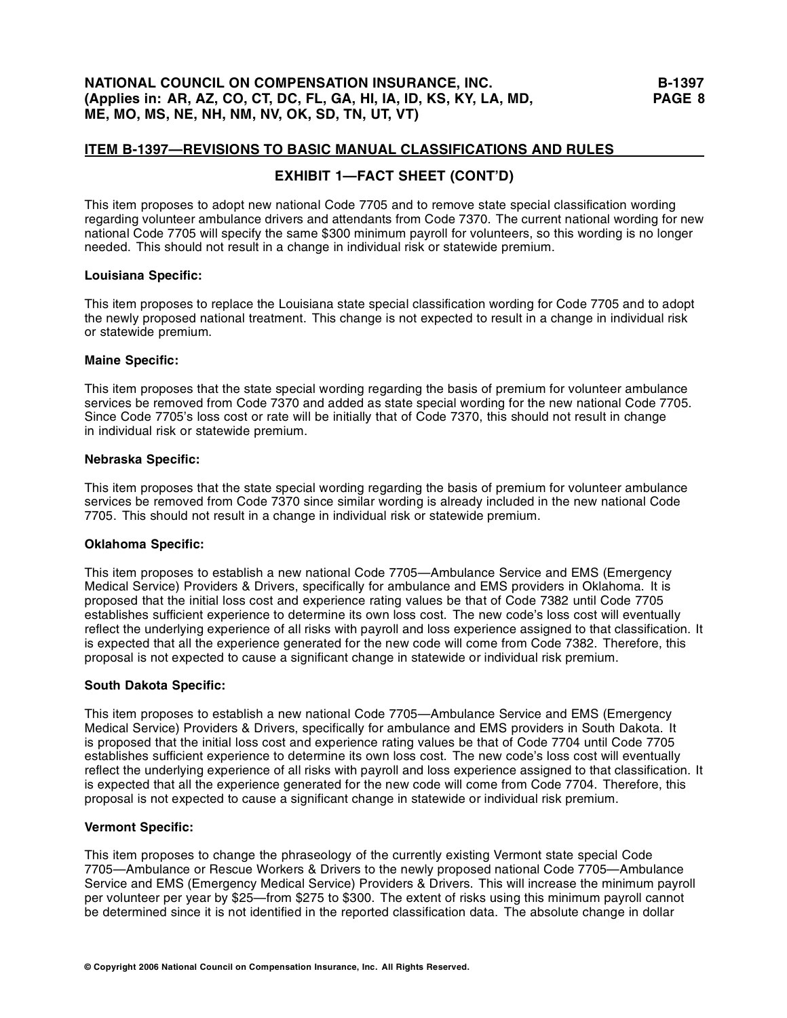# **EXHIBIT 1—FACT SHEET (CONT'D)**

This item proposes to adopt new national Code 7705 and to remove state special classification wording regarding volunteer ambulance drivers and attendants from Code 7370. The current national wording for new national Code 7705 will specify the same \$300 minimum payroll for volunteers, so this wording is no longer needed. This should not result in a change in individual risk or statewide premium.

### **Louisiana Specific:**

This item proposes to replace the Louisiana state special classification wording for Code 7705 and to adopt the newly proposed national treatment. This change is not expected to result in a change in individual risk or statewide premium.

### **Maine Specific:**

This item proposes that the state special wording regarding the basis of premium for volunteer ambulance services be removed from Code 7370 and added as state special wording for the new national Code 7705. Since Code 7705's loss cost or rate will be initially that of Code 7370, this should not result in change in individual risk or statewide premium.

### **Nebraska Specific:**

This item proposes that the state special wording regarding the basis of premium for volunteer ambulance services be removed from Code 7370 since similar wording is already included in the new national Code 7705. This should not result in a change in individual risk or statewide premium.

### **Oklahoma Specific:**

This item proposes to establish a new national Code 7705—Ambulance Service and EMS (Emergency Medical Service) Providers & Drivers, specifically for ambulance and EMS providers in Oklahoma. It is proposed that the initial loss cost and experience rating values be that of Code 7382 until Code 7705 establishes sufficient experience to determine its own loss cost. The new code's loss cost will eventually reflect the underlying experience of all risks with payroll and loss experience assigned to that classification. It is expected that all the experience generated for the new code will come from Code 7382. Therefore, this proposal is not expected to cause a significant change in statewide or individual risk premium.

### **South Dakota Specific:**

This item proposes to establish a new national Code 7705—Ambulance Service and EMS (Emergency Medical Service) Providers & Drivers, specifically for ambulance and EMS providers in South Dakota. It is proposed that the initial loss cost and experience rating values be that of Code 7704 until Code 7705 establishes sufficient experience to determine its own loss cost. The new code's loss cost will eventually reflect the underlying experience of all risks with payroll and loss experience assigned to that classification. It is expected that all the experience generated for the new code will come from Code 7704. Therefore, this proposal is not expected to cause a significant change in statewide or individual risk premium.

### **Vermont Specific:**

This item proposes to change the phraseology of the currently existing Vermont state special Code 7705—Ambulance or Rescue Workers & Drivers to the newly proposed national Code 7705—Ambulance Service and EMS (Emergency Medical Service) Providers & Drivers. This will increase the minimum payroll per volunteer per year by \$25—from \$275 to \$300. The extent of risks using this minimum payroll cannot be determined since it is not identified in the reported classification data. The absolute change in dollar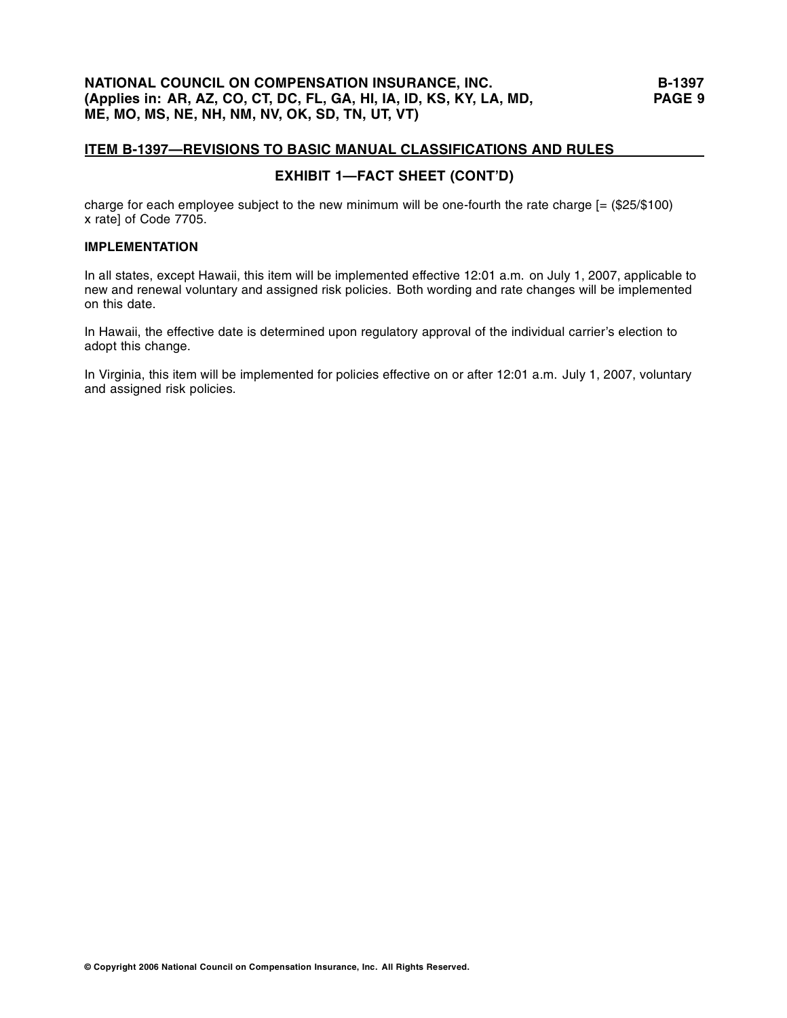# **EXHIBIT 1—FACT SHEET (CONT'D)**

charge for each employee subject to the new minimum will be one-fourth the rate charge [= (\$25/\$100) x rate] of Code 7705.

# **IMPLEMENTATION**

In all states, except Hawaii, this item will be implemented effective 12:01 a.m. on July 1, 2007, applicable to new and renewal voluntary and assigned risk policies. Both wording and rate changes will be implemented on this date.

In Hawaii, the effective date is determined upon regulatory approval of the individual carrier's election to adopt this change.

In Virginia, this item will be implemented for policies effective on or after 12:01 a.m. July 1, 2007, voluntary and assigned risk policies.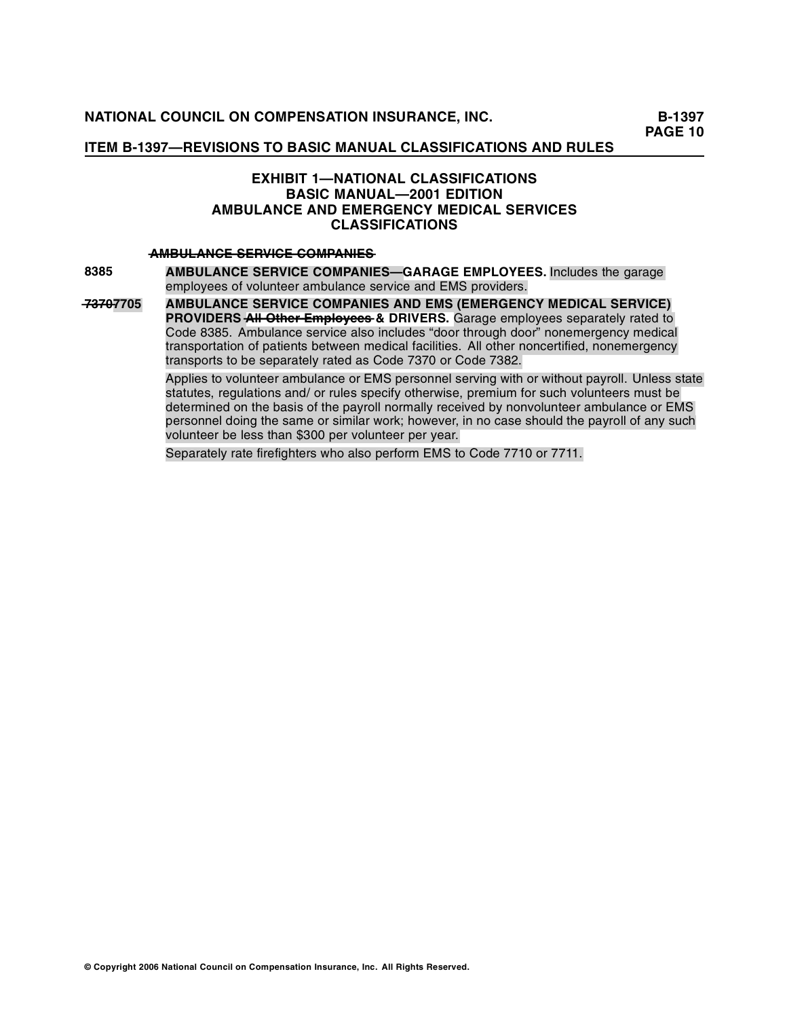**PAGE 10** 

# **ITEM B-1397—REVISIONS TO BASIC MANUAL CLASSIFICATIONS AND RULES**

# **EXHIBIT 1—NATIONAL CLASSIFICATIONS BASIC MANUAL—2001 EDITION AMBULANCE AND EMERGENCY MEDICAL SERVICES CLASSIFICATIONS**

### $AMBULANCE$  SERVICE COMPANIES

**8385**

**AMBULANCE SERVICE COMPANIES—GARAGE EMPLOYEES.** Includes the garage employees of volunteer ambulance service and EMS providers.

**—3—0 7—7—7705 AMBULANCE SERVICE COMPANIES AND EMS (EMERGENCY MEDICAL SERVICE)**  PROVIDERS All Other Employees & DRIVERS. Garage employees separately rated to Code 8385. Ambulance service also includes "door through door" nonemergency medical transportation of patients between medical facilities. All other noncertified, nonemergency transports to be separately rated as Code 7370 or Code 7382.

Applies to volunteer ambulance or EMS personnel serving with or without payroll. Unless state statutes, regulations and/ or rules specify otherwise, premium for such volunteers must be determined on the basis of the payroll normally received by nonvolunteer ambulance or EMS personnel doing the same or similar work; however, in no case should the payroll of any such volunteer be less than \$300 per volunteer per year.

Separately rate firefighters who also perform EMS to Code 7710 or 7711.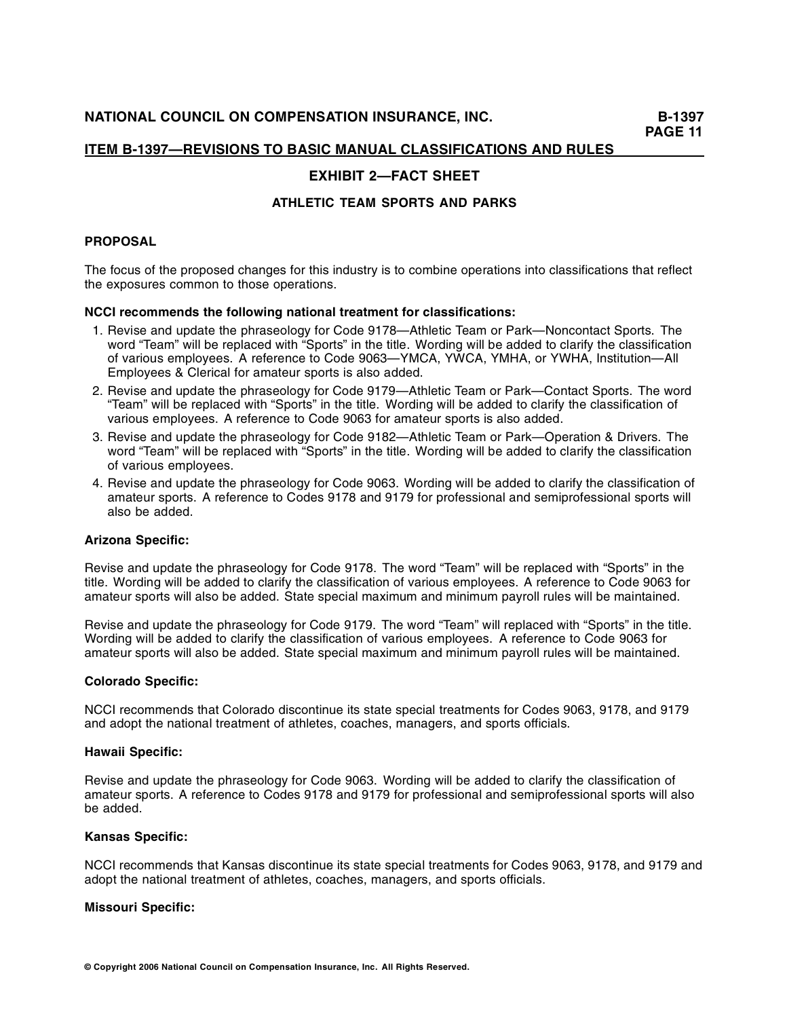# **EXHIBIT 2—FACT SHEET**

# **ATHLETIC TEAM SPORTS AND PARKS**

### **PROPOSAL**

The focus of the proposed changes for this industry is to combine operations into classifications that reflect the exposures common to those operations.

### **NCCI recommends the following national treatment for classifications:**

- 1. Revise and update the phraseology for Code 9178—Athletic Team or Park—Noncontact Sports. The word "Team" will be replaced with "Sports" in the title. Wording will be added to clarify the classification of various employees. A reference to Code 9063—YMCA, YWCA, YMHA, or YWHA, Institution—All Employees & Clerical for amateur sports is also added.
- 2. Revise and update the phraseology for Code 9179—Athletic Team or Park—Contact Sports. The word "Team" will be replaced with "Sports" in the title. Wording will be added to clarify the classification of various employees. A reference to Code 9063 for amateur sports is also added.
- 3. Revise and update the phraseology for Code 9182—Athletic Team or Park—Operation & Drivers. The word "Team" will be replaced with "Sports" in the title. Wording will be added to clarify the classification of various employees.
- 4. Revise and update the phraseology for Code 9063. Wording will be added to clarify the classification of amateur sports. A reference to Codes 9178 and 9179 for professional and semiprofessional sports will also be added.

### **Arizona Specific:**

Revise and update the phraseology for Code 9178. The word "Team" will be replaced with "Sports" in the title. Wording will be added to clarify the classification of various employees. A reference to Code 9063 for amateur sports will also be added. State special maximum and minimum payroll rules will be maintained.

Revise and update the phraseology for Code 9179. The word "Team" will replaced with "Sports" in the title. Wording will be added to clarify the classification of various employees. A reference to Code 9063 for amateur sports will also be added. State special maximum and minimum payroll rules will be maintained.

#### **Colorado Specific:**

NCCI recommends that Colorado discontinue its state special treatments for Codes 9063, 9178, and 9179 and adopt the national treatment of athletes, coaches, managers, and sports officials.

### **Hawaii Specific:**

Revise and update the phraseology for Code 9063. Wording will be added to clarify the classification of amateur sports. A reference to Codes 9178 and 9179 for professional and semiprofessional sports will also be added.

### **Kansas Specific:**

NCCI recommends that Kansas discontinue its state special treatments for Codes 9063, 9178, and 9179 and adopt the national treatment of athletes, coaches, managers, and sports officials.

#### **Missouri Specific:**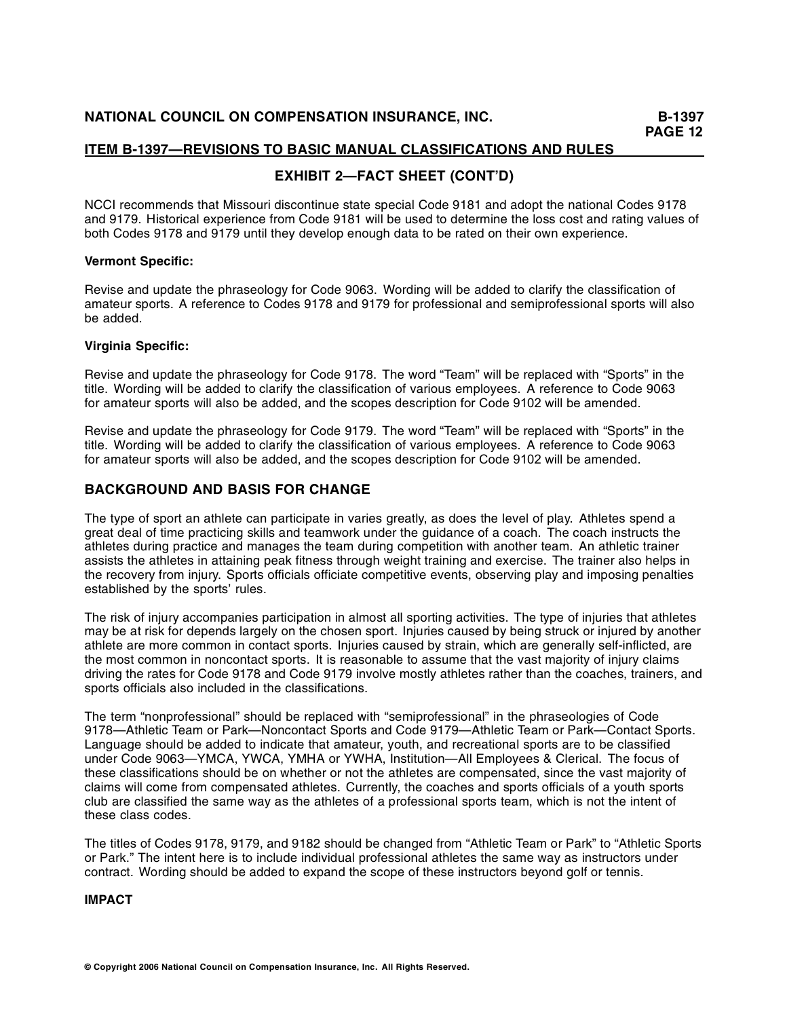# **EXHIBIT 2—FACT SHEET (CONT'D)**

NCCI recommends that Missouri discontinue state special Code 9181 and adopt the national Codes 9178 and 9179. Historical experience from Code 9181 will be used to determine the loss cost and rating values of both Codes 9178 and 9179 until they develop enough data to be rated on their own experience.

### **Vermont Specific:**

Revise and update the phraseology for Code 9063. Wording will be added to clarify the classification of amateur sports. A reference to Codes 9178 and 9179 for professional and semiprofessional sports will also be added.

## **Virginia Specific:**

Revise and update the phraseology for Code 9178. The word "Team" will be replaced with "Sports" in the title. Wording will be added to clarify the classification of various employees. A reference to Code 9063 for amateur sports will also be added, and the scopes description for Code 9102 will be amended.

Revise and update the phraseology for Code 9179. The word "Team" will be replaced with "Sports" in the title. Wording will be added to clarify the classification of various employees. A reference to Code 9063 for amateur sports will also be added, and the scopes description for Code 9102 will be amended.

# **BACKGROUND AND BASIS FOR CHANGE**

The type of sport an athlete can participate in varies greatly, as does the level of play. Athletes spend a great deal of time practicing skills and teamwork under the guidance of a coach. The coach instructs the athletes during practice and manages the team during competition with another team. An athletic trainer assists the athletes in attaining peak fitness through weight training and exercise. The trainer also helps in the recovery from injury. Sports officials officiate competitive events, observing play and imposing penalties established by the sports' rules.

The risk of injury accompanies participation in almost all sporting activities. The type of injuries that athletes may be at risk for depends largely on the chosen sport. Injuries caused by being struck or injured by another athlete are more common in contact sports. Injuries caused by strain, which are generally self-inflicted, are the most common in noncontact sports. It is reasonable to assume that the vast majority of injury claims driving the rates for Code 9178 and Code 9179 involve mostly athletes rather than the coaches, trainers, and sports officials also included in the classifications.

The term "nonprofessional" should be replaced with "semiprofessional" in the phraseologies of Code 9178—Athletic Team or Park—Noncontact Sports and Code 9179—Athletic Team or Park—Contact Sports. Language should be added to indicate that amateur, youth, and recreational sports are to be classified under Code 9063—YMCA, YWCA, YMHA or YWHA, Institution—All Employees & Clerical. The focus of these classifications should be on whether or not the athletes are compensated, since the vast majority of claims will come from compensated athletes. Currently, the coaches and sports officials of a youth sports club are classified the same way as the athletes of a professional sports team, which is not the intent of these class codes.

The titles of Codes 9178, 9179, and 9182 should be changed from "Athletic Team or Park" to "Athletic Sports or Park." The intent here is to include individual professional athletes the same way as instructors under contract. Wording should be added to expand the scope of these instructors beyond golf or tennis.

## **IMPACT**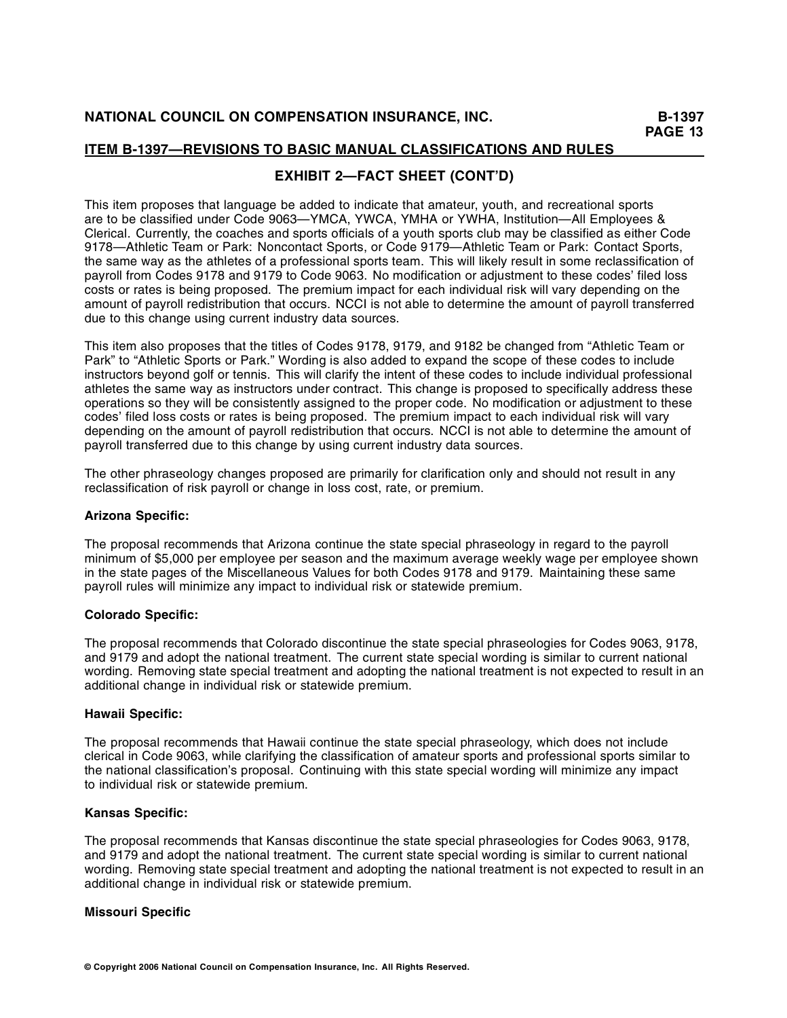# **EXHIBIT 2—FACT SHEET (CONT'D)**

This item proposes that language be added to indicate that amateur, youth, and recreational sports are to be classified under Code 9063—YMCA, YWCA, YMHA or YWHA, Institution—All Employees & Clerical. Currently, the coaches and sports officials of a youth sports club may be classified as either Code 9178—Athletic Team or Park: Noncontact Sports, or Code 9179—Athletic Team or Park: Contact Sports, the same way as the athletes of a professional sports team. This will likely result in some reclassification of payroll from Codes 9178 and 9179 to Code 9063. No modification or adjustment to these codes' filed loss costs or rates is being proposed. The premium impact for each individual risk will vary depending on the amount of payroll redistribution that occurs. NCCI is not able to determine the amount of payroll transferred due to this change using current industry data sources.

This item also proposes that the titles of Codes 9178, 9179, and 9182 be changed from "Athletic Team or Park" to "Athletic Sports or Park." Wording is also added to expand the scope of these codes to include instructors beyond golf or tennis. This will clarify the intent of these codes to include individual professional athletes the same way as instructors under contract. This change is proposed to specifically address these operations so they will be consistently assigned to the proper code. No modification or adjustment to these codes' filed loss costs or rates is being proposed. The premium impact to each individual risk will vary depending on the amount of payroll redistribution that occurs. NCCI is not able to determine the amount of payroll transferred due to this change by using current industry data sources.

The other phraseology changes proposed are primarily for clarification only and should not result in any reclassification of risk payroll or change in loss cost, rate, or premium.

### **Arizona Specific:**

The proposal recommends that Arizona continue the state special phraseology in regard to the payroll minimum of \$5,000 per employee per season and the maximum average weekly wage per employee shown in the state pages of the Miscellaneous Values for both Codes 9178 and 9179. Maintaining these same payroll rules will minimize any impact to individual risk or statewide premium.

## **Colorado Specific:**

The proposal recommends that Colorado discontinue the state special phraseologies for Codes 9063, 9178, and 9179 and adopt the national treatment. The current state special wording is similar to current national wording. Removing state special treatment and adopting the national treatment is not expected to result in an additional change in individual risk or statewide premium.

### **Hawaii Specific:**

The proposal recommends that Hawaii continue the state special phraseology, which does not include clerical in Code 9063, while clarifying the classification of amateur sports and professional sports similar to the national classification's proposal. Continuing with this state special wording will minimize any impact to individual risk or statewide premium.

### **Kansas Specific:**

The proposal recommends that Kansas discontinue the state special phraseologies for Codes 9063, 9178, and 9179 and adopt the national treatment. The current state special wording is similar to current national wording. Removing state special treatment and adopting the national treatment is not expected to result in an additional change in individual risk or statewide premium.

### **Missouri Specific**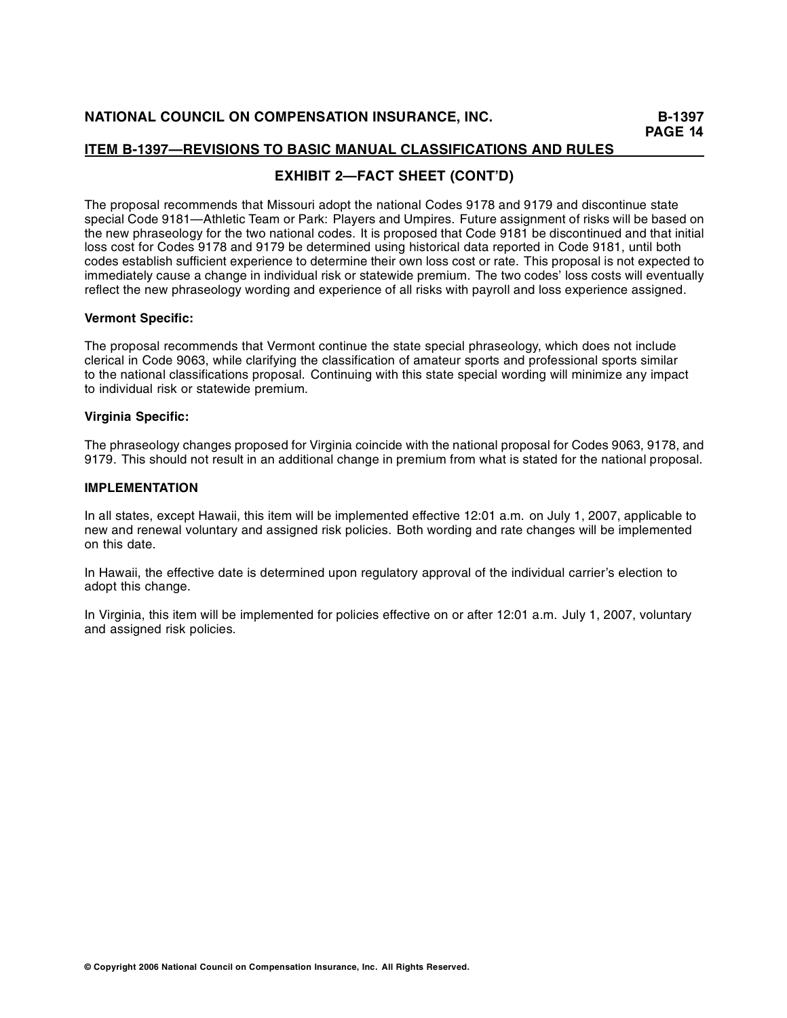# **EXHIBIT 2—FACT SHEET (CONT'D)**

The proposal recommends that Missouri adopt the national Codes 9178 and 9179 and discontinue state special Code 9181—Athletic Team or Park: Players and Umpires. Future assignment of risks will be based on the new phraseology for the two national codes. It is proposed that Code 9181 be discontinued and that initial loss cost for Codes 9178 and 9179 be determined using historical data reported in Code 9181, until both codes establish sufficient experience to determine their own loss cost or rate. This proposal is not expected to immediately cause a change in individual risk or statewide premium. The two codes' loss costs will eventually reflect the new phraseology wording and experience of all risks with payroll and loss experience assigned.

### **Vermont Specific:**

The proposal recommends that Vermont continue the state special phraseology, which does not include clerical in Code 9063, while clarifying the classification of amateur sports and professional sports similar to the national classifications proposal. Continuing with this state special wording will minimize any impact to individual risk or statewide premium.

### **Virginia Specific:**

The phraseology changes proposed for Virginia coincide with the national proposal for Codes 9063, 9178, and 9179. This should not result in an additional change in premium from what is stated for the national proposal.

### **IMPLEMENTATION**

In all states, except Hawaii, this item will be implemented effective 12:01 a.m. on July 1, 2007, applicable to new and renewal voluntary and assigned risk policies. Both wording and rate changes will be implemented on this date.

In Hawaii, the effective date is determined upon regulatory approval of the individual carrier's election to adopt this change.

In Virginia, this item will be implemented for policies effective on or after 12:01 a.m. July 1, 2007, voluntary and assigned risk policies.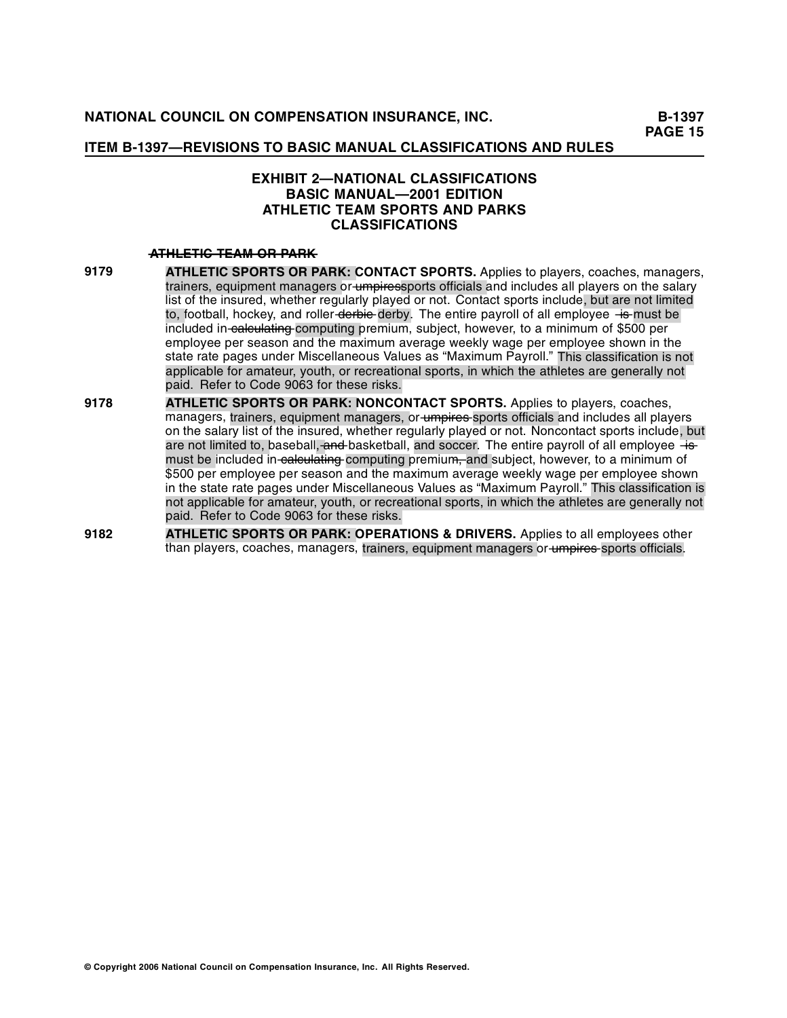# **EXHIBIT 2—NATIONAL CLASSIFICATIONS BASIC MANUAL—2001 EDITION ATHLETIC TEAM SPORTS AND PARKS CLASSIFICATIONS**

### $ATHETHG-TEAM-OR-PARK$

- **9179 ATHLETIC SPORTS OR PARK: CONTACT SPORTS.** Applies to players, coaches, managers, trainers, equipment managers or umpiressports officials and includes all players on the salary list of the insured, whether regularly played or not. Contact sports include, but are not limited to, football, hockey, and roller derbie derby. The entire payroll of all employee  $\overline{+}$  emust be included in calculating computing premium, subject, however, to a minimum of \$500 per employee per season and the maximum average weekly wage per employee shown in the state rate pages under Miscellaneous Values as "Maximum Payroll." This classification is not applicable for amateur, youth, or recreational sports, in which the athletes are generally not paid. Refer to Code 9063 for these risks.
- **9178 ••• ATHLETIC SPORTS OR PARK: NONCONTACT SPORTS.** Applies to players, coaches, managers, trainers, equipment managers, or-<del>umpires </del>sports officials and includes all players on the salary list of the insured, whether regularly played or not. Noncontact sports incl ude, but are not limited to, baseball<del>, and </del>basketball, and soccer. The entire payroll of all employee –<del>is</del>must be included in calculating computing premium, and subject, however, to a minimum of \$500 per employee per season and the maximum average weekly wage per employee shown in the state rate pages under Miscellaneous Values as "Maximum Payroll." This classification is not applicable for amateur, youth, or recreational sports, in which the athletes are generally not paid. Refer to Code 9063 for these risks.
- **9182 ATHLETIC SPORTS OR PARK: OPERATIONS & DRIVERS.** Applies to all employees other than players, coaches, managers, trainers, equipment managers or umpires sports officials.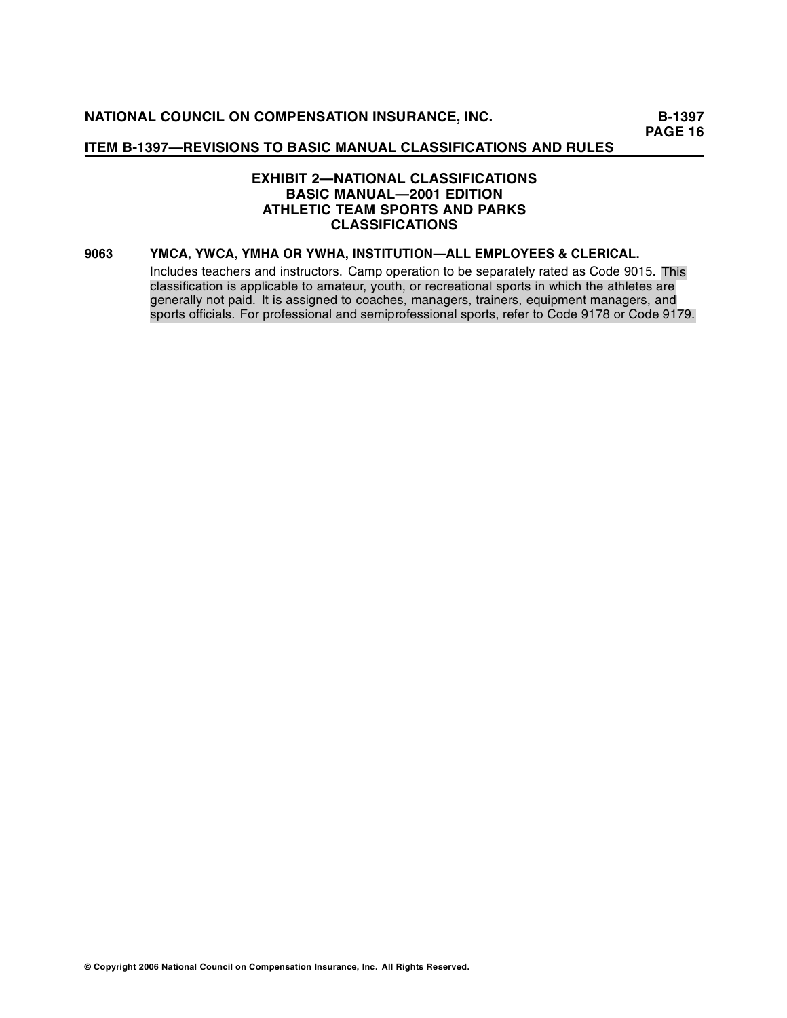# **EXHIBIT 2—NATIONAL CLASSIFICATIONS BASIC MANUAL—2001 EDITION ATHLETIC TEAM SPORTS AND PARKS CLASSIFICATIONS**

### **9063 YMCA, YWCA, YMHA OR YWHA, INSTITUTION—ALL EMPLOYEES & CLERICAL.**

Includes teachers and instructors. Camp operation to be separately rated as Code 9015. This classification is applicable to amateur, youth, or recreational sports in which the athletes are generally not paid. It is assigned to coaches, managers, trainers, equipment managers, and sports officials. For professional and semiprofessional sports, refer to Code 9178 or Code 9179.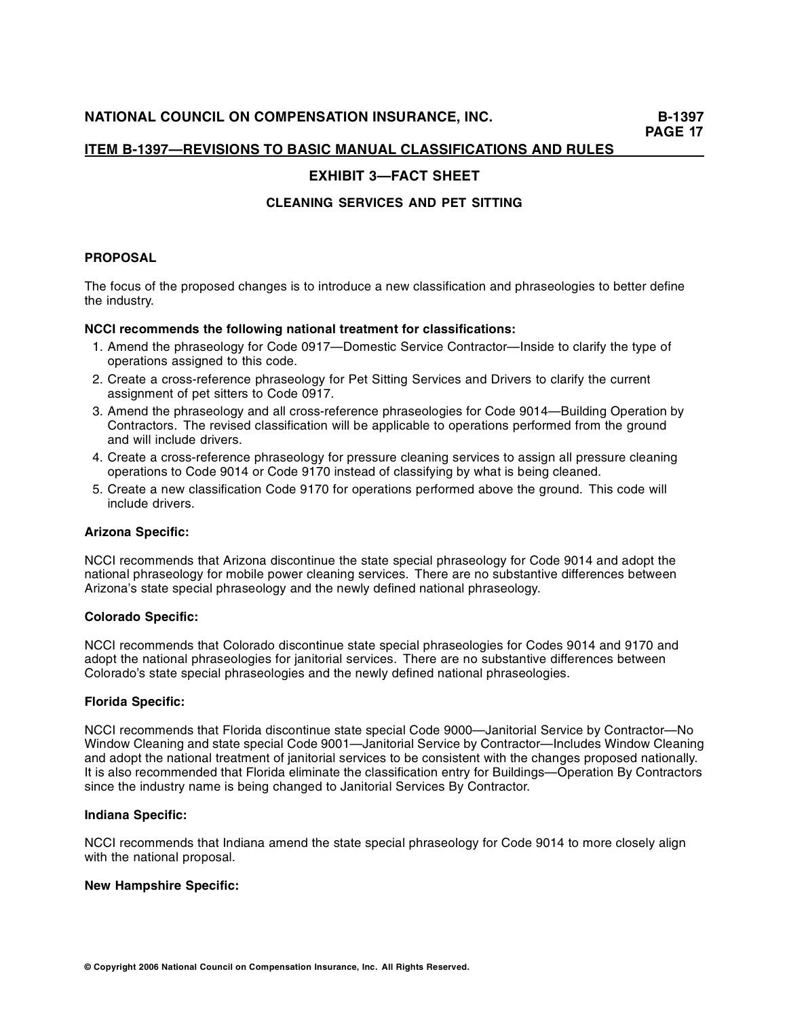# **EXHIBIT 3—FACT SHEET**

# **CLEANING SERVICES AND PET SITTING**

### **PROPOSAL**

The focus of the proposed changes is to introduce a new classification and phraseologies to better define the industry.

### **NCCI recommends the following national treatment for classifications:**

- 1. Amend the phraseology for Code 0917—Domestic Service Contractor—Inside to clarify the type of operations assigned to this code.
- 2. Create a cross-reference phraseology for Pet Sitting Services and Drivers to clarify the current assignment of pet sitters to Code 0917.
- 3. Amend the phraseology and all cross-reference phraseologies for Code 9014—Building Operation by Contractors. The revised classification will be applicable to operations performed from the ground and will include drivers.
- 4. Create a cross-reference phraseology for pressure cleaning services to assign all pressure cleaning operations to Code 9014 or Code 9170 instead of classifying by what is being cleaned.
- 5. Create a new classification Code 9170 for operations performed above the ground. This code will include drivers.

### **Arizona Specific:**

NCCI recommends that Arizona discontinue the state special phraseology for Code 9014 and adopt the national phraseology for mobile power cleaning services. There are no substantive differences between Arizona's state special phraseology and the newly defined national phraseology.

### **Colorado Specific:**

NCCI recommends that Colorado discontinue state special phraseologies for Codes 9014 and 9170 and adopt the national phraseologies for janitorial services. There are no substantive differences between Colorado's state special phraseologies and the newly defined national phraseologies.

### **Florida Specific:**

NCCI recommends that Florida discontinue state special Code 9000—Janitorial Service by Contractor—No Window Cleaning and state special Code 9001—Janitorial Service by Contractor—Includes Window Cleaning and adopt the national treatment of janitorial services to be consistent with the changes proposed nationally. It is also recommended that Florida eliminate the classification entry for Buildings—Operation By Contractors since the industry name is being changed to Janitorial Services By Contractor.

### **Indiana Specific:**

NCCI recommends that Indiana amend the state special phraseology for Code 9014 to more closely align with the national proposal.

### **New Hampshire Specific:**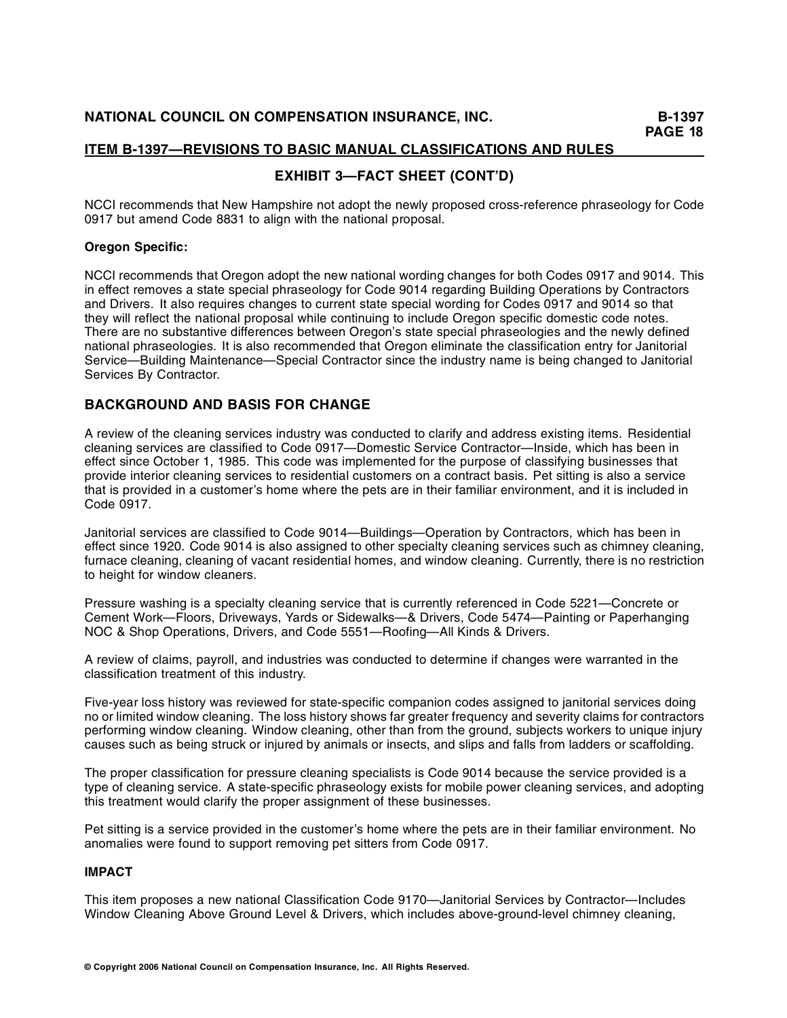# **EXHIBIT 3—FACT SHEET (CONT'D)**

NCCI recommends that New Hampshire not adopt the newly proposed cross-reference phraseology for Code 0917 but amend Code 8831 to align with the national proposal.

# **Oregon Specific:**

NCCI recommends that Oregon adopt the new national wording changes for both Codes 0917 and 9014. This in effect removes a state special phraseology for Code 9014 regarding Building Operations by Contractors and Drivers. It also requires changes to current state special wording for Codes 0917 and 9014 so that they will reflect the national proposal while continuing to include Oregon specific domestic code notes. There are no substantive differences between Oregon's state special phraseologies and the newly defined national phraseologies. It is also recommended that Oregon eliminate the classification entry for Janitorial Service—Building Maintenance—Special Contractor since the industry name is being changed to Janitorial Services By Contractor.

# **BACKGROUND AND BASIS FOR CHANGE**

A review of the cleaning services industry was conducted to clarify and address existing items. Residential cleaning services are classified to Code 0917—Domestic Service Contractor—Inside, which has been in effect since October 1, 1985. This code was implemented for the purpose of classifying businesses that provide interior cleaning services to residential customers on a contract basis. Pet sitting is also a service that is provided in a customer's home where the pets are in their familiar environment, and it is included in Code 0917.

Janitorial services are classified to Code 9014—Buildings—Operation by Contractors, which has been in effect since 1920. Code 9014 is also assigned to other specialty cleaning services such as chimney cleaning, furnace cleaning, cleaning of vacant residential homes, and window cleaning. Currently, there is no restriction to height for window cleaners.

Pressure washing is a specialty cleaning service that is currently referenced in Code 5221—Concrete or Cement Work—Floors, Driveways, Yards or Sidewalks—& Drivers, Code 5474—Painting or Paperhanging NOC & Shop Operations, Drivers, and Code 5551—Roofing—All Kinds & Drivers.

A review of claims, payroll, and industries was conducted to determine if changes were warranted in the classification treatment of this industry.

Five-year loss history was reviewed for state-specific companion codes assigned to janitorial services doing no or limited window cleaning. The loss history shows far greater frequency and severity claims for contractors performing window cleaning. Window cleaning, other than from the ground, subjects workers to unique injury causes such as being struck or injured by animals or insects, and slips and falls from ladders or scaffolding.

The proper classification for pressure cleaning specialists is Code 9014 because the service provided is a type of cleaning service. A state-specific phraseology exists for mobile power cleaning services, and adopting this treatment would clarify the proper assignment of these businesses.

Pet sitting is a service provided in the customer's home where the pets are in their familiar environment. No anomalies were found to support removing pet sitters from Code 0917.

## **IMPACT**

This item proposes a new national Classification Code 9170—Janitorial Services by Contractor—Includes Window Cleaning Above Ground Level & Drivers, which includes above-ground-level chimney cleaning,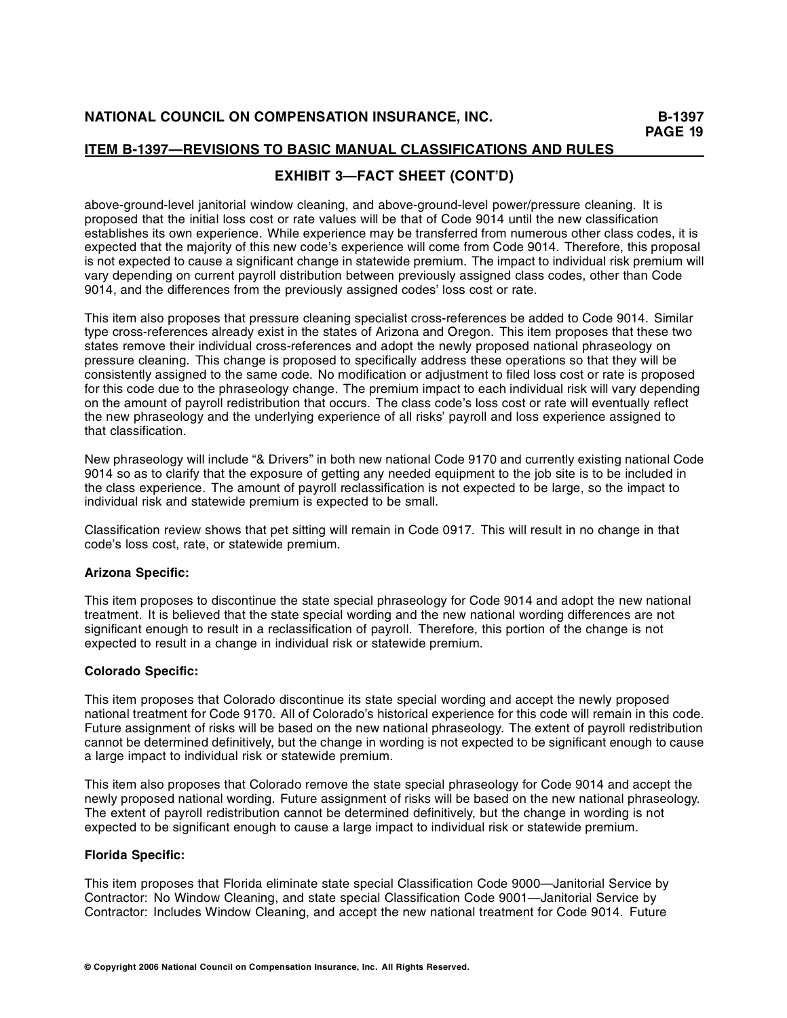# **EXHIBIT 3—FACT SHEET (CONT'D)**

above-ground-level janitorial window cleaning, and above-ground-level power/pressure cleaning. It is proposed that the initial loss cost or rate values will be that of Code 9014 until the new classification establishes its own experience. While experience may be transferred from numerous other class codes, it is expected that the majority of this new code's experience will come from Code 9014. Therefore, this proposal is not expected to cause a significant change in statewide premium. The impact to individual risk premium will vary depending on current payroll distribution between previously assigned class codes, other than Code 9014, and the differences from the previously assigned codes' loss cost or rate.

This item also proposes that pressure cleaning specialist cross-references be added to Code 9014. Similar type cross-references already exist in the states of Arizona and Oregon. This item proposes that these two states remove their individual cross-references and adopt the newly proposed national phraseology on pressure cleaning. This change is proposed to specifically address these operations so that they will be consistently assigned to the same code. No modification or adjustment to filed loss cost or rate is proposed for this code due to the phraseology change. The premium impact to each individual risk will vary depending on the amount of payroll redistribution that occurs. The class code's loss cost or rate will eventually reflect the new phraseology and the underlying experience of all risks' payroll and loss experience assigned to that classification.

New phraseology will include "& Drivers" in both new national Code 9170 and currently existing national Code 9014 so as to clarify that the exposure of getting any needed equipment to the job site is to be included in the class experience. The amount of payroll reclassification is not expected to be large, so the impact to individual risk and statewide premium is expected to be small.

Classification review shows that pet sitting will remain in Code 0917. This will result in no change in that code's loss cost, rate, or statewide premium.

## **Arizona Specific:**

This item proposes to discontinue the state special phraseology for Code 9014 and adopt the new national treatment. It is believed that the state special wording and the new national wording differences are not significant enough to result in a reclassification of payroll. Therefore, this portion of the change is not expected to result in a change in individual risk or statewide premium.

## **Colorado Specific:**

This item proposes that Colorado discontinue its state special wording and accept the newly proposed national treatment for Code 9170. All of Colorado's historical experience for this code will remain in this code. Future assignment of risks will be based on the new national phraseology. The extent of payroll redistribution cannot be determined definitively, but the change in wording is not expected to be significant enough to cause a large impact to individual risk or statewide premium.

This item also proposes that Colorado remove the state special phraseology for Code 9014 and accept the newly proposed national wording. Future assignment of risks will be based on the new national phraseology. The extent of payroll redistribution cannot be determined definitively, but the change in wording is not expected to be significant enough to cause a large impact to individual risk or statewide premium.

### **Florida Specific:**

This item proposes that Florida eliminate state special Classification Code 9000—Janitorial Service by Contractor: No Window Cleaning, and state special Classification Code 9001—Janitorial Service by Contractor: Includes Window Cleaning, and accept the new national treatment for Code 9014. Future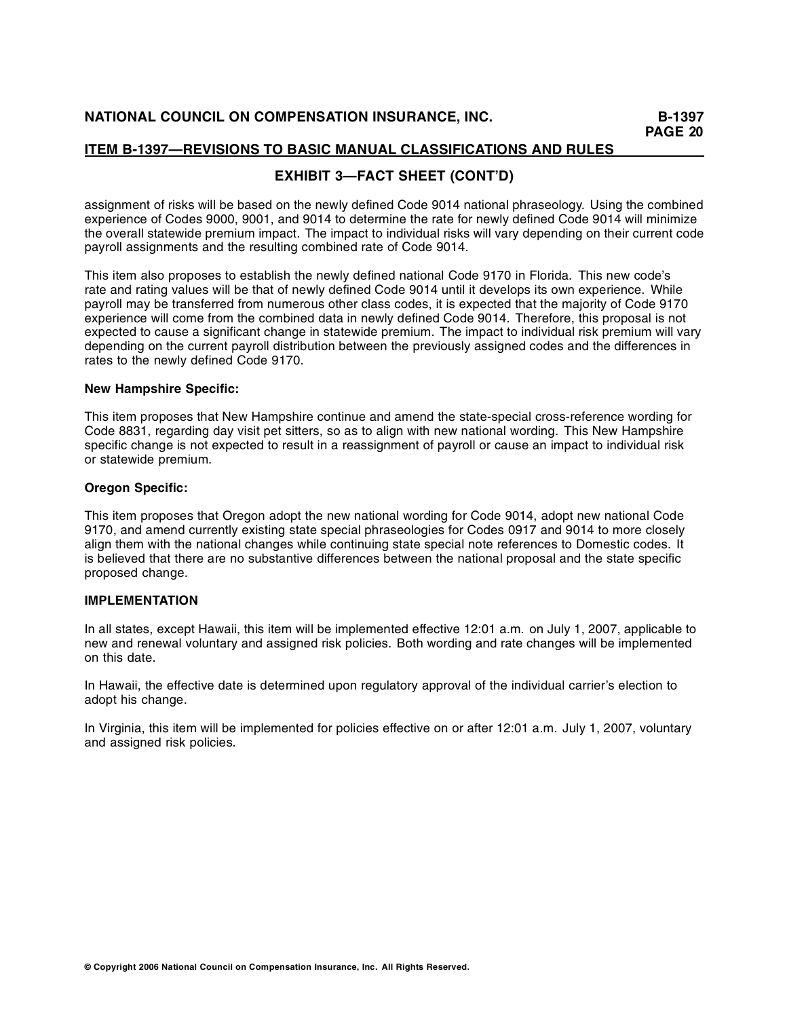# **EXHIBIT 3—FACT SHEET (CONT'D)**

assignment of risks will be based on the newly defined Code 9014 national phraseology. Using the combined experience of Codes 9000, 9001, and 9014 to determine the rate for newly defined Code 9014 will minimize the overall statewide premium impact. The impact to individual risks will vary depending on their current code payroll assignments and the resulting combined rate of Code 9014.

This item also proposes to establish the newly defined national Code 9170 in Florida. This new code's rate and rating values will be that of newly defined Code 9014 until it develops its own experience. While payroll may be transferred from numerous other class codes, it is expected that the majority of Code 9170 experience will come from the combined data in newly defined Code 9014. Therefore, this proposal is not expected to cause a significant change in statewide premium. The impact to individual risk premium will vary depending on the current payroll distribution between the previously assigned codes and the differences in rates to the newly defined Code 9170.

### **New Hampshire Specific:**

This item proposes that New Hampshire continue and amend the state-special cross-reference wording for Code 8831, regarding day visit pet sitters, so as to align with new national wording. This New Hampshire specific change is not expected to result in a reassignment of payroll or cause an impact to individual risk or statewide premium.

### **Oregon Specific:**

This item proposes that Oregon adopt the new national wording for Code 9014, adopt new national Code 9170, and amend currently existing state special phraseologies for Codes 0917 and 9014 to more closely align them with the national changes while continuing state special note references to Domestic codes. It is believed that there are no substantive differences between the national proposal and the state specific proposed change.

## **IMPLEMENTATION**

In all states, except Hawaii, this item will be implemented effective 12:01 a.m. on July 1, 2007, applicable to new and renewal voluntary and assigned risk policies. Both wording and rate changes will be implemented on this date.

In Hawaii, the effective date is determined upon regulatory approval of the individual carrier's election to adopt his change.

In Virginia, this item will be implemented for policies effective on or after 12:01 a.m. July 1, 2007, voluntary and assigned risk policies.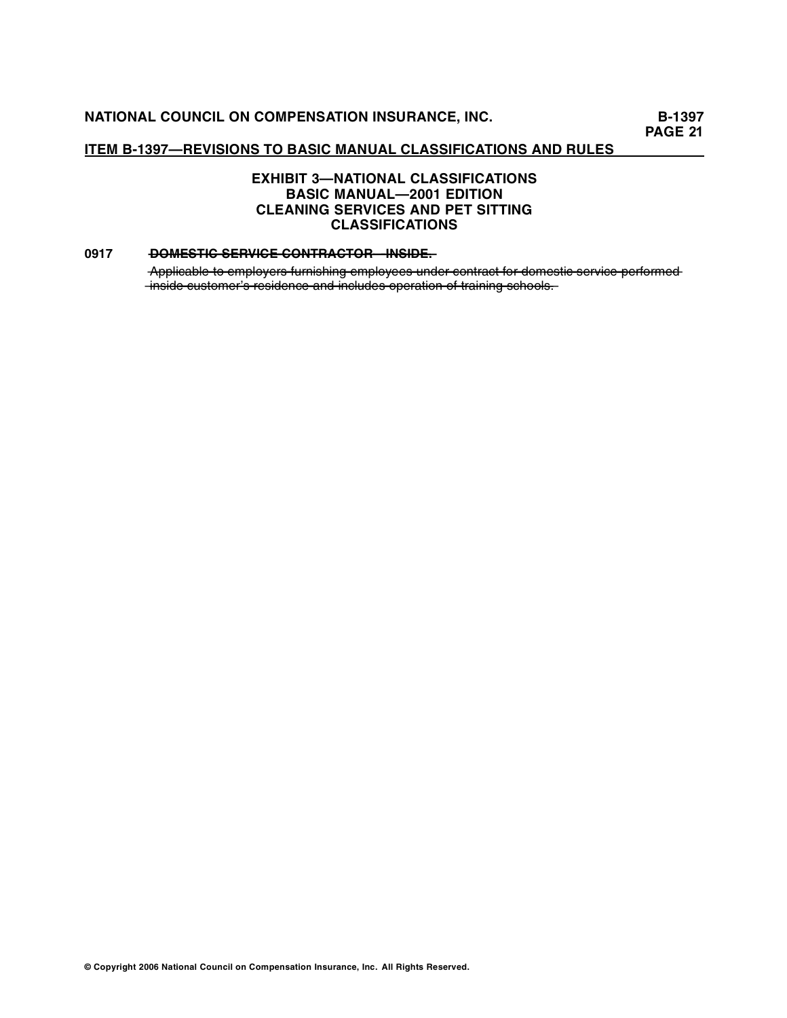# **EXHIBIT 3—NATIONAL CLASSIFICATIONS BASIC MANUAL—2001 EDITION CLEANING SERVICES AND PET SITTING CLASSIFICATIONS**

### **0917 ••** DOMESTIC SERVICE CONTRACTOR INSIDE.

Applicable to employers furnishing employees under contract for domestic service performed  $\frac{1}{2}$  inside customer's residence and includes operation of training schools.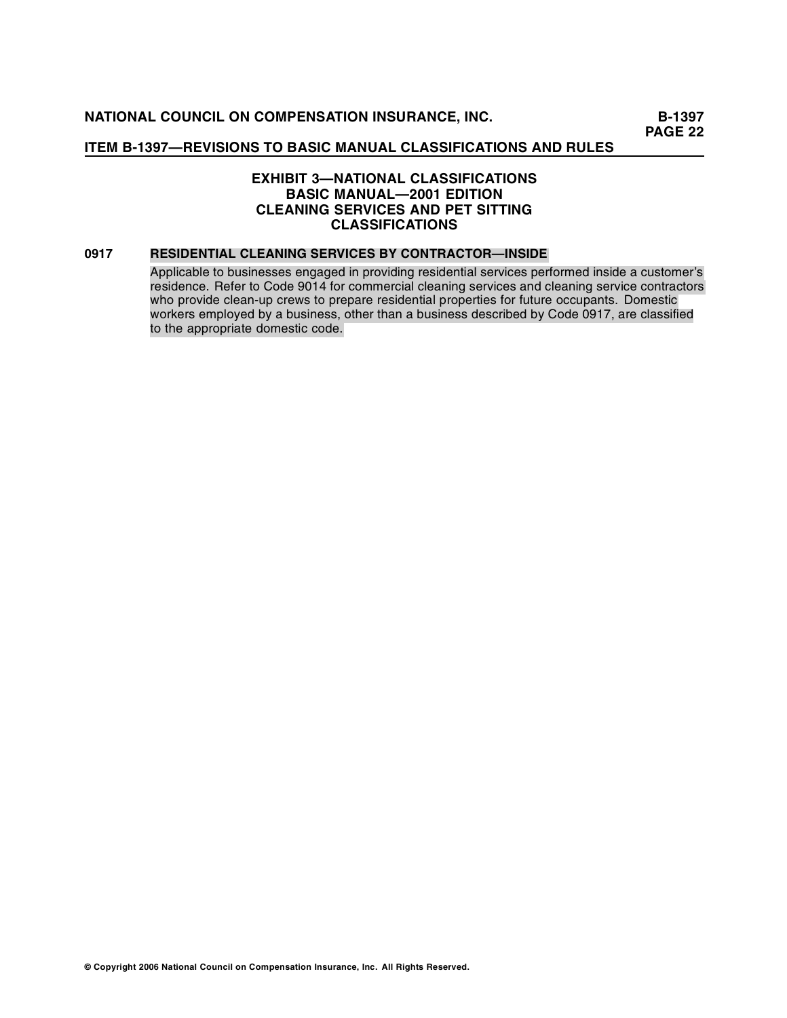# **EXHIBIT 3—NATIONAL CLASSIFICATIONS BASIC MANUAL—2001 EDITION CLEANING SERVICES AND PET SITTING CLASSIFICATIONS**

### **0917 RESIDENTIAL CLEANING SERVICES BY CONTRACTOR—INSIDE**

Applicable to businesses engaged in providing residential services performed inside a customer's residence. Refer to Code 9014 for commercial cleaning services and cleaning service contractors who provide clean-up crews to prepare residential properties for future occupants. Domestic workers employed by a business, other than a business described by Code 0917, are classified to the appropriate domestic code.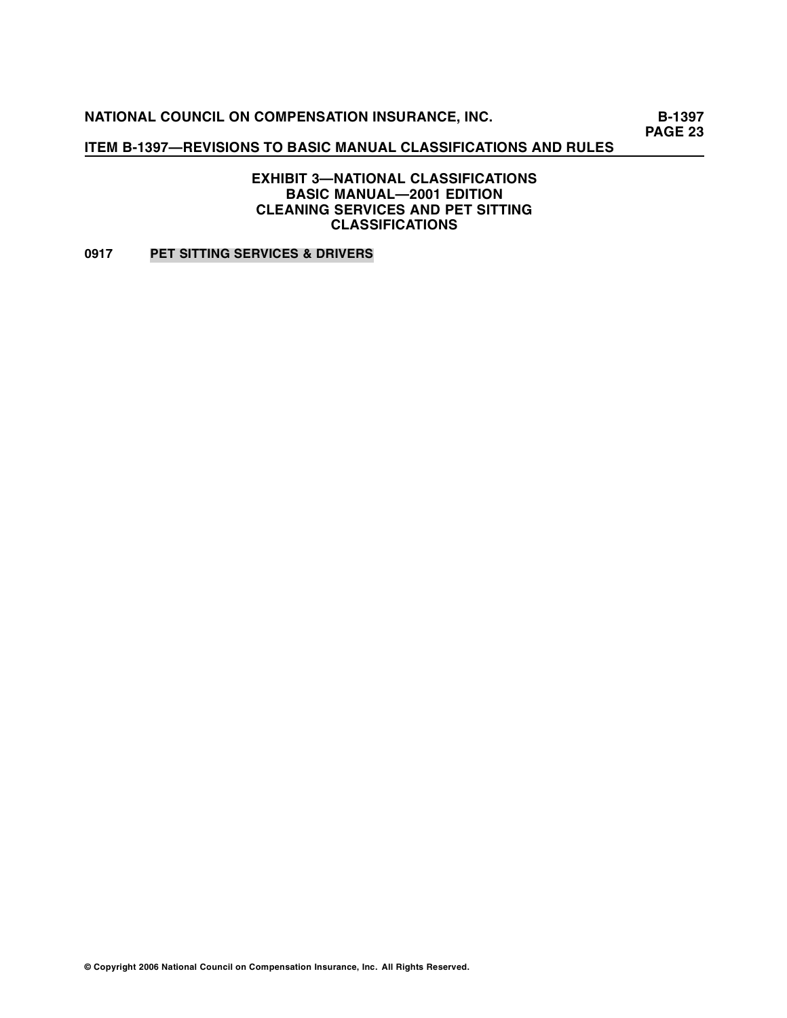**B-1397 PAGE 23** 

# **ITEM B-1397—REVISIONS TO BASIC MANUAL CLASSIFICATIONS AND RULES**

**EXHIBIT 3—NATIONAL CLASSIFICATIONS BASIC MANUAL—2001 EDITION CLEANING SERVICES AND PET SITTING CLASSIFICATIONS** 

**0917 PET SITTING SERVICES & DRIVERS**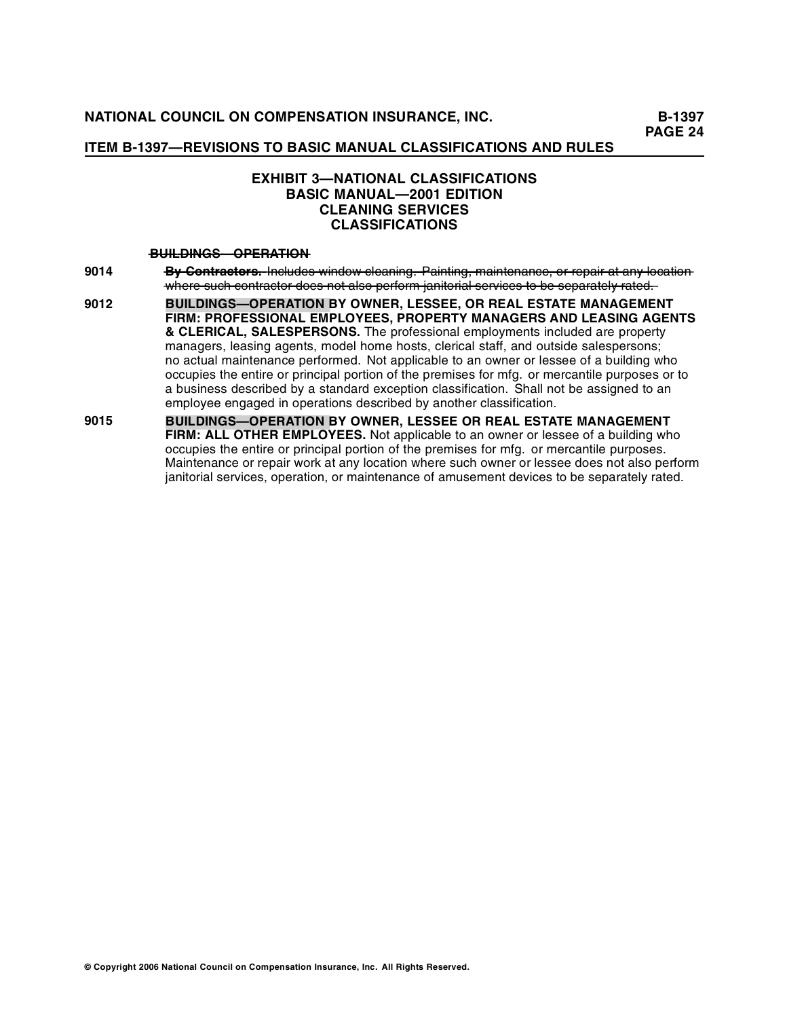**PAGE 24** 

# **ITEM B-1397—REVISIONS TO BASIC MANUAL CLASSIFICATIONS AND RULES**

# **EXHIBIT 3—NATIONAL CLASSIFICATIONS BASIC MANUAL—2001 EDITION CLEANING SERVICES CLASSIFICATIONS**

### $-\frac{B}{B}$  **BUILDINGS OPERATION**

- 9014 **By Contractors.** Includes window cleaning. Painting, maintenance, or repair at any location where such contractor does not also perform janitorial services to be separately rated.
- **9012 BUILDINGS—OPERATION BY OWNER, LESSEE, OR REAL ESTATE MANAGEMENT FIRM: PROFESSIONAL EMPLOYEES, PROPERTY MANAGERS AND LEASING AGENTS & CLERICAL, SALESPERSONS.** The professional employments included are property managers, leasing agents, model home hosts, clerical staff, and outside salespersons; no actual maintenance performed. Not applicable to an owner or lessee of a building who occupies the entire or principal portion of the premises for mfg. or mercantile purposes or to a business described by a standard exception classification. Shall not be assigned to an employee engaged in operations described by another classification.
- **9015 BUILDINGS—OPERATION BY OWNER, LESSEE OR REAL ESTATE MANAGEMENT FIRM: ALL OTHER EMPLOYEES.** Not applicable to an owner or lessee of a building who occupies the entire or principal portion of the premises for mfg. or mercantile purposes. Maintenance or repair work at any location where such owner or lessee does not also perform janitorial services, operation, or maintenance of amusement devices to be separately rated.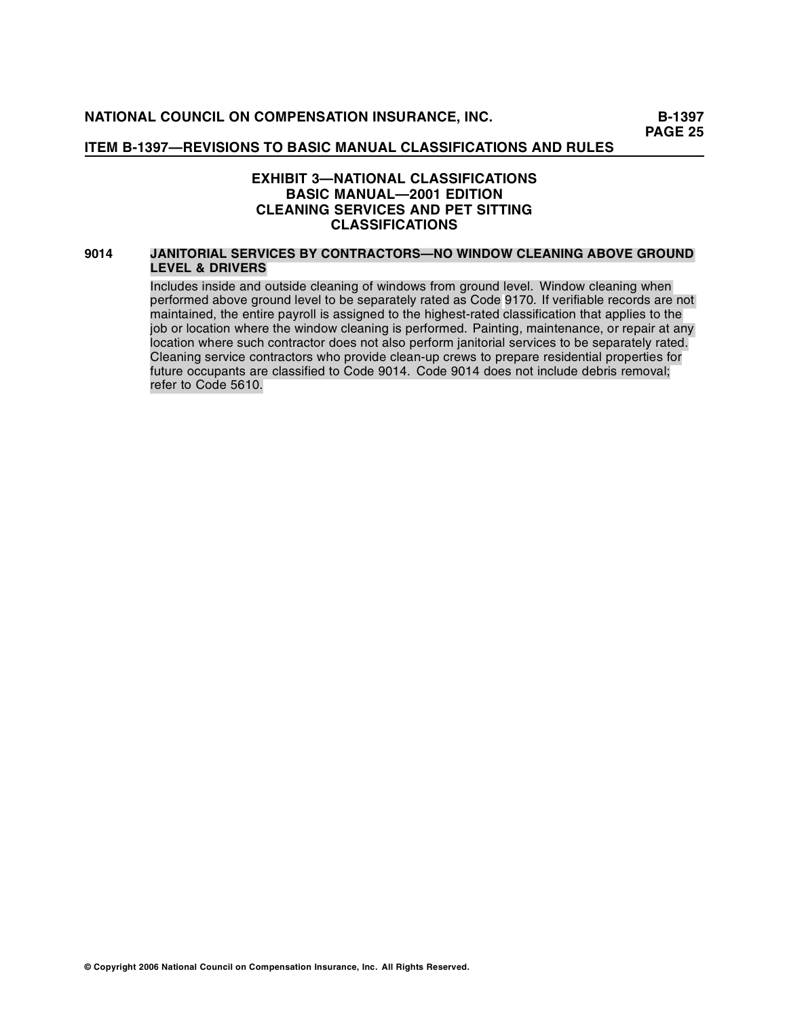# **EXHIBIT 3—NATIONAL CLASSIFICATIONS BASIC MANUAL—2001 EDITION CLEANING SERVICES AND PET SITTING CLASSIFICATIONS**

#### **9014 JANITORIAL SERVICES BY CONTRACTORS—NO WINDOW CLEANING ABOVE GROUND LEVEL & DRIVERS**

Includes inside and outside cleaning of windows from ground level. Window cleaning when performed above ground level to be separately rated as Code 9170. If verifiable records are not maintained, the entire payroll is assigned to the highest-rated classification that applies to the job or location where the window cleaning is performed. Painting, maintenance, or repair at any location where such contractor does not also perform janitorial services to be separately rated. Cleaning service contractors who provide clean-up crews to prepare residential properties for future occupants are classified to Code 9014. Code 9014 does not include debris removal; refer to Code 5610.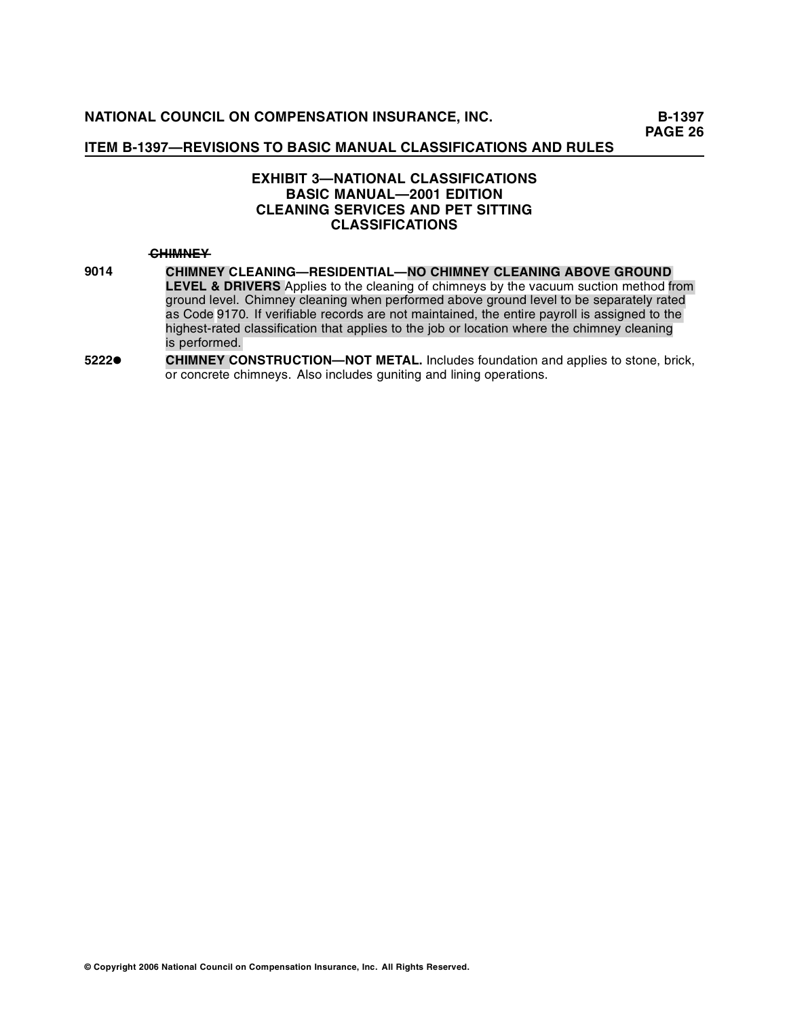# **EXHIBIT 3—NATIONAL CLASSIFICATIONS BASIC MANUAL—2001 EDITION CLEANING SERVICES AND PET SITTING CLASSIFICATIONS**

#### $H$ **<del>CHIMNEY</del>**

- **9014 LEVEL & DRIVERS** Applies to the cleaning of chimneys by the vacuum suction method from ground level. Chimney cleaning when performed above ground level to be separately rated as Code 9170. If verifiable records are not maintained, the entire payroll is assigned to the highest-rated classification that applies to the job or location where the chimney cleaning i s performed. **CHIMNEY CLEANING—RESIDENTIAL—NO CHIMNEY CLEANING ABOVE GROUND**
- **5222• CHIMNEY CONSTRUCTION—NOT METAL.** Includes foundation and applies to stone, brick, or concrete chimneys. Also includes guniting and lining operations.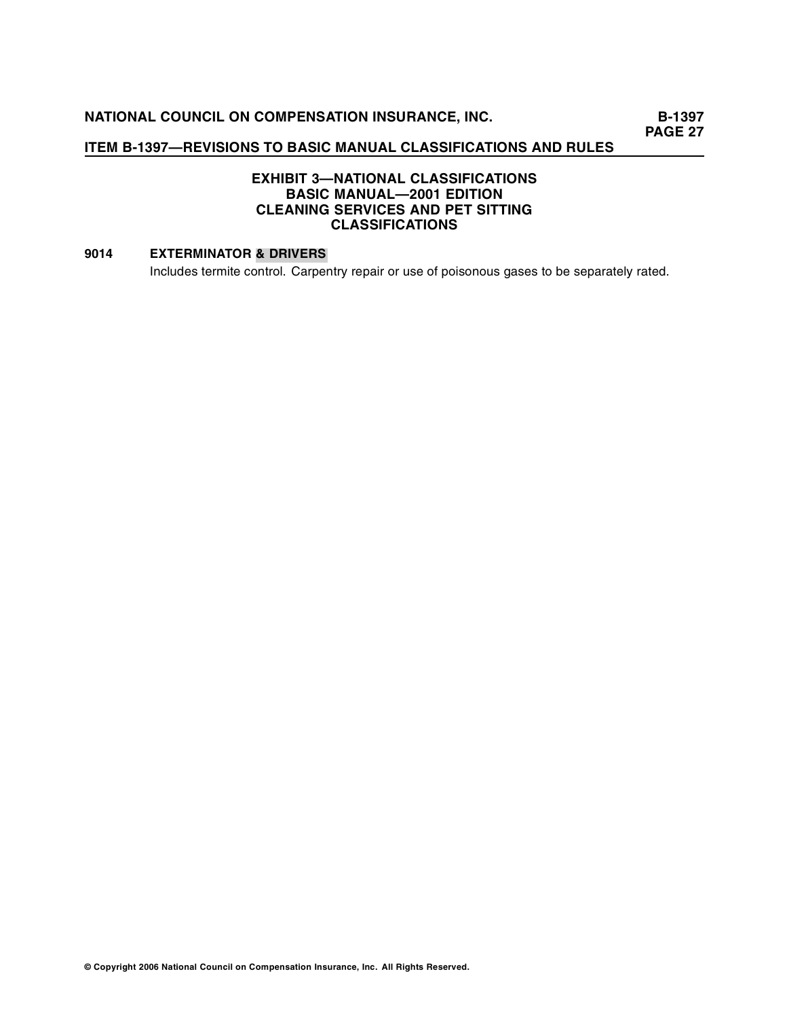**PAGE 27** 

# **ITEM B-1397—REVISIONS TO BASIC MANUAL CLASSIFICATIONS AND RULES**

# **EXHIBIT 3—NATIONAL CLASSIFICATIONS BASIC MANUAL—2001 EDITION CLEANING SERVICES AND PET SITTING CLASSIFICATIONS**

# **9014 EXTERMINATOR & DRIVERS**

Includes termite control. Carpentry repair or use of poisonous gases to be separately rated.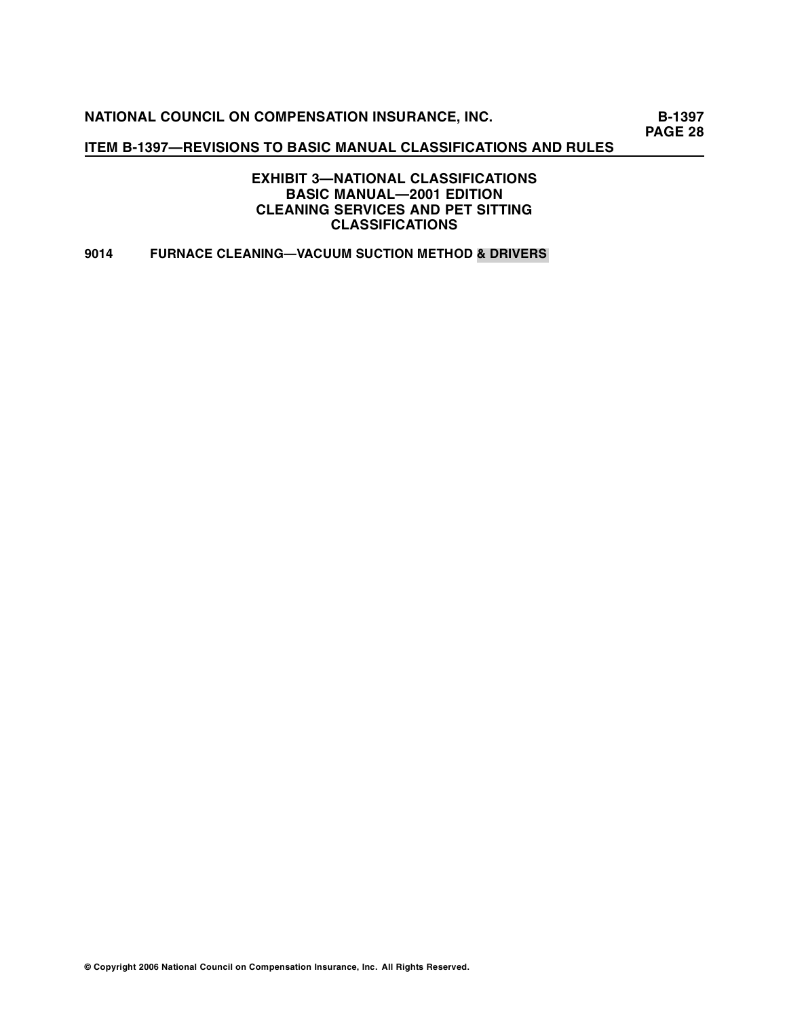**B-1397 PAGE 28** 

# **ITEM B-1397—REVISIONS TO BASIC MANUAL CLASSIFICATIONS AND RULES**

**EXHIBIT 3—NATIONAL CLASSIFICATIONS BASIC MANUAL—2001 EDITION CLEANING SERVICES AND PET SITTING CLASSIFICATIONS** 

# **9014 FURNACE CLEANING—VACUUM SUCTION METHOD & DRIVERS**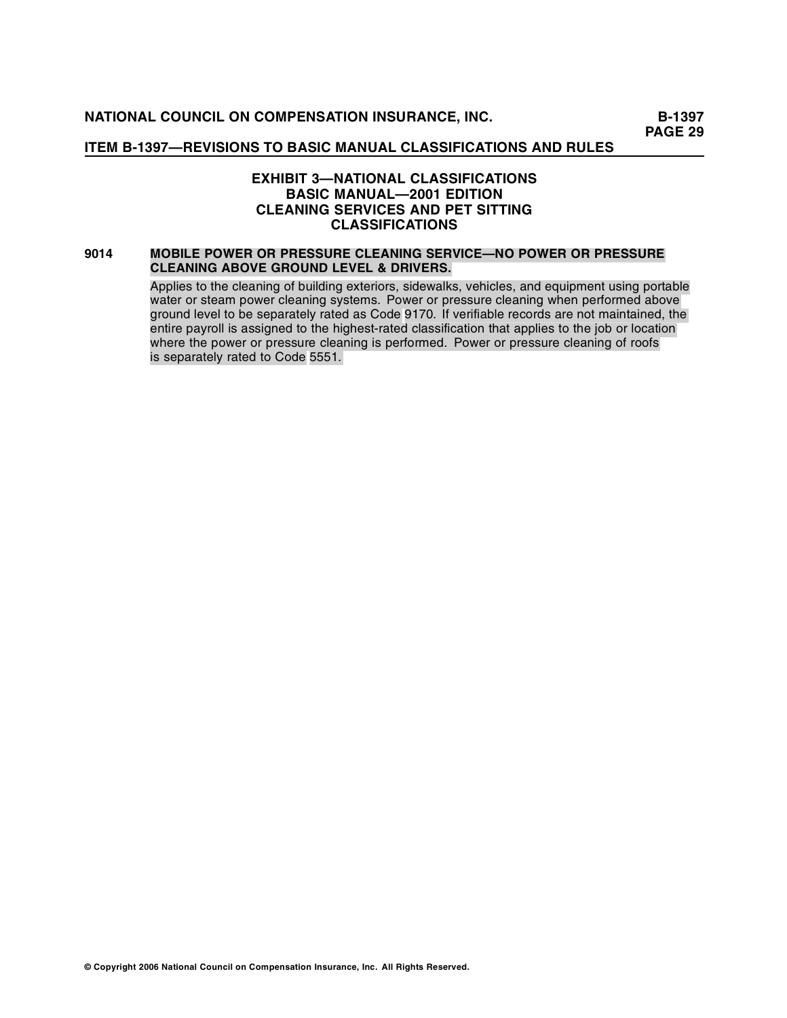# **EXHIBIT 3—NATIONAL CLASSIFICATIONS BASIC MANUAL—2001 EDITION CLEANING SERVICES AND PET SITTING CLASSIFICATIONS**

#### **9014 MOBILE POWER OR PRESSURE CLEANING SERVICE—NO POWER OR PRESSURE CLEANING ABOVE GROUND LEVEL & DRIVERS.**

Applies to the cleaning of building exteriors, sidewalks, vehicles, and equipment using portable water or steam power cleaning systems. Power or pressure cleaning when performed above ground level to be separately rated as Code 9170. If verifiable records are not maintained, the entire payroll is assigned to the highest-rated classification that applies to the job or location where the power or pressure cleaning is performed. Power or pressure cleaning of roofs is separately rated to Code 5551.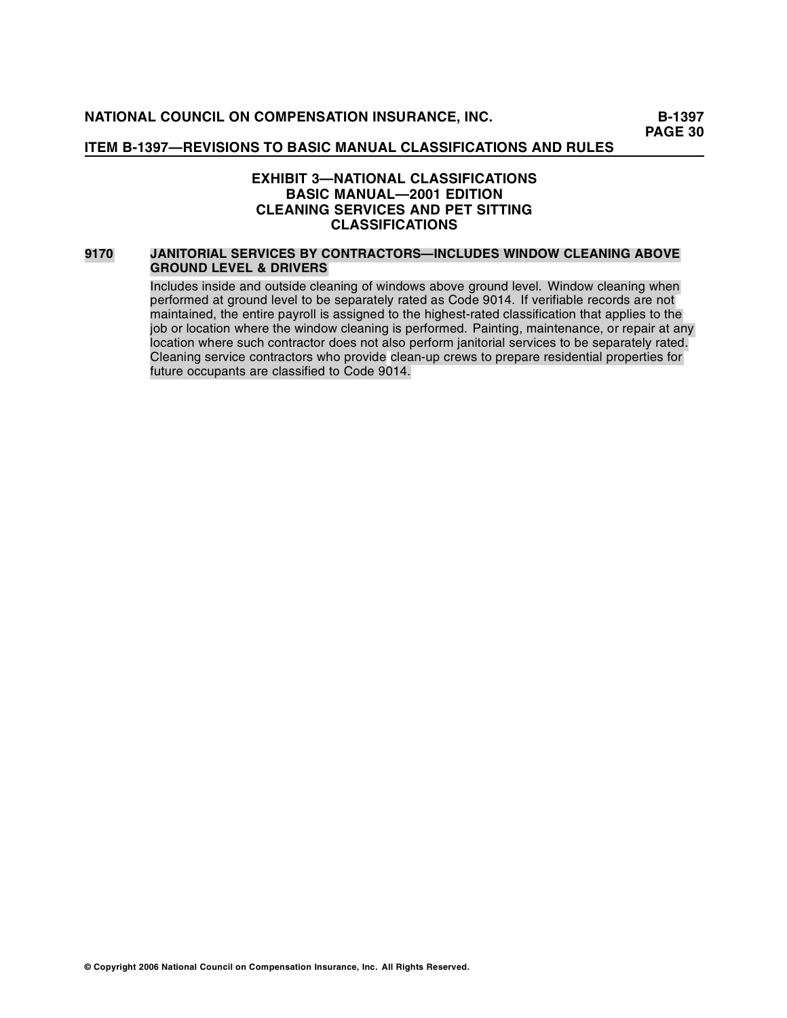# **EXHIBIT 3—NATIONAL CLASSIFICATIONS BASIC MANUAL—2001 EDITION CLEANING SERVICES AND PET SITTING CLASSIFICATIONS**

#### **9170 JANITORIAL SERVICES BY CONTRACTORS—INCLUDES WINDOW CLEANING ABOVE GROUND LEVEL & DRIVERS**

Includes inside and outside cleaning of windows above ground level. Window cleaning when performed at ground level to be separately rated as Code 9014. If verifiable records are not maintained, the entire payroll is assigned to the highest-rated classification that applies to the job or location where the window cleaning is performed. Painting, maintenance, or repair at any location where such contractor does not also perform janitorial services to be separately rated. Cleaning service contractors who provide clean-up crews to prepare residential properties for future occupants are classified to Code 9014.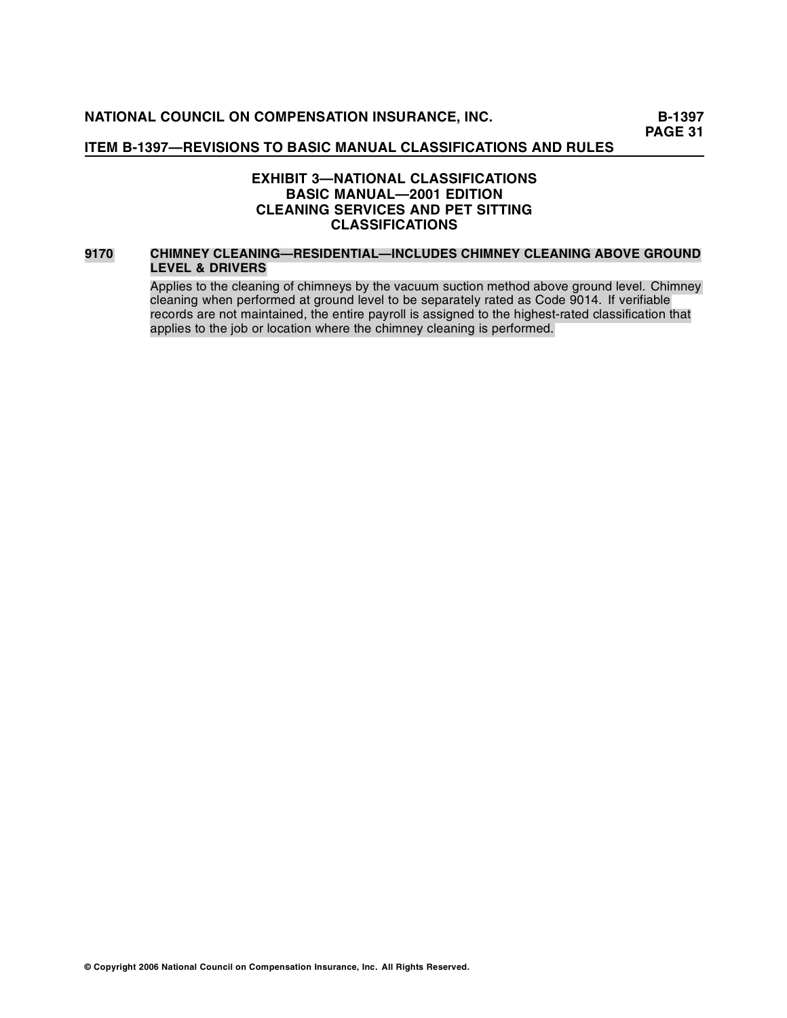# **EXHIBIT 3—NATIONAL CLASSIFICATIONS BASIC MANUAL—2001 EDITION CLEANING SERVICES AND PET SITTING CLASSIFICATIONS**

#### **9170 CHIMNEY CLEANING—RESIDENTIAL—INCLUDES CHIMNEY CLEANING ABOVE GROUND LEVEL & DRIVERS**

Applies to the cleaning of chimneys by the vacuum suction method above ground level. Chimney cleaning when performed at ground level to be separately rated as Code 9014. If verifiable records are not maintained, the entire payroll is assigned to the highest-rated classification that applies to the job or location where the chimney cleaning is performed.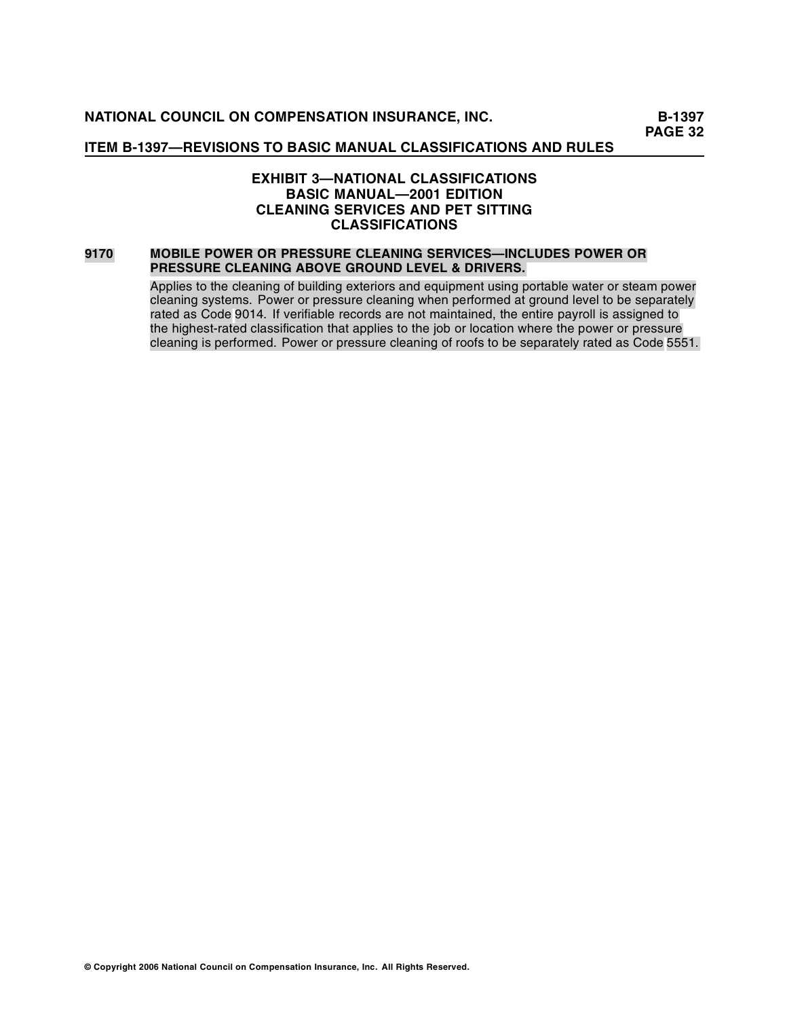# **EXHIBIT 3—NATIONAL CLASSIFICATIONS BASIC MANUAL—2001 EDITION CLEANING SERVICES AND PET SITTING CLASSIFICATIONS**

#### **9170 MOBILE POWER OR PRESSURE CLEANING SERVICES—INCLUDES POWER OR PRESSURE CLEANING ABOVE GROUND LEVEL & DRIVERS.**

Applies to the cleaning of building exteriors and equipment using portable water or steam power cleaning systems. Power or pressure cleaning when performed at ground level to be separately rated as Code 9014. If verifiable records are not maintained, the entire payroll is assigned to the highest-rated classification that applies to the job or location where the power or pressure cleaning is performed. Power or pressure cleaning of roofs to be separately rated as Code 5551.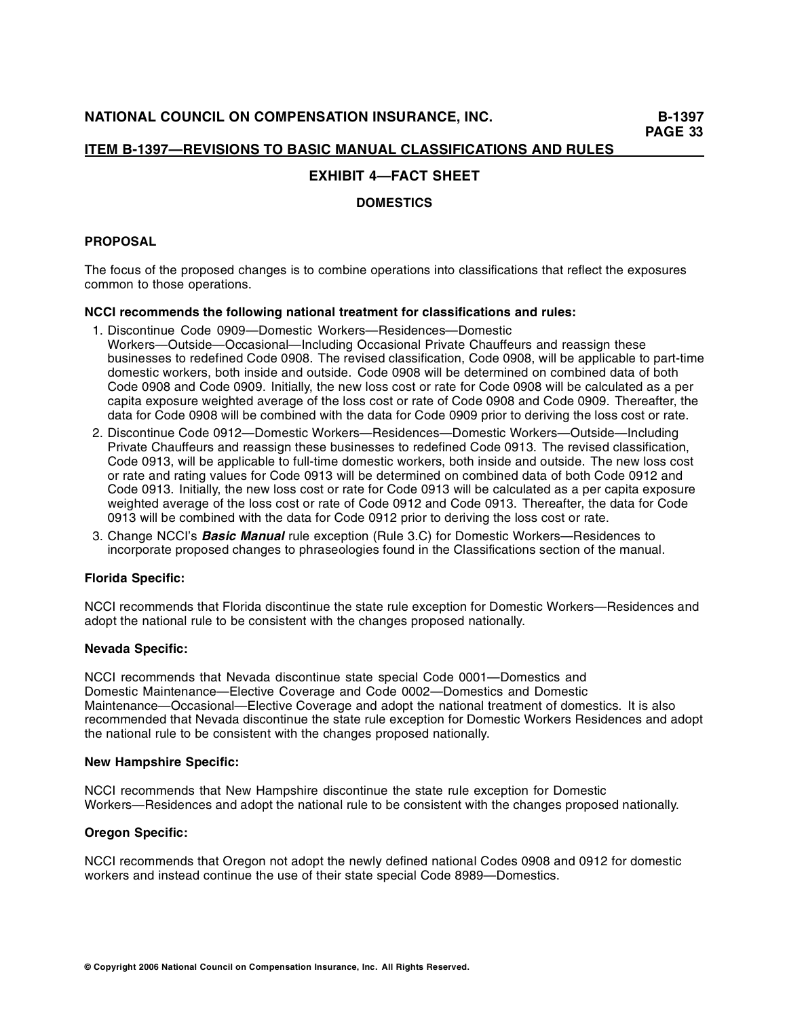# **EXHIBIT 4—FACT SHEET**

### **DOMESTICS**

## **PROPOSAL**

The focus of the proposed changes is to combine operations into classifications that reflect the exposures common to those operations.

### **NCCI recommends the following national treatment for classifications and rules:**

- 1. Discontinue Code 0909—Domestic Workers—Residences—Domestic Workers—Outside—Occasional—Including Occasional Private Chauffeurs and reassign these businesses to redefined Code 0908. The revised classification, Code 0908, will be applicable to part-time domestic workers, both inside and outside. Code 0908 will be determined on combined data of both Code 0908 and Code 0909. Initially, the new loss cost or rate for Code 0908 will be calculated as a per capita exposure weighted average of the loss cost or rate of Code 0908 and Code 0909. Thereafter, the data for Code 0908 will be combined with the data for Code 0909 prior to deriving the loss cost or rate.
- 2. Discontinue Code 0912—Domestic Workers—Residences—Domestic Workers—Outside—Including Private Chauffeurs and reassign these businesses to redefined Code 0913. The revised classification, Code 0913, will be applicable to full-time domestic workers, both inside and outside. The new loss cost or rate and rating values for Code 0913 will be determined on combined data of both Code 0912 and Code 0913. Initially, the new loss cost or rate for Code 0913 will be calculated as a per capita exposure weighted average of the loss cost or rate of Code 0912 and Code 0913. Thereafter, the data for Code 0913 will be combined with the data for Code 0912 prior to deriving the loss cost or rate.
- 3. Change NCCI's **Basic Manual** rule exception (Rule 3.C) for Domestic Workers—Residences to incorporate proposed changes to phraseologies found in the Classifications section of the manual.

### **Florida Specific:**

NCCI recommends that Florida discontinue the state rule exception for Domestic Workers—Residences and adopt the national rule to be consistent with the changes proposed nationally.

### **Nevada Specific:**

NCCI recommends that Nevada discontinue state special Code 0001—Domestics and Domestic Maintenance—Elective Coverage and Code 0002—Domestics and Domestic Maintenance—Occasional—Elective Coverage and adopt the national treatment of domestics. It is also recommended that Nevada discontinue the state rule exception for Domestic Workers Residences and adopt the national rule to be consistent with the changes proposed nationally.

### **New Hampshire Specific:**

NCCI recommends that New Hampshire discontinue the state rule exception for Domestic Workers—Residences and adopt the national rule to be consistent with the changes proposed nationally.

## **Oregon Specific:**

NCCI recom mends that Oregon not adopt the newly defined national Codes 0908 and 0912 for domestic workers and instead continue the use of their state special Code 8989—Domestics.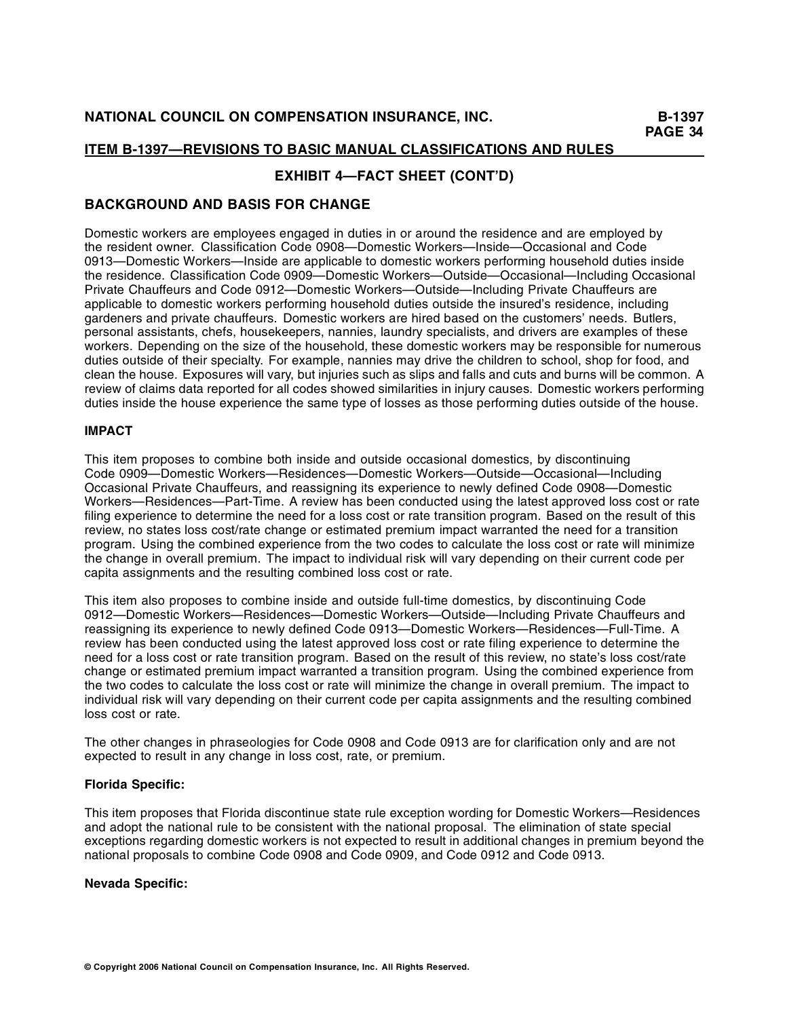# **EXHIBIT 4—FACT SHEET (CONT'D)**

# **BACKGROUND AND BASIS FOR CHANGE**

Domestic workers are employees engaged in duties in or around the residence and are employed by the resident owner. Classification Code 0908—Domestic Workers—Inside—Occasional and Code 0913—Domestic Workers—Inside are applicable to domestic workers performing household duties inside the residence. Classification Code 0909—Domestic Workers—Outside—Occasional—Including Occasional Private Chauffeurs and Code 0912—Domestic Workers—Outside—Including Private Chauffeurs are applicable to domestic workers performing household duties outside the insured's residence, including gardeners and private chauffeurs. Domestic workers are hired based on the customers' needs. Butlers, personal assistants, chefs, housekeepers, nannies, laundry specialists, and drivers are examples of these workers. Depending on the size of the household, these domestic workers may be responsible for numerous duties outside of their specialty. For example, nannies may drive the children to school, shop for food, and clean the house. Exposures will vary, but injuries such as slips and falls and cuts and burns will be common. A review of claims data reported for all codes showed similarities in injury causes. Domestic workers performing duties inside the house experience the same type of losses as those performing duties outside of the house.

## **IMPACT**

This item proposes to combine both inside and outside occasional domestics, by discontinuing Code 0909—Domestic Workers—Residences—Domestic Workers—Outside—Occasional—Including Occasional Private Chauffeurs, and reassigning its experience to newly defined Code 0908—Domestic Workers—Residences—Part-Time. A review has been conducted using the latest approved loss cost or rate filing experience to determine the need for a loss cost or rate transition program. Based on the result of this review, no states loss cost/rate change or estimated premium impact warranted the need for a transition program. Using the combined experience from the two codes to calculate the loss cost or rate will minimize the change in overall premium. The impact to individual risk will vary depending on their current code per capita assignments and the resulting combined loss cost or rate.

This item also proposes to combine inside and outside full-time domestics, by discontinuing Code 0912—Domestic Workers—Residences—Domestic Workers—Outside—Including Private Chauffeurs and reassigning its experience to newly defined Code 0913—Domestic Workers—Residences—Full-Time. A review has been conducted using the latest approved loss cost or rate filing experience to determine the need for a loss cost or rate transition program. Based on the result of this review, no state's loss cost/rate change or estimated premium impact warranted a transition program. Using the combined experience from the two codes to calculate the loss cost or rate will minimize the change in overall premium. The impact to individual risk will vary depending on their current code per capita assignments and the resulting combined loss cost or rate.

The other changes in phraseologies for Code 0908 and Code 0913 are for clarification only and are not expected to result in any change in loss cost, rate, or premium.

## **Florida Specific:**

This item proposes that Florida discontinue state rule exception wording for Domestic Workers—Residences and adopt the national rule to be consistent with the national proposal. The elimination of state special exceptions regarding domestic workers is not expected to result in additional changes in premium beyond the national proposals to combine Code 0908 and Code 0909, and Code 0912 and Code 0913.

### **Nevada Specific:**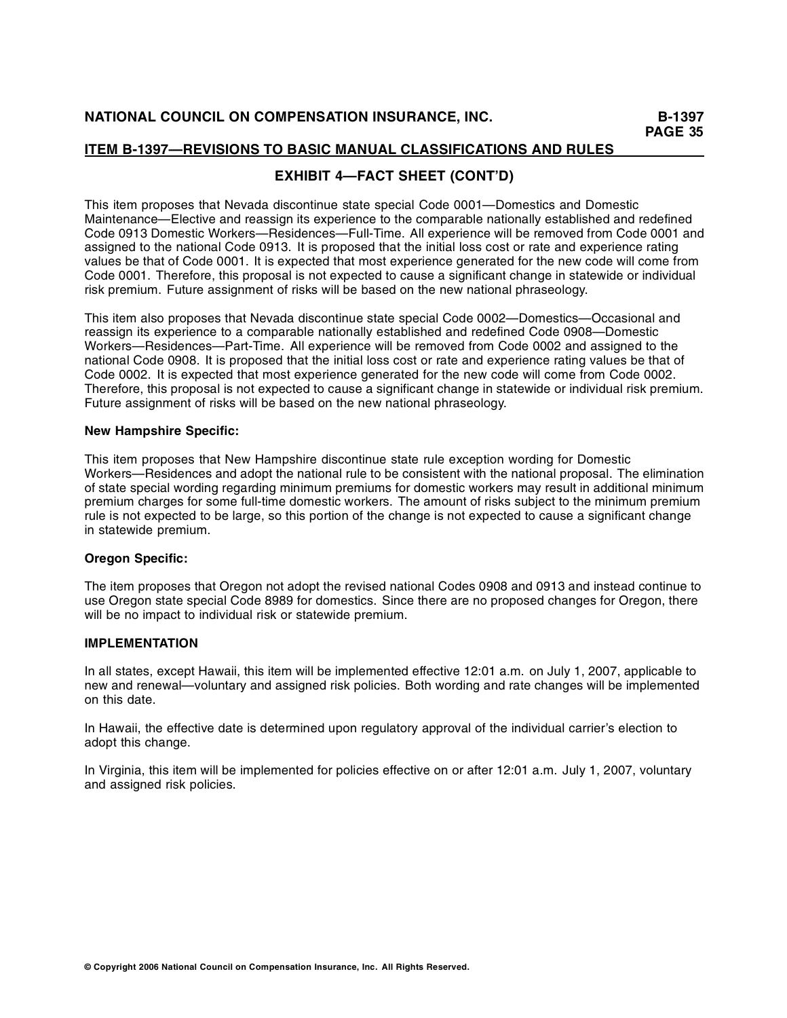# **EXHIBIT 4—FACT SHEET (CONT'D)**

This item proposes that Nevada discontinue state special Code 0001—Domestics and Domestic Maintenance—Elective and reassign its experience to the comparable nationally established and redefined Code 0913 Domestic Workers—Residences—Full-Time. All experience will be removed from Code 0001 and assigned to the national Code 0913. It is proposed that the initial loss cost or rate and experience rating values be that of Code 0001. It is expected that most experience generated for the new code will come from Code 0001. Therefore, this proposal is not expected to cause a significant change in statewide or individual risk premium. Future assignment of risks will be based on the new national phraseology.

This item also proposes that Nevada discontinue state special Code 0002—Domestics—Occasional and reassign its experience to a comparable nationally established and redefined Code 0908—Domestic Workers—Residences—Part-Time. All experience will be removed from Code 0002 and assigned to the national Code 0908. It is proposed that the initial loss cost or rate and experience rating values be that of Code 0002. It is expected that most experience generated for the new code will come from Code 0002. Therefore, this proposal is not expected to cause a significant change in statewide or individual risk premium. Future assignment of risks will be based on the new national phraseology.

### **New Hampshire Specific:**

This item proposes that New Hampshire discontinue state rule exception wording for Domestic Workers—Residences and adopt the national rule to be consistent with the national proposal. The elimination of state special wording regarding minimum premiums for domestic workers may result in additional minimum premium charges for some full-time domestic workers. The amount of risks subject to the minimum premium rule is not expected to be large, so this portion of the change is not expected to cause a significant change in statewide premium.

## **Oregon Specific:**

The item proposes that Oregon not adopt the revised national Codes 0908 and 0913 and instead continue to use Oregon state special Code 8989 for domestics. Since there are no proposed changes for Oregon, there will be no impact to individual risk or statewide premium.

## **IMPLEMENTATION**

In all states, except Hawaii, this item will be implemented effective 12:01 a.m. on July 1, 2007, applicable to new and renewal—voluntary and assigned risk policies. Both wording and rate changes will be implemented on this date.

In Hawaii, the effective date is determined upon regulatory approval of the individual carrier's election to adopt this change.

In Virginia, this item will be implemented for policies effective on or after 12:01 a.m. July 1, 2007, voluntary and assigned risk policies.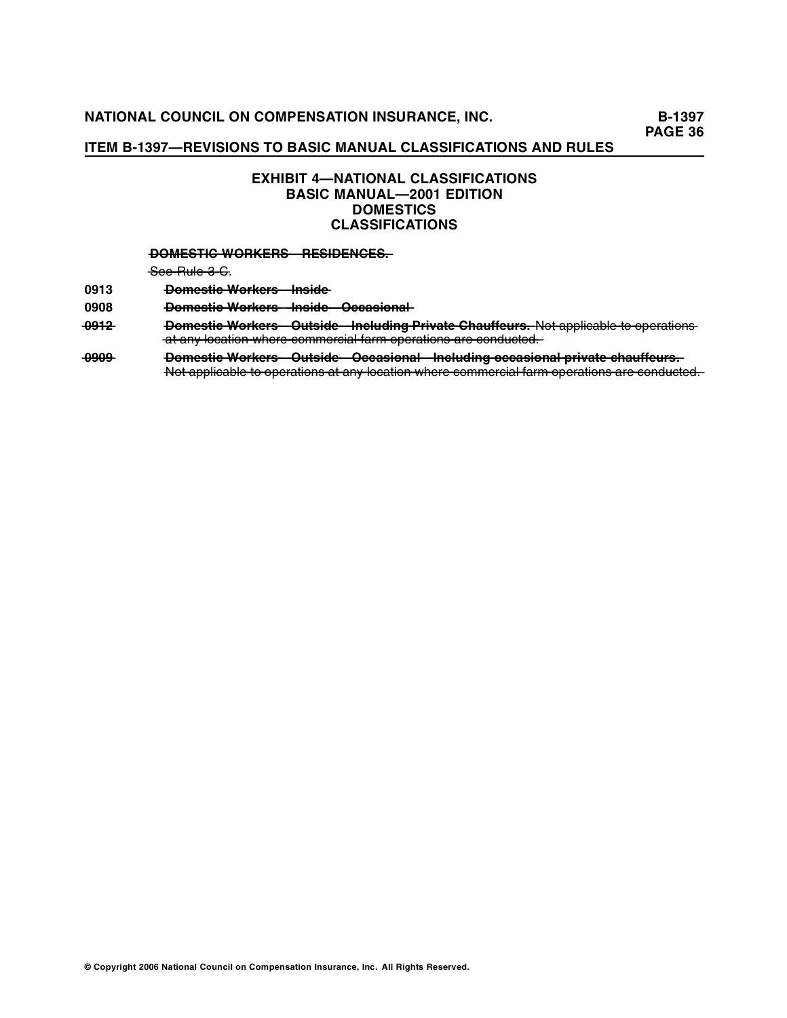# **EXHIBIT 4—NATIONAL CLASSIFICATIONS BASIC MANUAL—2001 EDITION DOMESTICS CLASSIFICATIONS**

### **DOMESTIC WORKERS RESIDENCES.**

 $-$ See Rule 3 C.

**0913 —o—e—tic W—rk — ——id D—m—s—————o —e ———s—e ——rs—In ——**

0908 **— <del>Domestic Workers Inside Occasional</del>** 

- 0912 Domestic Workers Outside Including Private Chauffeurs. Not applicable to operations  $-\alpha$  any location where commercial farm operations are conducted.
- 0999 Domestic Workers Outside Occasional Including occasional private chauffeurs. Not applicable to operations at any location where commercial farm operations are conducted.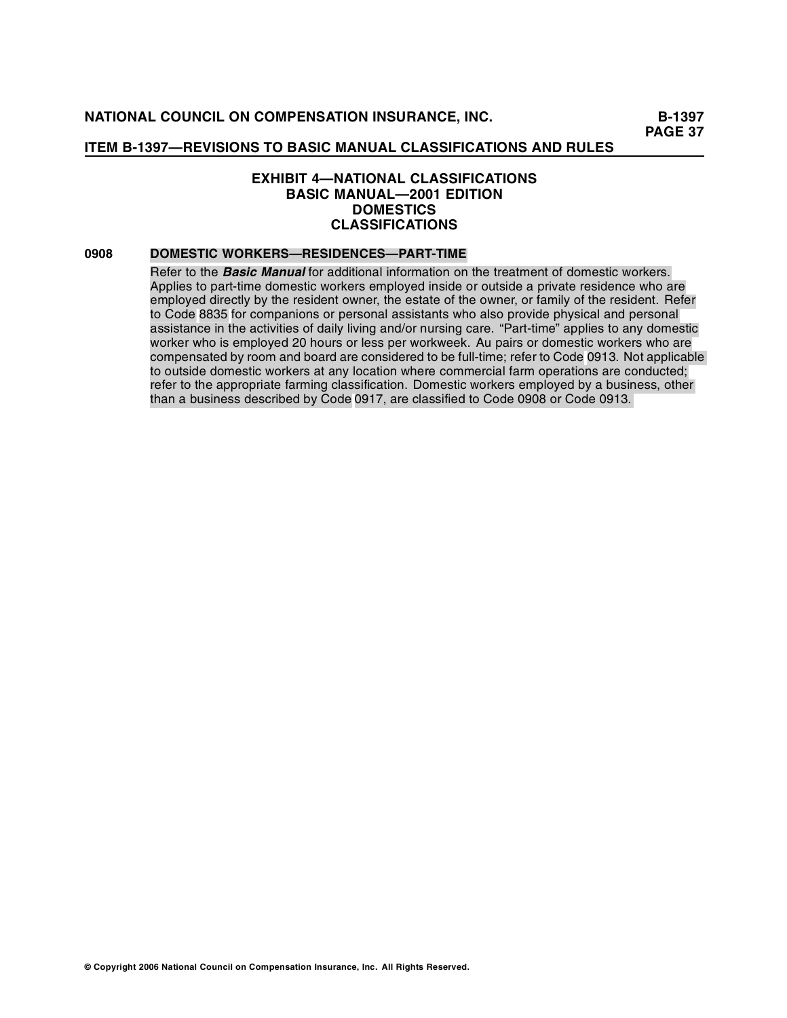## **EXHIBIT 4—NATIONAL CLASSIFICATIONS BASIC MANUAL—2001 EDITION DOMESTICS CLASSIFICATIONS**

## **0908 DOMESTIC WORKERS—RESIDENCES—PART-TIME**

Refer to the **Basic Manual** for additional information on the treatment of domestic workers. Applies to part-time domestic workers employed inside or outside a private residence who are employed directly by the resident owner, the estate of the owner, or family of the resident. Refer to Code 8835 for companions or personal assistants who also provide physical and personal assistance in the activities of daily living and/or nursing care. "Part-time" applies to any domestic worker who is employed 20 hours or less per workweek. Au pairs or domestic workers who are compensated by room and board are considered to be full-time; refer to Code 0913. Not applicable to outside domestic workers at any location where commercial farm operations are conducted; refer to the appropriate farming classification. Domestic workers employed by a business, other than a business described by Code 0917, are classified to Code 0908 or Code 0913.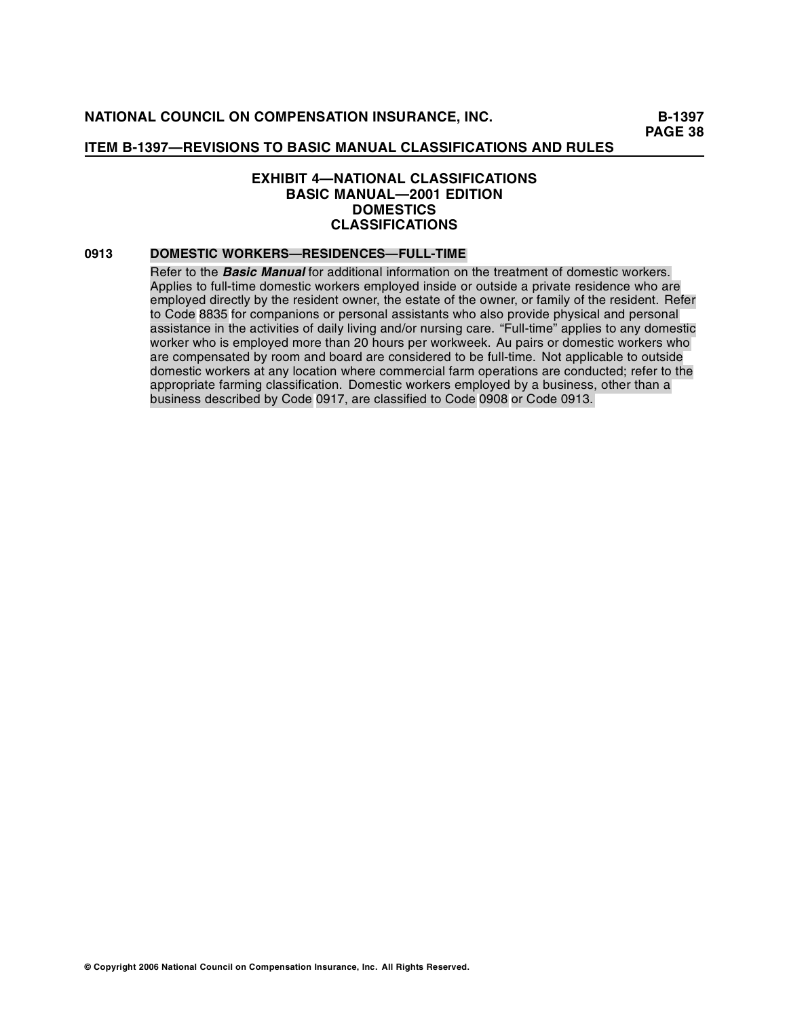## **EXHIBIT 4—NATIONAL CLASSIFICATIONS BASIC MANUAL—2001 EDITION DOMESTICS CLASSIFICATIONS**

## **0913 DOMESTIC WORKERS—RESIDENCES—FULL-TIME**

Refer to the **Basic Manual** for additional information on the treatment of domestic workers. Applies to full-time domestic workers employed inside or outside a private residence who are employed directly by the resident owner, the estate of the owner, or family of the resident. Refer to Code 8835 for companions or personal assistants who also provide physical and personal assistance in the activities of daily living and/or nursing care. "Full-time" applies to any domestic worker who is employed more than 20 hours per workweek. Au pairs or domestic workers who are compensated by room and board are considered to be full-time. Not applicable to outside domestic workers at any location where commercial farm operations are conducted; refer to the appropriate farming classification. Domestic workers employed by a business, other than a business described by Code 0917, are classified to Code 0908 or Code 0913.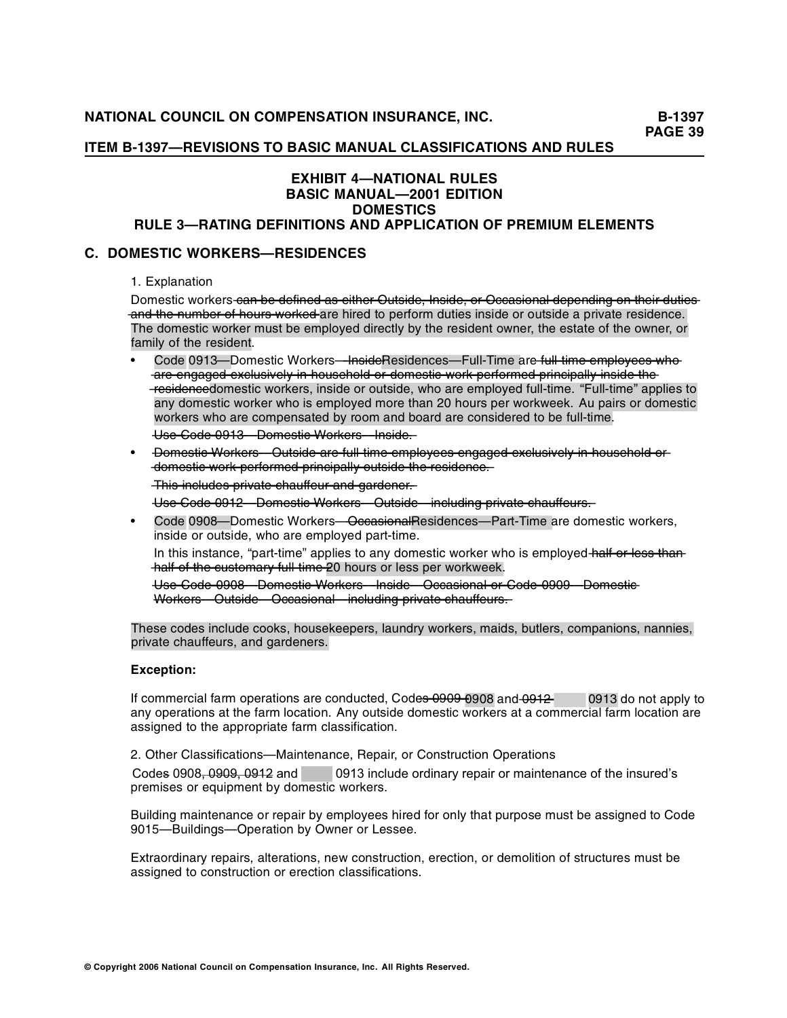## **ITEM B-1397—REVISIONS TO BASIC MANUAL CLASSIFICATIONS AND RULES**

# **EXHIBIT 4—NATIONAL RULES BASIC MANUAL—2001 EDITION DOMESTICS**

# **RULE 3—RATING DEFINITIONS AND APPLICATION OF PREMIUM ELEMENTS**

## **C. DOMESTIC WORKERS—RESIDENCES**

1. Explanation

Domestic workers-can be defined as either Outside, Inside, or Occasional depending on their duties  $\overline{a}$  and the number of hours worked are hired to perform duties inside or outside a private residence. The domestic worker must be employed directly by the resident owner, the estate of the owner, or family of the resident.

Code 0913—Domestic Workers—InsideResidences—Full-Time are full time employees who are engaged exclusively in household or domestic work performed principally inside the -residencedomestic workers, inside or outside, who are employed full-time. "Full-time" applies to any domestic worker who is employed more than 20 hours per workweek. Au pairs or domestic workers who are compensated by room and board are considered to be full-time.

—s—U—e —o—e—9—3—D—m—s ——rs—In——. **—**C—d—**—**0—1———o—e ——tic W—rk — ——id — ——**—**—o—e———s—e

Domestic Workers Outside are full time employees engaged exclusively in household or  $-\frac{1}{2}$  domestic work performed principally outside the residence.

 $\frac{1}{\pi}$  This includes private chauffeur and gardener.

 $\frac{1}{100}$  Code 0912 – Domestie Workers – Outside – including private chauffeurs.

Code 0908—Domestic Workers—OccasionalResidences—Part-Time are domestic workers, inside or outside, who are employed part-time.

In this instance, "part-time" applies to any domestic worker who is employed half or less than  $hat$  – half of the eustomary full time 20 hours or less per workweek.

—s—U—e —o—e **—**C—d——9—8—D—m—s —rk — ——id —io —l—r —o—e **—**0—0———o—e ——tic W ——rs—In————c ——**—**—o—e———s—e—O —s—n — —c—a——a**—**o—**—**C—d——9—9—D—m—s **—**0—0———o—e ——tic—— —o—e———u—id —io —l——c—d—g—r—a —— W—rk — —ts—e—O —s—n — ——lu —— ——rs—O —————c—c—a——a —in——in iv — **—**p———te c—a—ffe—rs —**—**—h—u———u—.

These codes include cooks, housekeepers, laundry workers, maids, butlers, companions, nannies, private chauffeurs, and gardeners.

#### **Exception:**

If commercial farm operations are conducted, Code<del>s 0909-0</del>908 and 0912 <sup>1</sup> 0913 do not apply to any operations at the farm location. Any outside domestic workers at a commercial farm location are assigned to the appropriate farm classification.

2. Other Classifications—Maintenance, Repair, or Construction Operations

Codes 0908, 0909, 0912 and COP 0913 include ordinary repair or maintenance of the insured's premises or equipment by domestic workers.

Building maintenance or repair by employees hired for only that purpose must be assigned to Code 9015—Buildings—Operation by Owner or Lessee.

Extraordinary repairs, alterations, new construction, erection, or demolition of structures must be assigned to construction or erection classifications.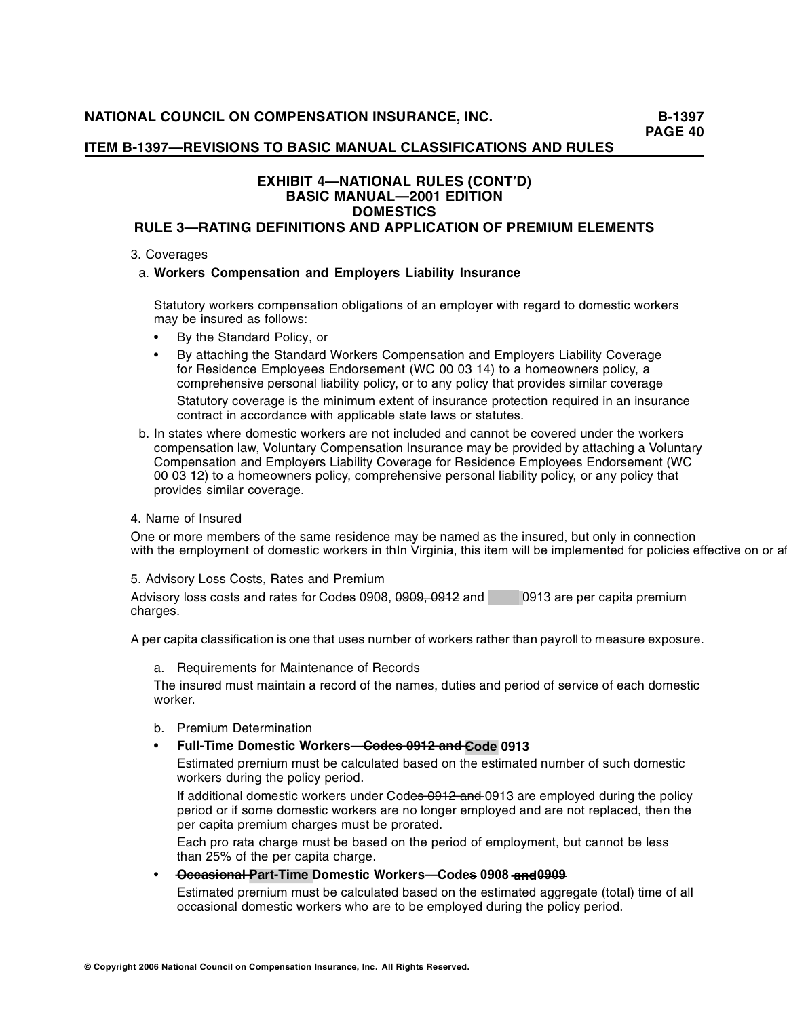## **ITEM B-1397—REVISIONS TO BASIC MANUAL CLASSIFICATIONS AND RULES**

## **EXHIBIT 4—NATIONAL RULES (CONT'D) BASIC MANUAL—2001 EDITION DOMESTICS RULE 3—RATING DEFINITIONS AND APPLICATION OF PREMIUM ELEMENTS**

#### 3. Coverages

#### a. **Workers Compensation and Employers Liability Insurance**

Statutory workers compensation obligations of an employer with regard to domestic workers may be insured as follows:

- By the Standard Policy, or
- By attaching the Standard Workers Compensation and Employers Liability Coverage for Residence Employees Endorsement (WC 00 03 14) to a homeowners policy, a comprehensive personal liability policy, or to any policy that provides similar coverage Statutory coverage is the minimum extent of insurance protection required in an insurance contract in accordance with applicable state laws or statutes.
- b. In states where domestic workers are not included and cannot be covered under the workers compensation law, Voluntary Compensation Insurance may be provided by attaching a Voluntary Compensation and Employers Liability Coverage for Residence Employees Endorsement (WC 00 03 12) to a homeowners policy, comprehensive personal liability policy, or any policy that provides similar coverage.

#### 4. Name of Insured

One or more members of the same residence may be named as the insured, but only in connection with the employment of domestic workers in thIn Virginia, this item will be implemented for policies effective on or af

5. Advisory Loss Costs, Rates and Premium

Advisory loss costs and rates for Codes 0908, 0909, 0912 and COV 0913 are per capita premium charges.

A per capita classification is one that uses number of workers rather than payroll to measure exposure.

a. Requirements for Maintenance of Records

The insured must maintain a record of the names, duties and period of service of each domestic worker.

- b. Premium Determination
- **Full-Time Domestic Workers**—Codes 0912 and Code 0913

Estimated premium must be calculated based on the estimated number of such domestic workers during the policy period.

If additional domestic workers under Codes 0912 and 0913 are employed during the policy period or if some domestic workers are no longer employed and are not replaced, then the per capita premium charges must be prorated.

Each pro rata charge must be based on the period of employment, but cannot be less than 25% of the per capita charge.

 $\rightarrow$  **Occasional Part-Time Domestic Workers—Codes 0908 and 0909** 

Estimated premium must be calculated based on the estimated aggregate (total) time of all occasional domestic workers who are to be employed during the policy period.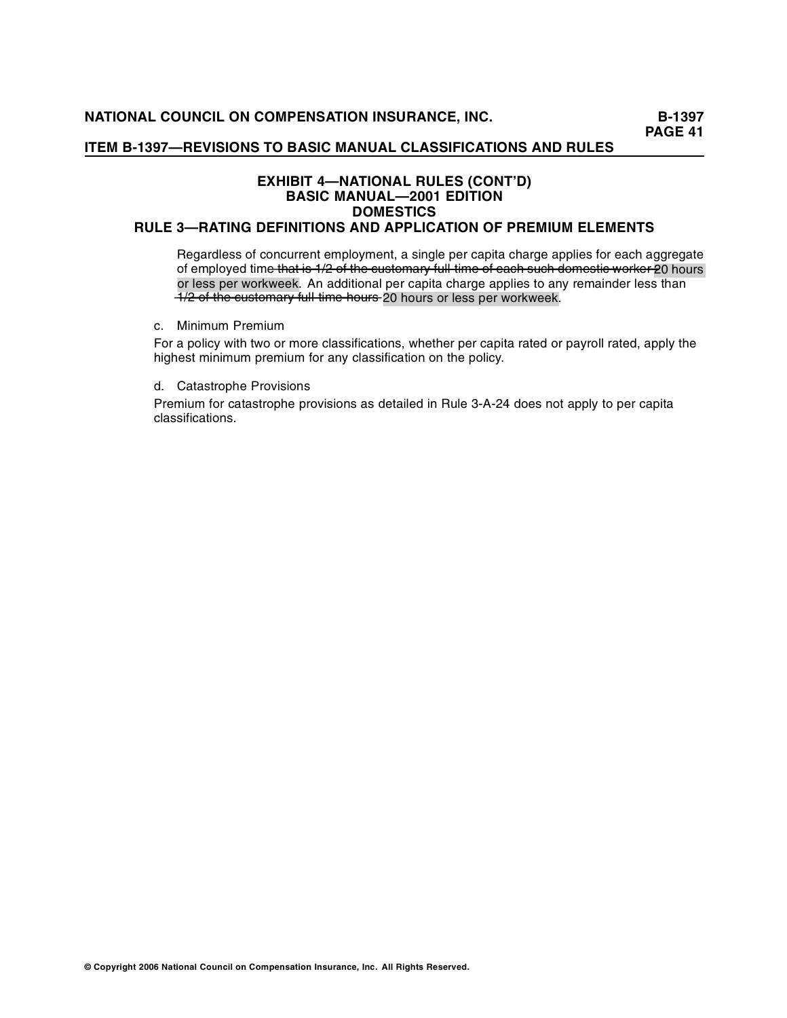## **ITEM B-1397—REVISIONS TO BASIC MANUAL CLASSIFICATIONS AND RULES**

## **EXHIBIT 4—NATIONAL RULES (CONT'D) BASIC MANUAL—2001 EDITION DOMESTICS RULE 3—RATING DEFINITIONS AND APPLICATION OF PREMIUM ELEMENTS**

Regardless of concurrent employment, a single per capita charge applies for each aggregate of employed time that is 1/2 of the customary full time of each such domestic worker 20 hours or less per workweek. An additional per capita charge applies to any remainder less than  $-1/2$  of the eustomary full time hours 20 hours or less per workweek.

c. Minimum Premium

For a policy with two or more classifications, whether per capita rated or payroll rated, apply the highest minimum premium for any classification on the policy.

d. Catastrophe Provisions

Premium for catastrophe provisions as detailed in Rule 3-A-24 does not apply to per capita classifications.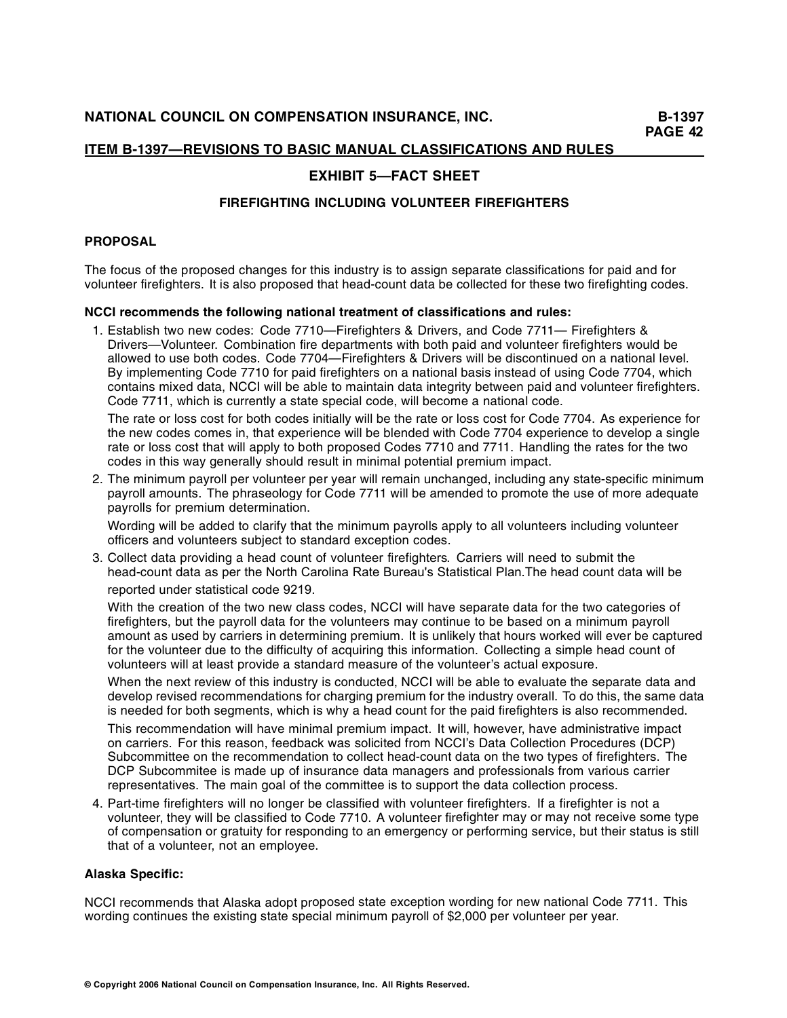# **EXHIBIT 5—FACT SHEET**

## **FIREFIGHTING INCLUDING VOLUNTEER FIREFIGHTERS**

## **PROPOSAL**

The focus of the proposed changes for this industry is to assign separate classifications for paid and for volunteer firefighters. It is also proposed that head-count data be collected for these two firefighting codes.

## **NCCI recommends the following national treatment of classifications and rules:**

1. Establish two new codes: Code 7710—Firefighters & Drivers, and Code 7711— Firefighters & Drivers—Volunteer. Combination fire departments with both paid and volunteer firefighters would be allowed to use both codes. Code 7704—Firefighters & Drivers will be discontinued on a national level. By implementing Code 7710 for paid firefighters on a national basis instead of using Code 7704, which contains mixed data, NCCI will be able to maintain data integrity between paid and volunteer firefighters. Code 7711, which is currently a state special code, will become a national code.

The rate or loss cost for both codes initially will be the rate or loss cost for Code 7704. As experience for the new codes comes in, that experience will be blended with Code 7704 experience to develop a single rate or loss cost that will apply to both proposed Codes 7710 and 7711. Handling the rates for the two codes in this way generally should result in minimal potential premium impact.

2. The minimum payroll per volunteer per year will remain unchanged, including any state-specific minimum payroll amounts. The phraseology for Code 7711 will be amended to promote the use of more adequate payrolls for premium determination.

Wording will be added to clarify that the minimum payrolls apply to all volunteers including volunteer officers and volunteers subject to standard exception codes.

3. Collect data providing a head count of volunteer firefighters. Carriers will need to submit the head-count data as per the North Carolina Rate Bureau's Statistical Plan.The head count data will be reported under statistical code 9219.

With the creation of the two new class codes, NCCI will have separate data for the two categories of firefighters, but the payroll data for the volunteers may continue to be based on a minimum payroll amount as used by carriers in determining premium. It is unlikely that hours worked will ever be captured for the volunteer due to the difficulty of acquiring this information. Collecting a simple head count of volunteers will at least provide a standard measure of the volunteer 's actual exposure.

When the next review of this industry is conducted, NCCI will be able to evaluate the separate data and develop revised recommendations for charging premium for the industry overall. To do this, the same data is needed for both segments, which is why a head count for the paid firefighters is also recommended.

This recommendation will have minimal premium impact. It will, however, have administrative impact on carriers. For this reason, feedback was solicited from NCCI's Data Collection Procedures (DCP) Subcommittee on the recommendation to collect head-count data on the two types of firefighters. The DCP Subcommitee is made up of insurance data managers and professionals from various carrier representatives. The main goal of the committee is to support the data collection process.

4. Part-time firefighters will no longer be classified with volunteer firefighters. If a firefighter is not a volunteer, they will be classified to Code 7710. A volunteer firefighter may or may not receive some type of compensation or gratuity for responding to an emergency or performing service, but their status is still that of a volunteer, not an employee.

#### **Alaska Specific:**

NCCI recommends that Alaska adopt proposed state exception wording for new national Code 7711. This wording continues the existing state special minimum payroll of \$2,000 per volunteer per year.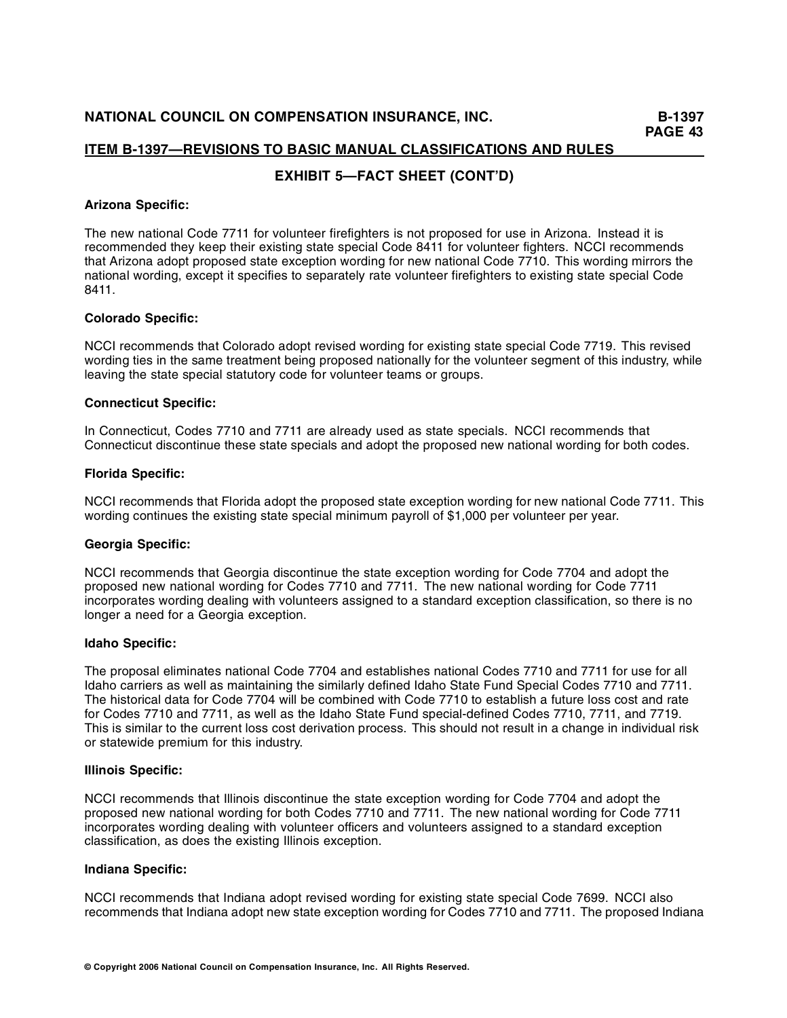# **EXHIBIT 5—FACT SHEET (CONT'D)**

## **Arizona Specific:**

The new national Code 7711 for volunteer firefighters is not proposed for use in Arizona. Instead it is recommended they keep their existing state special Code 8411 for volunteer fighters. NCCI recommends that Arizona adopt proposed state exception wording for new national Code 7710. This wording mirrors the national wording, except it specifies to separately rate volunteer firefighters to existing state special Code 8411.

#### **Colorado Specific:**

NCCI recommends that Colorado adopt revised wording for existing state special Code 7719. This revised wording ties in the same treatment being proposed nationally for the volunteer segment of this industry, while leaving the state special statutory code for volunteer teams or groups.

## **Connecticut Specific:**

In Connecticut, Codes 7710 and 7711 are already used as state specials. NCCI recommends that Connecticut discontinue these state specials and adopt the proposed new national wording for both codes.

#### **Florida Specific:**

NCCI recommends that Florida adopt the proposed state exception wording for new national Code 7711. This wording continues the existing state special minimum payroll of \$1,000 per volunteer per year.

#### **Georgia Specific:**

NCCI recommends that Georgia discontinue the state exception wording for Code 7704 and adopt the proposed new national wording for Codes 7710 and 7711. The new national wording for Code 7711 incorporates wording dealing with volunteers assigned to a standard exception classification, so there is no longer a need for a Georgia exception.

#### **Idaho Specific:**

The proposal eliminates national Code 7704 and establishes national Codes 7710 and 7711 for use for all Idaho carriers as well as maintaining the similarly defined Idaho State Fund Special Codes 7710 and 7711. The historical data for Code 7704 will be combined with Code 7710 to establish a future loss cost and rate for Codes 7710 and 7711, as well as the Idaho State Fund special-defined Codes 7710, 7711, and 7719. This is similar to the current loss cost derivation process. This should not result in a change in individual risk or statewide premium for this industry.

#### **Illinois Specific:**

NCCI recommends that Illinois discontinue the state exception wording for Code 7704 and adopt the proposed new national wording for both Codes 7710 and 7711. The new national wording for Code 7711 incorporates wording dealing with volunteer officers and volunteers assigned to a standard exception classification, as does the existing Illinois exception.

#### **Indiana Specific:**

NCCI recommends that Indiana adopt revised wording for existing state special Code 7699. NCCI also recommends that Indiana adopt new state exception wording for Codes 7710 and 7711. The proposed Indiana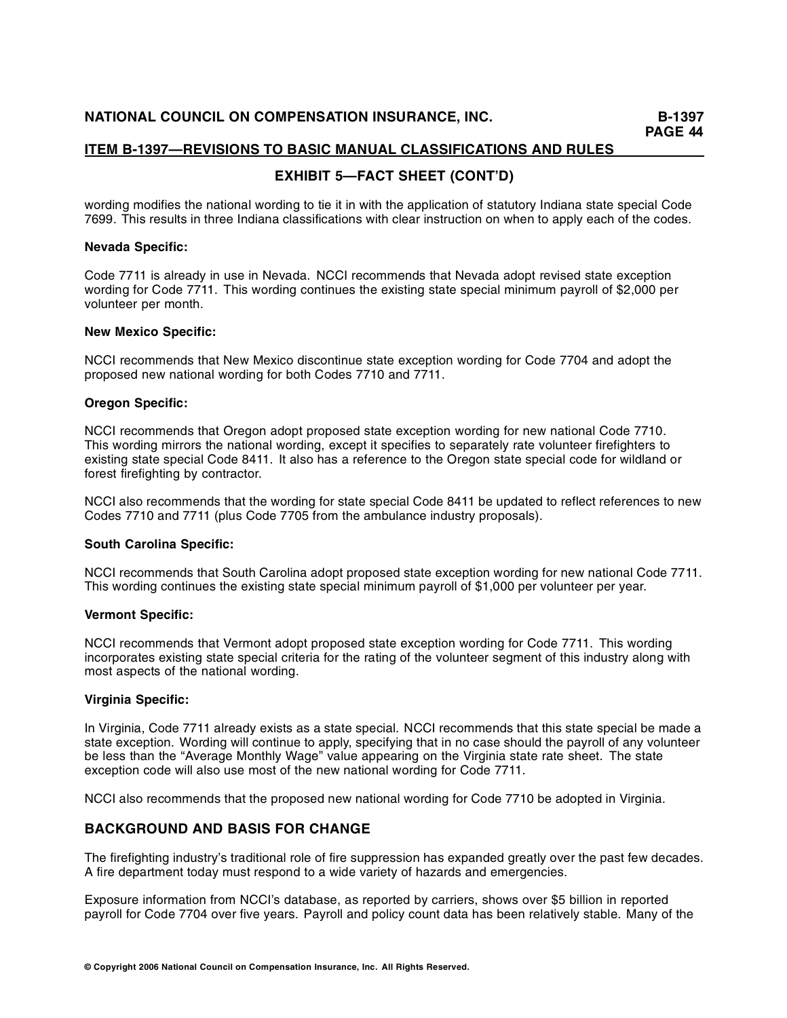# **EXHIBIT 5—FACT SHEET (CONT'D)**

wording modifies the national wording to tie it in with the application of statutory Indiana state special Code 7699. This results in three Indiana classifications with clear instruction on when to apply each of the codes.

## **Nevada Specific:**

Code 7711 is already in use in Nevada. NCCI recommends that Nevada adopt revised state exception wording for Code 7711. This wording continues the existing state special minimum payroll of \$2,000 per volunteer per month.

#### **New Mexico Specific:**

NCCI recommends that New Mexico discontinue state exception wording for Code 7704 and adopt the proposed new national wording for both Codes 7710 and 7711.

## **Oregon Specific:**

NCCI recommends that Oregon adopt proposed state exception wording for new national Code 7710. This wording mirrors the national wording, except it specifies to separately rate volunteer firefighters to existing state special Code 8411. It also has a reference to the Oregon state special code for wildland or forest firefighting by contractor.

NCCI also recommends that the wording for state special Code 8411 be updated to reflect references to new Codes 7710 and 7711 (plus Code 7705 from the ambulance industry proposals).

## **South Carolina Specific:**

NCCI recom mends that South Carolina adopt proposed state exception wording for new national Code 7711. This wording continues the existing state special minimum payroll of \$1,000 per volunteer per year.

#### **Vermont Specific:**

NCCI recommends that Vermont adopt proposed state exception wording for Code 7711. This wording incorporates existing state special criteria for the rating of the volunteer segment of this industry along with most aspects of the national wording.

#### **Virginia Specific:**

In Virginia, Code 7711 already exists as a state special. NCCI recommends that this state special be made a state exception. Wording will continue to apply, specifying that in no case should the payroll of any volunteer be less than the "Average Monthly Wage" value appearing on the Virginia state rate sheet. The state exception code will also use most of the new national wording for Code 7711.

NCCI also recommends that the proposed new national wording for Code 7710 be adopted in Virginia.

## **BACKGROUND AND BASIS FOR CHANGE**

The firefighting industry's traditional role of fire suppression has expanded greatly over the past few decades. A fire department today must respond to a wide variety of hazards and emergencies.

Exposure information from NCCI's database, as reported by carriers, shows over \$5 billion in reported payroll for Code 7704 over five years. Payroll and policy count data has been relatively stable. Many of the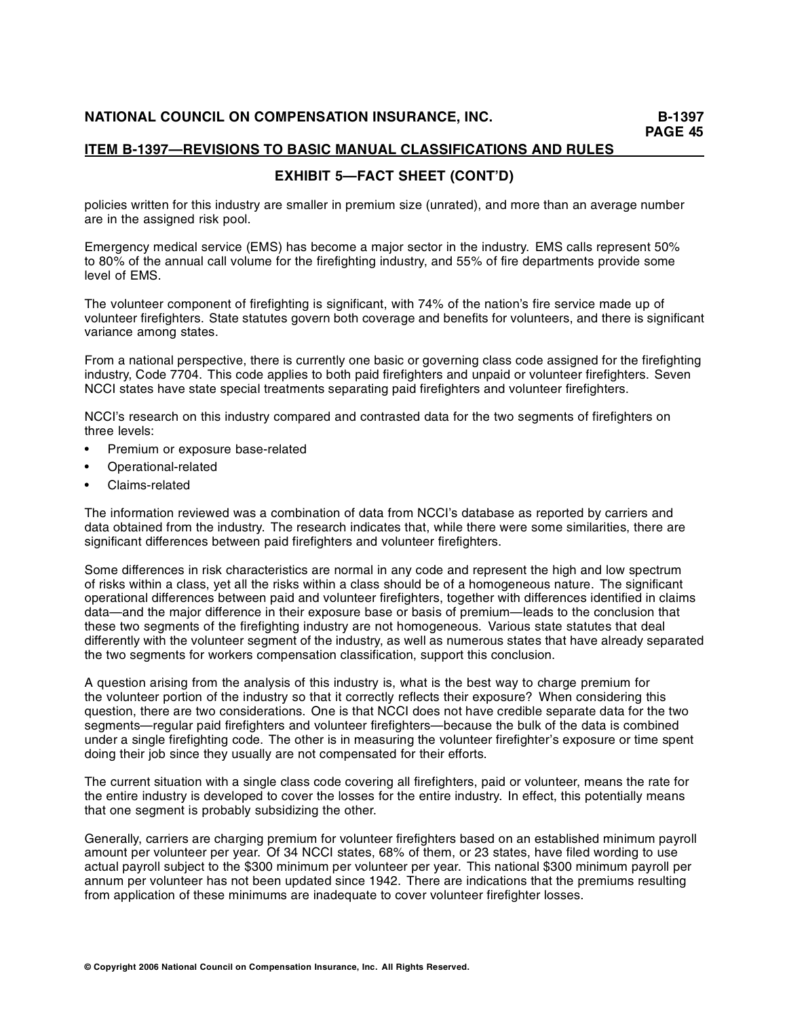# **EXHIBIT 5—FACT SHEET (CONT'D)**

policies written for this industry are smaller in premium size (unrated), and more than an average number are in the assigned risk pool.

Emergency medical service (EMS) has become a major sector in the industry. EMS calls represent 50% to 80% of the annual call volume for the firefighting industry, and 55% of fire departments provide some level of EMS.

The volunteer component of firefighting is significant, with 74% of the nation's fire service made up of volunteer firefighters. State statutes govern both coverage and benefits for volunteers, and there is significant variance among states.

From a national perspective, there is currently one basic or governing class code assigned for the firefighting industry, Code 7704. This code applies to both paid firefighters and unpaid or volunteer firefighters. Seven NCCI states have state special treatments separating paid firefighters and volunteer firefighters.

NCCI's research on this industry compared and contrasted data for the two segments of firefighters on three levels:

- Premium or exposure base-related
- Operational-related
- Claims-related

The information reviewed was a combination of data from NCCI's database as reported by carriers and data obtained from the industry. The research indicates that, while there were some similarities, there are significant differences between paid firefighters and volunteer firefighters.

Some differences in risk characteristics are normal in any code and represent the high and low spectrum of risks within a class, yet all the risks within a class should be of a homogeneous nature. The significant operational differences between paid and volunteer firefighters, together with differences identified in claims data—and the major difference in their exposure base or basis of premium—leads to the conclusion that these two segments of the firefighting industry are not homogeneous. Various state statutes that deal differently with the volunteer segment of the industry, as well as numerous states that have already separated the two segments for workers compensation classification, support this conclusion.

A question arising from the analysis of this industry is, what is the best way to charge premium for the volunteer portion of the industry so that it correctly reflects their exposure? When considering this question, there are two considerations. One is that NCCI does not have credible separate data for the two segments—regular paid firefighters and volunteer firefighters—because the bulk of the data is combined under a single firefighting code. The other is in measuring the volunteer firefighter's exposure or time spent doing their job since they usually are not compensated for their efforts.

The current situation with a single class code covering all firefighters, paid or volunteer, means the rate for the entire industry is developed to cover the losses for the entire industry. In effect, this potentially means that one segment is probably subsidizing the other.

Generally, carriers are charging premium for volunteer firefighters based on an established minimum payroll amount per volunteer per year. Of 34 NCCI states, 68% of them, or 23 states, have filed wording to use actual payroll subject to the \$300 minimum per volunteer per year. This national \$300 minimum payroll per annum per volunteer has not been updated since 1942. There are indications that the premiums resulting from application of these minimums are inadequate to cover volunteer firefighter losses.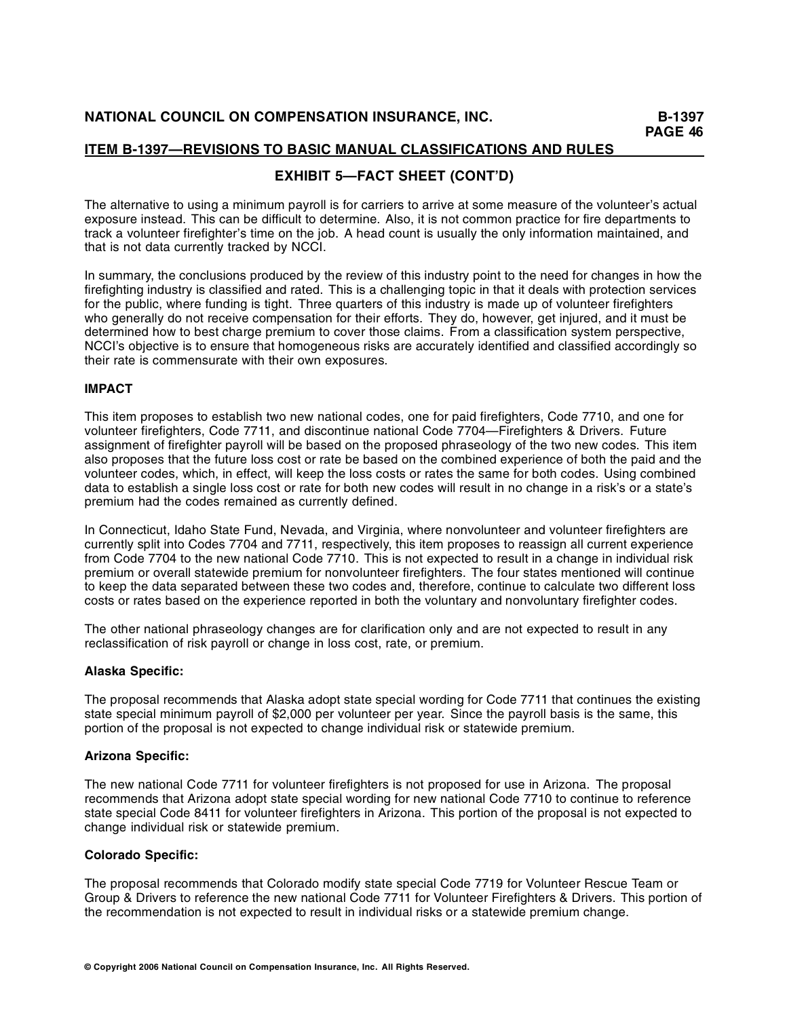# **EXHIBIT 5—FACT SHEET (CONT'D)**

The alternative to using a minimum payroll is for carriers to arrive at some measure of the volunteer's actual exposure instead. This can be difficult to determine. Also, it is not common practice for fire departments to track a volunteer firefighter's time on the job. A head count is usually the only information maintained, and that is not data currently tracked by NCCI.

In summary, the conclusions produced by the review of this industry point to the need for changes in how the firefighting industry is classified and rated. This is a challenging topic in that it deals with protection services for the public, where funding is tight. Three quarters of this industry is made up of volunteer firefighters who generally do not receive compensation for their efforts. They do, however, get injured, and it must be determined how to best charge premium to cover those claims. From a classification system perspective, NCCI's objective is to ensure that homogeneous risks are accurately identified and classified accordingly so their rate is commensurate with their own exposures.

## **IMPACT**

This item proposes to establish two new national codes, one for paid firefighters, Code 7710, and one for volunteer firefighters, Code 7711, and discontinue national Code 7704—Firefighters & Drivers. Future assignment of firefighter payroll will be based on the proposed phraseology of the two new codes. This item also proposes that the future loss cost or rate be based on the combined experience of both the paid and the volunteer codes, which, in effect, will keep the loss costs or rates the same for both codes. Using combined data to establish a single loss cost or rate for both new codes will result in no change in a risk's or a state's premium had the codes remained as currently defined.

In Connecticut, Idaho State Fund, Nevada, and Virginia, where nonvolunteer and volunteer firefighters are currently split into Codes 7704 and 7711, respectively, this item proposes to reassign all current experience from Code 7704 to the new national Code 7710. This is not expected to result in a change in individual risk premium or overall statewide premium for nonvolunteer firefighters. The four states mentioned will continue to keep the data separated between these two codes and, therefore, continue to calculate two different loss costs or rates based on the experience reported in both the voluntary and nonvoluntary firefighter codes.

The other national phraseology changes are for clarification only and are not expected to result in any reclassification of risk payroll or change in loss cost, rate, or premium.

## **Alaska Specific:**

The proposal recommends that Alaska adopt state special wording for Code 7711 that continues the existing state special minimum payroll of \$2,000 per volunteer per year. Since the payroll basis is the same, this portion of the proposal is not expected to change individual risk or statewide premium.

## **Arizona Specific:**

The new national Code 7711 for volunteer firefighters is not proposed for use in Arizona. The proposal recommends that Arizona adopt state special wording for new national Code 7710 to continue to reference state special Code 8411 for volunteer firefighters in Arizona. This portion of the proposal is not expected to change individual risk or statewide premium.

#### **Colorado Specific:**

The proposal recommends that Colorado modify state special Code 7719 for Volunteer Rescue Team or Group & Drivers to reference the new national Code 7711 for Volunteer Firefighters & Drivers. This portion of the recommendation is not expected to result in individual risks or a statewide premium change.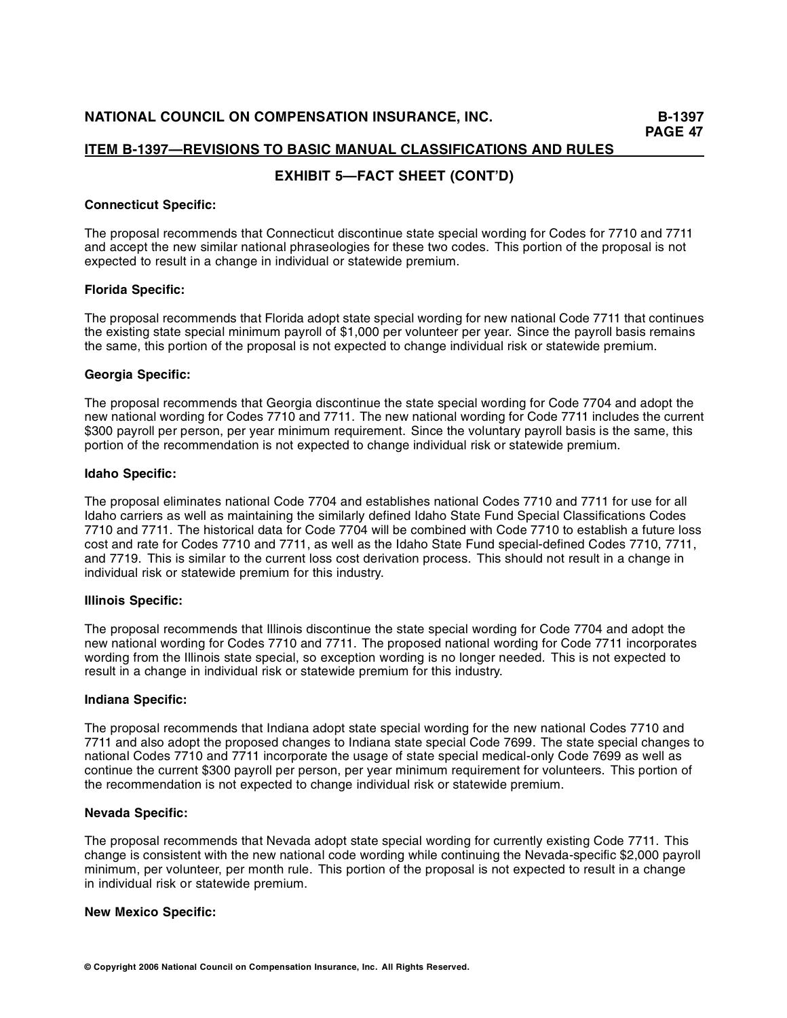## **EXHIBIT 5—FACT SHEET (CONT'D)**

#### **Connecticut Specific:**

The proposal recommends that Connecticut discontinue state special wording for Codes for 7710 and 7711 and accept the new similar national phraseologies for these two codes. This portion of the proposal is not expected to result in a change in individual or statewide premium.

## **Florida Specific:**

The proposal recommends that Florida adopt state special wording for new national Code 7711 that continues the existing state special minimum payroll of \$1,000 per volunteer per year. Since the payroll basis remains the same, this portion of the proposal is not expected to change individual risk or statewide premium.

## **Georgia Specific:**

The proposal recommends that Georgia discontinue the state special wording for Code 7704 and adopt the new national wording for Codes 7710 and 7711. The new national wording for Code 7711 includes the current \$300 payroll per person, per year minimum requirement. Since the voluntary payroll basis is the same, this portion of the recommendation is not expected to change individual risk or statewide premium.

## **Idaho Specific:**

The proposal eliminates national Code 7704 and establishes national Codes 7710 and 7711 for use for all Idaho carriers as well as maintaining the similarly defined Idaho State Fund Special Classifications Codes 7710 and 7711. The historical data for Code 7704 will be combined with Code 7710 to establish a future loss cost and rate for Codes 7710 and 7711, as well as the Idaho State Fund special-defined Codes 7710, 7711, and 7719. This is similar to the current loss cost derivation process. This should not result in a change in individual risk or statewide premium for this industry.

#### **Illinois Specific:**

The proposal recommends that Illinois discontinue the state special wording for Code 7704 and adopt the new national wording for Codes 7710 and 7711. The proposed national wording for Code 7711 incorporates wording from the Illinois state special, so exception wording is no longer needed. This is not expected to result in a change in individual risk or statewide premium for this industry.

#### **Indiana Specific:**

The proposal recommends that Indiana adopt state special wording for the new national Codes 7710 and 7711 and also adopt the proposed changes to Indiana state special Code 7699. The state special changes to national Codes 7710 and 7711 incorporate the usage of state special medical-only Code 7699 as well as continue the current \$300 payroll per person, per year minimum requirement for volunteers. This portion of the recommendation is not expected to change individual risk or statewide premium.

#### **Nevada Specific:**

The proposal recommends that Nevada adopt state special wording for currently existing Code 7711. This change is consistent with the new national code wording while continuing the Nevada-specific \$2,000 payroll minimum, per volunteer, per month rule. This portion of the proposal is not expected to result in a change in individual risk or statewide premium.

## **New Mexico Specific:**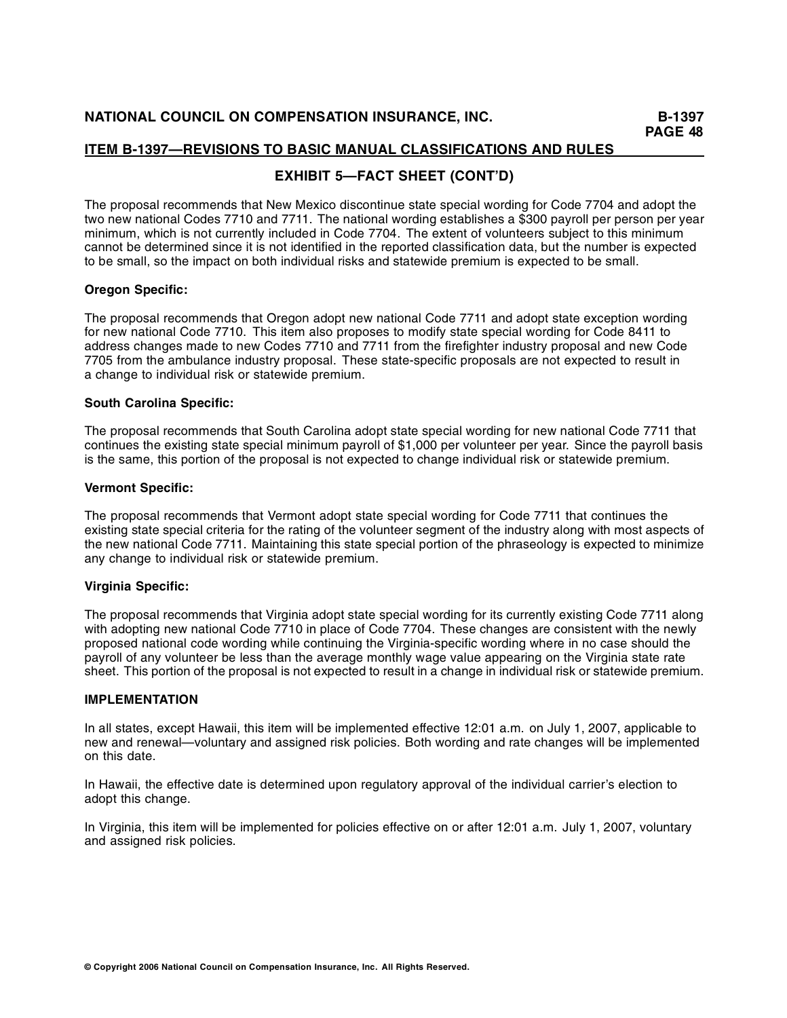# **EXHIBIT 5—FACT SHEET (CONT'D)**

The proposal recommends that New Mexico discontinue state special wording for Code 7704 and adopt the two new national Codes 7710 and 7711. The national wording establishes a \$300 payroll per person per year minimum, which is not currently included in Code 7704. The extent of volunteers subject to this minimum cannot be determined since it is not identified in the reported classification data, but the number is expected to be small, so the impact on both individual risks and statewide premium is expected to be small.

## **Oregon Specific:**

The proposal recommends that Oregon adopt new national Code 7711 and adopt state exception wording for new national Code 7710. This item also proposes to modify state special wording for Code 8411 to address changes made to new Codes 7710 and 7711 from the firefighter industry proposal and new Code 7705 from the ambulance industry proposal. These state-specific proposals are not expected to result in a change to individual risk or statewide premium.

## **South Carolina Specific:**

The proposal recommends that South Carolina adopt state special wording for new national Code 7711 that continues the existing state special minimum payroll of \$1,000 per volunteer per year. Since the payroll basis is the same, this portion of the proposal is not expected to change individual risk or statewide premium.

## **Vermont Specific:**

The proposal recommends that Vermont adopt state special wording for Code 7711 that continues the existing state special criteria for the rating of the volunteer segment of the industry along with most aspects of the new national Code 7711. Maintaining this state special portion of the phraseology is expected to minimize any change to individual risk or statewide premium.

## **Virginia Specific:**

The proposal recommends that Virginia adopt state special wording for its currently existing Code 7711 along with adopting new national Code 7710 in place of Code 7704. These changes are consistent with the newly proposed national code wording while continuing the Virginia-specific wording where in no case should the payroll of any volunteer be less than the average monthly wage value appearing on the Virginia state rate sheet. This portion of the proposal is not expected to result in a change in individual risk or statewide premium.

## **IMPLEMENTATION**

In all states, except Hawaii, this item will be implemented effective 12:01 a.m. on July 1, 2007, applicable to new and renewal—voluntary and assigned risk policies. Both wording and rate changes will be implemented on this date.

In Hawaii, the effective date is determined upon regulatory approval of the individual carrier's election to adopt this change.

In Virginia, this item will be implemented for policies effective on or after 12:01 a.m. July 1, 2007, voluntary and assigned risk policies.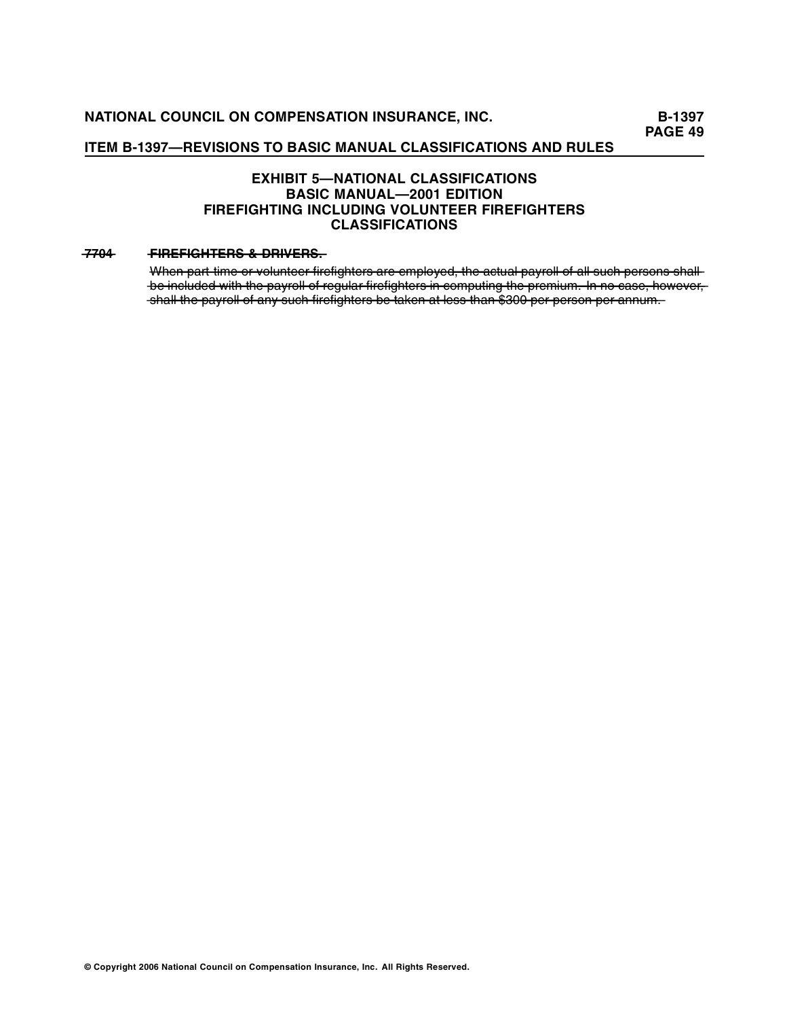## **ITEM B-1397—REVISIONS TO BASIC MANUAL CLASSIFICATIONS AND RULES**

## **EXHIBIT 5—NATIONAL CLASSIFICATIONS BASIC MANUAL—2001 EDITION FIREFIGHTING INCLUDING VOLUNTEER FIREFIGHTERS CLASSIFICATIONS**

## **—7—4 F —E—IG—T—R———R—E—S 7—0— —IR—F — ——H—E—S—&—D—IV— —R—.—**

When part time or volunteer firefighters are employed, the actual payroll of all such persons shallbe included with the payroll of regular firefighters in computing the premium. In no case, however, shall the payroll of any such firefighters be taken at less than \$300 per person per annum.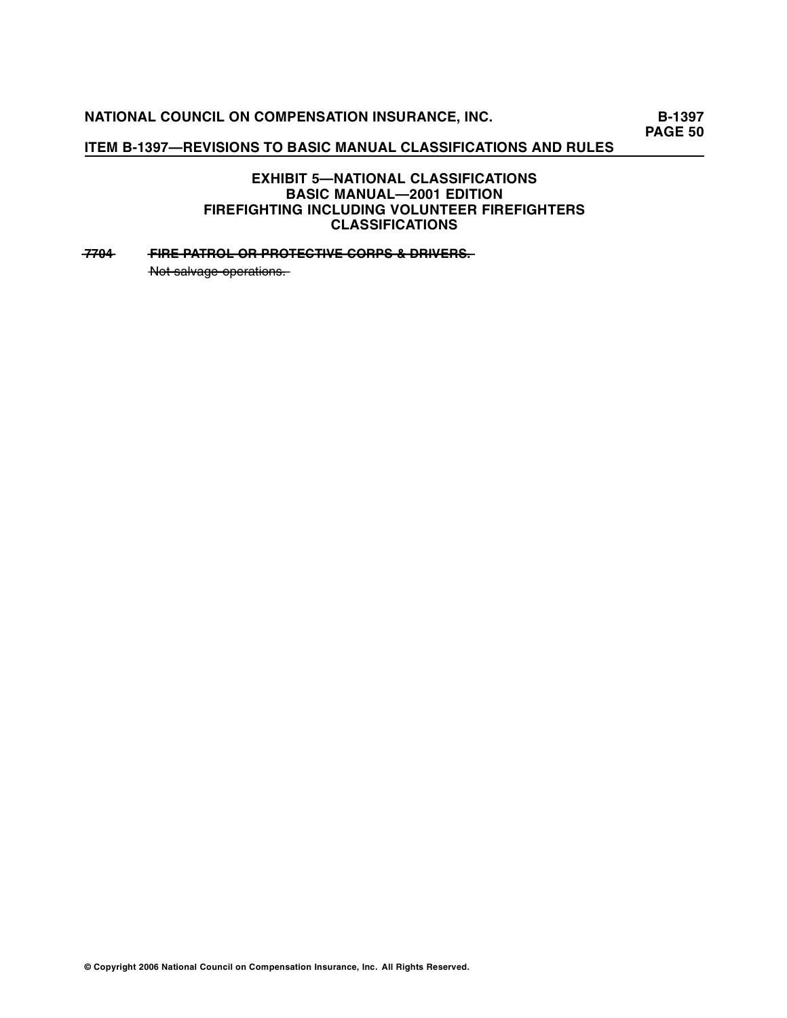# **NATIONAL COUNCIL ON COMPENSATION INSURANCE, INC.** B-1397

**PAGE 50** 

## **ITEM B-1397—REVISIONS TO BASIC MANUAL CLASSIFICATIONS AND RULES**

## **EXHIBIT 5—NATIONAL CLASSIFICATIONS BASIC MANUAL—2001 EDITION FIREFIGHTING INCLUDING VOLUNTEER FIREFIGHTERS CLASSIFICATIONS**

## **—7704 • FIRE PATROL OR PROTECTIVE CORPS & DRIVERS.**

 $-\frac{1}{2}$  Not salvage operations.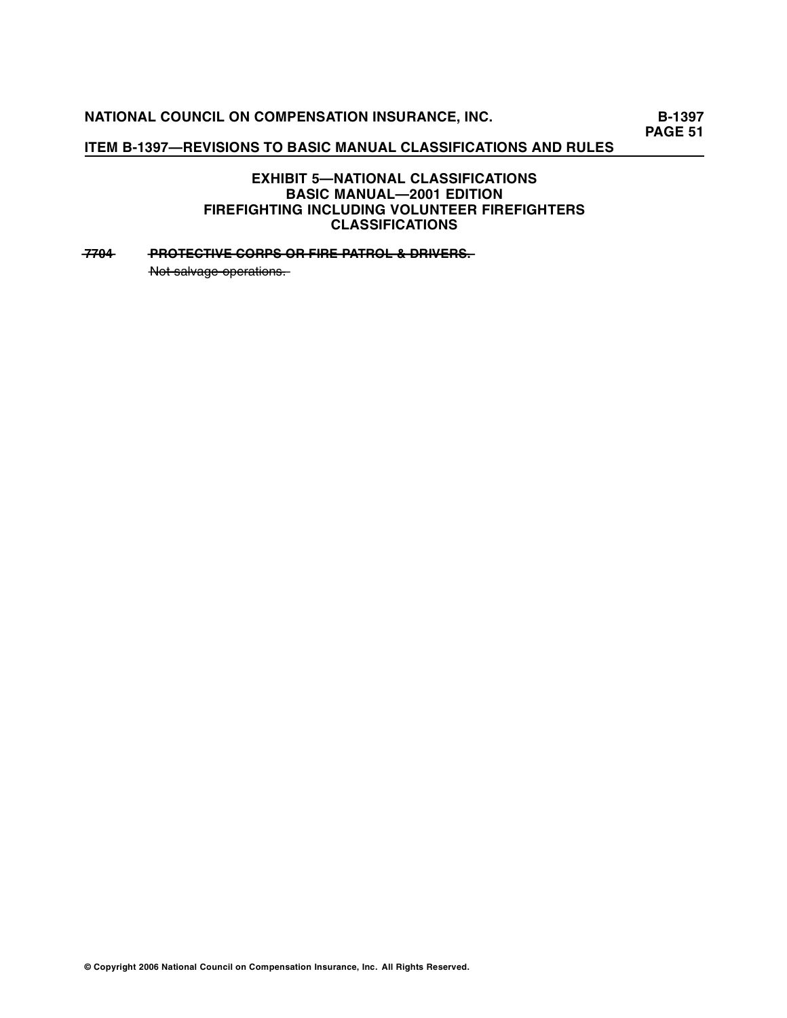# **NATIONAL COUNCIL ON COMPENSATION INSURANCE, INC.** B-1397

**PAGE 51** 

## **ITEM B-1397—REVISIONS TO BASIC MANUAL CLASSIFICATIONS AND RULES**

## **EXHIBIT 5—NATIONAL CLASSIFICATIONS BASIC MANUAL—2001 EDITION FIREFIGHTING INCLUDING VOLUNTEER FIREFIGHTERS CLASSIFICATIONS**

## **—7704 PROTECTIVE CORPS OR FIRE PATROL & DRIVERS.**

 $-\frac{1}{2}$  Not salvage operations.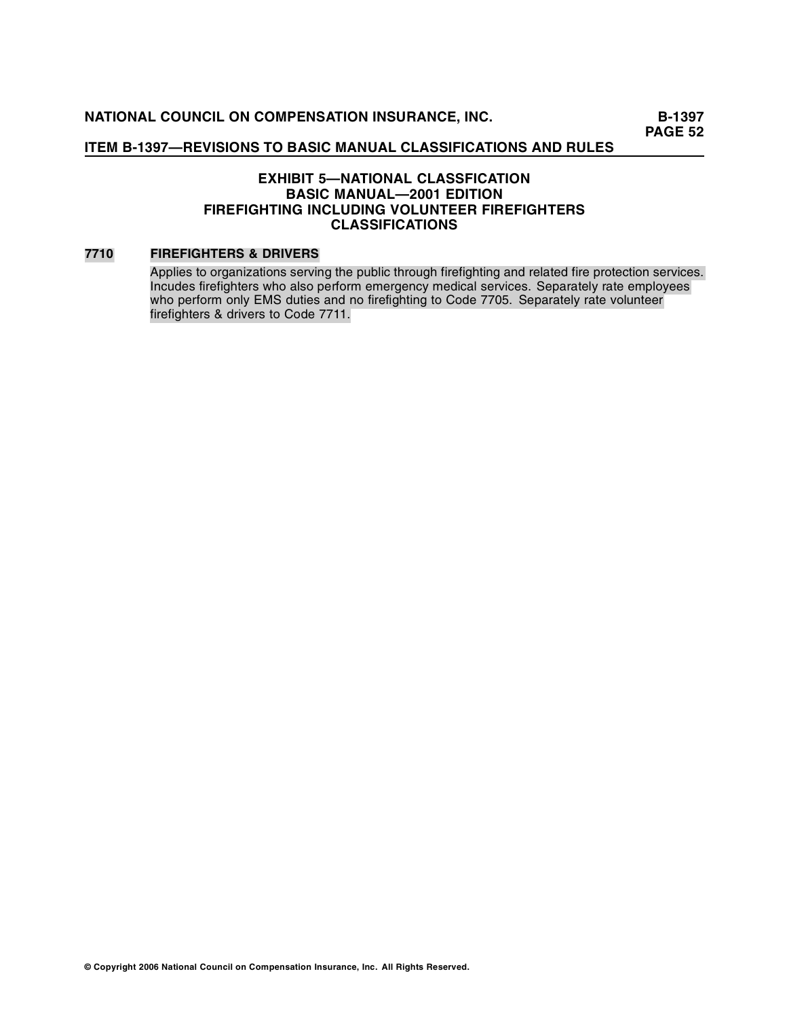**B-1397 PAGE 52** 

## **ITEM B-1397—REVISIONS TO BASIC MANUAL CLASSIFICATIONS AND RULES**

## **EXHIBIT 5—NATIONAL CLASSFICATION BASIC MANUAL—2001 EDITION FIREFIGHTING INCLUDING VOLUNTEER FIREFIGHTERS CLASSIFICATIONS**

## **7710 FIREFIGHTERS & DRIVERS**

Applies to organizations serving the public through firefighting and related fire protection services. Incudes firefighters who also perform emergency medical services. Separately rate employees who perform only EMS duties and no firefighting to Code 7705. Separately rate volunteer firefi ghters & drivers to Code 7711.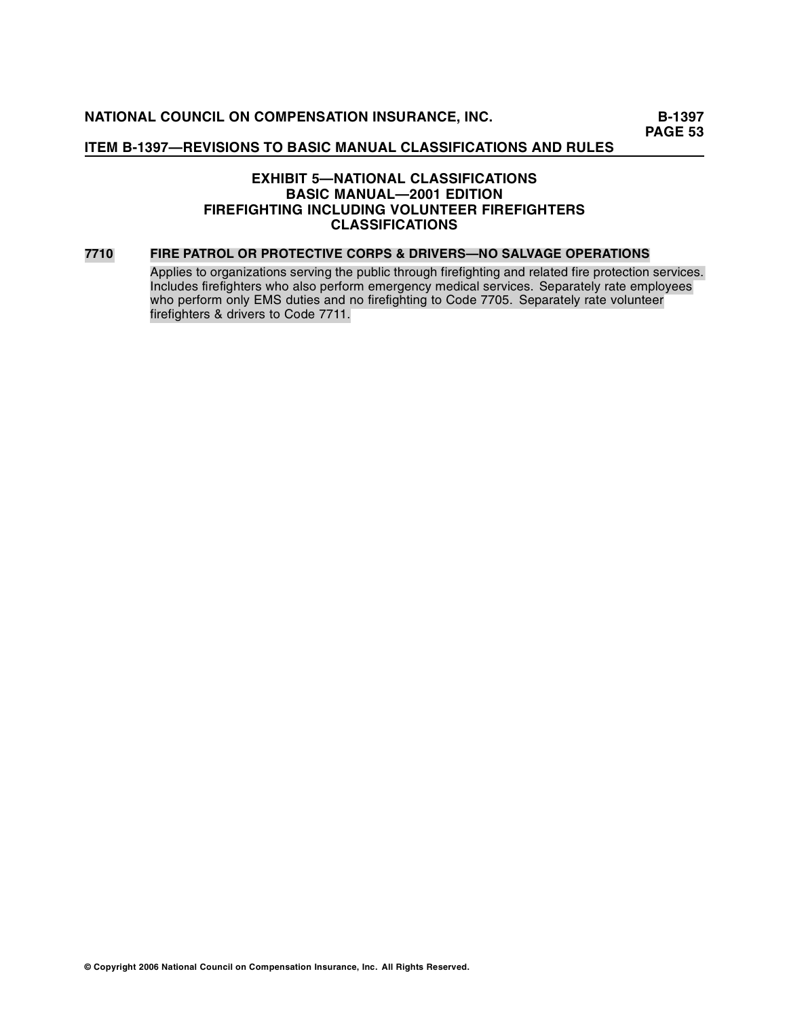## **ITEM B-1397—REVISIONS TO BASIC MANUAL CLASSIFICATIONS AND RULES**

## **EXHIBIT 5—NATIONAL CLASSIFICATIONS BASIC MANUAL—2001 EDITION FIREFIGHTING INCLUDING VOLUNTEER FIREFIGHTERS CLASSIFICATIONS**

#### **7710 FIRE PATROL OR PROTECTIVE CORPS & DRIVERS—NO SALVAGE OPERATIONS**

Applies to organizations serving the public through firefighting and related fire protection services. Includes firefighters who also perform emergency medical services. Separately rate employees who perform only EMS duties and no firefighting to Code 7705. Separately rate volunteer firefi ghters & drivers to Code 7711.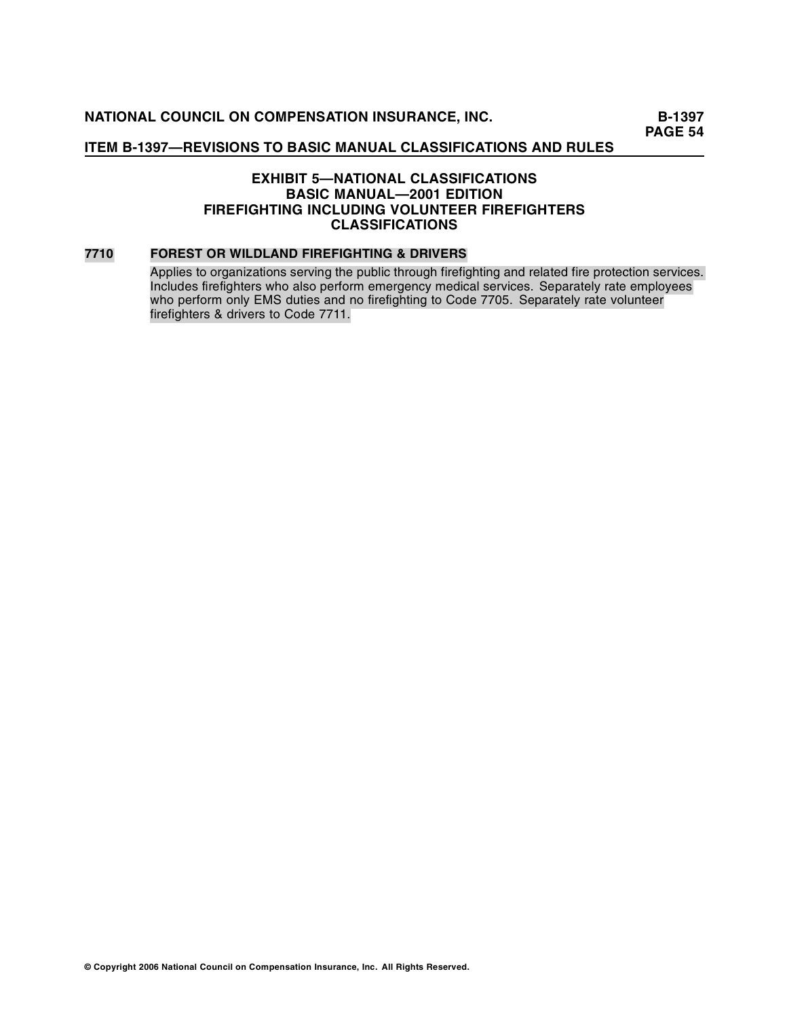## **ITEM B-1397—REVISIONS TO BASIC MANUAL CLASSIFICATIONS AND RULES**

## **EXHIBIT 5—NATIONAL CLASSIFICATIONS BASIC MANUAL—2001 EDITION FIREFIGHTING INCLUDING VOLUNTEER FIREFIGHTERS CLASSIFICATIONS**

## **7710 FOREST OR WILDLAND FIREFIGHTING & DRIVERS**

Applies to organizations serving the public through firefighting and related fire protection services. Includes firefighters who also perform emergency medical services. Separately rate employees who perform only EMS duties and no firefighting to Code 7705. Separately rate volunteer firefi ghters & drivers to Code 7711.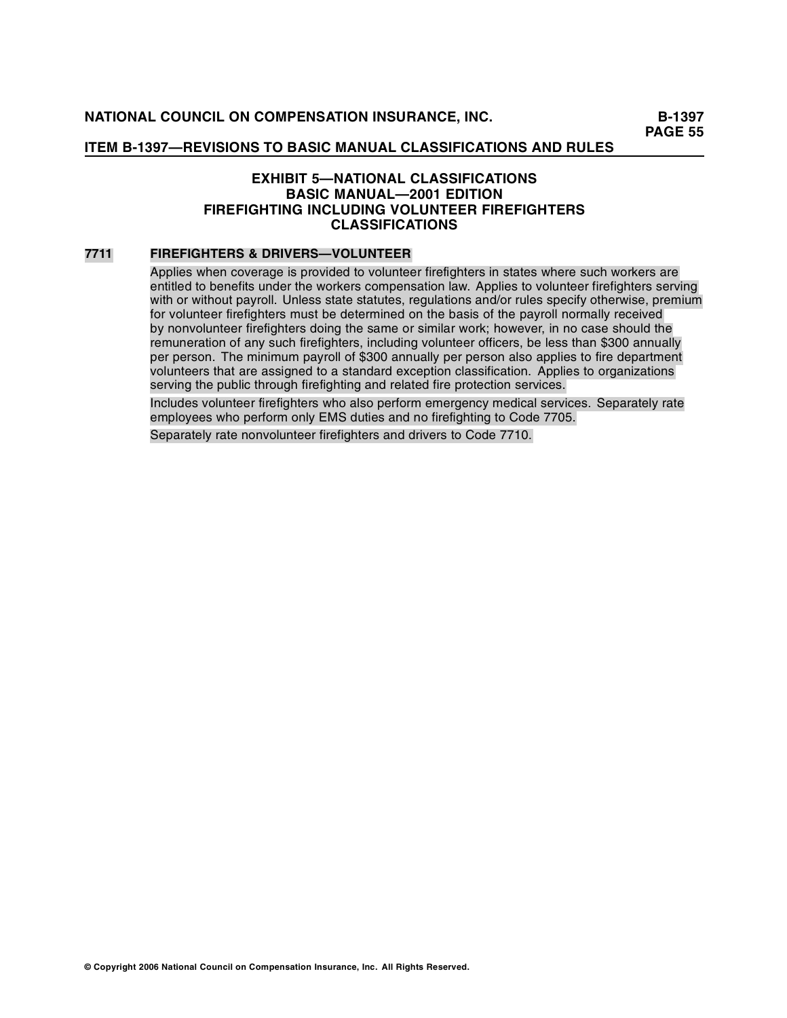## **EXHIBIT 5—NATIONAL CLASSIFICATIONS BASIC MANUAL—2001 EDITION FIREFIGHTING INCLUDING VOLUNTEER FIREFIGHTERS CLASSIFICATIONS**

#### **7711 FIREFIGHTERS & DRIVERS—VOLUNTEER**

Applies when coverage is provided to volunteer firefighters in states where such workers are entitled to benefits under the workers compensation law. Applies to volunteer firefighters serving with or without payroll. Unless state statutes, regulations and/or rules specify otherwise, premium for volunteer firefighters must be determined on the basis of the payroll normally received by nonvolunteer firefighters doing the same or similar work; however, in no case should the remuneration of any such firefighters, including volunteer officers, be less than \$300 annually per person. The minimum payroll of \$300 annually per person also applies to fire department volunteers that are assigned to a standard exception classification. Applies to organizations serving the public through firefighting and related fire protection services.

Includes volunteer firefighters who also perform emergency medical services. Separately rate employees who perform only EMS duties and no firefighting to Code 7705.

Separately rate nonvolunteer firefighters and drivers to Code 7710.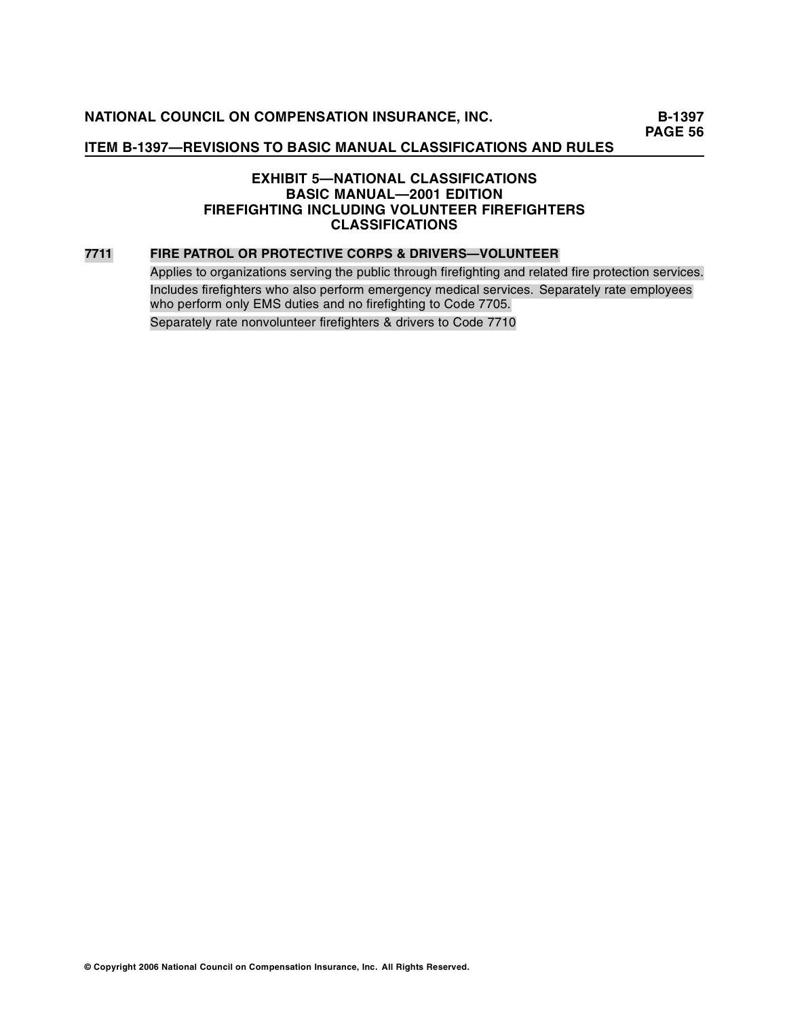## **ITEM B-1397—REVISIONS TO BASIC MANUAL CLASSIFICATIONS AND RULES**

## **EXHIBIT 5—NATIONAL CLASSIFICATIONS BASIC MANUAL—2001 EDITION FIREFIGHTING INCLUDING VOLUNTEER FIREFIGHTERS CLASSIFICATIONS**

#### **7711 FIRE PATROL OR PROTECTIVE CORPS & DRIVERS—VOLUNTEER**

Applies to organizations serving the public through firefighting and related fire protection services. Includes firefighters who also perform emergency medical services. Separately rate employees who perform only EMS duties and no firefighting to Code 7705. Separately rate nonvolunteer firefighters & drivers to Code 7710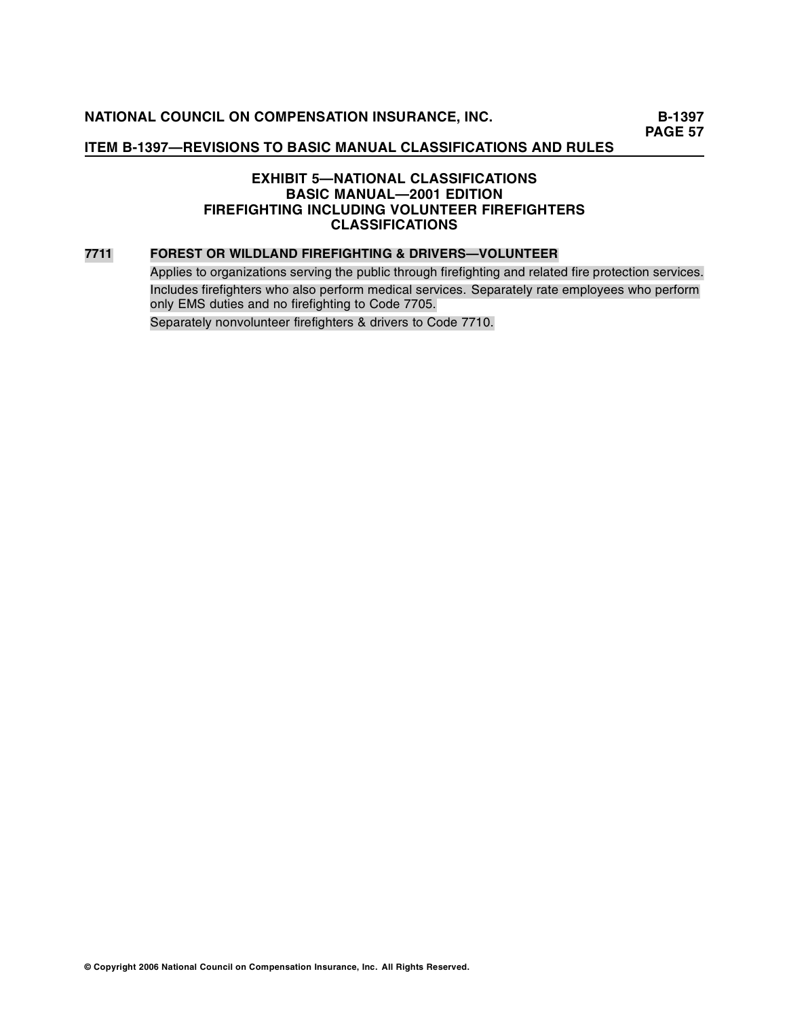## **ITEM B-1397—REVISIONS TO BASIC MANUAL CLASSIFICATIONS AND RULES**

## **EXHIBIT 5—NATIONAL CLASSIFICATIONS BASIC MANUAL—2001 EDITION FIREFIGHTING INCLUDING VOLUNTEER FIREFIGHTERS CLASSIFICATIONS**

#### **7711 FOREST OR WILDLAND FIREFIGHTING & DRIVERS—VOLUNTEER**

Applies to organizations serving the public through firefighting and related fire protection services. Includes firefighters who also perform medical services. Separately rate employees who perform only EMS duties and no firefighting to Code 7705. Separately nonvolunteer firefighters & drivers to Code 7710.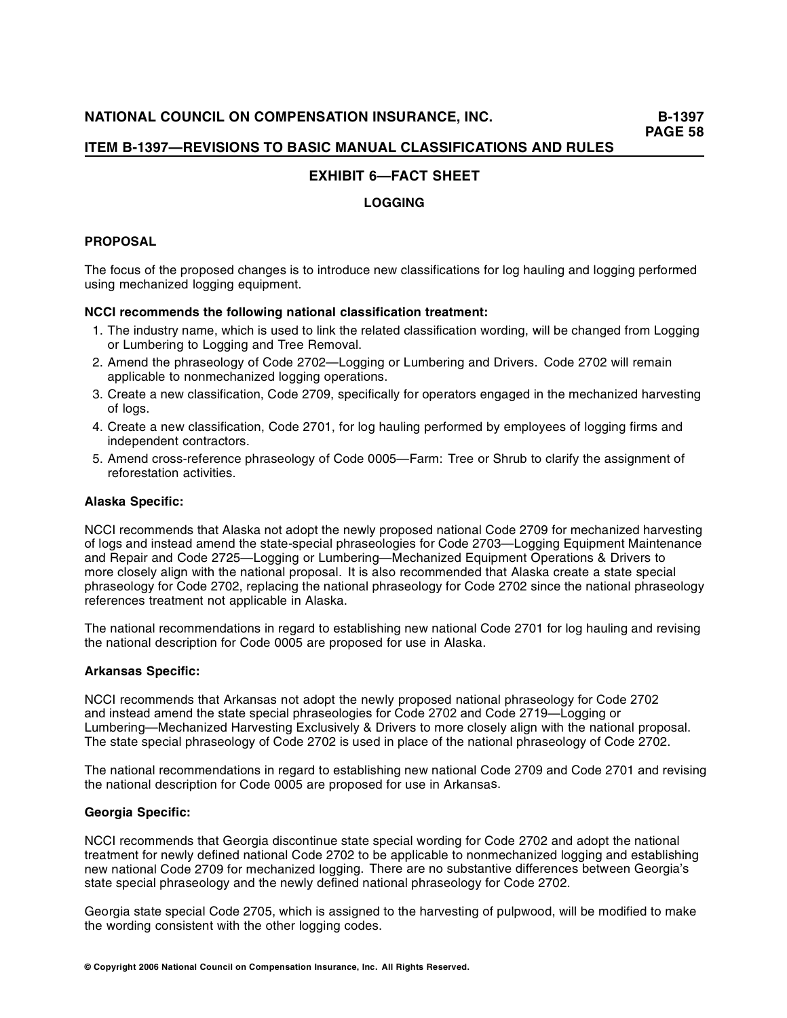## **EXHIBIT 6—FACT SHEET**

## **LOGGING**

## **PROPOSAL**

The focus of the proposed changes is to introduce new classifications for log hauling and logging performed using mechanized logging equipment.

## **NCCI recommends the following national classification treatment:**

- 1. The industry name, which is used to link the related classification wording, will be changed from Logging or Lumbering to Logging and Tree Removal.
- 2. Amend the phraseology of Code 2702—Logging or Lumbering and Drivers. Code 2702 will remain applicable to nonmechanized logging operations.
- 3. Create a new classification, Code 2709, specifically for operators engaged in the mechanized harvesting of logs.
- 4. Create a new classification, Code 2701, for log hauling performed by employees of logging firms and independent contractors.
- 5. Amend cross-reference phraseology of Code 0005—Farm: Tree or Shrub to clarify the assignment of reforestation activities.

## **Alaska Specific:**

NCCI recommends that Alaska not adopt the newly proposed national Code 2709 for mechanized harvesting of logs and instead amend the state-special phraseologies for Code 2703—Logging Equipment Maintenance and Repair and Code 2725—Logging or Lumbering—Mechanized Equipment Operations & Drivers to more closely align with the national proposal. It is also recommended that Alaska create a state special phraseology for Code 2702, replacing the national phraseology for Code 2702 since the national phraseology references treatment not applicable in Alaska.

The national recommendations in regard to establishing new national Code 2701 for log hauling and revising the national description for Code 0005 are proposed for use in Alaska.

## **Arkansas Specific:**

NCCI recommends that Arkansas not adopt the newly proposed national phraseology for Code 2702 and instead amend the state special phraseologies for Code 2702 and Code 2719—Logging or Lumbering—Mechanized Harvesting Exclusively & Drivers to more closely align with the national proposal. The state special phraseology of Code 2702 is used in place of the national phraseology of Code 2702.

The national recommendations in regard to establishing new national Code 2709 and Code 2701 and revising the national description for Code 0005 are proposed for use in Arkansas.

#### **Georgia Specific:**

NCCI recom mends that Georgia discontinue state special wording for Code 2702 and adopt the national treatment for newly defined national Code 2702 to be applicable to nonmechanized logging and establishing new national Code 2709 for mechanized logging. There are no substantive differences between Georgia's state special phraseology and the newly defined national phraseology for Code 2702.

Georgia state special Code 2705, which is assigned to the harvesting of pulpwood, will be modified to make the wording consistent with the other logging codes.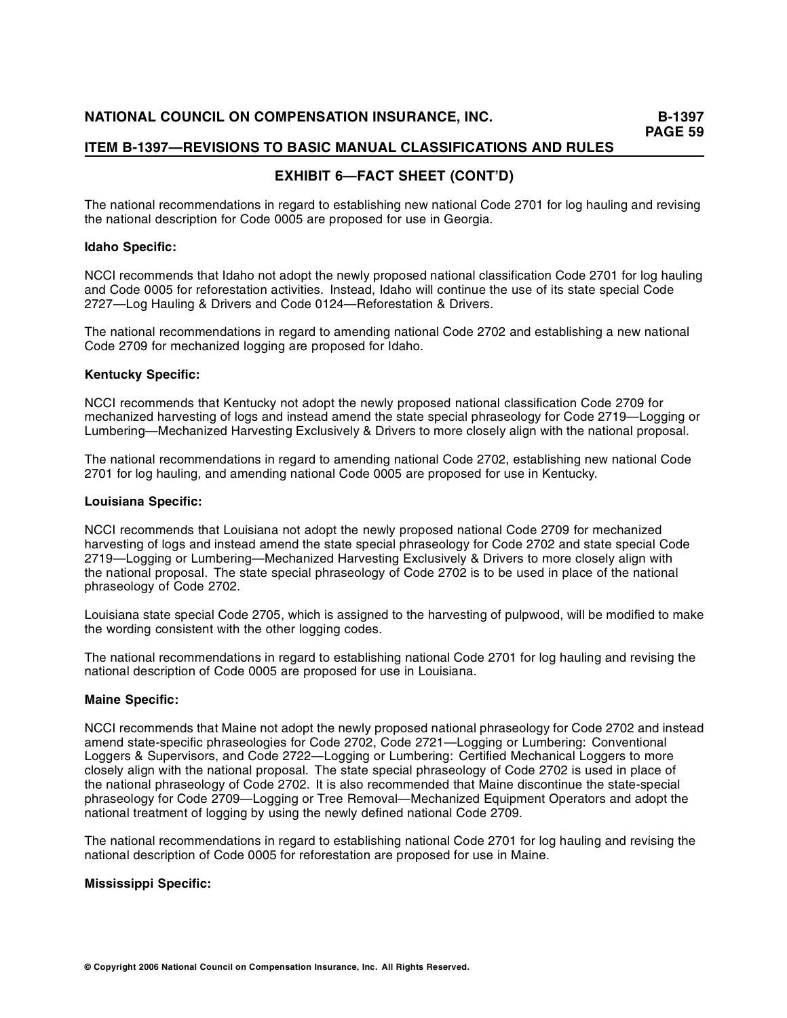# **EXHIBIT 6—FACT SHEET (CONT'D)**

The national recommendations in regard to establishing new national Code 2701 for log hauling and revising the national description for Code 0005 are proposed for use in Georgia.

## **Idaho Specific:**

NCCI recommends that Idaho not adopt the newly proposed national classification Code 2701 for log hauling and Code 0005 for reforestation activities. Instead, Idaho will continue the use of its state special Code 2727—Log Hauling & Drivers and Code 0124—Reforestation & Drivers.

The national recommendations in regard to amending national Code 2702 and establishing a new national Code 2709 for mechanized logging are proposed for Idaho.

## **Kentucky Specific:**

NCCI recommends that Kentucky not adopt the newly proposed national classification Code 2709 for mechanized harvesting of logs and instead amend the state special phraseology for Code 2719—Logging or Lumbering—Mechanized Harvesting Exclusively & Drivers to more closely align with the national proposal.

The national recommendations in regard to amending national Code 2702, establishing new national Code 2701 for log hauling, and amending national Code 0005 are proposed for use in Kentucky.

## **Louisiana Specific:**

NCCI recommends that Louisiana not adopt the newly proposed national Code 2709 for mechanized harvesting of logs and instead amend the state special phraseology for Code 2702 and state special Code 2719—Logging or Lumbering—Mechanized Harvesting Exclusively & Drivers to more closely align with the national proposal. The state special phraseology of Code 2702 is to be used in place of the national phraseology of Code 2702.

Louisiana state special Code 2705, which is assigned to the harvesting of pulpwood, will be modified to make the wording consistent with the other logging codes.

The national recommendations in regard to establishing national Code 2701 for log hauling and revising the national description of Code 0005 are proposed for use in Louisiana.

#### **Maine Specific:**

NCCI recom mends that Maine not adopt the newly proposed national phraseology for Code 2702 and instead amend state-specific phraseologies for Code 2702, Code 2721—Logging or Lumbering: Conventional Loggers & Supervisors, and Code 2722—Logging or Lumbering: Certified Mechanical Loggers to more closely align with the national proposal. The state special phraseology of Code 2702 is used in place of the national phraseology of Code 2702. It is also recommended that Maine discontinue the state-special phraseology for Code 2709—Logging or Tree Removal—Mechanized Equipment Operators and adopt the national treatment of logging by using the newly defined national Code 2709.

The national recommendations in regard to establishing national Code 2701 for log hauling and revising the national description of Code 0005 for reforestation are proposed for use in Maine.

## **Mississippi Specific:**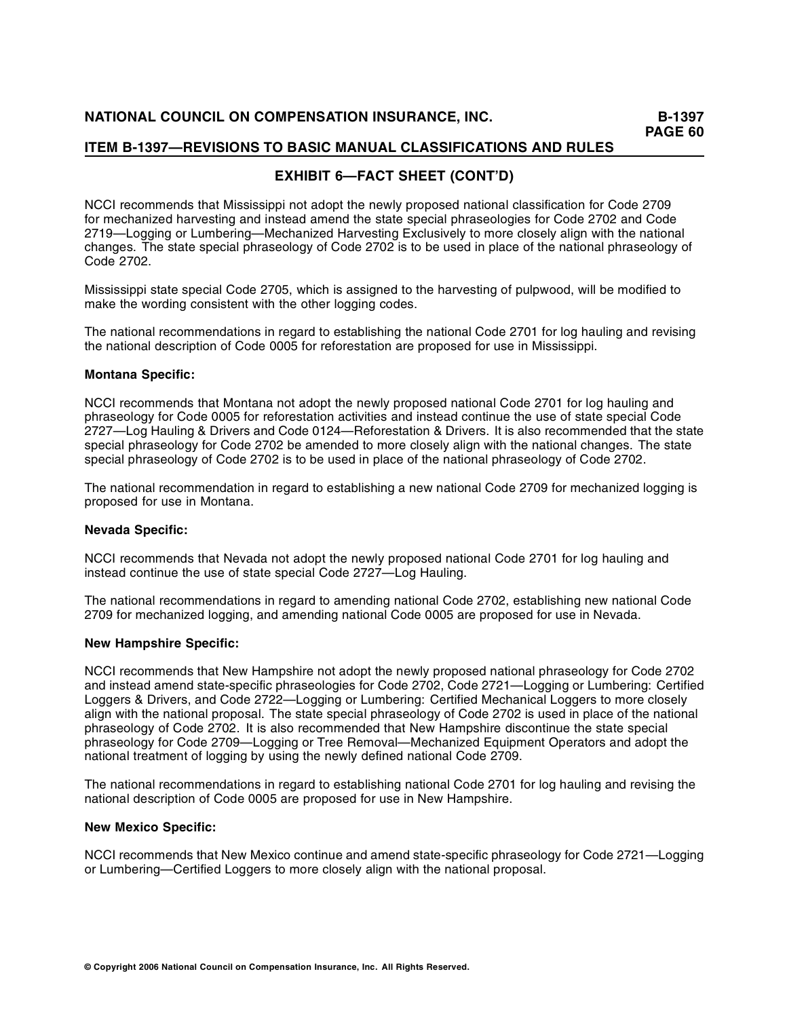# **EXHIBIT 6—FACT SHEET (CONT'D)**

NCCI recommends that Mississippi not adopt the newly proposed national classification for Code 2709 for mechanized harvesting and instead amend the state special phraseologies for Code 2702 and Code 2719—Logging or Lumbering—Mechanized Harvesting Exclusively to more closely align with the national changes. The state special phraseology of Code 2702 is to be used in place of the national phraseology of Code 2702.

Mississippi state special Code 2705, which is assigned to the harvesting of pulpwood, will be modified to make the wording consistent with the other logging codes.

The national recommendations in regard to establishing the national Code 2701 for log hauling and revising the national description of Code 0005 for reforestation are proposed for use in Mississippi.

## **Montana Specific:**

NCCI recommends that Montana not adopt the newly proposed national Code 2701 for log hauling and phraseology for Code 0005 for reforestation activities and instead continue the use of state special Code 2727—Log Hauling & Drivers and Code 0124—Reforestation & Drivers. It is also recommended that the state special phraseology for Code 2702 be amended to more closely align with the national changes. The state special phraseology of Code 2702 is to be used in place of the national phraseology of Code 2702.

The national recommendation in regard to establishing a new national Code 2709 for mechanized logging is proposed for use in Montana.

#### **Nevada Specific:**

NCCI recommends that Nevada not adopt the newly proposed national Code 2701 for log hauling and instead continue the use of state special Code 2727—Log Hauling.

The national recommendations in regard to amending national Code 2702, establishing new national Code 2709 for mechanized logging, and amending national Code 0005 are proposed for use in Nevada.

#### **New Hampshire Specific:**

NCCI recommends that New Hampshire not adopt the newly proposed national phraseology for Code 2702 and instead amend state-specific phraseologies for Code 2702, Code 2721—Logging or Lumbering: Certified Loggers & Drivers, and Code 2722—Logging or Lumbering: Certified Mechanical Loggers to more closely align with the national proposal. The state special phraseology of Code 2702 is used in place of the national phraseology of Code 2702. It is also recommended that New Hampshire discontinue the state special phraseology for Code 2709—Logging or Tree Removal—Mechanized Equipment Operators and adopt the national treatment of logging by using the newly defined national Code 2709.

The national recommendations in regard to establishing national Code 2701 for log hauling and revising the national description of Code 0005 are proposed for use in New Hampshire.

## **New Mexico Specific:**

NCCI recommends that New Mexico continue and amend state-specific phraseology for Code 2721—Logging or Lumbering—Certified Loggers to more closely align with the national proposal.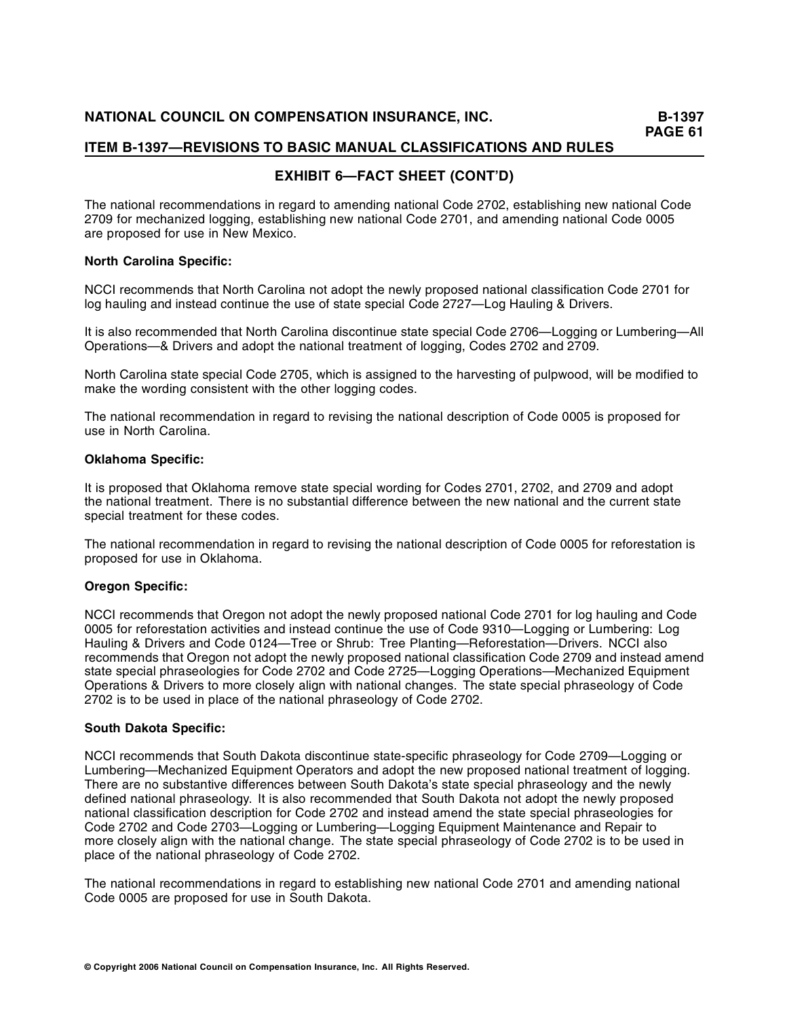# **EXHIBIT 6—FACT SHEET (CONT'D)**

The national recommendations in regard to amending national Code 2702, establishing new national Code 2709 for mechanized logging, establishing new national Code 2701, and amending national Code 0005 are proposed for use in New Mexico.

## **North Carolina Specific:**

NCCI recommends that North Carolina not adopt the newly proposed national classification Code 2701 for log hauling and instead continue the use of state special Code 2727—Log Hauling & Drivers.

It is also recommended that North Carolina discontinue state special Code 2706—Logging or Lumbering—All Operations—& Drivers and adopt the national treatment of logging, Codes 2702 and 2709.

North Carolina state special Code 2705, which is assigned to the harvesting of pulpwood, will be modified to make the wording consistent with the other logging codes.

The national recommendation in regard to revising the national description of Code 0005 is proposed for use in North Carolina.

## **Oklahoma Specific:**

It is proposed that Oklahoma remove state special wording for Codes 2701, 2702, and 2709 and adopt the national treatment. There is no substantial difference between the new national and the current state special treatment for these codes.

The national recommendation in regard to revising the national description of Code 0005 for reforestation is proposed for use in Oklahoma.

## **Oregon Specific:**

NCCI recommends that Oregon not adopt the newly proposed national Code 2701 for log hauling and Code 0005 for reforestation activities and instead continue the use of Code 9310—Logging or Lumbering: Log Hauling & Drivers and Code 0124—Tree or Shrub: Tree Planting—Reforestation—Drivers. NCCI also recommends that Oregon not adopt the newly proposed national classification Code 2709 and instead amend state special phraseologies for Code 2702 and Code 2725—Logging Operations—Mechanized Equipment Operations & Drivers to more closely align with national changes. The state special phraseology of Code 2702 is to be used in place of the national phraseology of Code 2702.

#### **South Dakota Specific:**

NCCI recommends that South Dakota discontinue state-specific phraseology for Code 2709—Logging or Lumbering—Mechanized Equipment Operators and adopt the new proposed national treatment of logging. There are no substantive differences between South Dakota's state special phraseology and the newly defined national phraseology. It is also recommended that South Dakota not adopt the newly proposed national classification description for Code 2702 and instead amend the state special phraseologies for Code 2702 and Code 2703—Logging or Lumbering—Logging Equipment Maintenance and Repair to more closely align with the national change. The state special phraseology of Code 2702 is to be used in place of the national phraseology of Code 2702.

The national recommendations in regard to establishing new national Code 2701 and amending national Code 0005 are proposed for use in South Dakota.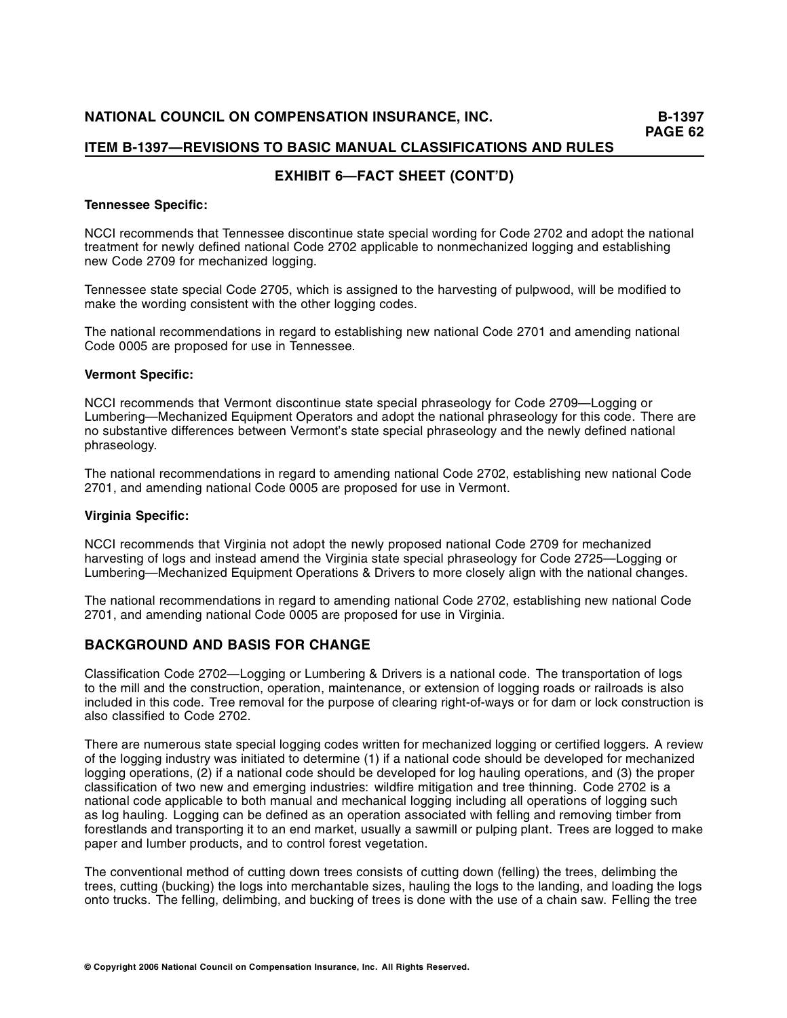# **EXHIBIT 6—FACT SHEET (CONT'D)**

## **Tennessee Specific:**

NCCI recommends that Tennessee discontinue state special wording for Code 2702 and adopt the national treatment for newly defined national Code 2702 applicable to nonmechanized logging and establishing new Code 2709 for mechanized logging.

Tennessee state special Code 2705, which is assigned to the harvesting of pulpwood, will be modified to make the wording consistent with the other logging codes.

The national recommendations in regard to establishing new national Code 2701 and amending national Code 0005 are proposed for use in Tennessee.

## **Vermont Specific:**

NCCI recommends that Vermont discontinue state special phraseology for Code 2709—Logging or Lumbering—Mechanized Equipment Operators and adopt the national phraseology for this code. There are no substantive differences between Vermont's state special phraseology and the newly defined national phraseology.

The national recommendations in regard to amending national Code 2702, establishing new national Code 2701, and amending national Code 0005 are proposed for use in Vermont.

#### **Virginia Specific:**

NCCI recommends that Virginia not adopt the newly proposed national Code 2709 for mechanized harvesting of logs and instead amend the Virginia state special phraseology for Code 2725—Logging or Lumbering—Mechanized Equipment Operations & Drivers to more closely align with the national changes.

The national recommendations in regard to amending national Code 2702, establishing new national Code 2701, and amending national Code 0005 are proposed for use in Virginia.

## **BACKGROUND AND BASIS FOR CHANGE**

Classification Code 2702—Logging or Lumbering & Drivers is a national code. The transportation of logs to the mill and the construction, operation, maintenance, or extension of logging roads or railroads is also included in this code. Tree removal for the purpose of clearing right-of-ways or for dam or lock construction is also classified to Code 2702.

There are numerous state special logging codes written for mechanized logging or certified loggers. A review of the logging industry was initiated to determine (1) if a national code should be developed for mechanized logging operations, (2) if a national code should be developed for log hauling operations, and (3) the proper classification of two new and emerging industries: wildfire mitigation and tree thinning. Code 2702 is a national code applicable to both manual and mechanical logging including all operations of logging such as log hauling. Logging can be defined as an operation associated with felling and removing timber from forestlands and transporting it to an end market, usually a sawmill or pulping plant. Trees are logged to make paper and lumber products, and to control forest vegetation.

The conventional method of cutting down trees consists of cutting down (felling) the trees, delimbing the trees, cutting (bucking) the logs into merchantable sizes, hauling the logs to the landing, and loading the logs onto trucks. The felling, delimbing, and bucking of trees is done with the use of a chain saw. Felling the tree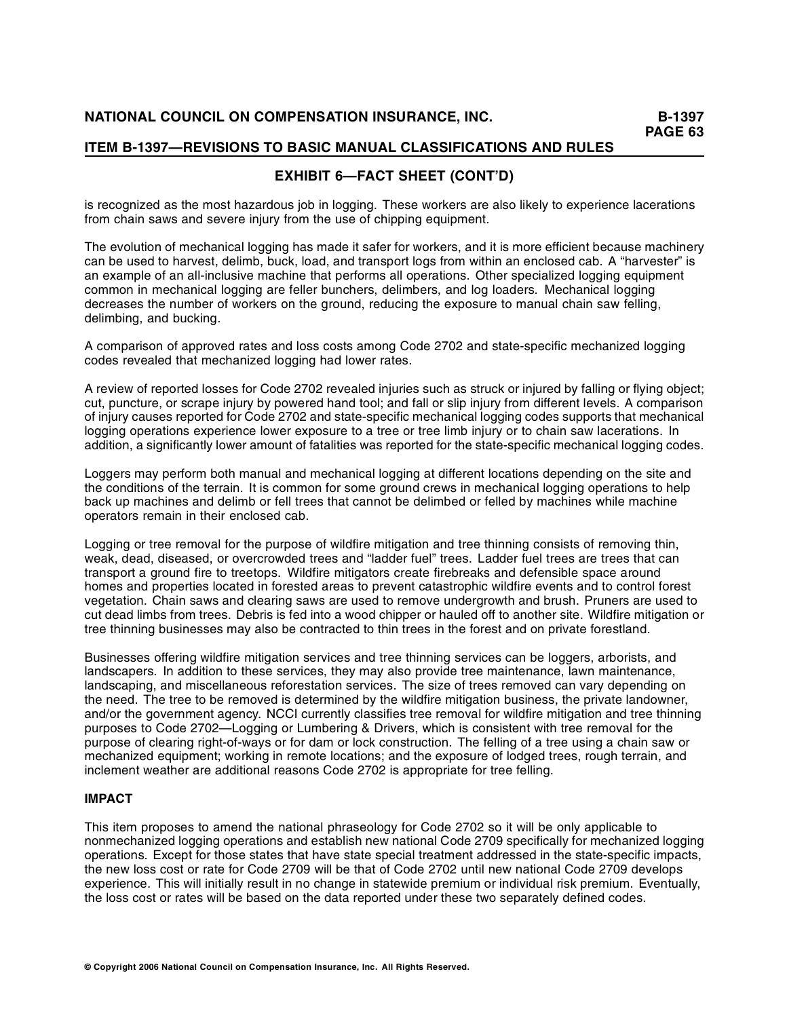# **EXHIBIT 6—FACT SHEET (CONT'D)**

is recognized as the most hazardous job in logging. These workers are also likely to experience lacerations from chain saws and severe injury from the use of chipping equipment.

The evolution of mechanical logging has made it safer for workers, and it is more efficient because machinery can be used to harvest, delimb, buck, load, and transport logs from within an enclosed cab. A "harvester" is an example of an all-inclusive machine that performs all operations. Other specialized logging equipment common in mechanical logging are feller bunchers, delimbers, and log loaders. Mechanical logging decreases the number of workers on the ground, reducing the exposure to manual chain saw felling, delimbing, and bucking.

A comparison of approved rates and loss costs among Code 2702 and state-specific mechanized logging codes revealed that mechanized logging had lower rates.

A review of reported losses for Code 2702 revealed injuries such as struck or injured by falling or flying object; cut, puncture, or scrape injury by powered hand tool; and fall or slip injury from different levels. A comparison of injury causes reported for Code 2702 and state-specific mechanical logging codes supports that mechanical logging operations experience lower exposure to a tree or tree limb injury or to chain saw lacerations. In addition, a significantly lower amount of fatalities was reported for the state-specific mechanical logging codes.

Loggers may perform both manual and mechanical logging at different locations depending on the site and the conditions of the terrain. It is common for some ground crews in mechanical logging operations to help back up machines and delimb or fell trees that cannot be delimbed or felled by machines while machine operators remain in their enclosed cab.

Logging or tree removal for the purpose of wildfire mitigation and tree thinning consists of removing thin, weak, dead, diseased, or overcrowded trees and "ladder fuel" trees. Ladder fuel trees are trees that can transport a ground fire to treetops. Wildfire mitigators create firebreaks and defensible space around homes and properties located in forested areas to prevent catastrophic wildfire events and to control forest vegetation. Chain saws and clearing saws are used to remove undergrowth and brush. Pruners are used to cut dead limbs from trees. Debris is fed into a wood chipper or hauled off to another site. Wildfire mitigation or tree thinning businesses may also be contracted to thin trees in the forest and on private forestland.

Businesses offering wildfire mitigation services and tree thinning services can be loggers, arborists, and landscapers. In addition to these services, they may also provide tree maintenance, lawn maintenance, landscaping, and miscellaneous reforestation services. The size of trees removed can vary depending on the need. The tree to be removed is determined by the wildfire mitigation business, the private landowner, and/or the government agency. NCCI currently classifies tree removal for wildfire mitigation and tree thinning purposes to Code 2702—Logging or Lumbering & Drivers, which is consistent with tree removal for the purpose of clearing right-of-ways or for dam or lock construction. The felling of a tree using a chain saw or mechanized equipment; working in remote locations; and the exposure of lodged trees, rough terrain, and inclement weather are additional reasons Code 2702 is appropriate for tree felling.

## **IMPACT**

This item proposes to amend the national phraseology for Code 2702 so it will be only applicable to nonmechanized logging operations and establish new national Code 2709 specifically for mechanized logging operations. Except for those states that have state special treatment addressed in the state-specific impacts, the new loss cost or rate for Code 2709 will be that of Code 2702 until new national Code 2709 develops experience. This will initially result in no change in statewide premium or individual risk premium. Eventually, the loss cost or rates will be based on the data reported under these two separately defined codes.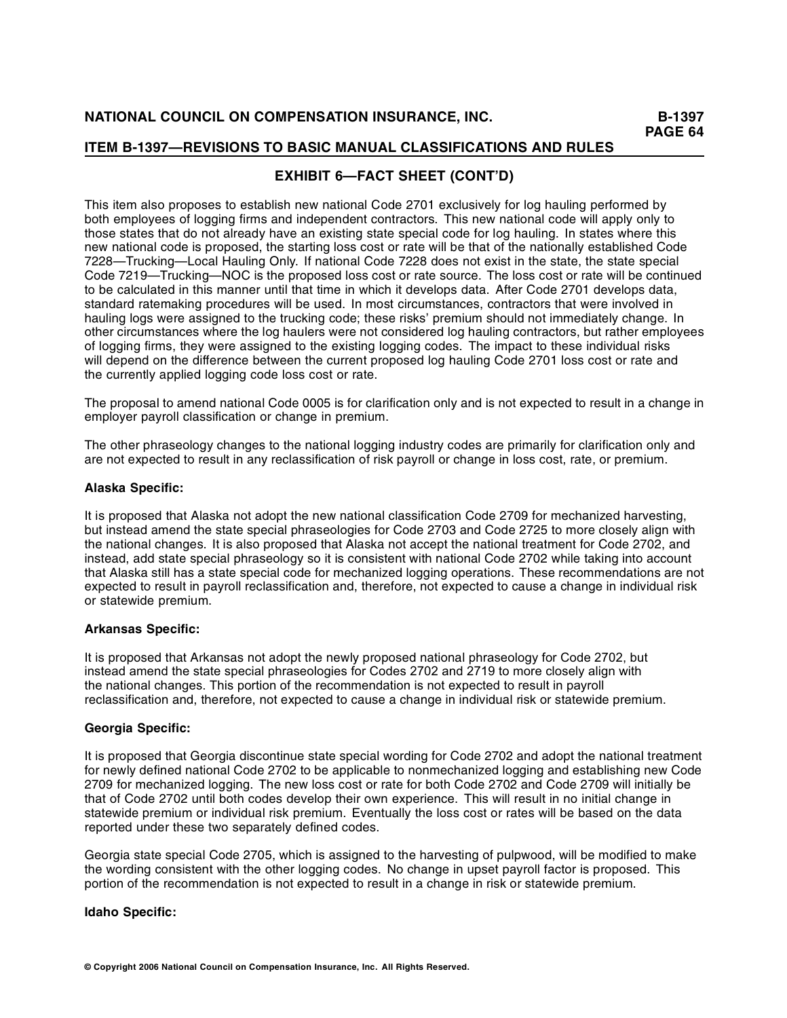# **EXHIBIT 6—FACT SHEET (CONT'D)**

This item also proposes to establish new national Code 2701 exclusively for log hauling performed by both employees of logging firms and independent contractors. This new national code will apply only to those states that do not already have an existing state special code for log hauling. In states where this new national code is proposed, the starting loss cost or rate will be that of the nationally established Code 7228—Trucking—Local Hauling Only. If national Code 7228 does not exist in the state, the state special Code 7219—Trucking—NOC is the proposed loss cost or rate source. The loss cost or rate will be continued to be calculated in this manner until that time in which it develops data. After Code 2701 develops data, standard ratemaking procedures will be used. In most circumstances, contractors that were involved in hauling logs were assigned to the trucking code; these risks' premium should not immediately change. In other circumstances where the log haulers were not considered log hauling contractors, but rather employees of logging firms, they were assigned to the existing logging codes. The impact to these individual risks will depend on the difference between the current proposed log hauling Code 2701 loss cost or rate and the currently applied logging code loss cost or rate.

The proposal to amend national Code 0005 is for clarification only and is not expected to result in a change in employer payroll classification or change in premium.

The other phraseology changes to the national logging industry codes are primarily for clarification only and are not expected to result in any reclassification of risk payroll or change in loss cost, rate, or premium.

#### **Alaska Specific:**

It is proposed that Alaska not adopt the new national classification Code 2709 for mechanized harvesting, but instead amend the state special phraseologies for Code 2703 and Code 2725 to more closely align with the national changes. It is also proposed that Alaska not accept the national treatment for Code 2702, and instead, add state special phraseology so it is consistent with national Code 2702 while taking into account that Alaska still has a state special code for mechanized logging operations. These recommendations are not expected to result in payroll reclassification and, therefore, not expected to cause a change in individual risk or statewide premium.

## **Arkansas Specific:**

It is proposed that Arkansas not adopt the newly proposed national phraseology for Code 2702, but instead amend the state special phraseologies for Codes 2702 and 2719 to more closely align with the national changes. This portion of the recommendation is not expected to result in payroll reclassification and, therefore, not expected to cause a change in individual risk or statewide premium.

## **Georgia Specific:**

It is proposed that Georgia discontinue state special wording for Code 2702 and adopt the national treatment for newly defined national Code 2702 to be applicable to nonmechanized logging and establishing new Code 2709 for mechanized logging. The new loss cost or rate for both Code 2702 and Code 2709 will initially be that of Code 2702 until both codes develop their own experience. This will result in no initial change in statewide premium or individual risk premium. Eventually the loss cost or rates will be based on the data reported under these two separately defined codes.

Georgia state special Code 2705, which is assigned to the harvesting of pulpwood, will be modified to make the wording consistent with the other logging codes. No change in upset payroll factor is proposed. This portion of the recommendation is not expected to result in a change in risk or statewide premium.

## **Idaho Specific:**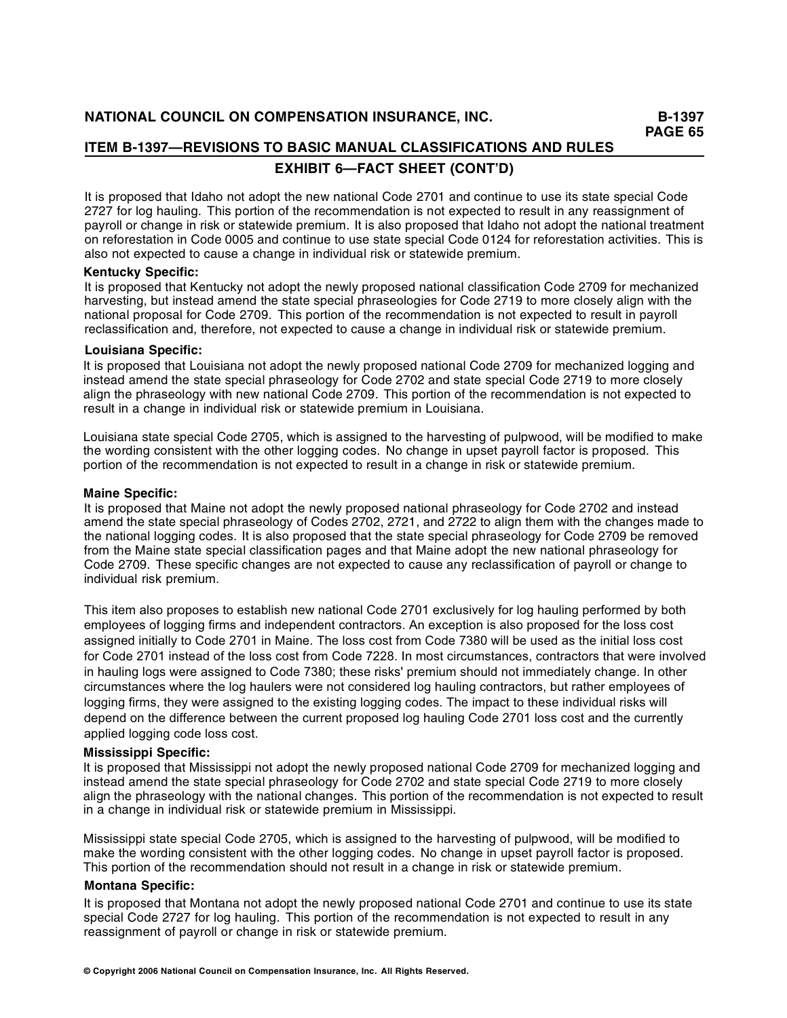# **ITEM B-1397—REVISIONS TO BASIC MANUAL CLASSIFICATIONS AND RULES EXHIBIT 6—FACT SHEET (CONT'D)**

It is proposed that Idaho not adopt the new national Code 2701 and continue to use its state special Code 2727 for log hauling. This portion of the recommendation is not expected to result in any reassignment of payroll or change in risk or statewide premium. It is also proposed that Idaho not adopt the national treatment on reforestation in Code 0005 and continue to use state special Code 0124 for reforestation activities. This is also not expected to cause a change in individual risk or statewide premium.

## **Kentucky Specific:**

It is proposed that Kentucky not adopt the newly proposed national classification Code 2709 for mechanized harvesting, but instead amend the state special phraseologies for Code 2719 to more closely align with the national proposal for Code 2709. This portion of the recommendation is not expected to result in payroll reclassification and, therefore, not expected to cause a change in individual risk or statewide premium.

## **Louisiana Specific:**

It is proposed that Louisiana not adopt the newly proposed national Code 2709 for mechanized logging and instead amend the state special phraseology for Code 2702 and state special Code 2719 to more closely align the phraseology with new national Code 2709. This portion of the recommendation is not expected to result in a change in individual risk or statewide premium in Louisiana.

Louisiana state special Code 2705, which is assigned to the harvesting of pulpwood, will be modified to make the wording consistent with the other logging codes. No change in upset payroll factor is proposed. This portion of the recommendation is not expected to result in a change in risk or statewide premium.

## **Maine Specific:**

It is proposed that Maine not adopt the newly proposed national phraseology for Code 2702 and instead amend the state special phraseology of Codes 2702, 2721, and 2722 to align them with the changes made to the national logging codes. It is also proposed that the state special phraseology for Code 2709 be removed from the Maine state special classification pages and that Maine adopt the new national phraseology for Code 2709. These specific changes are not expected to cause any reclassification of payroll or change to individual risk premium.

This item also proposes to establish new national Code 2701 exclusively for log hauling performed by both employees of logging firms and independent contractors. An exception is also proposed for the loss cost assigned initially to Code 2701 in Maine. The loss cost from Code 7380 will be used as the initial loss cost for Code 2701 instead of the loss cost from Code 7228. In most circumstances, contractors that were involved in hauling logs were assigned to Code 7380; these risks' premium should not immediately change. In other circumstances where the log haulers were not considered log hauling contractors, but rather employees of logging firms, they were assigned to the existing logging codes. The impact to these individual risks will depend on the difference between the current proposed log hauling Code 2701 loss cost and the currently applied logging code loss cost.

## **Mississippi Specific:**

It is proposed that Mississippi not adopt the newly proposed national Code 2709 for mechanized logging and instead amend the state special phraseology for Code 2702 and state special Code 2719 to more closely align the phraseology with the national changes. This portion of the recommendation is not expected to result in a change in individual risk or statewide premium in Mississippi.

Mississippi state special Code 2705, which is assigned to the harvesting of pulpwood, will be modified to make the wording consistent with the other logging codes. No change in upset payroll factor is proposed. This portion of the recommendation should not result in a change in risk or statewide premium.

#### **Montana Specific:**

It is proposed that Montana not adopt the newly proposed national Code 2701 and continue to use its state special Code 2727 for log hauling. This portion of the recommendation is not expected to result in any reassignment of payroll or change in risk or statewide premium.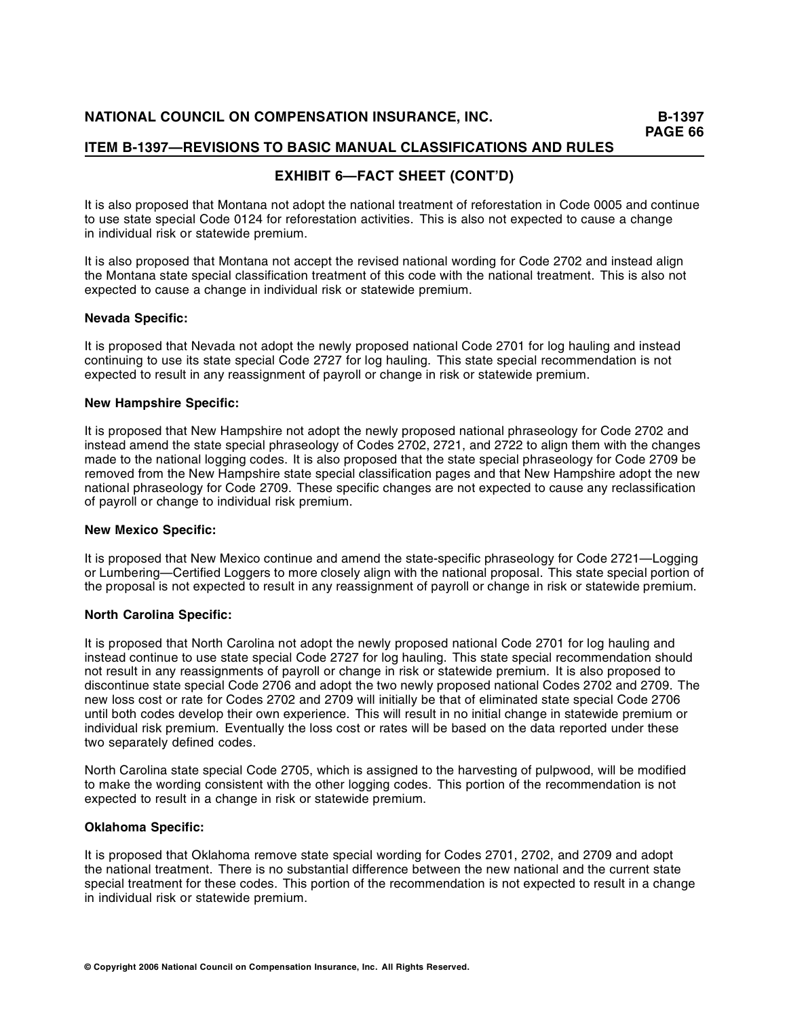# **EXHIBIT 6—FACT SHEET (CONT'D)**

It is also proposed that Montana not adopt the national treatment of reforestation in Code 0005 and continue to use state special Code 0124 for reforestation activities. This is also not expected to cause a change in individual risk or statewide premium.

It is also proposed that Montana not accept the revised national wording for Code 2702 and instead align the Montana state special classification treatment of this code with the national treatment. This is also not expected to cause a change in individual risk or statewide premium.

## **Nevada Specific:**

It is proposed that Nevada not adopt the newly proposed national Code 2701 for log hauling and instead continuing to use its state special Code 2727 for log hauling. This state special recommendation is not expected to result in any reassignment of payroll or change in risk or statewide premium.

## **New Hampshire Specific:**

It is proposed that New Hampshire not adopt the newly proposed national phraseology for Code 2702 and instead amend the state special phraseology of Codes 2702, 2721, and 2722 to align them with the changes made to the national logging codes. It is also proposed that the state special phraseology for Code 2709 be removed from the New Hampshire state special classification pages and that New Hampshire adopt the new national phraseology for Code 2709. These specific changes are not expected to cause any reclassification of payroll or change to individual risk premium.

#### **New Mexico Specific:**

It is proposed that New Mexico continue and amend the state-specific phraseology for Code 2721—Logging or Lumbering—Certified Loggers to more closely align with the national proposal. This state special portion of the proposal is not expected to result in any reassignment of payroll or change in risk or statewide premium.

## **North Carolina Specific:**

It is proposed that North Carolina not adopt the newly proposed national Code 2701 for log hauling and instead continue to use state special Code 2727 for log hauling. This state special recommendation should not result in any reassignments of payroll or change in risk or statewide premium. It is also proposed to discontinue state special Code 2706 and adopt the two newly proposed national Codes 2702 and 2709. The new loss cost or rate for Codes 2702 and 2709 will initially be that of eliminated state special Code 2706 until both codes develop their own experience. This will result in no initial change in statewide premium or individual risk premium. Eventually the loss cost or rates will be based on the data reported under these two separately defined codes.

North Carolina state special Code 2705, which is assigned to the harvesting of pulpwood, will be modified to make the wording consistent with the other logging codes. This portion of the recommendation is not expected to result in a change in risk or statewide premium.

## **Oklahoma Specific:**

It is proposed that Oklahoma remove state special wording for Codes 2701, 2702, and 2709 and adopt the national treatment. There is no substantial difference between the new national and the current state special treatment for these codes. This portion of the recommendation is not expected to result in a change in individual risk or statewide premium.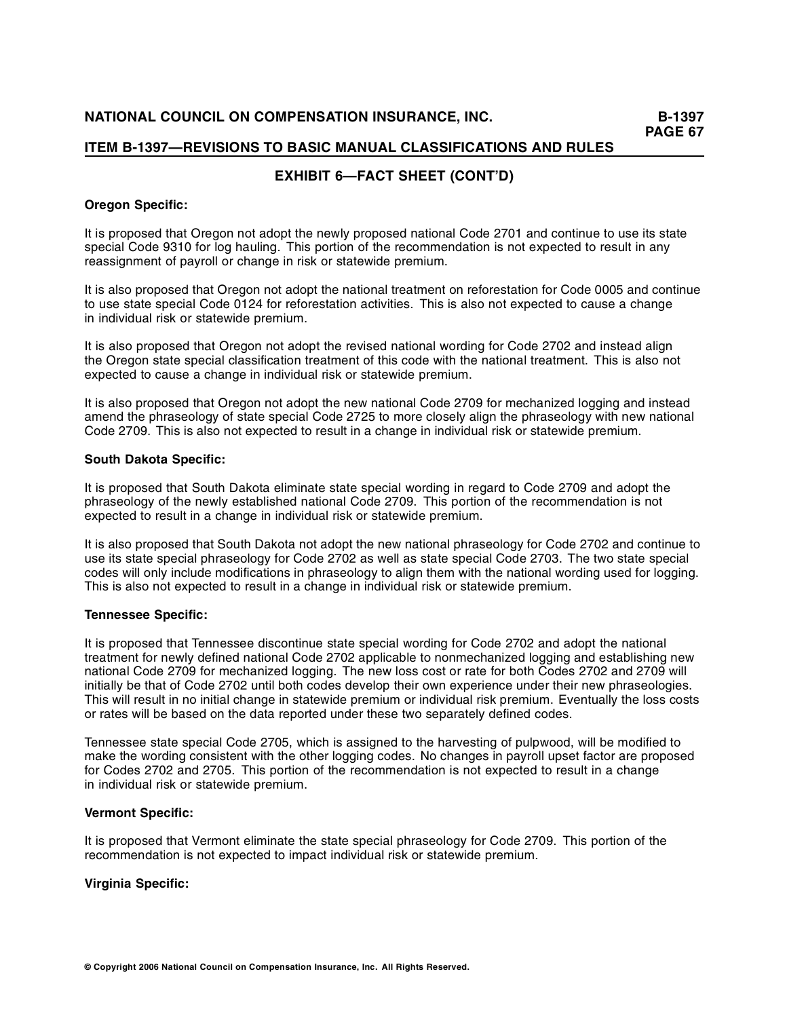# **EXHIBIT 6—FACT SHEET (CONT'D)**

## **Oregon Specific:**

It is proposed that Oregon not adopt the newly proposed national Code 2701 and continue to use its state special Code 9310 for log hauling. This portion of the recommendation is not expected to result in any reassignment of payroll or change in risk or statewide premium.

It is also proposed that Oregon not adopt the national treatment on reforestation for Code 0005 and continue to use state special Code 0124 for reforestation activities. This is also not expected to cause a change in individual risk or statewide premium.

It is also proposed that Oregon not adopt the revised national wording for Code 2702 and instead align the Oregon state special classification treatment of this code with the national treatment. This is also not expected to cause a change in individual risk or statewide premium.

It is also proposed that Oregon not adopt the new national Code 2709 for mechanized logging and instead amend the phraseology of state special Code 2725 to more closely align the phraseology with new national Code 2709. This is also not expected to result in a change in individual risk or statewide premium.

#### **South Dakota Specific:**

It is proposed that South Dakota eliminate state special wording in regard to Code 2709 and adopt the phraseology of the newly established national Code 2709. This portion of the recommendation is not expected to result in a change in individual risk or statewide premium.

It is also proposed that South Dakota not adopt the new national phraseology for Code 2702 and continue to use its state special phraseology for Code 2702 as well as state special Code 2703. The two state special codes will only include modifications in phraseology to align them with the national wording used for logging. This is also not expected to result in a change in individual risk or statewide premium.

## **Tennessee Specific:**

It is proposed that Tennessee discontinue state special wording for Code 2702 and adopt the national treatment for newly defined national Code 2702 applicable to nonmechanized logging and establishing new national Code 2709 for mechanized logging. The new loss cost or rate for both Codes 2702 and 2709 will initially be that of Code 2702 until both codes develop their own experience under their new phraseologies. This will result in no initial change in statewide premium or individual risk premium. Eventually the loss costs or rates will be based on the data reported under these two separately defined codes.

Tennessee state special Code 2705, which is assigned to the harvesting of pulpwood, will be modified to make the wording consistent with the other logging codes. No changes in payroll upset factor are proposed for Codes 2702 and 2705. This portion of the recommendation is not expected to result in a change in individual risk or statewide premium.

#### **Vermont Specific:**

It is proposed that Vermont eliminate the state special phraseology for Code 2709. This portion of the recommendation is not expected to impact individual risk or statewide premium.

## **Virginia Specific:**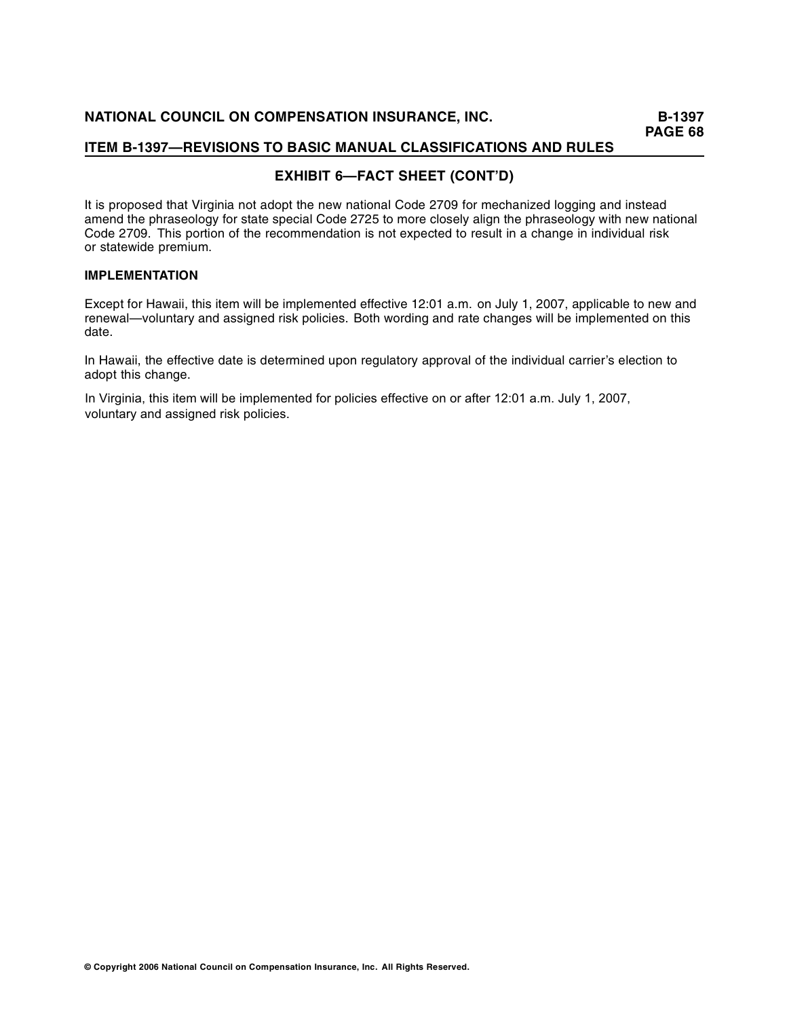# **EXHIBIT 6—FACT SHEET (CONT'D)**

It is proposed that Virginia not adopt the new national Code 2709 for mechanized logging and instead amend the phraseology for state special Code 2725 to more closely align the phraseology with new national Code 2709. This portion of the recommendation is not expected to result in a change in individual risk or statewide premium.

## **IMPLEMENTATION**

Except for Hawaii, this item will be implemented effective 12:01 a.m. on July 1, 2007, applicable to new and renewal—voluntary and assigned risk policies. Both wording and rate changes will be implemented on this date.

In Hawaii, the effective date is determined upon regulatory approval of the individual carrier's election to adopt this change.

In Virginia, this item will be implemented for policies effective on or after 12:01 a.m. July 1, 2007, voluntary and assigned risk policies.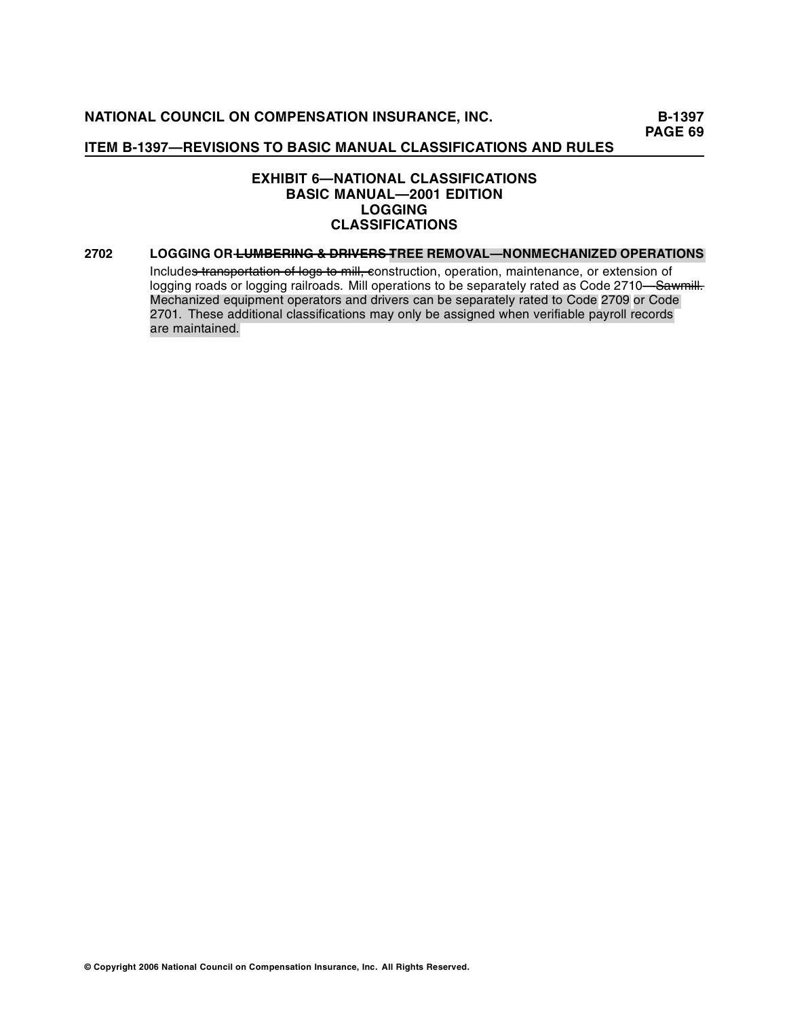## **EXHIBIT 6—NATIONAL CLASSIFICATIONS BASIC MANUAL—2001 EDITION LOGGING CLASSIFICATIONS**

#### **2702 LOGGING OR <del>LUMBERING & DRIVERS T</del>REE REMOVAL—NONMECHANIZED OPERATIONS**

Include<del>s transportation of logs to mill, c</del>onstruction, operation, maintenance, or extension of logging roads or logging railroads. Mill operations to be separately rated as Code 2710—<del>Sawmill.</del> Mechanized equipment operators and drivers can be separately rated to Code 2709 or Code 2701. These additional classifications may only be assigned when verifiable payroll records are maintained.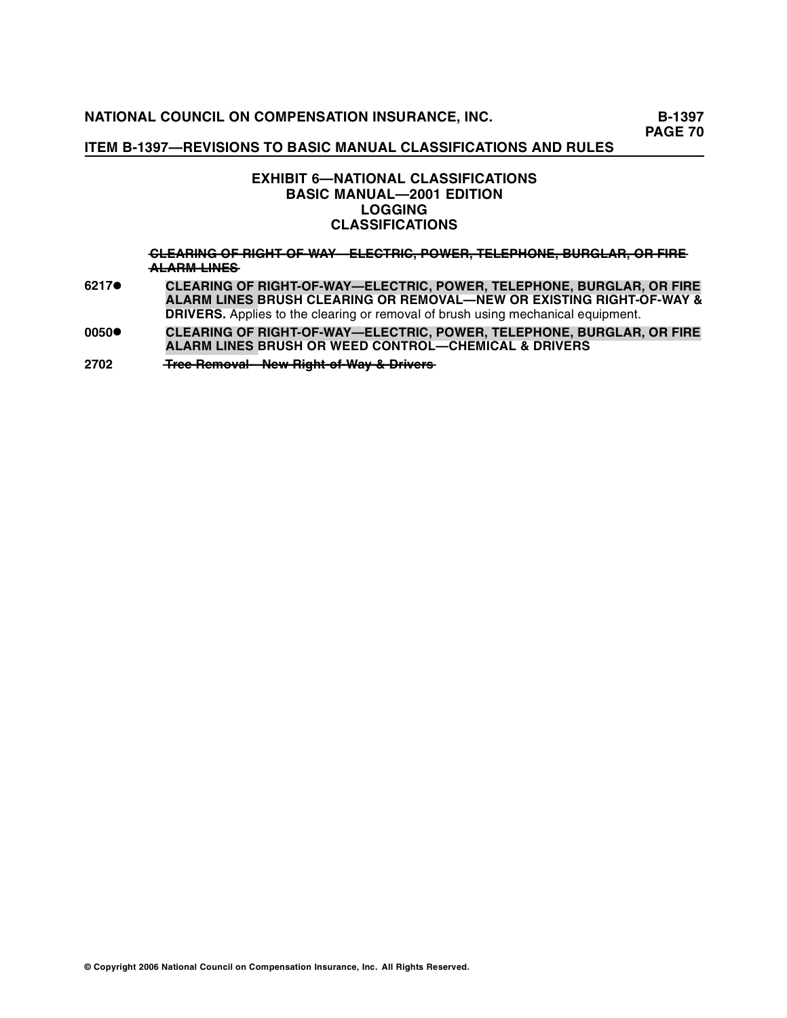## **ITEM B-1397—REVISIONS TO BASIC MANUAL CLASSIFICATIONS AND RULES**

## **EXHIBIT 6—NATIONAL CLASSIFICATIONS BASIC MANUAL—2001 EDITION LOGGING CLASSIFICATIONS**

**—L—A—IN——F —IG—T C—E—R —G — — —O——R——H—-O—-—A———L—C—R —,—O—E—,—E—E—H—N—, —U—G—A—, —R F —E ——F—W—Y—E—E—T—IC——P—W—R——T—L—P—O—E——B—R—L—R——O——IR— ——**  $ALARM$  <del>LINES</del>

- **6217• CLEARING OF RIGHT-OF-WAY—ELECTRIC, POWER, TELEPHONE, BURGLAR, OR FIRE ALARM LINES BRUSH CLEARING OR REMOVAL—NEW OR EXISTING RIGHT-OF-WAY & DRIVERS.** Applies to the clearing or removal of brush using mechanical equipment.
- **0050• CLEARING OF RIGHT-OF-WAY—ELECTRIC, POWER, TELEPHONE, BURGLAR, OR FIRE ALARM LINES BRUSH OR WEED CONTROL—CHEMICAL & DRIVERS**

**2702 —re — T —e R —l——e——ig ———e—o—a —N—w R—h — —m—v — ———t-o ———f-W—y ——riv—rs ———a——&—D———e——**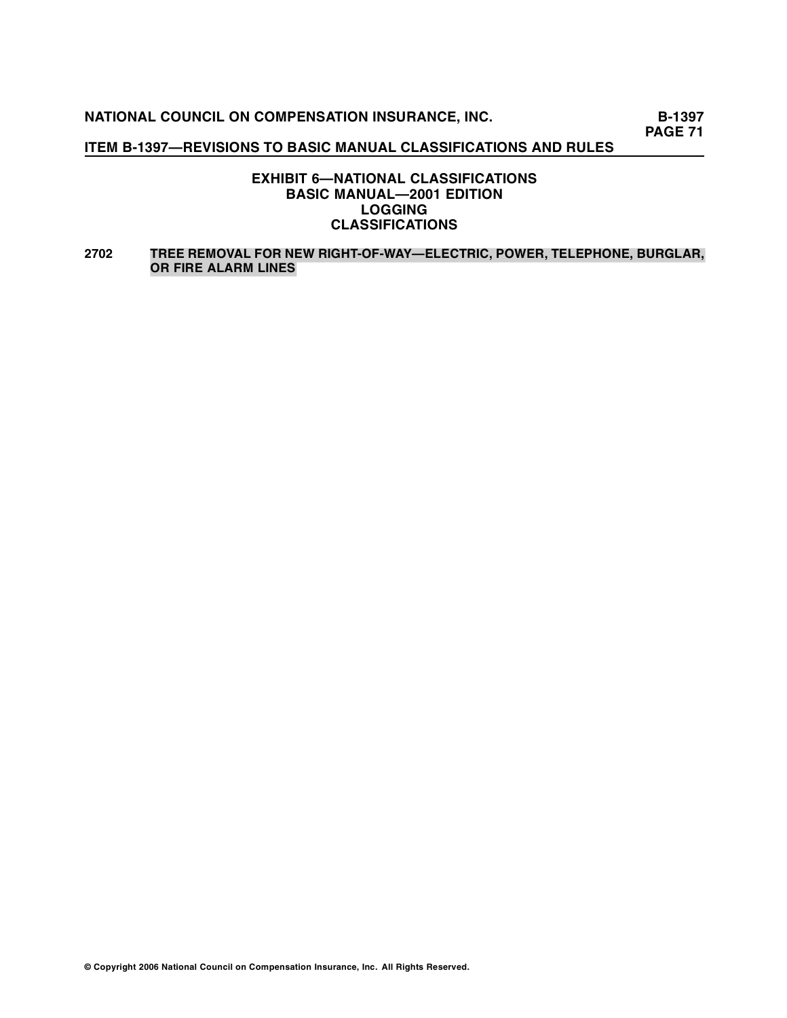## **ITEM B-1397—REVISIONS TO BASIC MANUAL CLASSIFICATIONS AND RULES**

## **EXHIBIT 6—NATIONAL CLASSIFICATIONS BASIC MANUAL—2001 EDITION LOGGING CLASSIFICATIONS**

## **2702 TREE REMOVAL FOR NEW RIGHT-OF-WAY—ELECTRIC, POWER, TELEPHONE, BURGLAR, OR FIRE ALARM LINES**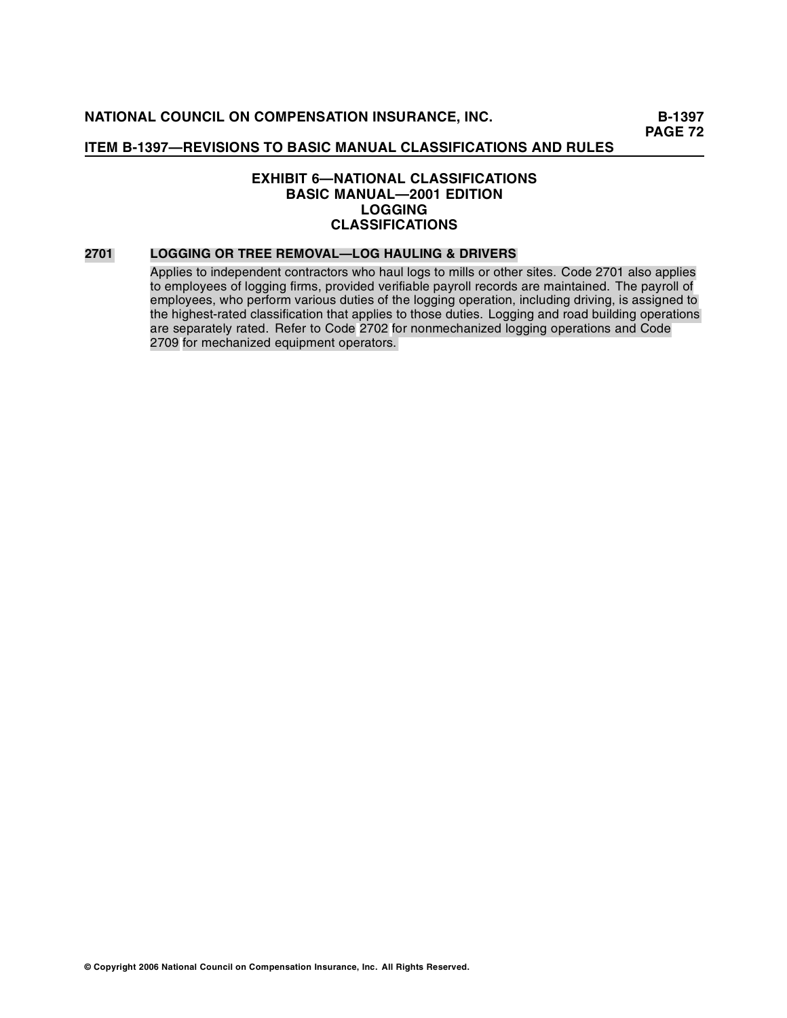## **EXHIBIT 6—NATIONAL CLASSIFICATIONS BASIC MANUAL—2001 EDITION LOGGING CLASSIFICATIONS**

#### **2701 LOGGING OR TREE REMOVAL—LOG HAULING & DRIVERS**

Applies to independent contractors who haul logs to mills or other sites. Code 2701 also applies to employees of logging firms, provided verifiable payroll records are maintained. The payroll of employees, who perform various duties of the logging operation, including driving, is assigned to the highest-rated classification that applies to those duties. Logging and road building operations are separately rated. Refer to Code 2702 for nonmechanized logging operations and Code 2709 for mechanized equipment operators.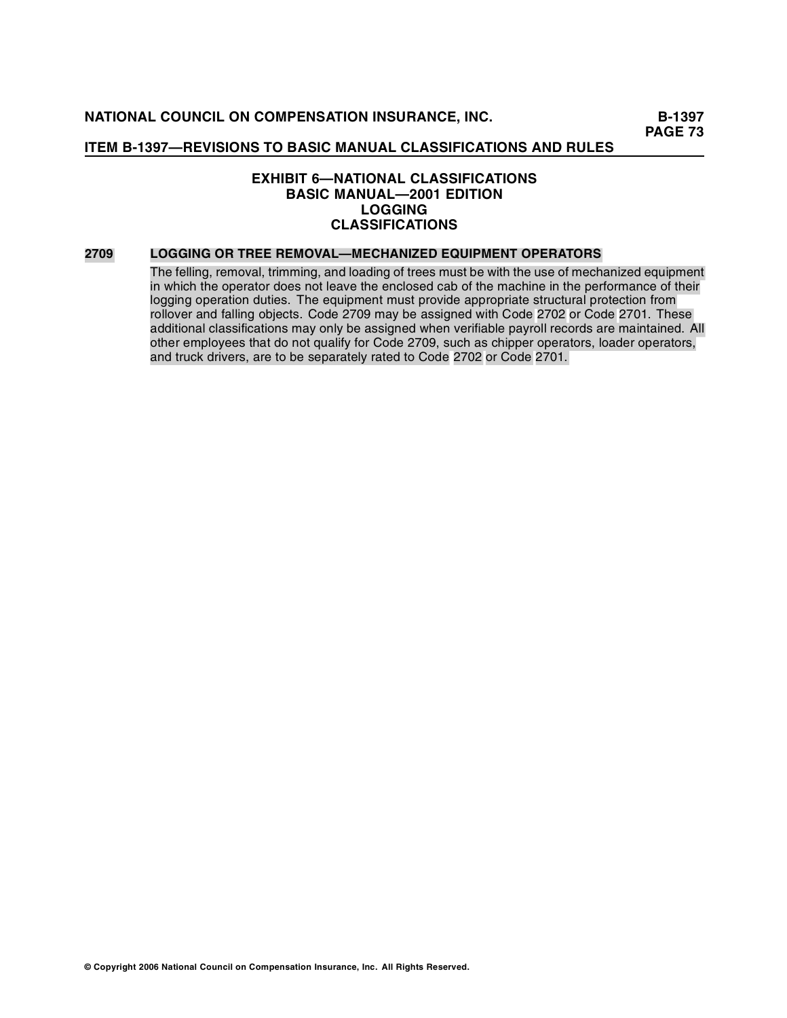# **EXHIBIT 6—NATIONAL CLASSIFICATIONS BASIC MANUAL—2001 EDITION LOGGING CLASSIFICATIONS**

#### **2709 LOGGING OR TREE REMOVAL—MECHANIZED EQUIPMENT OPERATORS**

The felling, removal, trimming, and loading of trees must be with the use of mechanized equipment in which the operator does not leave the enclosed cab of the machine in the performance of their logging operation duties. The equipment must provide appropriate structural protection from rollover and falling objects. Code 2709 may be assigned with Code 2702 or Code 2701. These additional classifications may only be assigned when verifiable payroll records are maintained. All other employees that do not qualify for Code 2709, such as chipper operators, loader operators, and truck drivers, are to be separately rated to Code 2702 or Code 2701.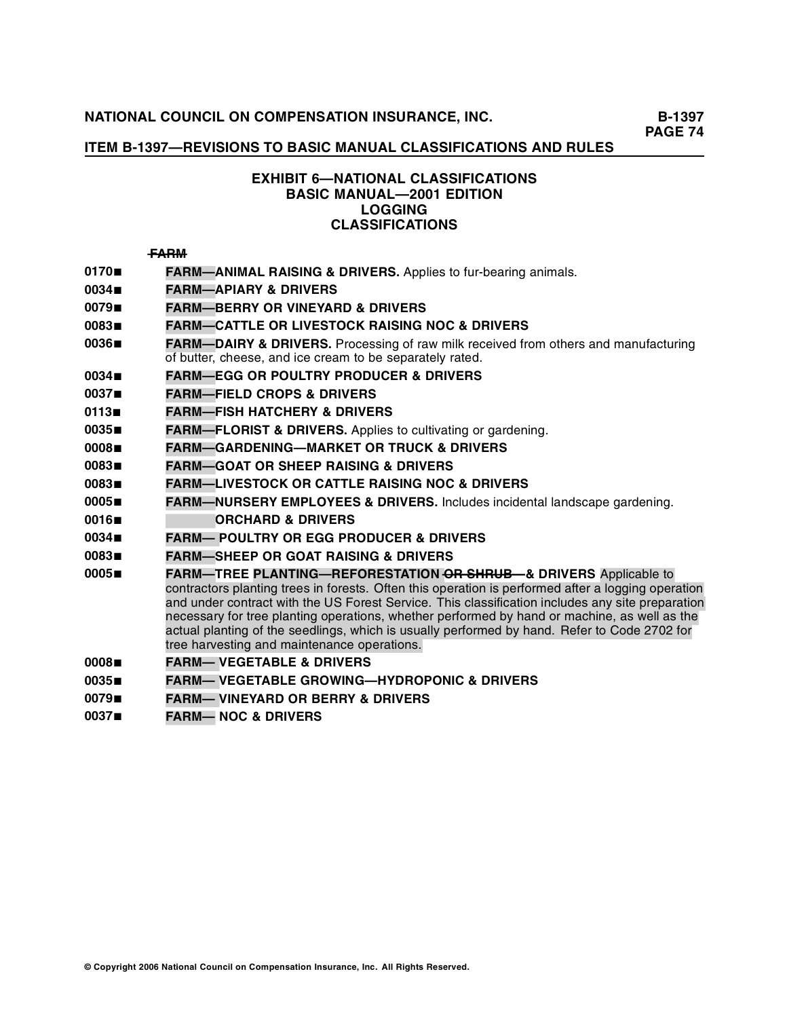# **ITEM B-1397—REVISIONS TO BASIC MANUAL CLASSIFICATIONS AND RULES**

# **EXHIBIT 6—NATIONAL CLASSIFICATIONS BASIC MANUAL—2001 EDITION LOGGING CLASSIFICATIONS**

## $FARM$

- **<sup>0170</sup> FARM—ANIMAL RAISING & DRIVERS.** Applies to fur-bearing animals.
- **<sup>0034</sup> FARM—APIARY & DRIVERS**
- **<sup>0079</sup> FARM—BERRY OR VINEYARD & DRIVERS**
- **<sup>0083</sup> FARM—CATTLE OR LIVESTOCK RAISING NOC & DRIVERS**
- **0036■ FARM—DAIRY & DRIVERS.** Processing of raw milk received from others and manufacturing of butter, cheese, and ice cream to be separately rated.
- **<sup>0034</sup> FARM—EGG OR POULTRY PRODUCER & DRIVERS**
- **<sup>0037</sup> FARM—FIELD CROPS & DRIVERS**
- **<sup>0113</sup> FARM—FISH HATCHERY & DRIVERS**
- **<sup>0035</sup> FARM—FLORIST & DRIVERS.** Applies to cultivating or gardening.
- **<sup>0008</sup> FARM—GARDENING—MARKET OR TRUCK & DRIVERS**
- **<sup>0083</sup> FARM—GOAT OR SHEEP RAISING & DRIVERS**
- **<sup>0083</sup> FARM—LIVESTOCK OR CATTLE RAISING NOC & DRIVERS**
- **<sup>0005</sup> FARM—NURSERY EMPLOYEES & DRIVERS.** Includes incidental landscape gardening.
- **<sup>0016</sup> FARM—ORCHARD & DRIVERS**
- **<sup>0034</sup> FARM— POULTRY OR EGG PRODUCER & DRIVERS**
- **<sup>0083</sup> FARM—SHEEP OR GOAT RAISING & DRIVERS**
- **0005■ PARM—TREE PLANTING—REFORESTATION OR SHRUB—& DRIVERS** Applicable to contractors planting trees in forests. Often this operation is performed after a logging operation and under contract with the US Forest Service. This classification includes any site preparation necessary for tree planting operations, whether performed by hand or machine, as well as the actual planting of the seedlings, which is usually performed by hand. Refer to Code 2702 for tree harvesting and maintenance operations.
- **<sup>0008</sup> FARM— VEGETABLE & DRIVERS**
- **<sup>0035</sup> FARM— VEGETABLE GROWING—HYDROPONIC & DRIVERS**
- **<sup>0079</sup> FARM— VINEYARD OR BERRY & DRIVERS**
- **<sup>0037</sup> FARM— NOC & DRIVERS**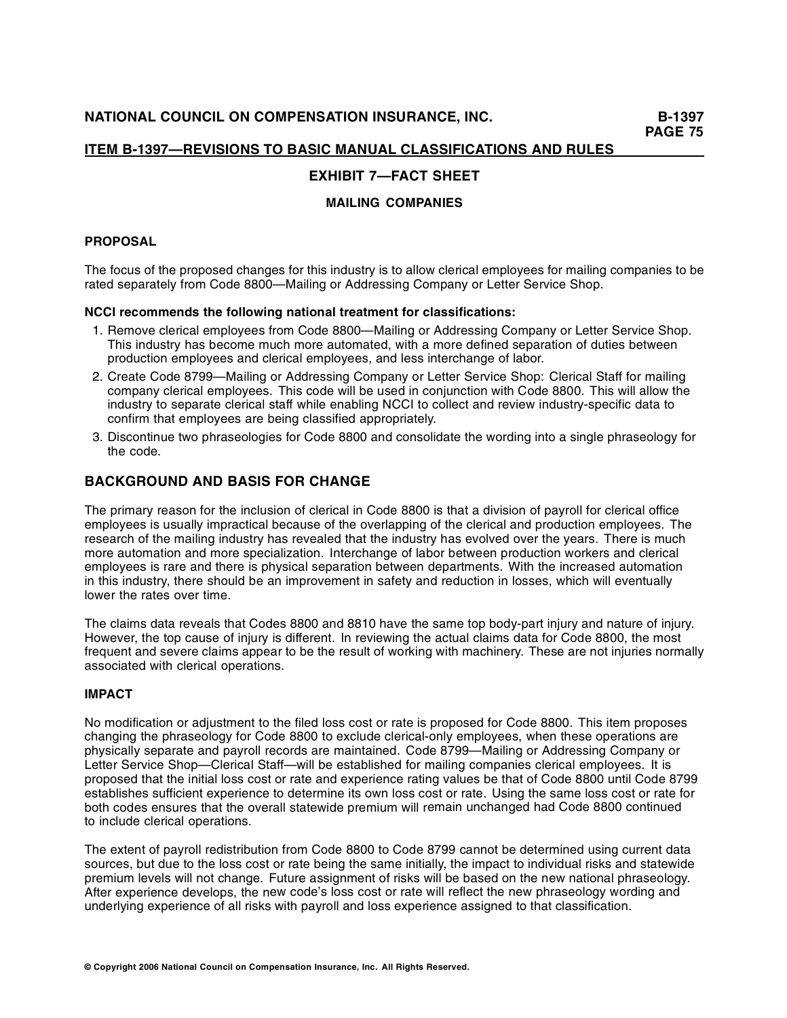# **EXHIBIT 7—FACT SHEET**

# **MAILING COMPANIES**

# **PROPOSAL**

The focus of the proposed changes for this industry is to allow clerical employees for mailing companies to be rated separately from Code 8800—Mailing or Addressing Company or Letter Service Shop.

## **NCCI recommends the following national treatment for classifications:**

- 1. Remove clerical employees from Code 8800—Mailing or Addressing Company or Letter Service Shop. This industry has become much more automated, with a more defined separation of duties between production employees and clerical employees, and less interchange of labor.
- 2. Create Code 8799—Mailing or Addressing Company or Letter Service Shop: Clerical Staff for mailing company clerical employees. This code will be used in conjunction with Code 8800. This will allow the industry to separate clerical staff while enabling NCCI to collect and review industry-specific data to confirm that employees are being classified appropriately.
- 3. Discontinue two phraseologies for Code 8800 and consolidate the wording into a single phraseology for the code.

# **BACKGROUND AND BASIS FOR CHANGE**

The primary reason for the inclusion of clerical in Code 8800 is that a division of payroll for clerical office employees is usually impractical because of the overlapping of the clerical and production employees. The research of the mailing industry has revealed that the industry has evolved over the years. There is much more automation and more specialization. Interchange of labor between production workers and clerical employees is rare and there is physical separation between departments. With the increased automation in this industry, there should be an improvement in safety and reduction in losses, which will eventually lower the rates over time.

The claims data reveals that Codes 8800 and 8810 have the same top body-part injury and nature of injury. However, the top cause of injury is different. In reviewing the actual claims data for Code 8800, the most frequent and severe claims appear to be the result of working with machinery. These are not injuries normally associated with clerical operations.

# **IMPACT**

No modification or adjustment to the filed loss cost or rate is proposed for Code 8800. This item proposes changing the phraseology for Code 8800 to exclude clerical-only employees, when these operations are physically separate and payroll records are maintained. Code 8799—Mailing or Addressing Company or Letter Service Shop—Clerical Staff—will be established for mailing companies clerical employees. It is proposed that the initial loss cost or rate and experience rating values be that of Code 8800 until Code 8799 establishes sufficient experience to determine its own loss cost or rate. Using the same loss cost or rate for both codes ensures that the overall statewide premium will remain unchanged had Code 8800 continued to include clerical operations.

The extent of payroll redistribution from Code 8800 to Code 8799 cannot be determined using current data sources, but due to the loss cost or rate being the same initially, the impact to individual risks and statewide premium levels will not change. Future assignment of risks will be based on the new national phraseology. After experience develops, the new code's loss cost or rate will reflect the new phraseology wording and underlying experience of all risks with payroll and loss experience assigned to that classification.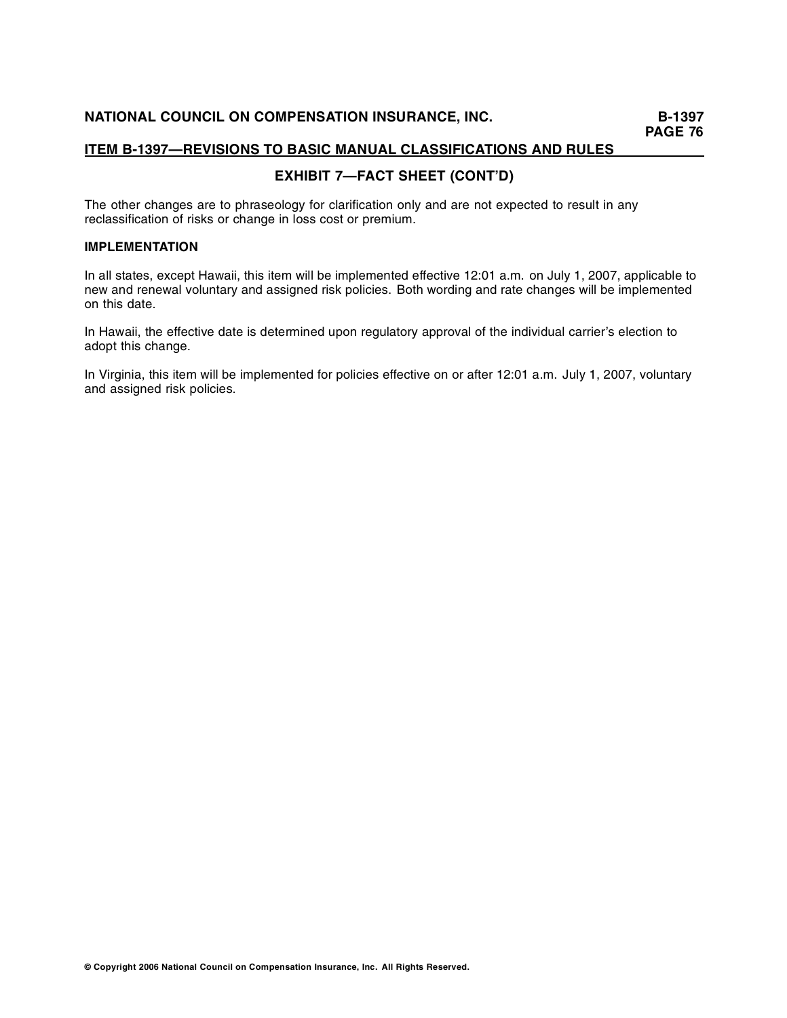# **EXHIBIT 7—FACT SHEET (CONT'D)**

The other changes are to phraseology for clarification only and are not expected to result in any reclassification of risks or change in loss cost or premium.

# **IMPLEMENTATION**

In all states, except Hawaii, this item will be implemented effective 12:01 a.m. on July 1, 2007, applicable to new and renewal voluntary and assigned risk policies. Both wording and rate changes will be implemented on this date.

In Hawaii, the effective date is determined upon regulatory approval of the individual carrier's election to adopt this change.

In Virginia, this item will be implemented for policies effective on or after 12:01 a.m. July 1, 2007, voluntary and assigned risk policies.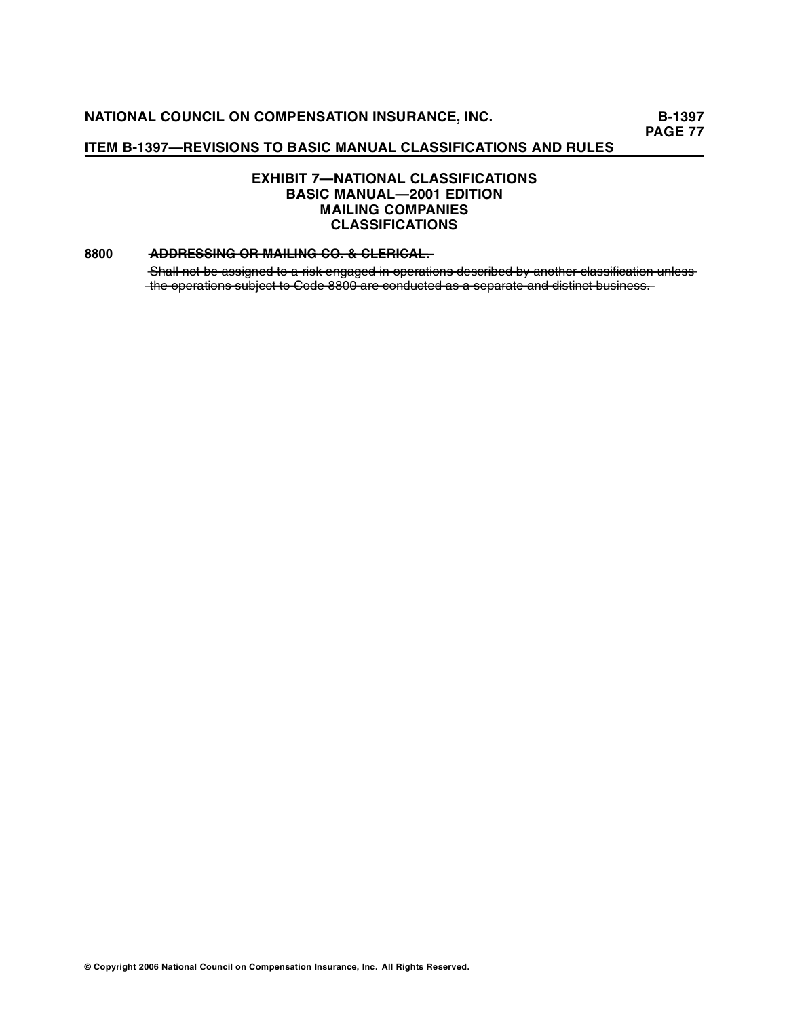# **ITEM B-1397—REVISIONS TO BASIC MANUAL CLASSIFICATIONS AND RULES**

# **EXHIBIT 7—NATIONAL CLASSIFICATIONS BASIC MANUAL—2001 EDITION MAILING COMPANIES CLASSIFICATIONS**

## **8800 • ADDRESSING OR MAILING CO. & CLERICAL.**

Shall not be assigned to a risk engaged in operations described by another classification unlessthe operations subject to Code 8800 are conducted as a separate and distinct business.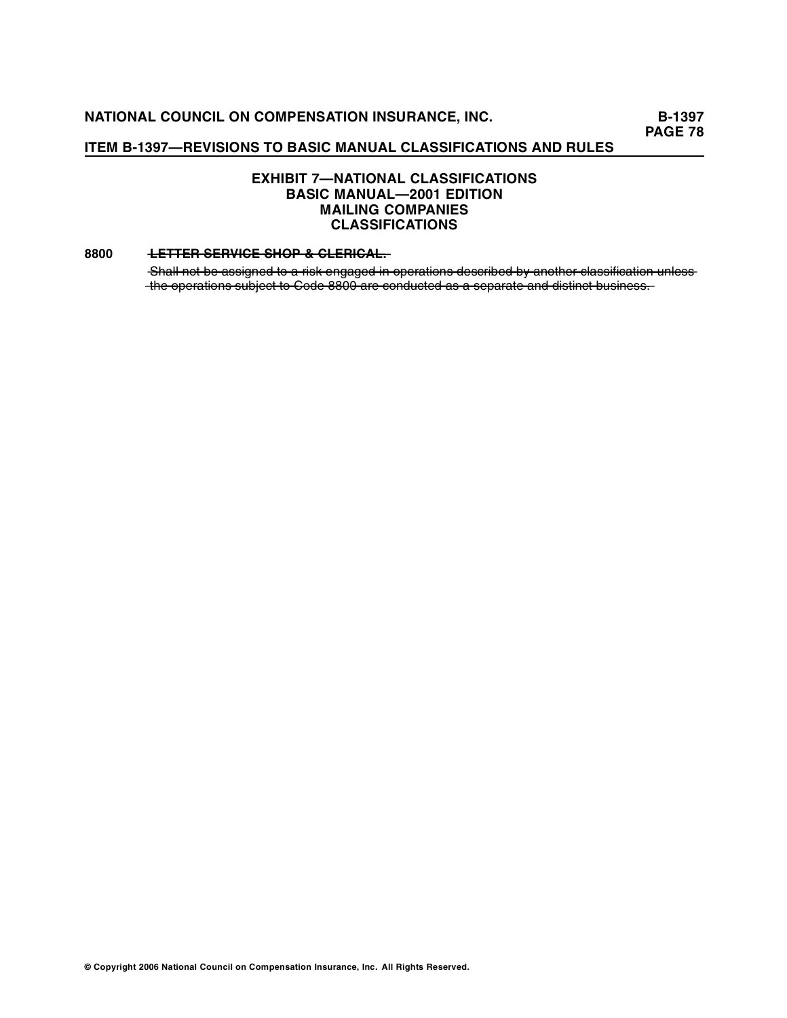# **ITEM B-1397—REVISIONS TO BASIC MANUAL CLASSIFICATIONS AND RULES**

# **EXHIBIT 7—NATIONAL CLASSIFICATIONS BASIC MANUAL—2001 EDITION MAILING COMPANIES CLASSIFICATIONS**

#### **8800 • LETTER SERVICE SHOP & CLERICAL.**

Shall not be assigned to a risk engaged in operations described by another classification unlessthe operations subject to Code 8800 are conducted as a separate and distinct business.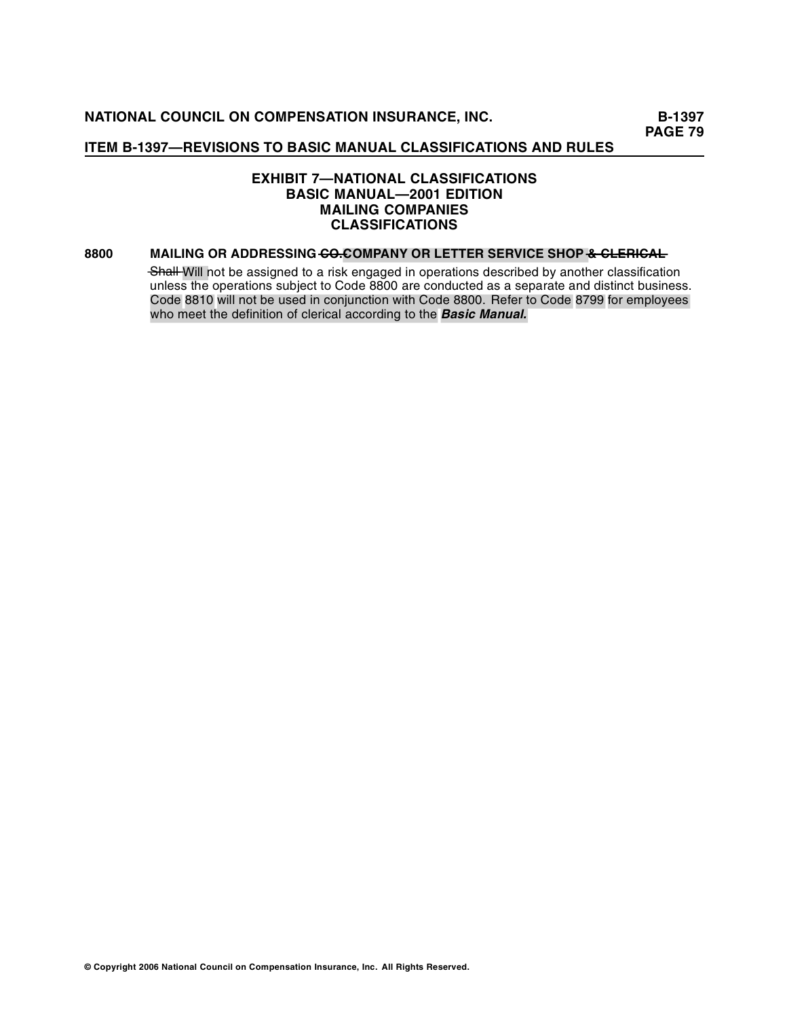# **EXHIBIT 7—NATIONAL CLASSIFICATIONS BASIC MANUAL—2001 EDITION MAILING COMPANIES CLASSIFICATIONS**

## **8800 MAILING OR ADDRESSING CO. COMPANY OR LETTER SERVICE SHOP & CLERICAL**

Shall Will not be assigned to a risk engaged in operations described by another classification unless the operations subject to Code 8800 are conducted as a separate and distinct business. Code 8810 will not be used in conjunction with Code 8800. Refer to Code 8799 for employees who meet the definition of clerical according to the **Basic Manual.**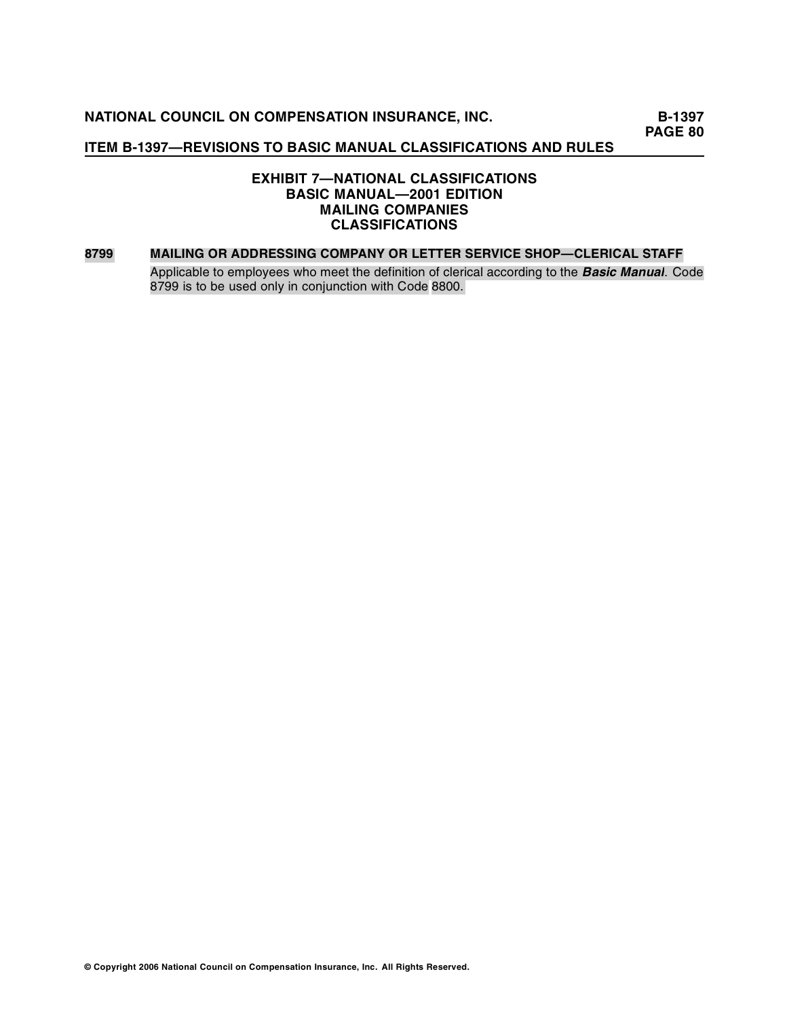# **ITEM B-1397—REVISIONS TO BASIC MANUAL CLASSIFICATIONS AND RULES**

# **EXHIBIT 7—NATIONAL CLASSIFICATIONS BASIC MANUAL—2001 EDITION MAILING COMPANIES CLASSIFICATIONS**

#### **8799 MAILING OR ADDRESSING COMPANY OR LETTER SERVICE SHOP—CLERICAL STAFF**

Applicable to employees who meet the definition of clerical according to the *Basic Manual*. Code 8799 is to be used only in conjunction with Code 8800.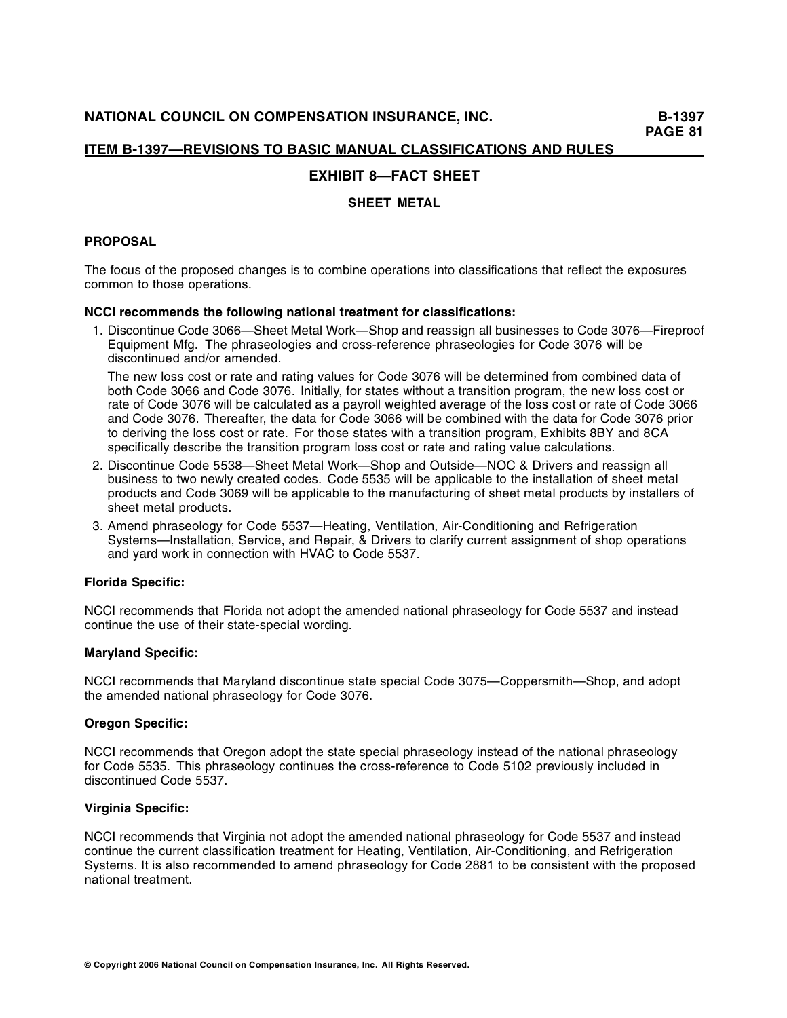# **EXHIBIT 8—FACT SHEET**

# **SHEET METAL**

# **PROPOSAL**

The focus of the proposed changes is to combine operations into classifications that reflect the exposures common to those operations.

## **NCCI recommends the following national treatment for classifications:**

1. Discontinue Code 3066—Sheet Metal Work—Shop and reassign all businesses to Code 3076—Fireproof Equipment Mfg. The phraseologies and cross-reference phraseologies for Code 3076 will be discontinued and/or amended.

The new loss cost or rate and rating values for Code 3076 will be determined from combined data of both Code 3066 and Code 3076. Initially, for states without a transition program, the new loss cost or rate of Code 3076 will be calculated as a payroll weighted average of the loss cost or rate of Code 3066 and Code 3076. Thereafter, the data for Code 3066 will be combined with the data for Code 3076 prior to deriving the loss cost or rate. For those states with a transition program, Exhibits 8BY and 8CA specifically describe the transition program loss cost or rate and rating value calculations.

- 2. Discontinue Code 5538—Sheet Metal Work—Shop and Outside—NOC & Drivers and reassign all business to two newly created codes. Code 5535 will be applicable to the installation of sheet metal products and Code 3069 will be applicable to the manufacturing of sheet metal products by installers of sheet metal products.
- 3. Amend phraseology for Code 5537—Heating, Ventilation, Air-Conditioning and Refrigeration Systems—Installation, Service, and Repair, & Drivers to clarify current assignment of shop operations and yard work in connection with HVAC to Code 5537.

# **Florida Specific:**

NCCI recommends that Florida not adopt the amended national phraseology for Code 5537 and instead continue the use of their state-special wording.

# **Maryland Specific:**

NCCI recommends that Maryland discontinue state special Code 3075—Coppersmith—Shop, and adopt the amended national phraseology for Code 3076.

#### **Oregon Specific:**

NCCI recommends that Oregon adopt the state special phraseology instead of the national phraseology for Code 5535. This phraseology continues the cross-reference to Code 5102 previously included in discontinued Code 5537.

# **Virginia Specific:**

NCCI recom mends that Virginia not adopt the amended national phraseology for Code 5537 and instead continue the current classification treatment for Heating, Ventilation, Air-Conditioning, and Refrigeration Systems. It is also recommended to amend phraseology for Code 2881 to be consistent with the proposed national treatment.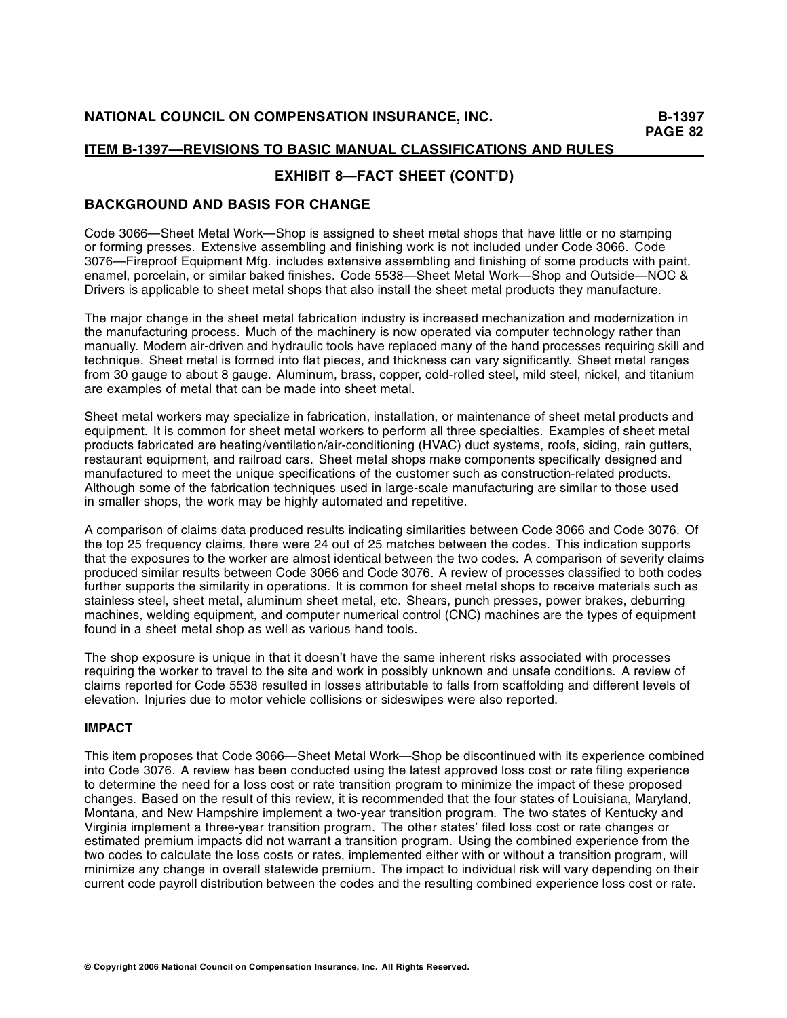# **EXHIBIT 8—FACT SHEET (CONT'D)**

# **BACKGROUND AND BASIS FOR CHANGE**

Code 3066—Sheet Metal Work—Shop is assigned to sheet metal shops that have little or no stamping or forming presses. Extensive assembling and finishing work is not included under Code 3066. Code 3076—Fireproof Equipment Mfg. includes extensive assembling and finishing of some products with paint, enamel, porcelain, or similar baked finishes. Code 5538—Sheet Metal Work—Shop and Outside—NOC & Drivers is applicable to sheet metal shops that also install the sheet metal products they manufacture.

The major change in the sheet metal fabrication industry is increased mechanization and modernization in the manufacturing process. Much of the machinery is now operated via computer technology rather than manually. Modern air-driven and hydraulic tools have replaced many of the hand processes requiring skill and technique. Sheet metal is formed into flat pieces, and thickness can vary significantly. Sheet metal ranges from 30 gauge to about 8 gauge. Aluminum, brass, copper, cold-rolled steel, mild steel, nickel, and titanium are examples of metal that can be made into sheet metal.

Sheet metal workers may specialize in fabrication, installation, or maintenance of sheet metal products and equipment. It is common for sheet metal workers to perform all three specialties. Examples of sheet metal products fabricated are heating/ventilation/air-conditioning (HVAC) duct systems, roofs, siding, rain gutters, restaurant equipment, and railroad cars. Sheet metal shops make components specifically designed and manufactured to meet the unique specifications of the customer such as construction-related products. Although some of the fabrication techniques used in large-scale manufacturing are similar to those used in smaller shops, the work may be highly automated and repetitive.

A comparison of claims data produced results indicating similarities between Code 3066 and Code 3076. Of the top 25 frequency claims, there were 24 out of 25 matches between the codes. This indication supports that the exposures to the worker are almost identical between the two codes. A comparison of severity claims produced similar results between Code 3066 and Code 3076. A review of processes classified to both codes further supports the similarity in operations. It is common for sheet metal shops to receive materials such as stainless steel, sheet metal, aluminum sheet metal, etc. Shears, punch presses, power brakes, deburring machines, welding equipment, and computer numerical control (CNC) machines are the types of equipment found in a sheet metal shop as well as various hand tools.

The shop exposure is unique in that it doesn't have the same inherent risks associated with processes requiring the worker to travel to the site and work in possibly unknown and unsafe conditions. A review of claims reported for Code 5538 resulted in losses attributable to falls from scaffolding and different levels of elevation. Injuries due to motor vehicle collisions or sideswipes were also reported.

# **IMPACT**

This item proposes that Code 3066—Sheet Metal Work—Shop be discontinued with its experience combined into Code 3076. A review has been conducted using the latest approved loss cost or rate filing experience to determine the need for a loss cost or rate transition program to minimize the impact of these proposed changes. Based on the result of this review, it is recommended that the four states of Louisiana, Maryland, Montana, and New Hampshire implement a two-year transition program. The two states of Kentucky and Virginia implement a three-year transition program. The other states' filed loss cost or rate changes or estimated premium impacts did not warrant a transition program. Using the combined experience from the two codes to calculate the loss costs or rates, implemented either with or without a transition program, will minimize any change in overall statewide premium. The impact to individual risk will vary depending on their current code payroll distribution between the codes and the resulting combined experience loss cost or rate.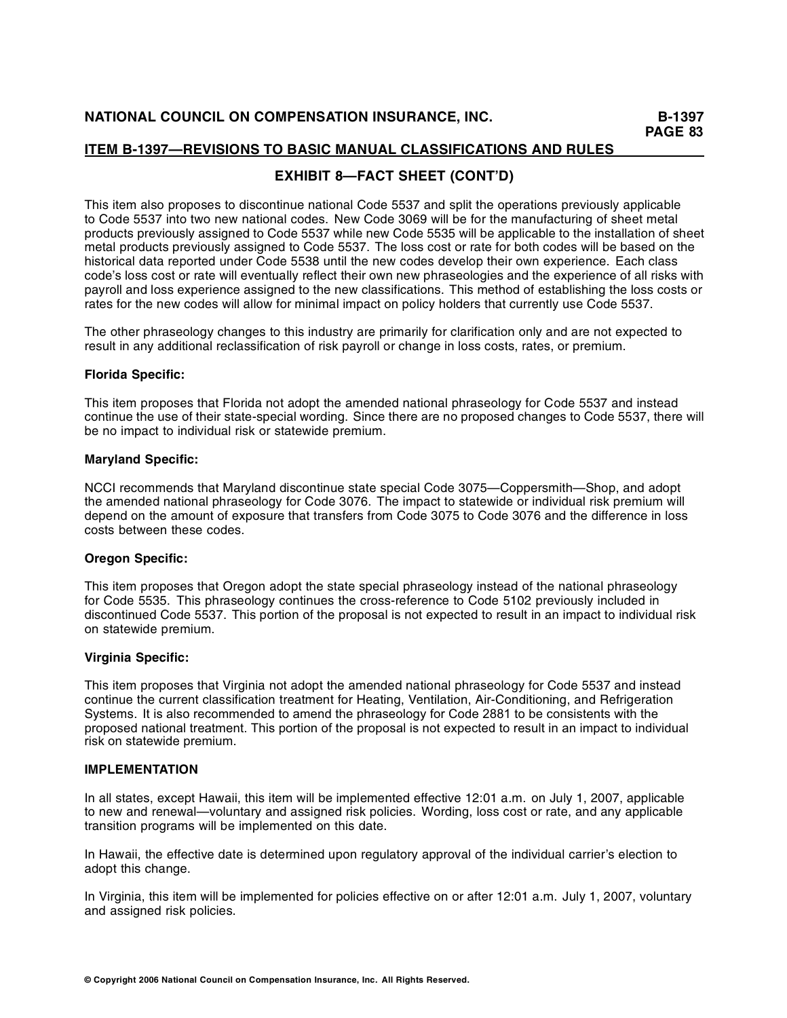# **EXHIBIT 8—FACT SHEET (CONT'D)**

This item also proposes to discontinue national Code 5537 and split the operations previously applicable to Code 5537 into two new national codes. New Code 3069 will be for the manufacturing of sheet metal products previously assigned to Code 5537 while new Code 5535 will be applicable to the installation of sheet metal products previously assigned to Code 5537. The loss cost or rate for both codes will be based on the historical data reported under Code 5538 until the new codes develop their own experience. Each class code's loss cost or rate will eventually reflect their own new phraseologies and the experience of all risks with payroll and loss experience assigned to the new classifications. This method of establishing the loss costs or rates for the new codes will allow for minimal impact on policy holders that currently use Code 5537.

The other phraseology changes to this industry are primarily for clarification only and are not expected to result in any additional reclassification of risk payroll or change in loss costs, rates, or premium.

## **Florida Specific:**

This item proposes that Florida not adopt the amended national phraseology for Code 5537 and instead continue the use of their state-special wording. Since there are no proposed changes to Code 5537, there will be no impact to individual risk or statewide premium.

## **Maryland Specific:**

NCCI recommends that Maryland discontinue state special Code 3075—Coppersmith—Shop, and adopt the amended national phraseology for Code 3076. The impact to statewide or individual risk premium will depend on the amount of exposure that transfers from Code 3075 to Code 3076 and the difference in loss costs between these codes.

#### **Oregon Specific:**

This item proposes that Oregon adopt the state special phraseology instead of the national phraseology for Code 5535. This phraseology continues the cross-reference to Code 5102 previously included in discontinued Code 5537. This portion of the proposal is not expected to result in an impact to individual risk on statewide premium.

#### **Virginia Specific:**

This item proposes that Virginia not adopt the amended national phraseology for Code 5537 and instead continue the current classification treatment for Heating, Ventilation, Air-Conditioning, and Refrigeration Systems. It is also recommended to amend the phraseology for Code 2881 to be consistents with the proposed national treatment. This portion of the proposal is not expected to result in an impact to individual risk on statewide premium.

#### **IMPLEMENTATION**

In all states, except Hawaii, this item will be implemented effective 12:01 a.m. on July 1, 2007, applicable to new and renewal—voluntary and assigned risk policies. Wording, loss cost or rate, and any applicable transition programs will be implemented on this date.

In Hawaii, the effective date is determined upon regulatory approval of the individual carrier's election to adopt this change.

In Virginia, this item will be implemented for policies effective on or after 12:01 a.m. July 1, 2007, voluntary and assigned risk policies.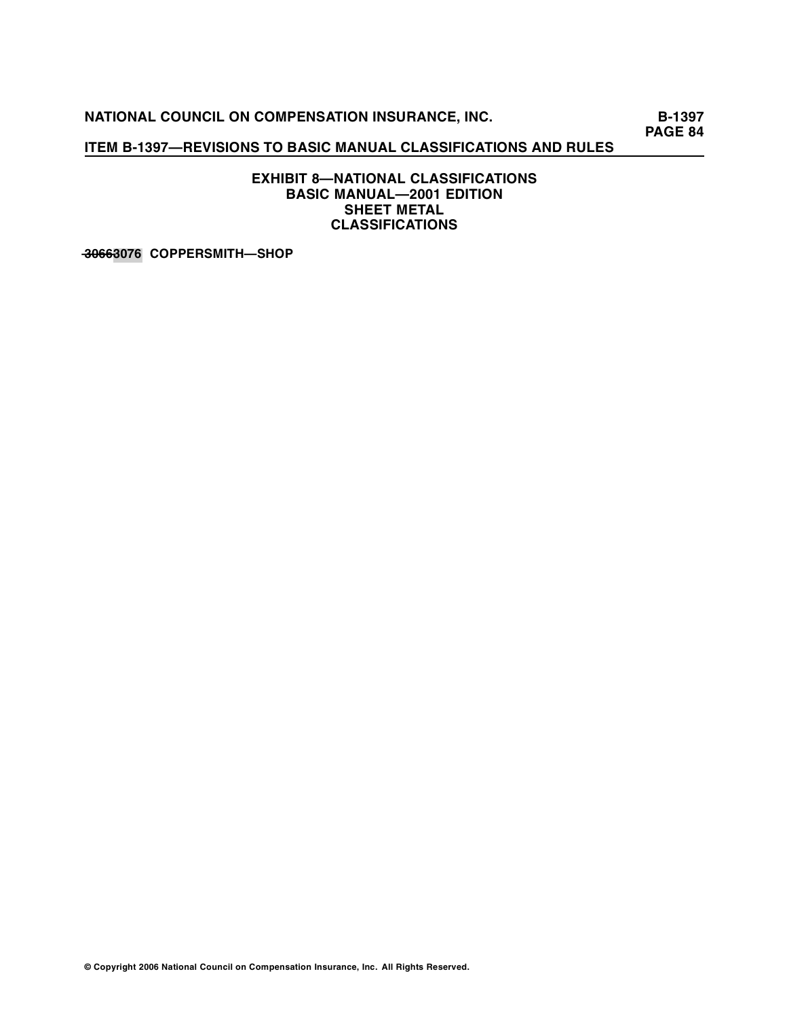# **ITEM B-1397—REVISIONS TO BASIC MANUAL CLASSIFICATIONS AND RULES**

**EXHIBIT 8—NATIONAL CLASSIFICATIONS BASIC MANUAL—2001 EDITION SHEET METAL CLASSIFICATIONS** 

**—03—6—6—3076 COPPERSMITH—SHOP**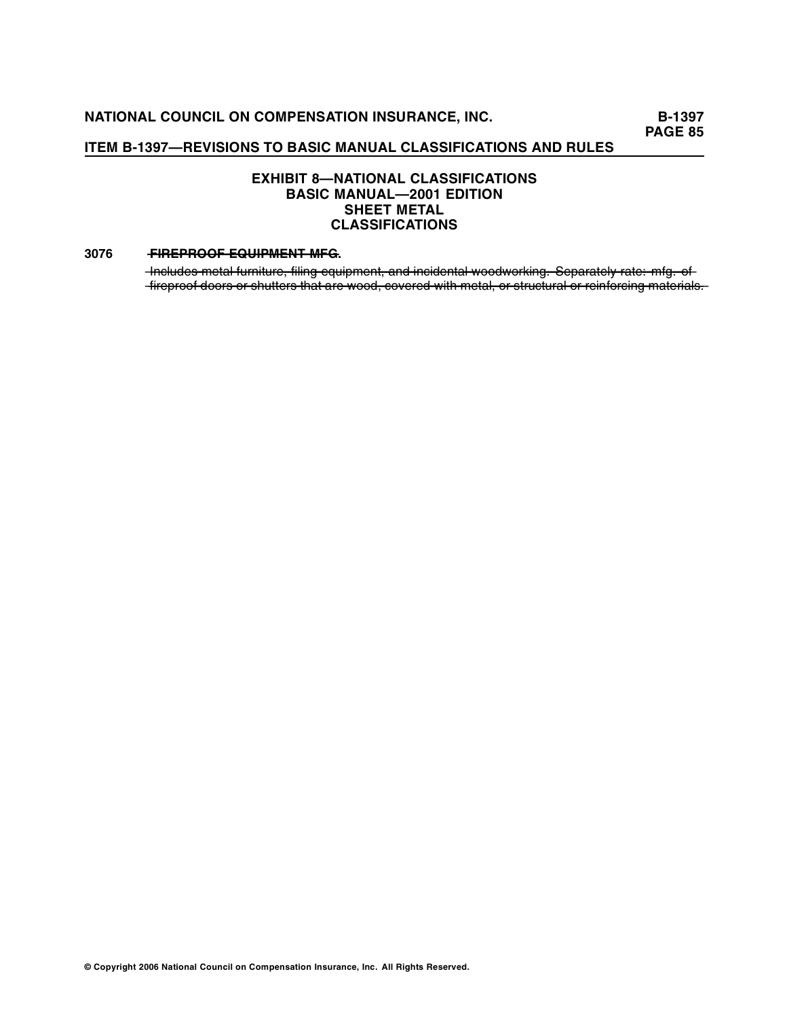# **EXHIBIT 8—NATIONAL CLASSIFICATIONS BASIC MANUAL—2001 EDITION SHEET METAL CLASSIFICATIONS**

#### **3076 •• FIREPROOF EQUIPMENT MFG.**

-Includes metal furniture, filing equipment, and incidental woodworking. Separately rate: mfg. of -fireproof doors or shutters that are wood, covered with metal, or structural or reinforcing materials.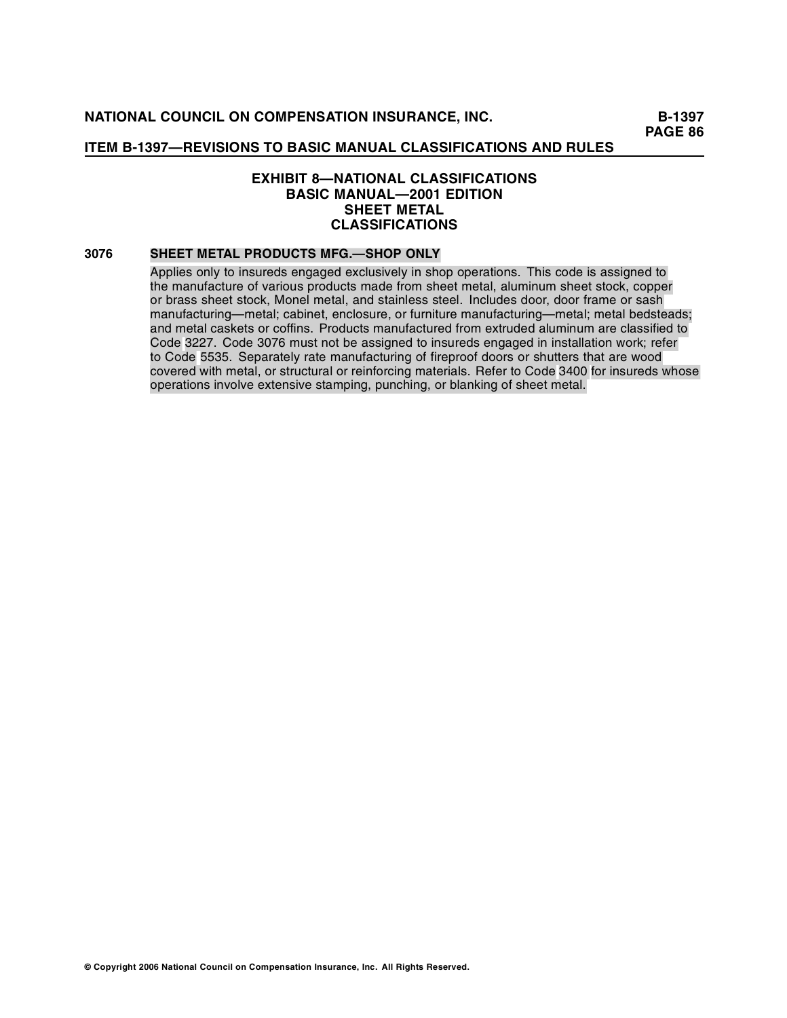# **EXHIBIT 8—NATIONAL CLASSIFICATIONS BASIC MANUAL—2001 EDITION SHEET METAL CLASSIFICATIONS**

#### **3076 SHEET METAL PRODUCTS MFG.—SHOP ONLY**

Applies only to insureds engaged exclusively in shop operations. This code is assigned to the manufacture of various products made from sheet metal, aluminum sheet stock, copper or brass sheet stock, Monel metal, and stainless steel. Includes door, door frame or sash manufacturing—metal; cabinet, enclosure, or furniture manufacturing—metal; metal bedsteads; and metal caskets or coffins. Products manufactured from extruded aluminum are classified to Code 3227. Code 3076 must not be assigned to insureds engaged in installation work; refer to Code 5535. Separately rate manufacturing of fireproof doors or shutters that are wood covered with metal, or structural or reinforcing materials. Refer to Code 3400 for insureds whose operations involve extensive stamping, punching, or blanking of sheet metal.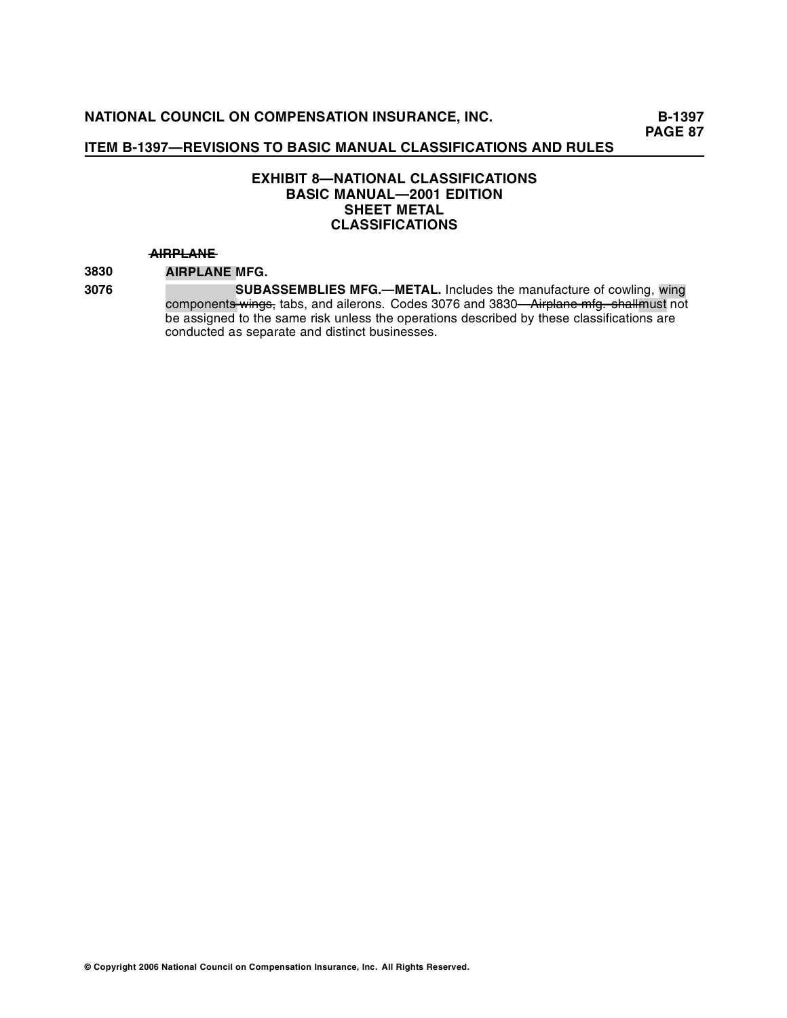# **EXHIBIT 8—NATIONAL CLASSIFICATIONS BASIC MANUAL—2001 EDITION SHEET METAL CLASSIFICATIONS**

#### $A$  **HRPLANE**

**3830 AIRPLANE MFG.** 

**3076 AIRPLANE SUBASSEMBLIES MFG.—METAL.** Includes the manufacture of cowling, wing component<del>s wings,</del> tabs, and ailerons. Codes 3076 and 3830—<del>Airplane mfg. shallm</del>ust not be assigned to the same risk unless the operations described by these classifications are conducted as separate and distinct businesses.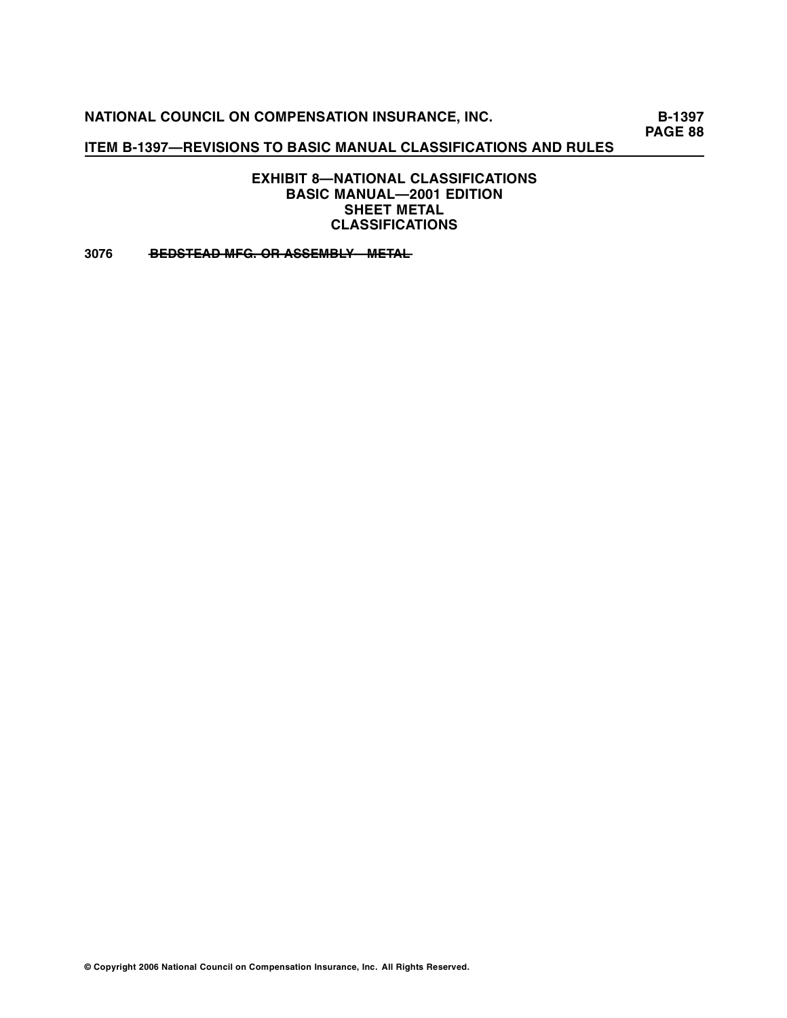# **ITEM B-1397—REVISIONS TO BASIC MANUAL CLASSIFICATIONS AND RULES**

**EXHIBIT 8—NATIONAL CLASSIFICATIONS BASIC MANUAL—2001 EDITION SHEET METAL CLASSIFICATIONS** 

3076 BEDSTEAD MFG. OR ASSEMBLY METAL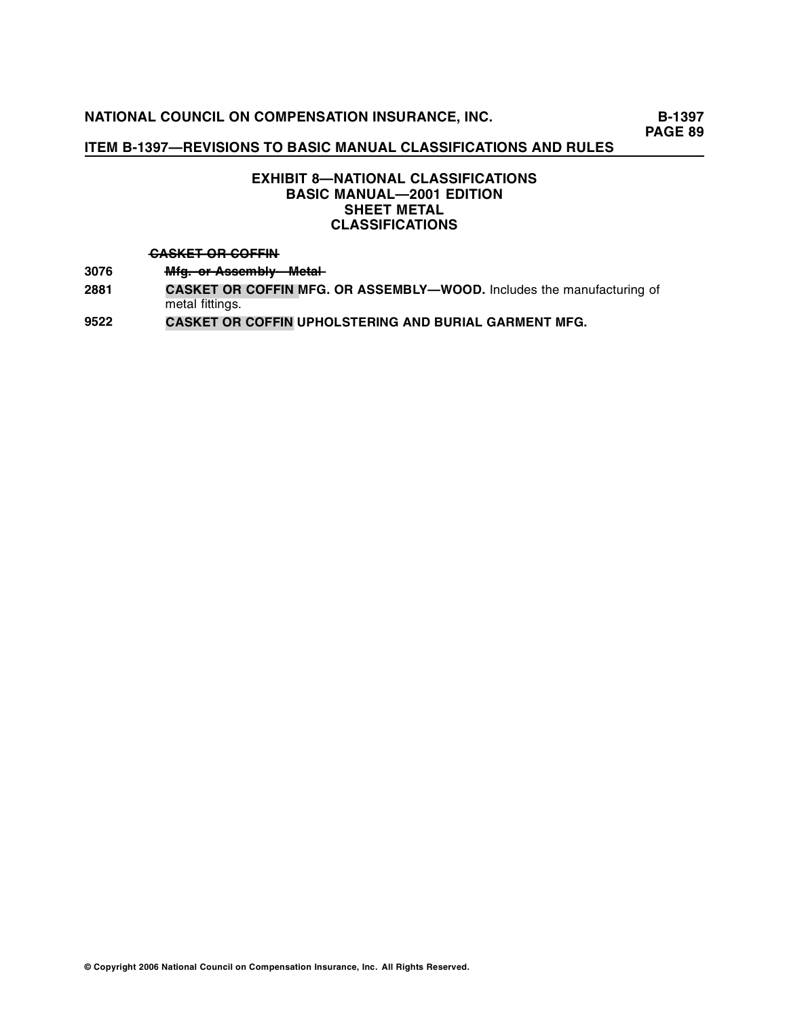# **EXHIBIT 8—NATIONAL CLASSIFICATIONS BASIC MANUAL—2001 EDITION SHEET METAL CLASSIFICATIONS**

#### $A$ <sup>+</sup>  $A$ <sup>+</sup>  $B$ <sup>+</sup>  $B$ <sup>+</sup>  $B$ <sup>+</sup>  $B$ <sup>+</sup>  $B$ <sup>+</sup> $B$ <sup>+</sup> $B$ <sup>+</sup> $B$ <sup>+</sup> $B$ <sup>+</sup> $B$ <sup>+</sup> $B$ <sup>+</sup> $B$ <sup>+</sup> $F$ <sup>+ $B$ </sup> $F$

- 3076 **Mfg. or Assembly Metal-**
- **2881 CASKET OR COFFIN MFG. OR ASSEMBLY—WOOD.** Includes the manufacturing of metal fittings.
- **9522 CASKET OR COFFIN UPHOLSTERING AND BURIAL GARMENT MFG.**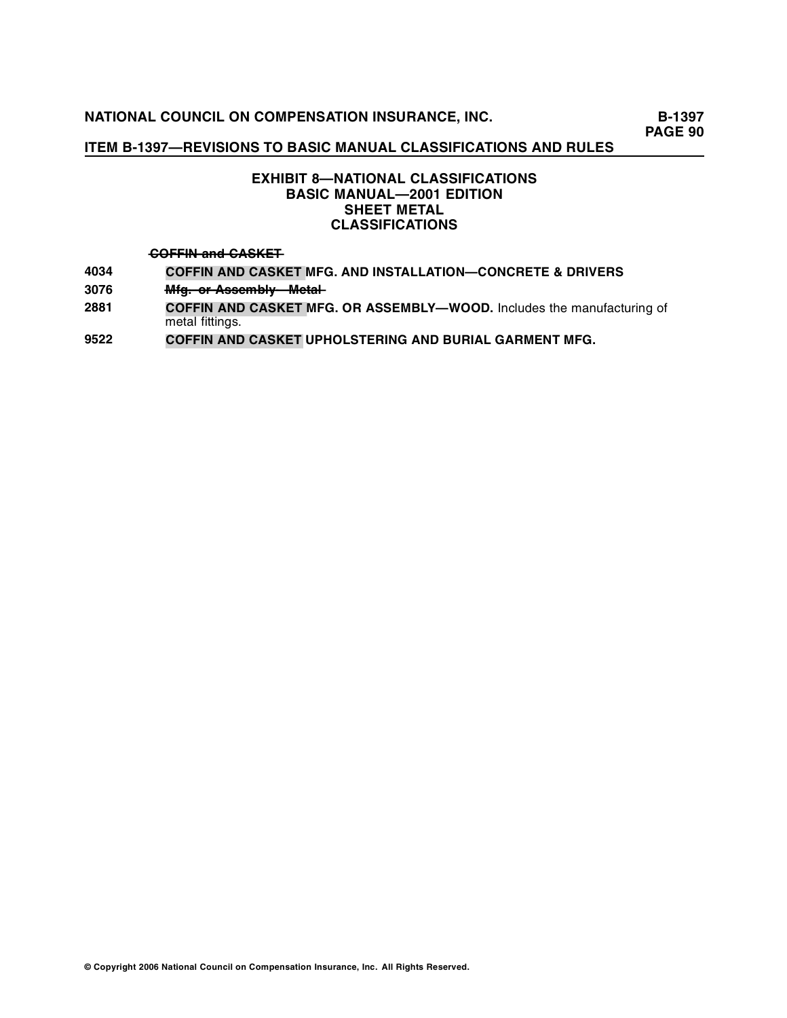# **ITEM B-1397—REVISIONS TO BASIC MANUAL CLASSIFICATIONS AND RULES**

# **EXHIBIT 8—NATIONAL CLASSIFICATIONS BASIC MANUAL—2001 EDITION SHEET METAL CLASSIFICATIONS**

#### $\overline{GOFFIN}$  and  $\overline{GASKET}$

- **4034 COFFIN AND CASKET MFG. AND INSTALLATION—CONCRETE & DRIVERS**
- 3076 **Mfg. or Assembly Metal-**
- **2881 COFFIN AND CASKET MFG. OR ASSEMBLY—WOOD.** Includes the manufacturing of metal fittings.
- **9522 COFFIN AND CASKET UPHOLSTERING AND BURIAL GARMENT MFG.**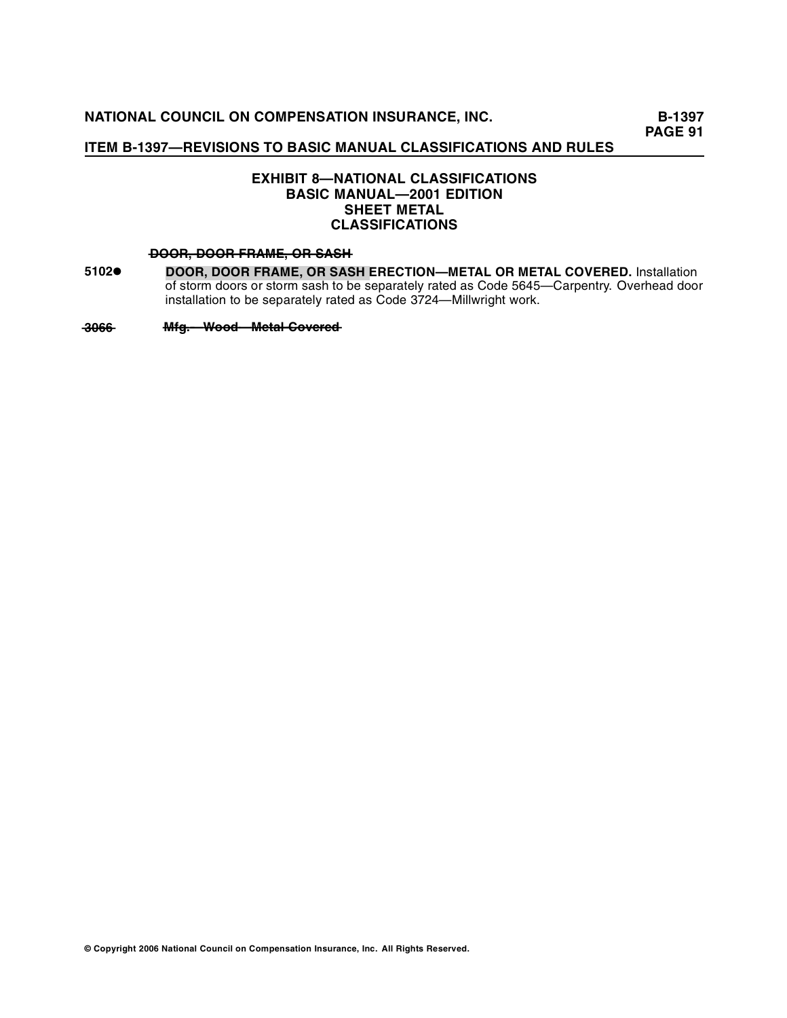# **EXHIBIT 8—NATIONAL CLASSIFICATIONS BASIC MANUAL—2001 EDITION SHEET METAL CLASSIFICATIONS**

#### **—OD —, —O —O—R——D ——R—M—, —R— — —O—R—F—A—E——O——A—H S—S—**

**5102• DOOR, DOOR FRAME, OR SASH ERECTION—METAL OR METAL COVERED.** Installation of storm doors or storm sash to be separately rated as Code 5645—Carpentry. Overhead door installation to be separately rated as Code 3724—Millwright work.

**—03—6—6— —fg —W ———e—l —o—e —d M —.——o —— —o—d—M—ta— ——C —— — —v—re**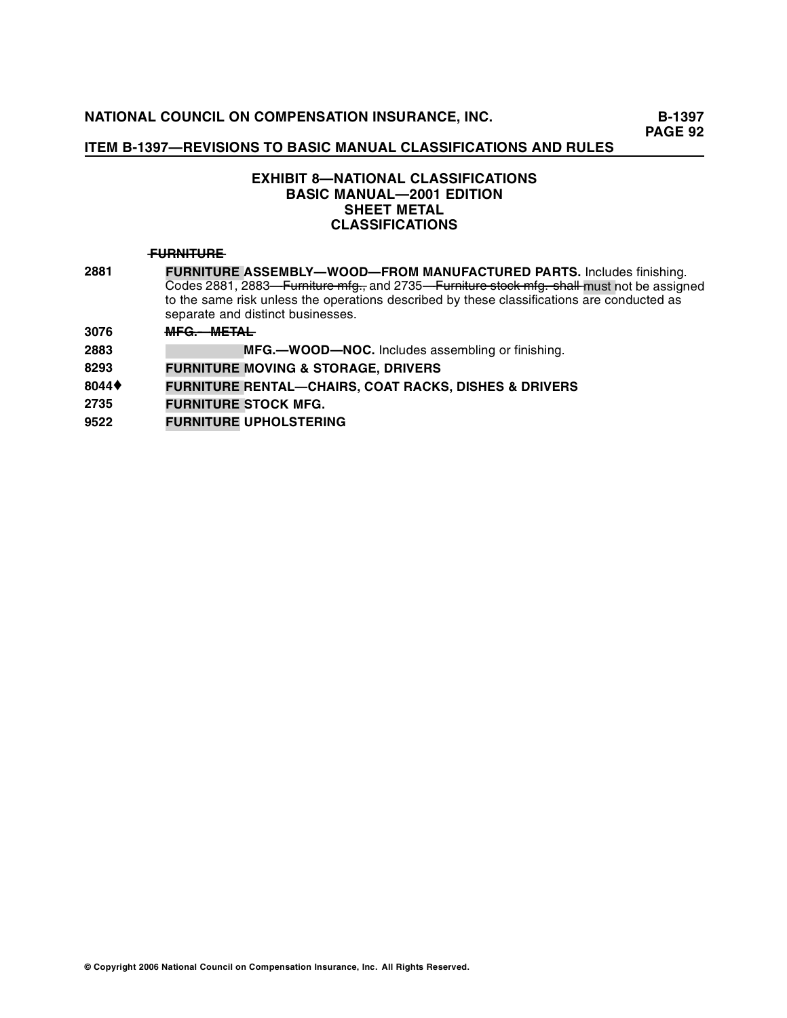# **EXHIBIT 8—NATIONAL CLASSIFICATIONS BASIC MANUAL—2001 EDITION SHEET METAL CLASSIFICATIONS**

#### **—U—N—U—E F—R—IT——R—**

- **2881 FURNITURE ASSEMBLY—WOOD—FROM MANUFACTURED PARTS.** Includes finishing. Codes 2881, 2883—Furniture mfg., and 2735—Furniture stock mfg. shall must not be assigned to the same risk unless the operations described by these classifications are conducted as separate and distinct businesses.
- **3076 MFG. METAL**
- **2883 FURNITURE MEG.** MFG. **HOOD—NOC.** Includes assembling or finishing.
- **8293 FURNITURE MOVING & STORAGE, DRIVERS**
- **<sup>8044</sup>**♦ **FURNITURE RENTAL—CHAIRS, COAT RACKS, DISHES & DRIVERS**
- **FURNITURE STOCK MFG. 2735**
- **9522 FURNITURE UPHOLSTERING**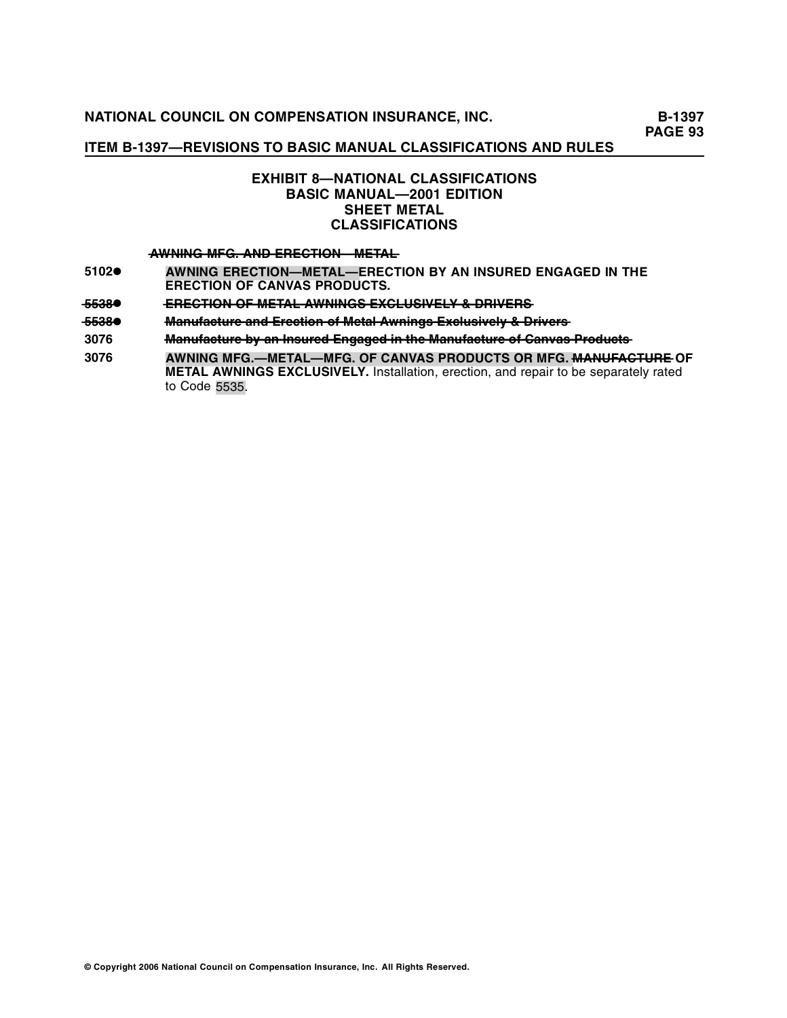# **ITEM B-1397—REVISIONS TO BASIC MANUAL CLASSIFICATIONS AND RULES**

# **EXHIBIT 8—NATIONAL CLASSIFICATIONS BASIC MANUAL—2001 EDITION SHEET METAL CLASSIFICATIONS**

## **—W—IN——F—. —N——R—C—IO———E—A— A—N—G — —M—G——A—D—E—E—T——N—M—T—L**

- **5102• AWNING ERECTION—METAL—ERECTION BY AN INSURED ENGAGED IN THE ERECTION OF CANVAS PRODUCTS.**
- **—5—8 5—3— E—E—T • —R—C—IO——F —E— ——N—O——M—TA——L —W—IN—S—X—L—S—E— —A—N —G— — —E—C—U—IV — —LY ——R—E—S ——&—D—IV—R—**
- <del>5538●</del> <del>Manufacture and Erection of Metal Awnings Exclusively & Drivers</del><br>3076 <del>Manufacture by an Insured Engaged in the Manufacture of Canvas</del>
- Manufacture by an Insured Engaged in the Manufacture of Canvas Products
- **3076 AWNING MFG.—METAL—MFG. OF CANVAS PRODUCTS OR MFG. <del>MANUFACTURE</del> OF METAL AWNINGS EXCLUSIVELY.** Installation, erection, and repair to be separately rated to Code 5535.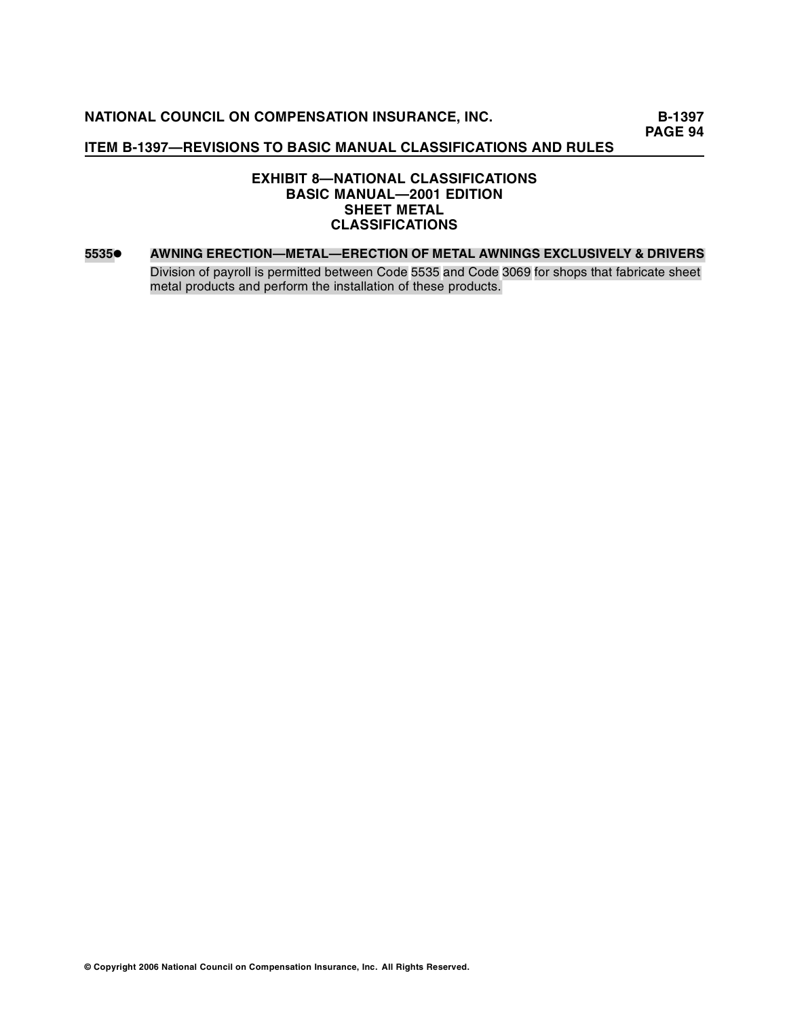# **ITEM B-1397—REVISIONS TO BASIC MANUAL CLASSIFICATIONS AND RULES**

# **EXHIBIT 8—NATIONAL CLASSIFICATIONS BASIC MANUAL—2001 EDITION SHEET METAL CLASSIFICATIONS**

#### **5535• AWNING ERECTION—METAL—ERECTION OF METAL AWNINGS EXCLUSIVELY & DRIVERS**

Division of payroll is permitted between Code 5535 and Code 3069 for shops that fabricate sheet metal products and perform the installation of these products.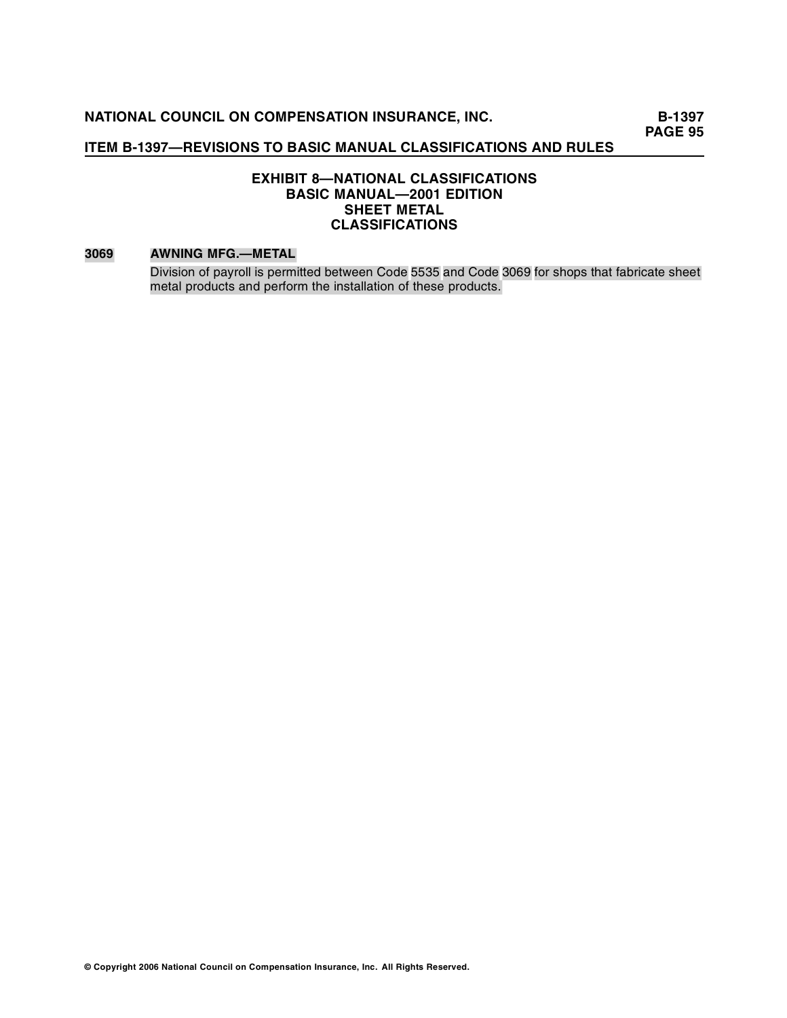**B-1397 PAGE 95** 

# **ITEM B-1397—REVISIONS TO BASIC MANUAL CLASSIFICATIONS AND RULES**

# **EXHIBIT 8—NATIONAL CLASSIFICATIONS BASIC MANUAL—2001 EDITION SHEET METAL CLASSIFICATIONS**

#### **3069 AWNING MFG.—METAL**

Division of payroll is permitted between Code 5535 and Code 3069 for shops that fabricate sheet metal products and perform the installation of these products.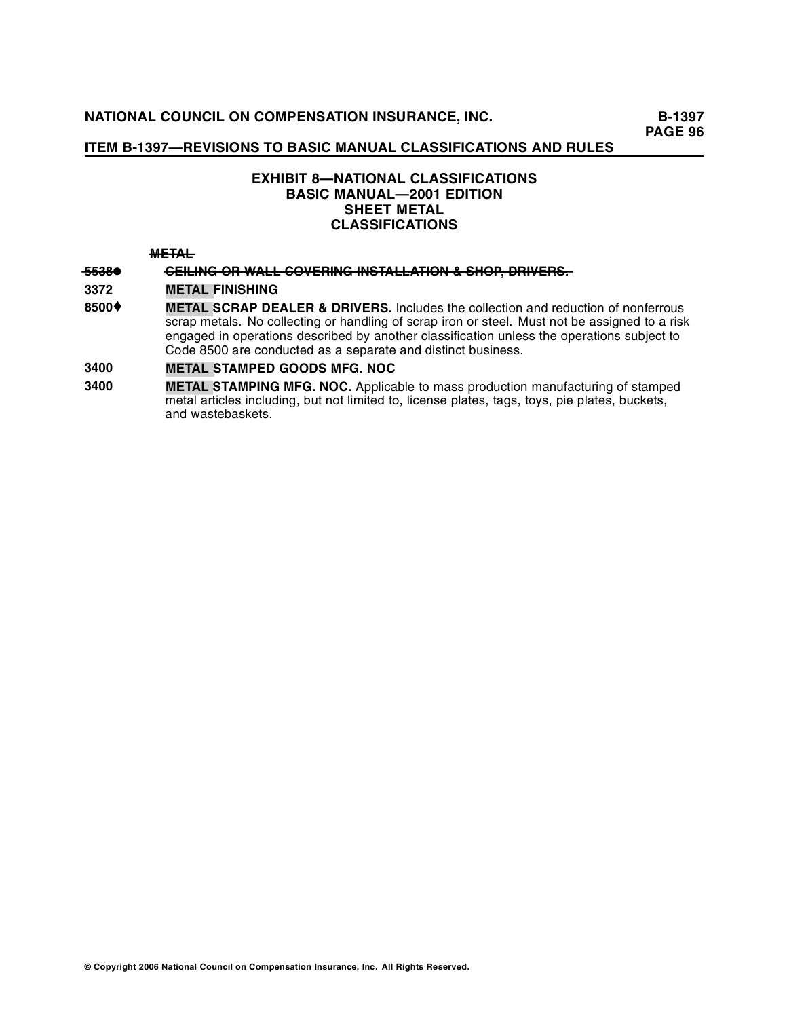# **EXHIBIT 8—NATIONAL CLASSIFICATIONS BASIC MANUAL—2001 EDITION SHEET METAL CLASSIFICATIONS**

#### **—E— M—TA— —L**

# **—5—8 5—3— C—IL —G • —E—IN——R —— —O— —A —O—E—IN— IN—T—L —W—L—L——C—V—R —G — ———S—A —T —N —L—A — — —R—. —IO———H—P, D—IV —&—S—O————R—E—S—**

**3372 METAL FINISHING** 

**<sup>8500</sup>**♦ **METAL SCRAP DEALER & DRIVERS.** Includes the collection and reduction of nonferrous scrap metals. No collecting or handling of scrap iron or steel. Must not be assigned to a risk engaged in operations described by another classification unless the operations subject to Code 8500 are conducted as a separate and distinct business.

# **3400 METAL STAMPED GOODS MFG. NOC**

**3400 METAL STAMPING MFG. NOC.** Applicable to mass production manufacturing of stamped metal articles including, but not limited to, license plates, tags, toys, pie plates, buckets, and wastebaskets.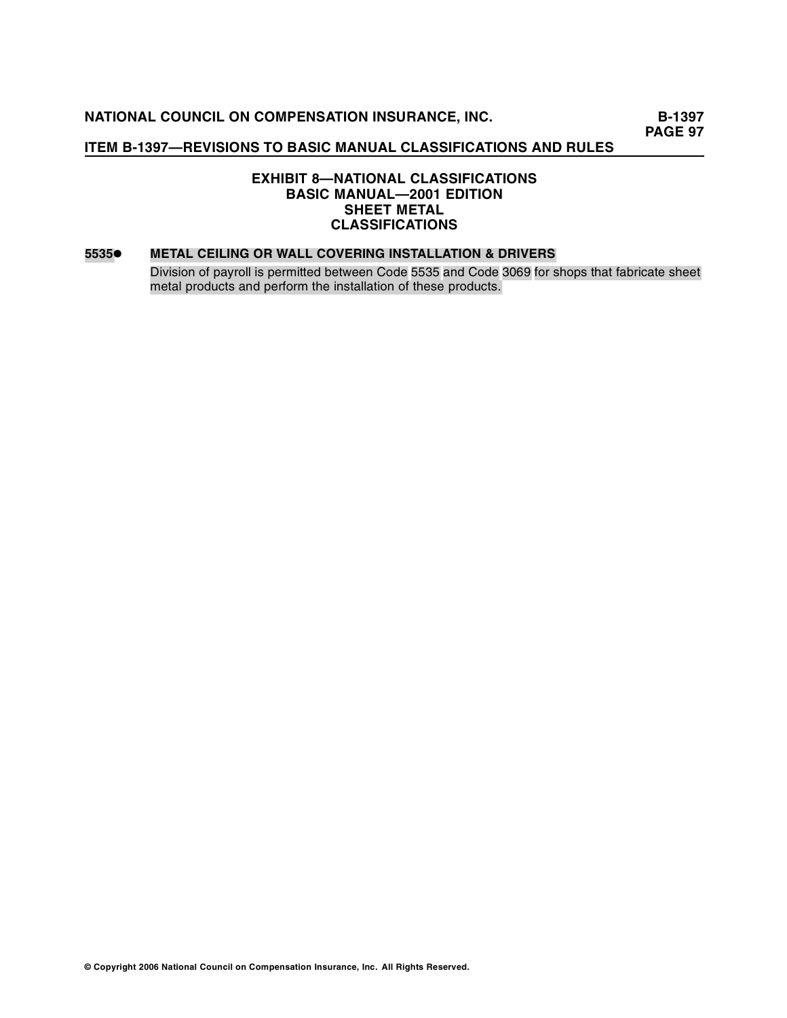# **ITEM B-1397—REVISIONS TO BASIC MANUAL CLASSIFICATIONS AND RULES**

# **EXHIBIT 8—NATIONAL CLASSIFICATIONS BASIC MANUAL—2001 EDITION SHEET METAL CLASSIFICATIONS**

#### **5535• METAL CEILING OR WALL COVERING INSTALLATION & DRIVERS**

Division of payroll is permitted between Code 5535 and Code 3069 for shops that fabricate sheet metal products and perform the installation of these products.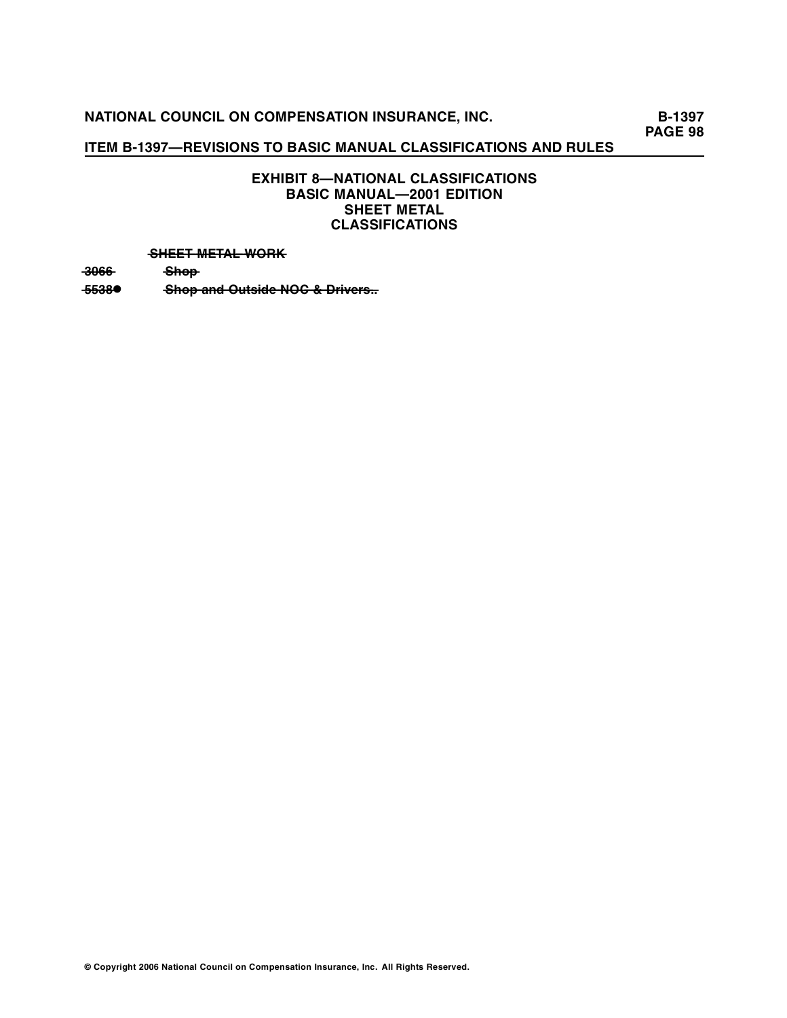# **ITEM B-1397—REVISIONS TO BASIC MANUAL CLASSIFICATIONS AND RULES**

# **EXHIBIT 8—NATIONAL CLASSIFICATIONS BASIC MANUAL—2001 EDITION SHEET METAL CLASSIFICATIONS**

#### **SHEET METAL WORK**

**—0—6—6 3 — S—h—o—p—**

**–5538● • • • Shop and Outside NOC & Drivers...**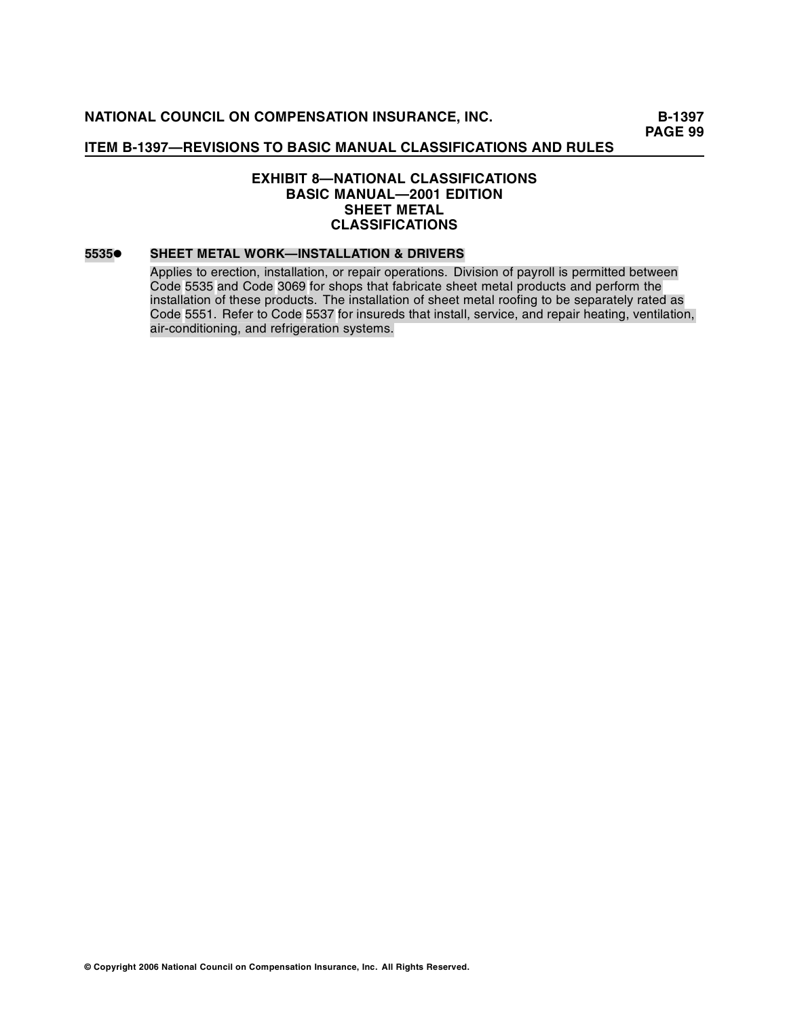# **EXHIBIT 8—NATIONAL CLASSIFICATIONS BASIC MANUAL—2001 EDITION SHEET METAL CLASSIFICATIONS**

## **5535• SHEET METAL WORK—INSTALLATION & DRIVERS**

Applies to erection, installation, or repair operations. Division of payroll is permitted between Code 5535 and Code 3069 for shops that fabricate sheet metal products and perform the installation of these products. The installation of sheet metal roofing to be separately rated as Code 5551. Refer to Code 5537 for insureds that install, service, and repair heating, ventilation, air-conditioning, and refrigeration systems.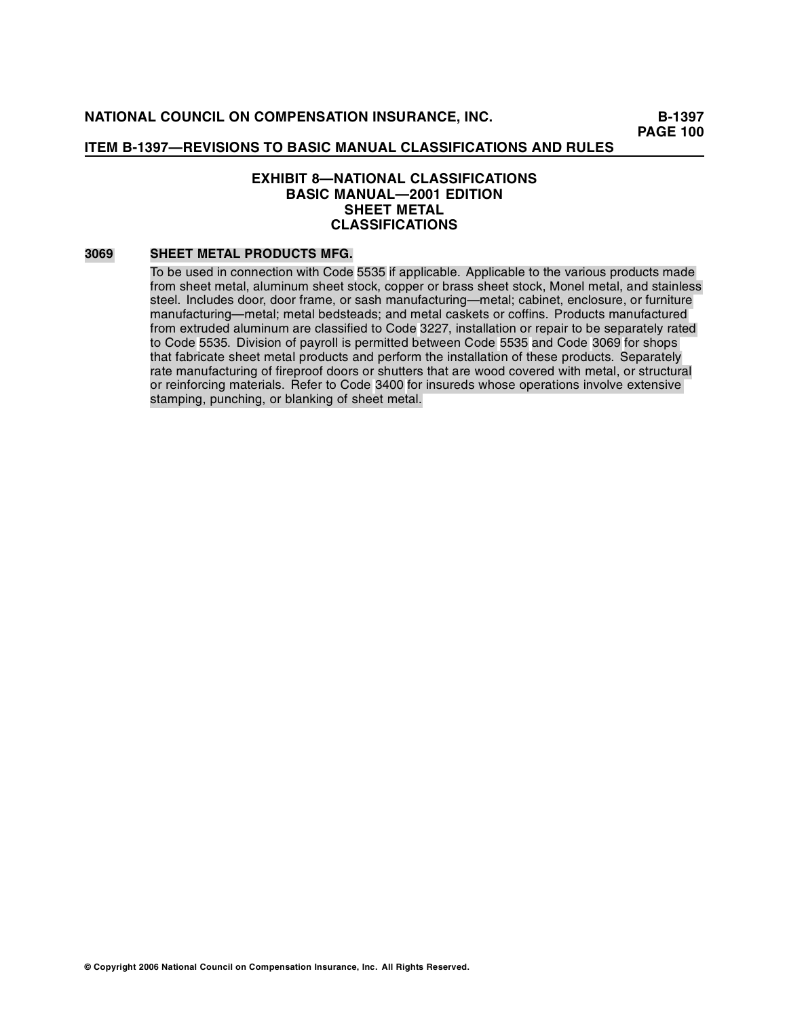# **EXHIBIT 8—NATIONAL CLASSIFICATIONS BASIC MANUAL—2001 EDITION SHEET METAL CLASSIFICATIONS**

#### **3069 SHEET METAL PRODUCTS MFG.**

To be used in connection with Code 5535 if applicable. Applicable to the various products made from sheet metal, aluminum sheet stock, copper or brass sheet stock, Monel metal, and stainless steel. Includes door, door frame, or sash manufacturing—metal; cabinet, enclosure, or furniture manufacturing—metal; metal bedsteads; and metal caskets or coffins. Products manufactured from extruded aluminum are classified to Code 3227, installation or repair to be separately rated to Code 5535. Division of payroll is permitted between Code 5535 and Code 3069 for shops that fabricate sheet metal products and perform the installation of these products. Separately rate manufacturing of fireproof doors or shutters that are wood covered with metal, or structural or reinforcing materials. Refer to Code 3400 for insureds whose operations involve extensive stamping, punching, or blanking of sheet metal.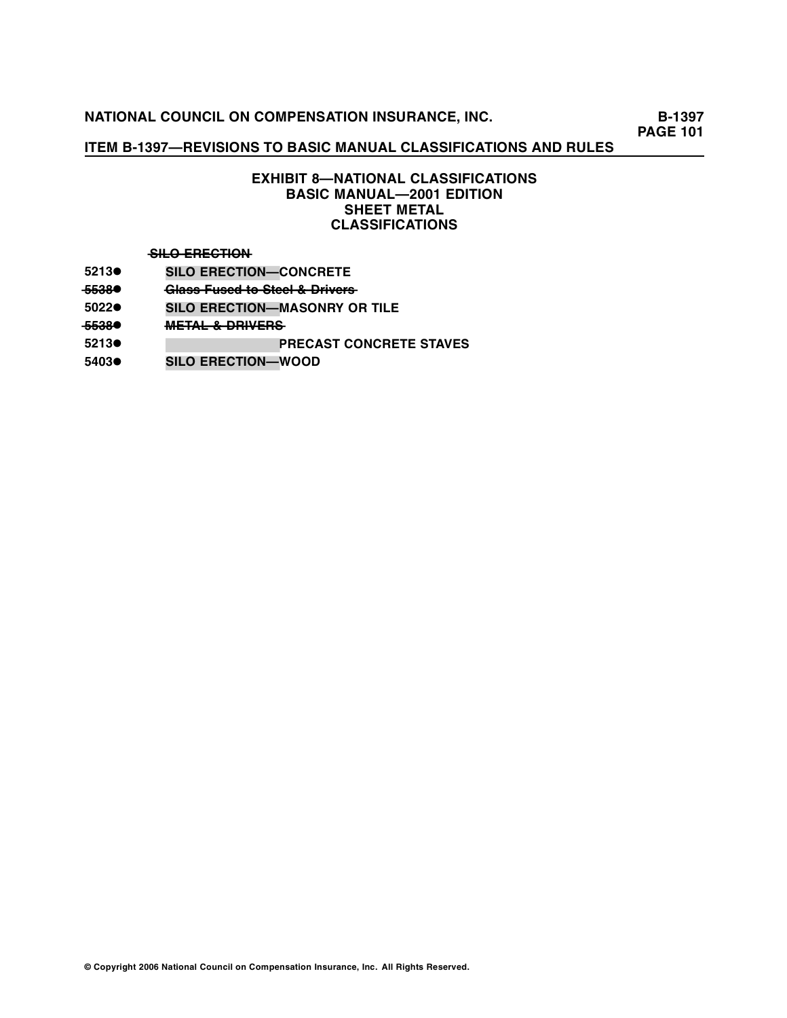# **ITEM B-1397—REVISIONS TO BASIC MANUAL CLASSIFICATIONS AND RULES**

# **EXHIBIT 8—NATIONAL CLASSIFICATIONS BASIC MANUAL—2001 EDITION SHEET METAL CLASSIFICATIONS**

#### $-$ **SILO ERECTION**

- **5213• SILO ERECTION—CONCRETE**
- <del>5538</del> **•** Glass Fused to Steel & Drivers<br>
5022● SILO ERECTION—MASONRY OI
- **5022• SILO ERECTION—MASONRY OR TILE**
- **—5—8 5—3— M—TA— • —E——L ——R—E—S —&—D—IV—R— —**
- **5213• SILO ERECTION—PRECAST CONCRETE STAVES**
- **5403• SILO ERECTION—WOOD**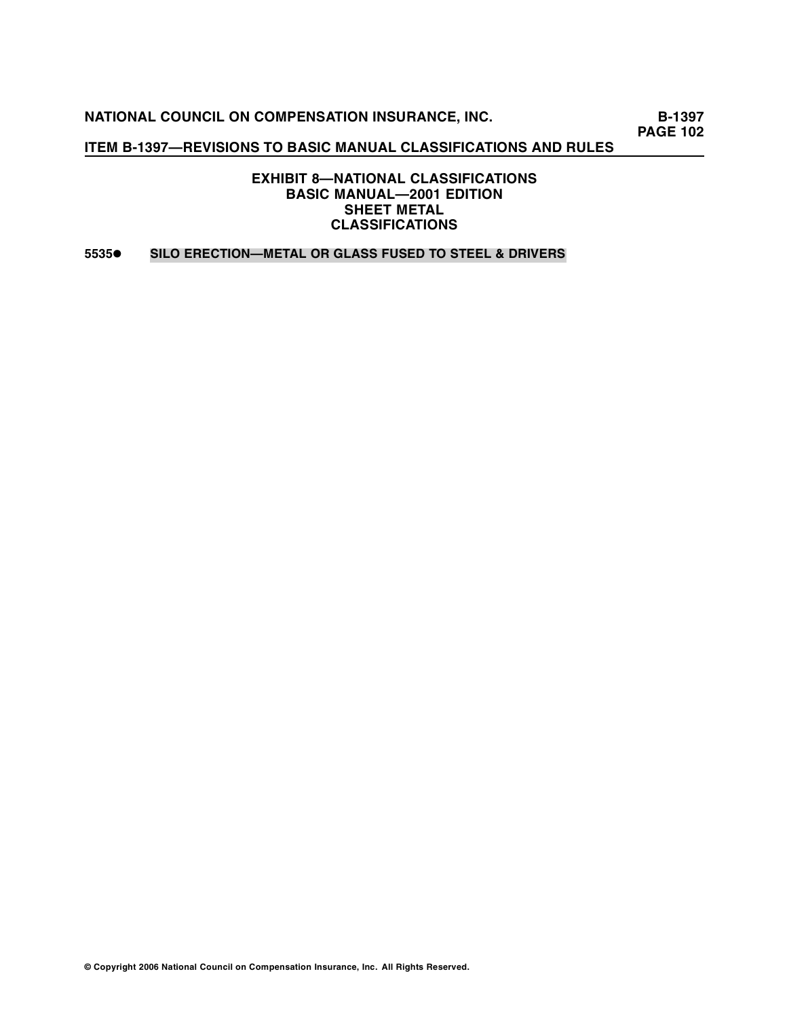**NATIONAL COUNCIL ON COMPENSATION INSURANCE, INC.** B-1397

**PAGE 102** 

# **ITEM B-1397—REVISIONS TO BASIC MANUAL CLASSIFICATIONS AND RULES**

**EXHIBIT 8—NATIONAL CLASSIFICATIONS BASIC MANUAL—2001 EDITION SHEET METAL CLASSIFICATIONS** 

**5535• SILO ERECTION—METAL OR GLASS FUSED TO STEEL & DRIVERS**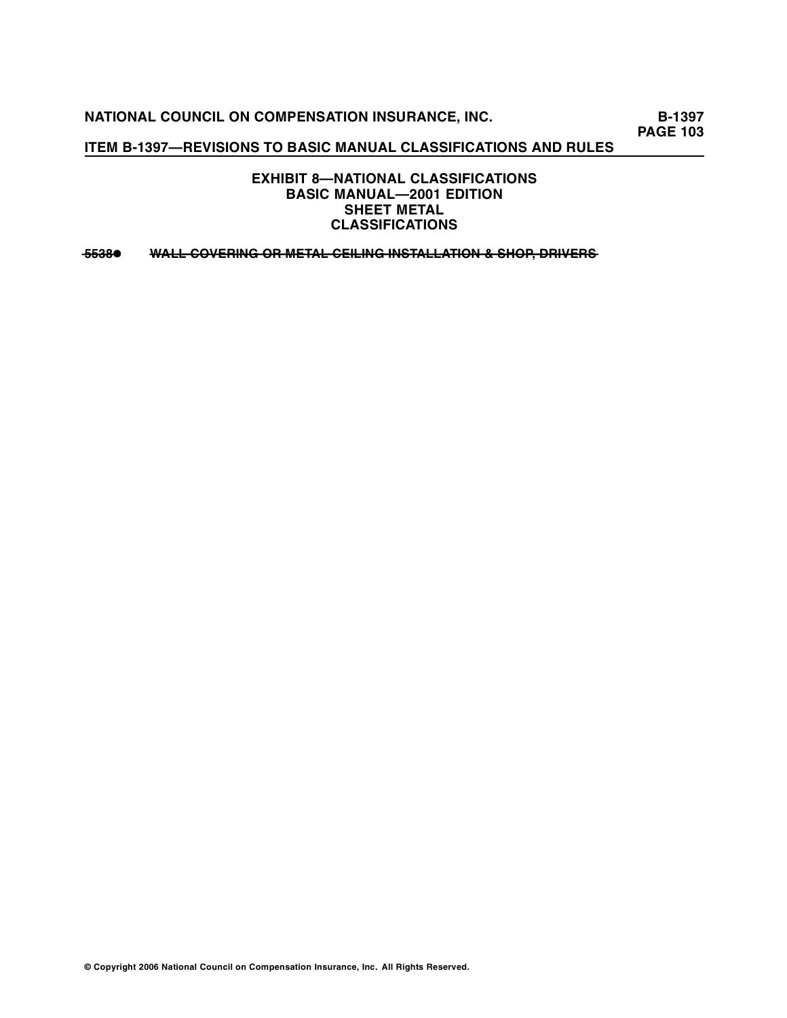**NATIONAL COUNCIL ON COMPENSATION INSURANCE, INC.** B-1397

**PAGE 103** 

# **ITEM B-1397—REVISIONS TO BASIC MANUAL CLASSIFICATIONS AND RULES**

**EXHIBIT 8—NATIONAL CLASSIFICATIONS BASIC MANUAL—2001 EDITION SHEET METAL CLASSIFICATIONS** 

**—5—3—8 <sup>5</sup> —• —A W—L—L——C—O—V—E—R—I—N—G——O—R——M—E—T—A—L——C—E—I—L—I—N—G———IN—S—T—A—L—L—A—T—I—O—N——&——S—H—O—P———, D—R—I—V—E—R—S—**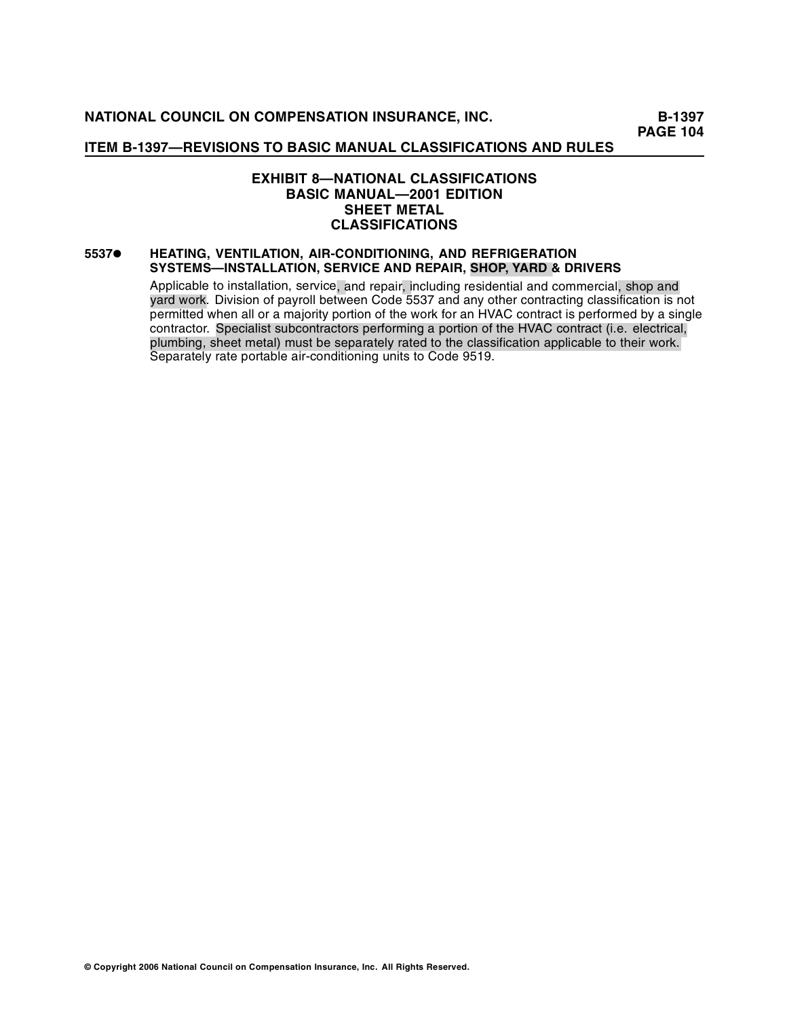# **EXHIBIT 8—NATIONAL CLASSIFICATIONS BASIC MANUAL—2001 EDITION SHEET METAL CLASSIFICATIONS**

## **5537• HEATING, VENTILATION, AIR-CONDITIONING, AND REFRIGERATION SYSTEMS—INSTALLATION, SERVICE AND REPAIR, SHOP, YARD & DRIVERS**

Applicable to installation, service, and repair, including residential and commercial, shop and yard work. Division of payroll between Code 5537 and any other contracting classification is not permitted when all or a majority portion of the work for an HVAC contract is performed by a single contractor. Specialist subcontractors performing a portion of the HVAC contract (i.e. electrical, plumbing, sheet metal) must be separately rated to the classification applicable to their work. Separately rate portable air-conditioning units to Code 9519.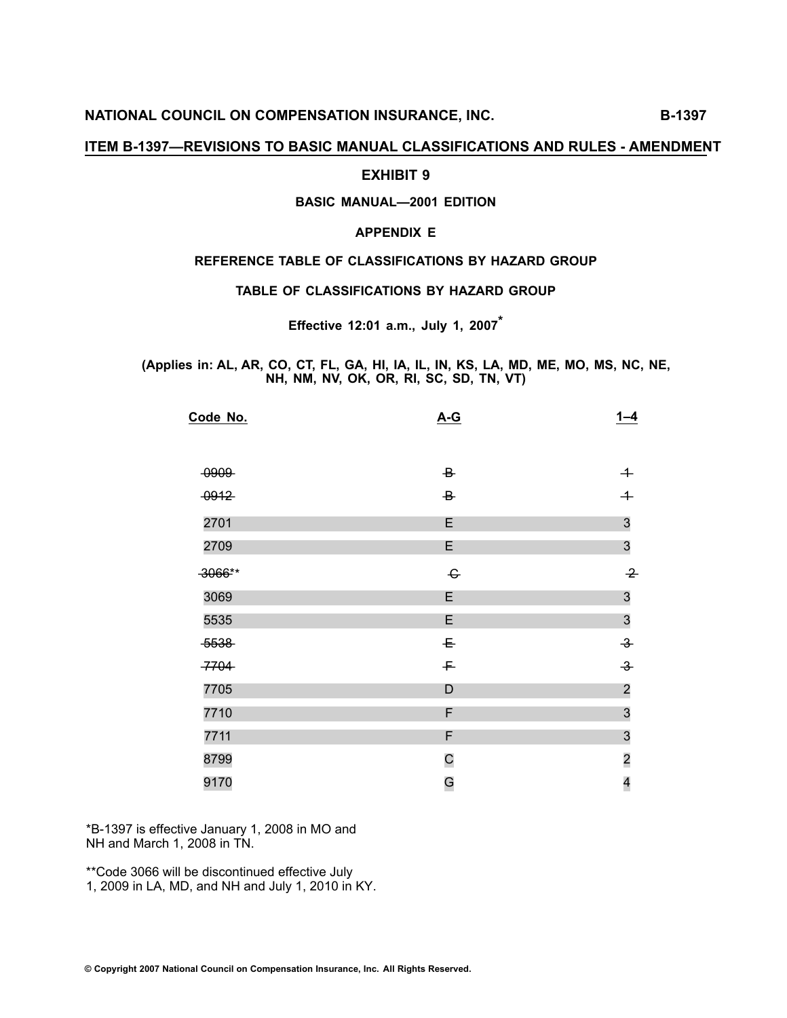# **EXHIBIT <sup>9</sup>**

# **BASIC MANUAL—2001 EDITION**

# **APPENDIX <sup>E</sup>**

## **REFERENCE TABLE OF CLASSIFICATIONS BY HAZARD GROUP**

**TABLE OF CLASSIFICATIONS BY HAZARD GROUP**

**Effective 12:01 a.m., July 1, <sup>2007</sup>\***

(Applies in: AL, AR, CO, CT, FL, GA, HI, IA, IL, IN, KS, LA, MD, ME, MO, MS, NC, NE, **NH, NM, NV, OK, OR, RI, SC, SD, TN, VT)**

| $A-G$                                   | $1 - 4$                 |
|-----------------------------------------|-------------------------|
|                                         |                         |
| $\overline{B}$                          | $+$                     |
| $\overline{B}$                          | $\overline{+}$          |
| E                                       | $\mathfrak{S}$          |
| E                                       | $\mathfrak{S}$          |
| $\mathrel{\textcolor{red}{\mathbf{G}}}$ | $\rightarrow$           |
| E                                       | $\mathfrak{S}$          |
| E                                       | $\mathfrak{S}$          |
| $\mathsf{E}% _{T}$                      | $\rightarrow$           |
| $\mp$                                   | $\rightarrow$           |
| D                                       | $\overline{\mathbf{c}}$ |
| F                                       | $\mathfrak{S}$          |
| F                                       | $\mathfrak{S}$          |
| $\mathsf{C}$                            | $\overline{\mathbf{c}}$ |
| G                                       | 4                       |
|                                         |                         |

\*B-1397 is effective January 1, 2008 in MO and NH and March 1, <sup>200</sup><sup>8</sup> in TN.

\*\*Code 3066 will be discontinued effective July 1, 2009 in LA, MD, and NH and July 1, 2010 in KY.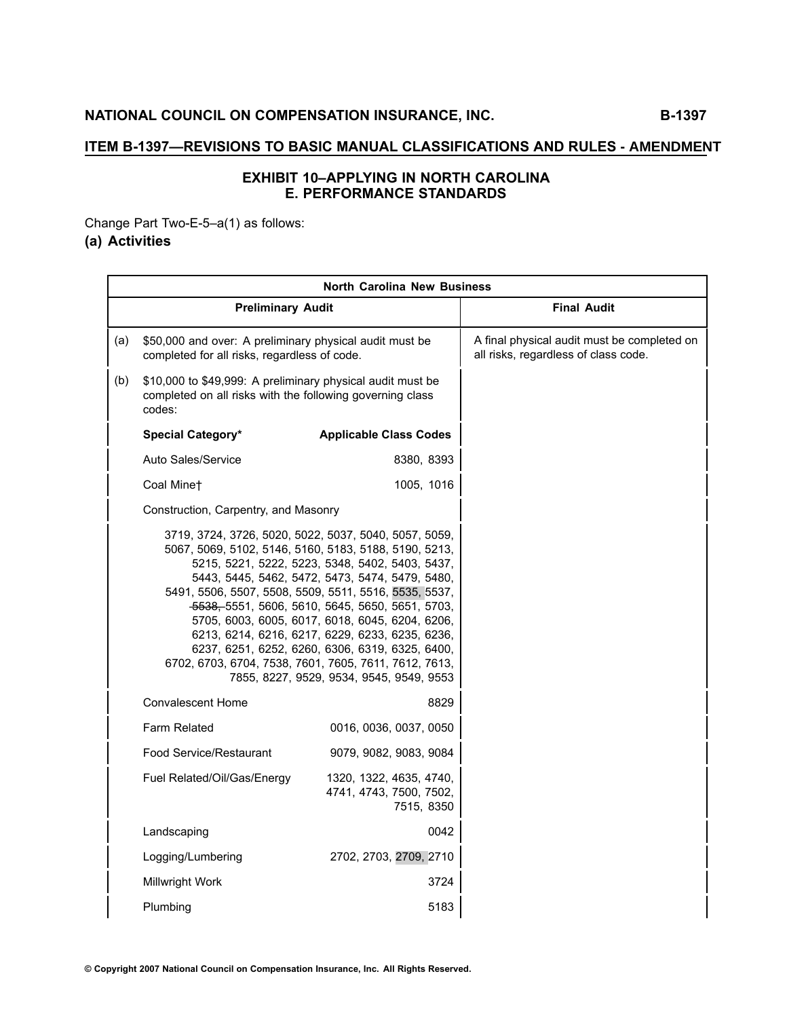# **EXHIBIT <sup>1</sup>0–APPLYING IN NORTH CAROLINA E. PERFORMANCE STANDARDS**

Change Part Two-E-5–a(1) as follows:

# **(a) Activities**

|     | <b>North Carolina New Business</b>                                                                                                                                                                                               |                                                                                                                                                                                                                                                                                                                                                            |                                                                                     |  |  |
|-----|----------------------------------------------------------------------------------------------------------------------------------------------------------------------------------------------------------------------------------|------------------------------------------------------------------------------------------------------------------------------------------------------------------------------------------------------------------------------------------------------------------------------------------------------------------------------------------------------------|-------------------------------------------------------------------------------------|--|--|
|     | <b>Preliminary Audit</b>                                                                                                                                                                                                         |                                                                                                                                                                                                                                                                                                                                                            | <b>Final Audit</b>                                                                  |  |  |
| (a) | \$50,000 and over: A preliminary physical audit must be<br>completed for all risks, regardless of code.                                                                                                                          |                                                                                                                                                                                                                                                                                                                                                            | A final physical audit must be completed on<br>all risks, regardless of class code. |  |  |
| (b) | \$10,000 to \$49,999: A preliminary physical audit must be<br>completed on all risks with the following governing class<br>codes:                                                                                                |                                                                                                                                                                                                                                                                                                                                                            |                                                                                     |  |  |
|     | <b>Special Category*</b>                                                                                                                                                                                                         | <b>Applicable Class Codes</b>                                                                                                                                                                                                                                                                                                                              |                                                                                     |  |  |
|     | Auto Sales/Service                                                                                                                                                                                                               | 8380, 8393                                                                                                                                                                                                                                                                                                                                                 |                                                                                     |  |  |
|     | Coal Minet                                                                                                                                                                                                                       | 1005, 1016                                                                                                                                                                                                                                                                                                                                                 |                                                                                     |  |  |
|     | Construction, Carpentry, and Masonry                                                                                                                                                                                             |                                                                                                                                                                                                                                                                                                                                                            |                                                                                     |  |  |
|     | 3719, 3724, 3726, 5020, 5022, 5037, 5040, 5057, 5059,<br>5067, 5069, 5102, 5146, 5160, 5183, 5188, 5190, 5213,<br>5491, 5506, 5507, 5508, 5509, 5511, 5516, 5535, 5537,<br>6702, 6703, 6704, 7538, 7601, 7605, 7611, 7612, 7613, | 5215, 5221, 5222, 5223, 5348, 5402, 5403, 5437,<br>5443, 5445, 5462, 5472, 5473, 5474, 5479, 5480,<br>5638, 5551, 5606, 5610, 5645, 5650, 5651, 5703,<br>5705, 6003, 6005, 6017, 6018, 6045, 6204, 6206,<br>6213, 6214, 6216, 6217, 6229, 6233, 6235, 6236,<br>6237, 6251, 6252, 6260, 6306, 6319, 6325, 6400,<br>7855, 8227, 9529, 9534, 9545, 9549, 9553 |                                                                                     |  |  |
|     | <b>Convalescent Home</b>                                                                                                                                                                                                         | 8829                                                                                                                                                                                                                                                                                                                                                       |                                                                                     |  |  |
|     | <b>Farm Related</b>                                                                                                                                                                                                              | 0016, 0036, 0037, 0050                                                                                                                                                                                                                                                                                                                                     |                                                                                     |  |  |
|     | Food Service/Restaurant                                                                                                                                                                                                          | 9079, 9082, 9083, 9084                                                                                                                                                                                                                                                                                                                                     |                                                                                     |  |  |
|     | Fuel Related/Oil/Gas/Energy                                                                                                                                                                                                      | 1320, 1322, 4635, 4740,<br>4741, 4743, 7500, 7502,<br>7515, 8350                                                                                                                                                                                                                                                                                           |                                                                                     |  |  |
|     | Landscaping                                                                                                                                                                                                                      | 0042                                                                                                                                                                                                                                                                                                                                                       |                                                                                     |  |  |
|     | Logging/Lumbering                                                                                                                                                                                                                | 2702, 2703, 2709, 2710                                                                                                                                                                                                                                                                                                                                     |                                                                                     |  |  |
|     | Millwright Work                                                                                                                                                                                                                  | 3724                                                                                                                                                                                                                                                                                                                                                       |                                                                                     |  |  |
|     | Plumbing                                                                                                                                                                                                                         | 5183                                                                                                                                                                                                                                                                                                                                                       |                                                                                     |  |  |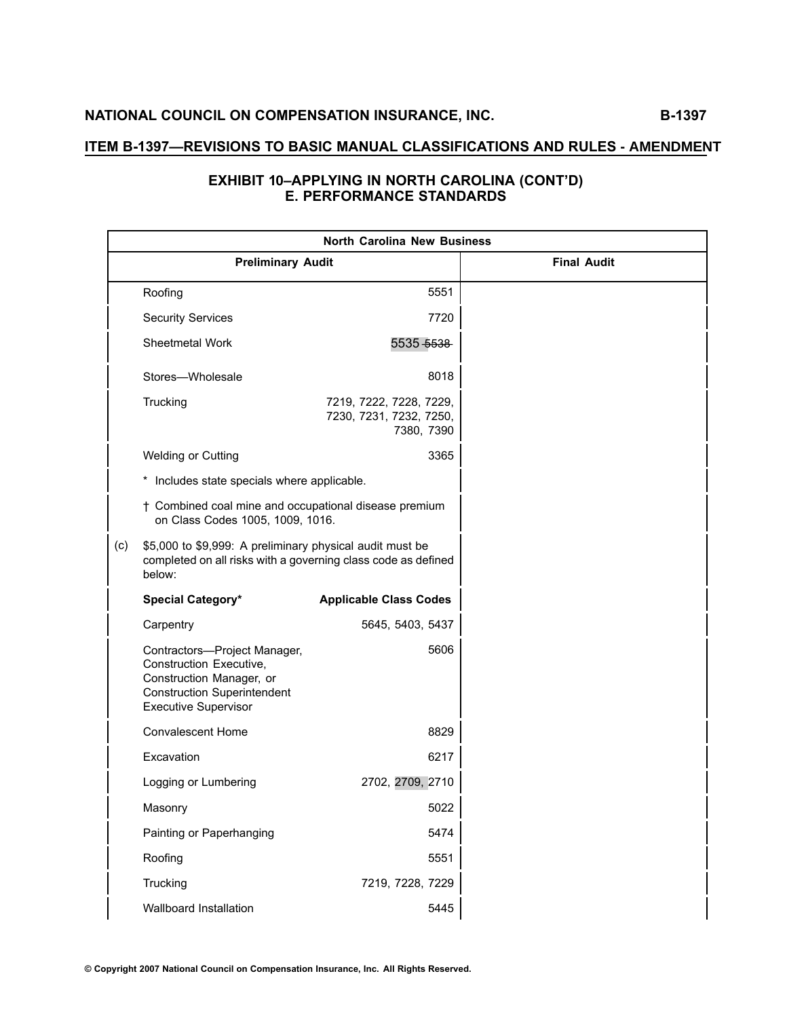| <b>North Carolina New Business</b> |                                                                                                                                                          |                                                                  |                    |  |
|------------------------------------|----------------------------------------------------------------------------------------------------------------------------------------------------------|------------------------------------------------------------------|--------------------|--|
|                                    | <b>Preliminary Audit</b>                                                                                                                                 |                                                                  | <b>Final Audit</b> |  |
|                                    | Roofing                                                                                                                                                  | 5551                                                             |                    |  |
|                                    | <b>Security Services</b>                                                                                                                                 | 7720                                                             |                    |  |
|                                    | <b>Sheetmetal Work</b>                                                                                                                                   | 5535 5538                                                        |                    |  |
|                                    | Stores-Wholesale                                                                                                                                         | 8018                                                             |                    |  |
|                                    | Trucking                                                                                                                                                 | 7219, 7222, 7228, 7229,<br>7230, 7231, 7232, 7250,<br>7380, 7390 |                    |  |
|                                    | <b>Welding or Cutting</b>                                                                                                                                | 3365                                                             |                    |  |
|                                    | Includes state specials where applicable.<br>*                                                                                                           |                                                                  |                    |  |
|                                    | † Combined coal mine and occupational disease premium<br>on Class Codes 1005, 1009, 1016.                                                                |                                                                  |                    |  |
| (c)                                | \$5,000 to \$9,999: A preliminary physical audit must be<br>completed on all risks with a governing class code as defined<br>below:                      |                                                                  |                    |  |
|                                    | Special Category*                                                                                                                                        | <b>Applicable Class Codes</b>                                    |                    |  |
|                                    | Carpentry                                                                                                                                                | 5645, 5403, 5437                                                 |                    |  |
|                                    | Contractors-Project Manager,<br>Construction Executive,<br>Construction Manager, or<br><b>Construction Superintendent</b><br><b>Executive Supervisor</b> | 5606                                                             |                    |  |
|                                    | <b>Convalescent Home</b>                                                                                                                                 | 8829                                                             |                    |  |
|                                    | Excavation                                                                                                                                               | 6217                                                             |                    |  |
|                                    | Logging or Lumbering                                                                                                                                     | 2702, 2709, 2710                                                 |                    |  |
|                                    | Masonry                                                                                                                                                  | 5022                                                             |                    |  |
|                                    | Painting or Paperhanging                                                                                                                                 | 5474                                                             |                    |  |
|                                    | Roofing                                                                                                                                                  | 5551                                                             |                    |  |
|                                    | Trucking                                                                                                                                                 | 7219, 7228, 7229                                                 |                    |  |
|                                    | Wallboard Installation                                                                                                                                   | 5445                                                             |                    |  |

# **EXHIBIT <sup>1</sup>0–APPLYING IN NORTH CAROLINA (CONT'D) E. PERFORMANCE STANDARDS**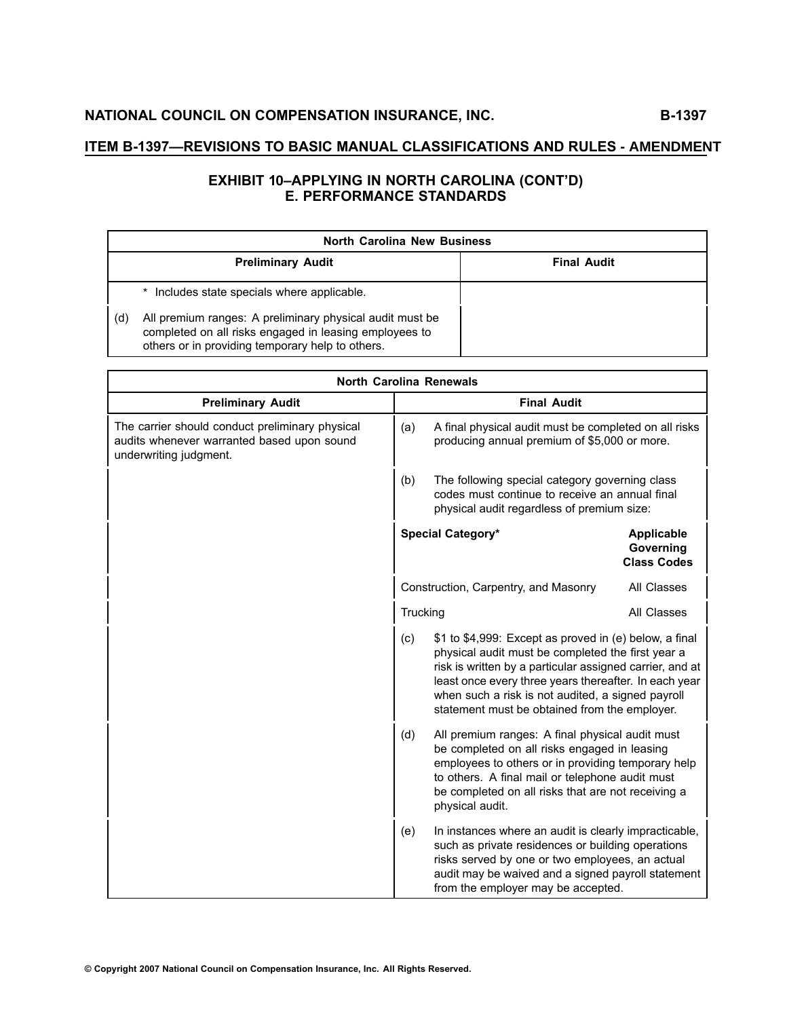# **EXHIBIT <sup>1</sup>0–APPLYING IN NORTH CAROLINA (CONT'D) E. PERFORMANCE STANDARDS**

|     | <b>North Carolina New Business</b>                                                                                                                                     |                    |  |
|-----|------------------------------------------------------------------------------------------------------------------------------------------------------------------------|--------------------|--|
|     | <b>Preliminary Audit</b>                                                                                                                                               | <b>Final Audit</b> |  |
|     | Includes state specials where applicable.                                                                                                                              |                    |  |
| (d) | All premium ranges: A preliminary physical audit must be<br>completed on all risks engaged in leasing employees to<br>others or in providing temporary help to others. |                    |  |

| <b>North Carolina Renewals</b>                                                                                          |                                                                                                                                                                                                                                                                                          |                                                                                                                                                                                                                                                                                                                                        |                                                      |
|-------------------------------------------------------------------------------------------------------------------------|------------------------------------------------------------------------------------------------------------------------------------------------------------------------------------------------------------------------------------------------------------------------------------------|----------------------------------------------------------------------------------------------------------------------------------------------------------------------------------------------------------------------------------------------------------------------------------------------------------------------------------------|------------------------------------------------------|
| <b>Preliminary Audit</b>                                                                                                | <b>Final Audit</b>                                                                                                                                                                                                                                                                       |                                                                                                                                                                                                                                                                                                                                        |                                                      |
| The carrier should conduct preliminary physical<br>audits whenever warranted based upon sound<br>underwriting judgment. | A final physical audit must be completed on all risks<br>(a)<br>producing annual premium of \$5,000 or more.                                                                                                                                                                             |                                                                                                                                                                                                                                                                                                                                        |                                                      |
|                                                                                                                         | (b)                                                                                                                                                                                                                                                                                      | The following special category governing class<br>codes must continue to receive an annual final<br>physical audit regardless of premium size:                                                                                                                                                                                         |                                                      |
|                                                                                                                         |                                                                                                                                                                                                                                                                                          | Special Category*                                                                                                                                                                                                                                                                                                                      | <b>Applicable</b><br>Governing<br><b>Class Codes</b> |
|                                                                                                                         | Construction, Carpentry, and Masonry                                                                                                                                                                                                                                                     |                                                                                                                                                                                                                                                                                                                                        | All Classes                                          |
|                                                                                                                         | Trucking                                                                                                                                                                                                                                                                                 |                                                                                                                                                                                                                                                                                                                                        | All Classes                                          |
|                                                                                                                         | (c)                                                                                                                                                                                                                                                                                      | \$1 to \$4,999: Except as proved in (e) below, a final<br>physical audit must be completed the first year a<br>risk is written by a particular assigned carrier, and at<br>least once every three years thereafter. In each year<br>when such a risk is not audited, a signed payroll<br>statement must be obtained from the employer. |                                                      |
|                                                                                                                         | (d)<br>All premium ranges: A final physical audit must<br>be completed on all risks engaged in leasing<br>employees to others or in providing temporary help<br>to others. A final mail or telephone audit must<br>be completed on all risks that are not receiving a<br>physical audit. |                                                                                                                                                                                                                                                                                                                                        |                                                      |
|                                                                                                                         | (e)                                                                                                                                                                                                                                                                                      | In instances where an audit is clearly impracticable,<br>such as private residences or building operations<br>risks served by one or two employees, an actual<br>audit may be waived and a signed payroll statement<br>from the employer may be accepted.                                                                              |                                                      |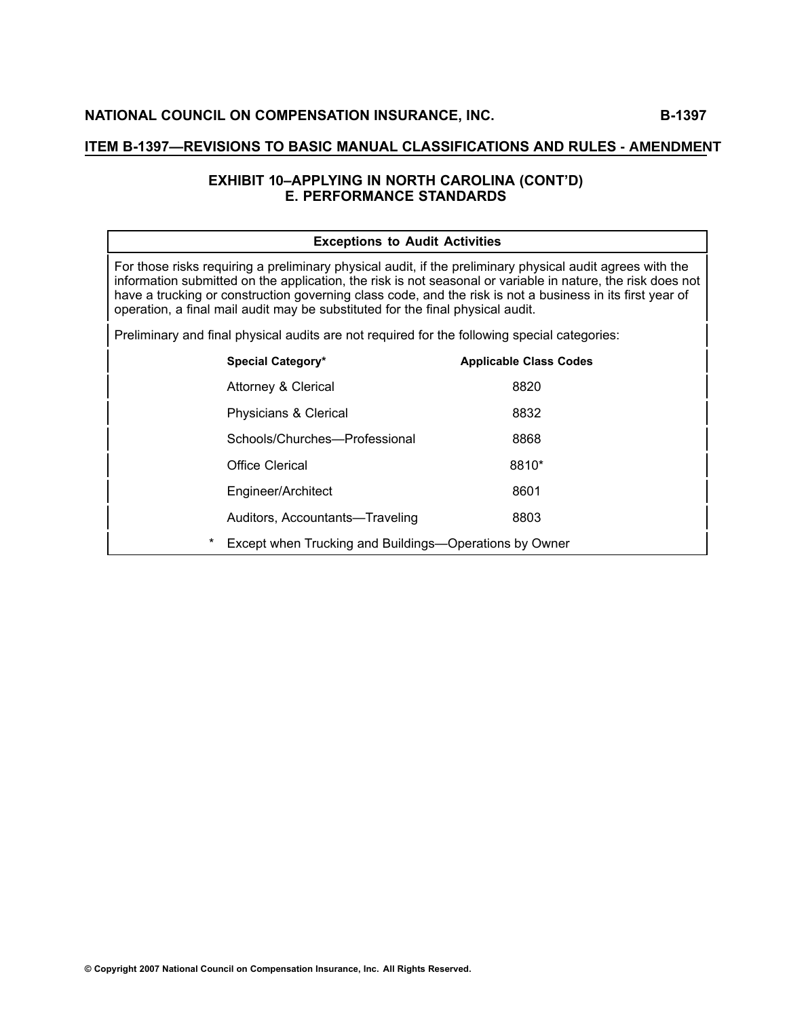#### **ITEM B1397—REVISIONS TO BASIC MANUAL CLASSIFICATIONS AND RULES - AMENDMENT**

# **EXHIBIT <sup>1</sup>0–APPLYING IN NORTH CAROLINA (CONT'D) E. PERFORMANCE STANDARDS**

| <b>Exceptions to Audit Activities</b>                                                                                                                                                                                                                                                                                                                                                                                   |                                                        |                               |
|-------------------------------------------------------------------------------------------------------------------------------------------------------------------------------------------------------------------------------------------------------------------------------------------------------------------------------------------------------------------------------------------------------------------------|--------------------------------------------------------|-------------------------------|
| For those risks requiring a preliminary physical audit, if the preliminary physical audit agrees with the<br>information submitted on the application, the risk is not seasonal or variable in nature, the risk does not<br>have a trucking or construction governing class code, and the risk is not a business in its first year of<br>operation, a final mail audit may be substituted for the final physical audit. |                                                        |                               |
| Preliminary and final physical audits are not required for the following special categories:                                                                                                                                                                                                                                                                                                                            |                                                        |                               |
|                                                                                                                                                                                                                                                                                                                                                                                                                         | Special Category*                                      | <b>Applicable Class Codes</b> |
|                                                                                                                                                                                                                                                                                                                                                                                                                         | <b>Attorney &amp; Clerical</b>                         | 8820                          |
|                                                                                                                                                                                                                                                                                                                                                                                                                         | Physicians & Clerical                                  | 8832                          |
|                                                                                                                                                                                                                                                                                                                                                                                                                         | Schools/Churches---Professional                        | 8868                          |
|                                                                                                                                                                                                                                                                                                                                                                                                                         | Office Clerical                                        | 8810*                         |
|                                                                                                                                                                                                                                                                                                                                                                                                                         | Engineer/Architect                                     | 8601                          |
|                                                                                                                                                                                                                                                                                                                                                                                                                         | Auditors, Accountants—Traveling                        | 8803                          |
| $^\ast$                                                                                                                                                                                                                                                                                                                                                                                                                 | Except when Trucking and Buildings—Operations by Owner |                               |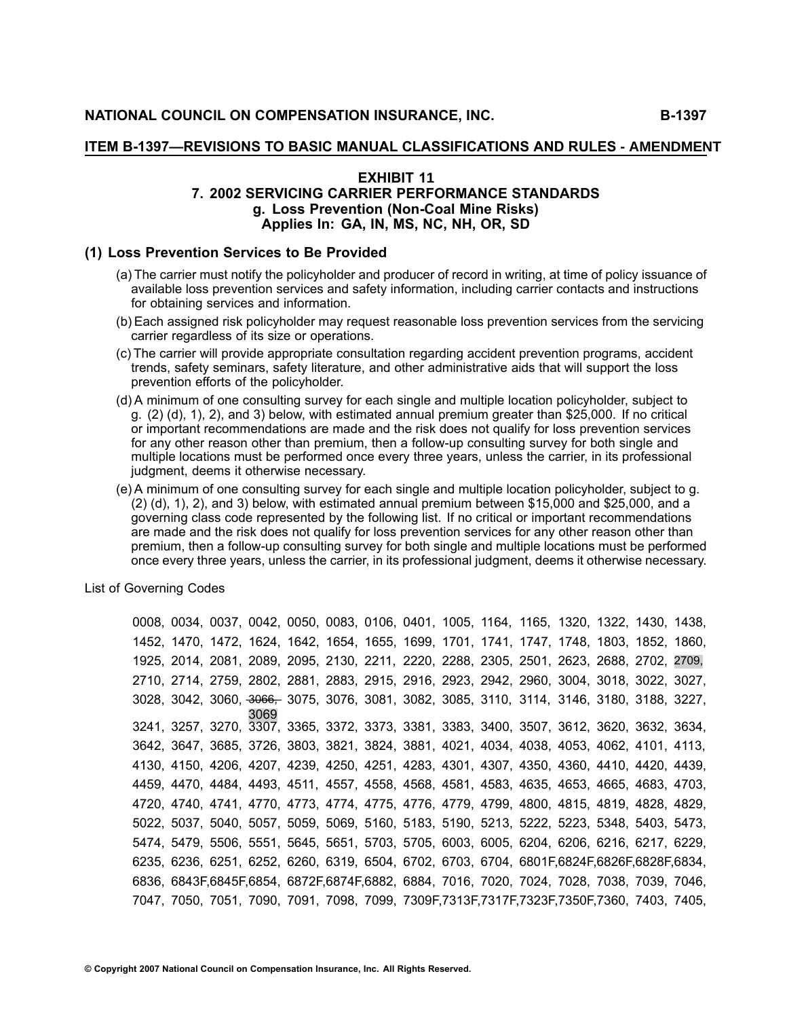#### **ITEM B1397—REVISIONS TO BASIC MANUAL CLASSIFICATIONS AND RULES - AMENDMENT**

#### **EXHIBIT <sup>1</sup><sup>1</sup> 7. <sup>2002</sup> SERVICING CARRIER PERFORMANCE STANDARDS g. Loss Prevention (NonCoal Mine Risks) Applies In: GA, IN, MS, <sup>N</sup>C, <sup>N</sup>H, OR, SD**

#### **(1) Loss Prevention Services to Be Provided**

- (a) The carrier must notify the policyholder and producer of record in writing, at time of policy issuance of available loss prevention services and safety information, including carrier contacts and instructions for obtaining services and information.
- (b) Each assigned risk policyholder may request reasonable loss prevention services from the servicing carrier regardless of its size or operations.
- (c) The carrier will provide appropriate consultation regarding accident prevention programs, accident trends, safety seminars, safety literature, and other administrative aids that will support the loss prevention efforts of the policyholder.
- (d) <sup>A</sup> minimum of one consulting survey for each single and multiple location policyholder, subject to g. (2) (d), 1), 2), and 3) below, with estimated annual premium greater than \$25,000. If no critical or important recommendations are made and the risk does not qualify for loss prevention services for any other reason other than premium, then a follow-up consulting survey for both single and multiple locations must be performed once every three years, unless the carrier, in its professional judgment, deems it otherwise necessary.
- (e) <sup>A</sup> minimum of one consulting survey for each single and multiple location policyholder, subject to g. (2) (d), 1), 2), and 3) below, with estimated annual premium between \$15,000 and \$25,000, and <sup>a</sup> governing class code represented by the following list. If no critical or important recommendations are made and the risk does not qualify for loss prevention services for any other reason other than premium, then a follow-up consulting survey for both single and multiple locations must be performed once every three years, unless the carrier, in its professional judgment, deems it otherwise necessary.

List of Governing Codes

0008, 0034, 0037, 0042, 0050, 0083, 0106, 0401, 1005, 1164, 1165, 1320, 1322, 1430, 1438, 1452, 1470, 1472, 1624, 1642, 1654, 1655, 1699, 1701, 1741, 1747, 1748, 1803, 1852, 1860, 1925, 2014, 2081, 2089, 2095, 2130, 2211, 2220, 2288, 2305, 2501, 2623, 2688, 2702, 2709, 2710, 2714, 2759, 2802, 2881, 2883, 2915, 2916, 2923, 2942, 2960, 3004, 3018, 3022, 3027, 3028, 3042, 3060, 3—0—6—6—,— 3075, 3076, 3081, 3082, 3085, 3110, 3114, 3146, 3180, 3188, 3227, 3069 3241, 3257, 3270, 3307, 3365, 3372, 3373, 3381, 3383, 3400, 3507, 3612, 3620, 3632, 3634, 3642, 3647, 3685, 3726, 3803, 3821, 3824, 3881, 4021, 4034, 4038, 4053, 4062, 4101, 4113, 4130, 4150, 4206, 4207, 4239, 4250, 4251, 4283, 4301, 4307, 4350, 4360, 4410, 4420, 4439, 4459, 4470, 4484, 4493, 4511, 4557, 4558, 4568, 4581, 4583, 4635, 4653, 4665, 4683, 4703, 4720, 4740, 4741, 4770, 4773, 4774, 4775, 4776, 4779, 4799, 4800, 4815, 4819, 4828, 4829, 5022, 5037, 5040, 5057, 5059, 5069, 5160, 5183, 5190, 5213, 5222, 5223, 5348, 5403, 5473, 5474, 5479, 5506, 5551, 5645, 5651, 5703, 5705, 6003, 6005, 6204, 6206, 6216, 6217, 6229, 6235, 6236, 6251, 6252, 6260, 6319, 6504, 6702, 6703, 6704, 6801F,6824F,6826F,6828F,6834, 6836, 6843F,6845F,6854, 6872F,6874F,6882, 6884, 7016, 7020, 7024, 7028, 7038, 7039, 7046, 7047, 7050, 7051, 7090, 7091, 7098, 7099, 7309F,7313F,7317F,7323F,7350F,7360, 7403, 7405,